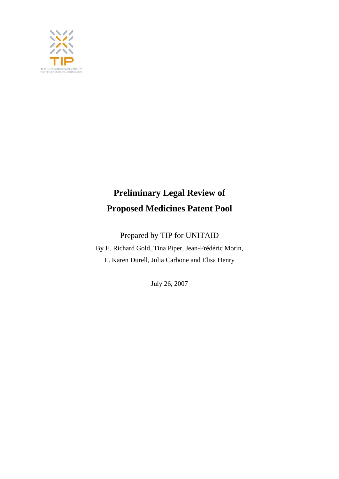

# **Preliminary Legal Review of Proposed Medicines Patent Pool**

Prepared by TIP for UNITAID

By E. Richard Gold, Tina Piper, Jean-Frédéric Morin, L. Karen Durell, Julia Carbone and Elisa Henry

July 26, 2007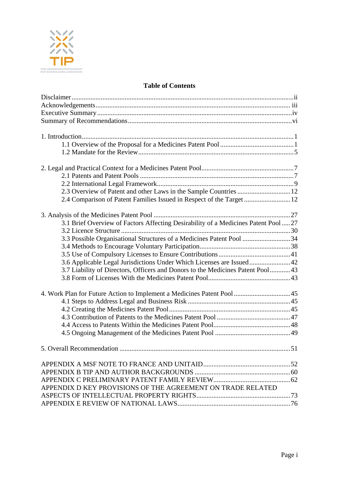

### **Table of Contents**

| 2.4 Comparison of Patent Families Issued in Respect of the Target  12               |    |
|-------------------------------------------------------------------------------------|----|
|                                                                                     |    |
|                                                                                     |    |
| 3.1 Brief Overview of Factors Affecting Desirability of a Medicines Patent Pool  27 |    |
|                                                                                     |    |
| 3.3 Possible Organisational Structures of a Medicines Patent Pool 34                |    |
|                                                                                     |    |
|                                                                                     |    |
| 3.6 Applicable Legal Jurisdictions Under Which Licenses are Issued42                |    |
| 3.7 Liability of Directors, Officers and Donors to the Medicines Patent Pool 43     |    |
|                                                                                     |    |
|                                                                                     |    |
|                                                                                     |    |
|                                                                                     |    |
|                                                                                     |    |
|                                                                                     |    |
|                                                                                     |    |
|                                                                                     |    |
| 5. Overall Recommendation                                                           | 51 |
|                                                                                     |    |
|                                                                                     |    |
|                                                                                     |    |
|                                                                                     |    |
| APPENDIX D KEY PROVISIONS OF THE AGREEMENT ON TRADE RELATED                         |    |
|                                                                                     |    |
|                                                                                     |    |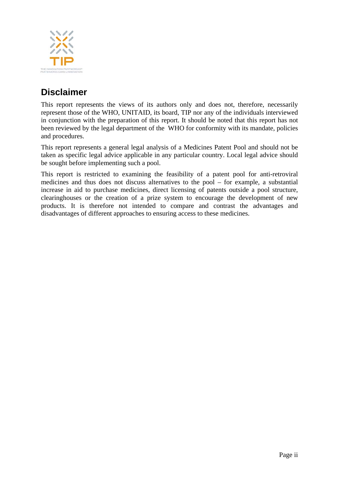<span id="page-2-0"></span>

## **Disclaimer**

This report represents the views of its authors only and does not, therefore, necessarily represent those of the WHO, UNITAID, its board, TIP nor any of the individuals interviewed in conjunction with the preparation of this report. It should be noted that this report has not been reviewed by the legal department of the WHO for conformity with its mandate, policies and procedures.

This report represents a general legal analysis of a Medicines Patent Pool and should not be taken as specific legal advice applicable in any particular country. Local legal advice should be sought before implementing such a pool.

This report is restricted to examining the feasibility of a patent pool for anti-retroviral medicines and thus does not discuss alternatives to the pool – for example, a substantial increase in aid to purchase medicines, direct licensing of patents outside a pool structure, clearinghouses or the creation of a prize system to encourage the development of new products. It is therefore not intended to compare and contrast the advantages and disadvantages of different approaches to ensuring access to these medicines.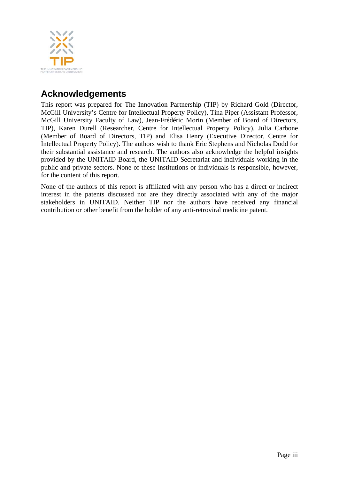<span id="page-3-0"></span>

## **Acknowledgements**

This report was prepared for The Innovation Partnership (TIP) by Richard Gold (Director, McGill University's Centre for Intellectual Property Policy), Tina Piper (Assistant Professor, McGill University Faculty of Law), Jean-Frédéric Morin (Member of Board of Directors, TIP), Karen Durell (Researcher, Centre for Intellectual Property Policy), Julia Carbone (Member of Board of Directors, TIP) and Elisa Henry (Executive Director, Centre for Intellectual Property Policy). The authors wish to thank Eric Stephens and Nicholas Dodd for their substantial assistance and research. The authors also acknowledge the helpful insights provided by the UNITAID Board, the UNITAID Secretariat and individuals working in the public and private sectors. None of these institutions or individuals is responsible, however, for the content of this report.

None of the authors of this report is affiliated with any person who has a direct or indirect interest in the patents discussed nor are they directly associated with any of the major stakeholders in UNITAID. Neither TIP nor the authors have received any financial contribution or other benefit from the holder of any anti-retroviral medicine patent.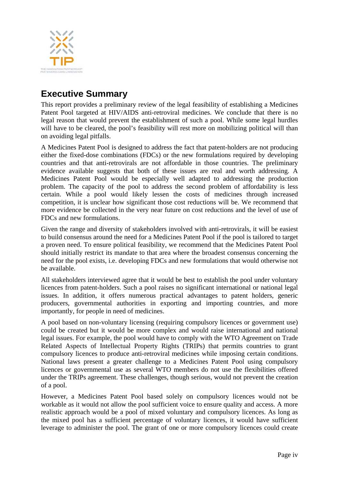<span id="page-4-0"></span>

## **Executive Summary**

This report provides a preliminary review of the legal feasibility of establishing a Medicines Patent Pool targeted at HIV/AIDS anti-retroviral medicines. We conclude that there is no legal reason that would prevent the establishment of such a pool. While some legal hurdles will have to be cleared, the pool's feasibility will rest more on mobilizing political will than on avoiding legal pitfalls.

A Medicines Patent Pool is designed to address the fact that patent-holders are not producing either the fixed-dose combinations (FDCs) or the new formulations required by developing countries and that anti-retrovirals are not affordable in those countries. The preliminary evidence available suggests that both of these issues are real and worth addressing. A Medicines Patent Pool would be especially well adapted to addressing the production problem. The capacity of the pool to address the second problem of affordability is less certain. While a pool would likely lessen the costs of medicines through increased competition, it is unclear how significant those cost reductions will be. We recommend that more evidence be collected in the very near future on cost reductions and the level of use of FDCs and new formulations.

Given the range and diversity of stakeholders involved with anti-retrovirals, it will be easiest to build consensus around the need for a Medicines Patent Pool if the pool is tailored to target a proven need. To ensure political feasibility, we recommend that the Medicines Patent Pool should initially restrict its mandate to that area where the broadest consensus concerning the need for the pool exists, i.e. developing FDCs and new formulations that would otherwise not be available.

All stakeholders interviewed agree that it would be best to establish the pool under voluntary licences from patent-holders. Such a pool raises no significant international or national legal issues. In addition, it offers numerous practical advantages to patent holders, generic producers, governmental authorities in exporting and importing countries, and more importantly, for people in need of medicines.

A pool based on non-voluntary licensing (requiring compulsory licences or government use) could be created but it would be more complex and would raise international and national legal issues. For example, the pool would have to comply with the WTO Agreement on Trade Related Aspects of Intellectual Property Rights (TRIPs) that permits countries to grant compulsory licences to produce anti-retroviral medicines while imposing certain conditions. National laws present a greater challenge to a Medicines Patent Pool using compulsory licences or governmental use as several WTO members do not use the flexibilities offered under the TRIPs agreement. These challenges, though serious, would not prevent the creation of a pool.

However, a Medicines Patent Pool based solely on compulsory licences would not be workable as it would not allow the pool sufficient voice to ensure quality and access. A more realistic approach would be a pool of mixed voluntary and compulsory licences. As long as the mixed pool has a sufficient percentage of voluntary licences, it would have sufficient leverage to administer the pool. The grant of one or more compulsory licences could create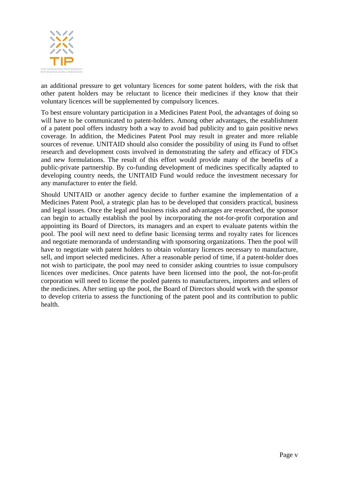

an additional pressure to get voluntary licences for some patent holders, with the risk that other patent holders may be reluctant to licence their medicines if they know that their voluntary licences will be supplemented by compulsory licences.

To best ensure voluntary participation in a Medicines Patent Pool, the advantages of doing so will have to be communicated to patent-holders. Among other advantages, the establishment of a patent pool offers industry both a way to avoid bad publicity and to gain positive news coverage. In addition, the Medicines Patent Pool may result in greater and more reliable sources of revenue. UNITAID should also consider the possibility of using its Fund to offset research and development costs involved in demonstrating the safety and efficacy of FDCs and new formulations. The result of this effort would provide many of the benefits of a public-private partnership. By co-funding development of medicines specifically adapted to developing country needs, the UNITAID Fund would reduce the investment necessary for any manufacturer to enter the field.

Should UNITAID or another agency decide to further examine the implementation of a Medicines Patent Pool, a strategic plan has to be developed that considers practical, business and legal issues. Once the legal and business risks and advantages are researched, the sponsor can begin to actually establish the pool by incorporating the not-for-profit corporation and appointing its Board of Directors, its managers and an expert to evaluate patents within the pool. The pool will next need to define basic licensing terms and royalty rates for licences and negotiate memoranda of understanding with sponsoring organizations. Then the pool will have to negotiate with patent holders to obtain voluntary licences necessary to manufacture, sell, and import selected medicines. After a reasonable period of time, if a patent-holder does not wish to participate, the pool may need to consider asking countries to issue compulsory licences over medicines. Once patents have been licensed into the pool, the not-for-profit corporation will need to license the pooled patents to manufacturers, importers and sellers of the medicines. After setting up the pool, the Board of Directors should work with the sponsor to develop criteria to assess the functioning of the patent pool and its contribution to public health.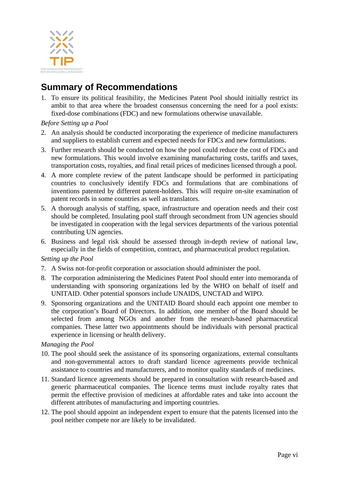<span id="page-6-0"></span>

## **Summary of Recommendations**

1. To ensure its political feasibility, the Medicines Patent Pool should initially restrict its ambit to that area where the broadest consensus concerning the need for a pool exists: fixed-dose combinations (FDC) and new formulations otherwise unavailable.

#### *Before Setting up a Pool*

- 2. An analysis should be conducted incorporating the experience of medicine manufacturers and suppliers to establish current and expected needs for FDCs and new formulations.
- 3. Further research should be conducted on how the pool could reduce the cost of FDCs and new formulations. This would involve examining manufacturing costs, tariffs and taxes, transportation costs, royalties, and final retail prices of medicines licensed through a pool.
- 4. A more complete review of the patent landscape should be performed in participating countries to conclusively identify FDCs and formulations that are combinations of inventions patented by different patent-holders. This will require on-site examination of patent records in some countries as well as translators.
- 5. A thorough analysis of staffing, space, infrastructure and operation needs and their cost should be completed. Insulating pool staff through secondment from UN agencies should be investigated in cooperation with the legal services departments of the various potential contributing UN agencies.
- 6. Business and legal risk should be assessed through in-depth review of national law, especially in the fields of competition, contract, and pharmaceutical product regulation.

#### *Setting up the Pool*

- 7. A Swiss not-for-profit corporation or association should administer the pool.
- 8. The corporation administering the Medicines Patent Pool should enter into memoranda of understanding with sponsoring organizations led by the WHO on behalf of itself and UNITAID. Other potential sponsors include UNAIDS, UNCTAD and WIPO.
- 9. Sponsoring organizations and the UNITAID Board should each appoint one member to the corporation's Board of Directors. In addition, one member of the Board should be selected from among NGOs and another from the research-based pharmaceutical companies. These latter two appointments should be individuals with personal practical experience in licensing or health delivery.

#### *Managing the Pool*

- 10. The pool should seek the assistance of its sponsoring organizations, external consultants and non-governmental actors to draft standard licence agreements provide technical assistance to countries and manufacturers, and to monitor quality standards of medicines.
- 11. Standard licence agreements should be prepared in consultation with research-based and generic pharmaceutical companies. The licence terms must include royalty rates that permit the effective provision of medicines at affordable rates and take into account the different attributes of manufacturing and importing countries.
- 12. The pool should appoint an independent expert to ensure that the patents licensed into the pool neither compete nor are likely to be invalidated.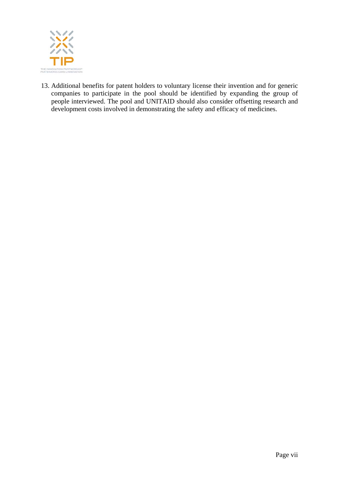

13. Additional benefits for patent holders to voluntary license their invention and for generic companies to participate in the pool should be identified by expanding the group of people interviewed. The pool and UNITAID should also consider offsetting research and development costs involved in demonstrating the safety and efficacy of medicines.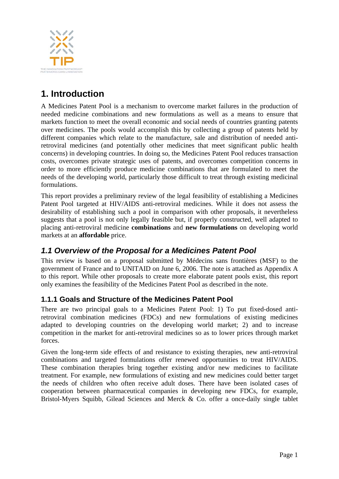<span id="page-8-0"></span>

## **1. Introduction**

A Medicines Patent Pool is a mechanism to overcome market failures in the production of needed medicine combinations and new formulations as well as a means to ensure that markets function to meet the overall economic and social needs of countries granting patents over medicines. The pools would accomplish this by collecting a group of patents held by different companies which relate to the manufacture, sale and distribution of needed antiretroviral medicines (and potentially other medicines that meet significant public health concerns) in developing countries. In doing so, the Medicines Patent Pool reduces transaction costs, overcomes private strategic uses of patents, and overcomes competition concerns in order to more efficiently produce medicine combinations that are formulated to meet the needs of the developing world, particularly those difficult to treat through existing medicinal formulations.

This report provides a preliminary review of the legal feasibility of establishing a Medicines Patent Pool targeted at HIV/AIDS anti-retroviral medicines. While it does not assess the desirability of establishing such a pool in comparison with other proposals, it nevertheless suggests that a pool is not only legally feasible but, if properly constructed, well adapted to placing anti-retroviral medicine **combinations** and **new formulations** on developing world markets at an **affordable** price.

### *1.1 Overview of the Proposal for a Medicines Patent Pool*

This review is based on a proposal submitted by Médecins sans frontières (MSF) to the government of France and to UNITAID on June 6, 2006. The note is attached as Appendix A to this report. While other proposals to create more elaborate patent pools exist, this report only examines the feasibility of the Medicines Patent Pool as described in the note.

### **1.1.1 Goals and Structure of the Medicines Patent Pool**

There are two principal goals to a Medicines Patent Pool: 1) To put fixed-dosed antiretroviral combination medicines (FDCs) and new formulations of existing medicines adapted to developing countries on the developing world market; 2) and to increase competition in the market for anti-retroviral medicines so as to lower prices through market forces.

Given the long-term side effects of and resistance to existing therapies, new anti-retroviral combinations and targeted formulations offer renewed opportunities to treat HIV/AIDS. These combination therapies bring together existing and/or new medicines to facilitate treatment. For example, new formulations of existing and new medicines could better target the needs of children who often receive adult doses. There have been isolated cases of cooperation between pharmaceutical companies in developing new FDCs, for example, Bristol-Myers Squibb, Gilead Sciences and Merck & Co. offer a once-daily single tablet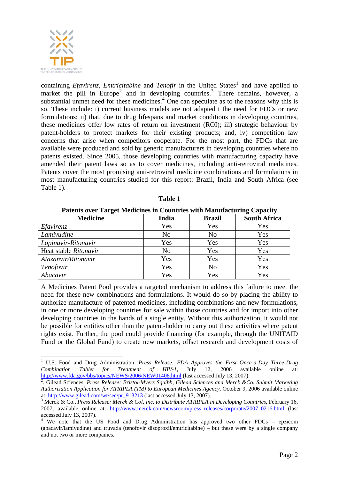<span id="page-9-0"></span>

<u>.</u>

containing *Efavirenz*, *Emtricitabine* and *Tenofir* in the United States<sup>[1](#page-9-0)</sup> and have applied to market the pill in Europe<sup>[2](#page-9-0)</sup> and in developing countries.<sup>[3](#page-9-0)</sup> There remains, however, a substantial unmet need for these medicines. $4$  One can speculate as to the reasons why this is so. These include: i) current business models are not adapted t the need for FDCs or new formulations; ii) that, due to drug lifespans and market conditions in developing countries, these medicines offer low rates of return on investment (ROI); iii) strategic behaviour by patent-holders to protect markets for their existing products; and, iv) competition law concerns that arise when competitors cooperate. For the most part, the FDCs that are available were produced and sold by generic manufacturers in developing countries where no patents existed. Since 2005, those developing countries with manufacturing capacity have amended their patent laws so as to cover medicines, including anti-retroviral medicines. Patents cover the most promising anti-retroviral medicine combinations and formulations in most manufacturing countries studied for this report: Brazil, India and South Africa (see Table 1).

| <b>Medicine</b>       | India          | <b>Brazil</b>  | <b>South Africa</b> |
|-----------------------|----------------|----------------|---------------------|
| Efavirenz             | Yes            | Yes            | Yes                 |
| Lamivudine            | N <sub>o</sub> | N <sub>o</sub> | Yes                 |
| Lopinavir-Ritonavir   | Yes            | Yes            | Yes                 |
| Heat stable Ritonavir | N <sub>o</sub> | Yes            | Yes                 |
| Atazanvir/Ritonavir   | Yes            | Yes            | Yes                 |
| Tenofovir             | Yes            | No             | Yes                 |
| Abacavir              | Yes            | Yes            | Yes                 |

**Patents over Target Medicines in Countries with Manufacturing Capacity**

**Table 1** 

A Medicines Patent Pool provides a targeted mechanism to address this failure to meet the need for these new combinations and formulations. It would do so by placing the ability to authorize manufacture of patented medicines, including combinations and new formulations, in one or more developing countries for sale within those countries and for import into other developing countries in the hands of a single entity. Without this authorization, it would not be possible for entities other than the patent-holder to carry out these activities where patent rights exist. Further, the pool could provide financing (for example, through the UNITAID Fund or the Global Fund) to create new markets, offset research and development costs of

<sup>&</sup>lt;sup>1</sup> U.S. Food and Drug Administration, *Press Release: FDA Approves the First Once-a-Day Three-Drug Combination Tablet for Treatment of HIV-1*, July 12, 2006 available online at: <http://www.fda.gov/bbs/topics/NEWS/2006/NEW01408.html>(last accessed July 13, [2](http://www.fda.gov/bbs/topics/NEWS/2006/NEW01408.html)007).

*<sup>.</sup>* Gilead Sciences, *Press Release: Bristol-Myers Squibb, Gilead Sciences and Merck &Co. Submit Marketing Authorisation Application for ATRIPLA (TM) to European Medicines Agency*, October 9, 2006 available online at: [http://www.gilead.com/wt/sec/pr\\_913213](http://www.gilead.com/wt/sec/pr_913213) (last accessed July 13, 2007).

Merck & Co., *Press Release: Merck & Col, Inc. to Distribute ATRIPLA in Developing Countries*, February 16, 2007, available online at: [http://www.merck.com/newsroom/press\\_releases/corporate/2007\\_0216.html](http://www.merck.com/newsroom/press_releases/corporate/2007_0216.html) (last accessed July 13, 2007).

<sup>&</sup>lt;sup>4</sup> We note that the US Food and Drug Administration has approved two other FDCs – epzicom (abacavir/lamivudine) and truvada (tenofovir disoproxil/emtricitabine) – but these were by a single company and not two or more companies..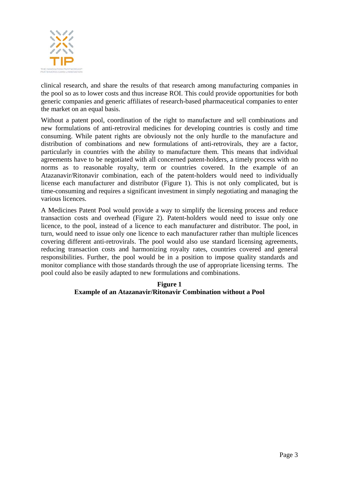

clinical research, and share the results of that research among manufacturing companies in the pool so as to lower costs and thus increase ROI. This could provide opportunities for both generic companies and generic affiliates of research-based pharmaceutical companies to enter the market on an equal basis.

Without a patent pool, coordination of the right to manufacture and sell combinations and new formulations of anti-retroviral medicines for developing countries is costly and time consuming. While patent rights are obviously not the only hurdle to the manufacture and distribution of combinations and new formulations of anti-retrovirals, they are a factor, particularly in countries with the ability to manufacture them. This means that individual agreements have to be negotiated with all concerned patent-holders, a timely process with no norms as to reasonable royalty, term or countries covered. In the example of an Atazanavir/Ritonavir combination, each of the patent-holders would need to individually license each manufacturer and distributor (Figure 1). This is not only complicated, but is time-consuming and requires a significant investment in simply negotiating and managing the various licences.

A Medicines Patent Pool would provide a way to simplify the licensing process and reduce transaction costs and overhead (Figure 2). Patent-holders would need to issue only one licence, to the pool, instead of a licence to each manufacturer and distributor. The pool, in turn, would need to issue only one licence to each manufacturer rather than multiple licences covering different anti-retrovirals. The pool would also use standard licensing agreements, reducing transaction costs and harmonizing royalty rates, countries covered and general responsibilities. Further, the pool would be in a position to impose quality standards and monitor compliance with those standards through the use of appropriate licensing terms. The pool could also be easily adapted to new formulations and combinations.

#### **Figure 1 Example of an Atazanavir/Ritonavir Combination without a Pool**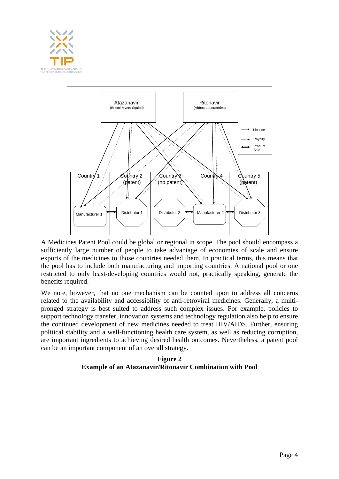



A Medicines Patent Pool could be global or regional in scope. The pool should encompass a sufficiently large number of people to take advantage of economies of scale and ensure exports of the medicines to those countries needed them. In practical terms, this means that the pool has to include both manufacturing and importing countries. A national pool or one restricted to only least-developing countries would not, practically speaking, generate the benefits required.

We note, however, that no one mechanism can be counted upon to address all concerns related to the availability and accessibility of anti-retroviral medicines. Generally, a multipronged strategy is best suited to address such complex issues. For example, policies to support technology transfer, innovation systems and technology regulation also help to ensure the continued development of new medicines needed to treat HIV/AIDS. Further, ensuring political stability and a well-functioning health care system, as well as reducing corruption, are important ingredients to achieving desired health outcomes. Nevertheless, a patent pool can be an important component of an overall strategy.

### **Figure 2 Example of an Atazanavir/Ritonavir Combination with Pool**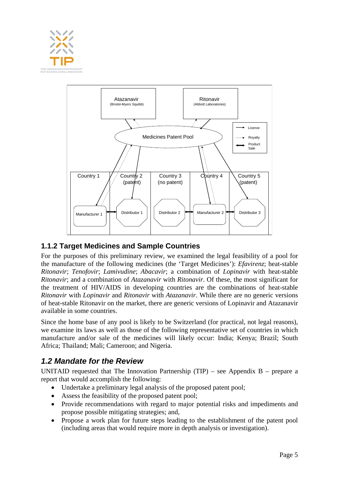<span id="page-12-0"></span>



### **1.1.2 Target Medicines and Sample Countries**

For the purposes of this preliminary review, we examined the legal feasibility of a pool for the manufacture of the following medicines (the 'Target Medicines'): *Efavirenz*; heat-stable *Ritonavir*; *Tenofovir*; *Lamivudine*; *Abacavir*; a combination of *Lopinavir* with heat-stable *Ritonavir*; and a combination of *Atazanavir* with *Ritonavir*. Of these, the most significant for the treatment of HIV/AIDS in developing countries are the combinations of heat-stable *Ritonavir* with *Lopinavir* and *Ritonavir* with *Atazanavir*. While there are no generic versions of heat-stable Ritonavir on the market, there are generic versions of Lopinavir and Atazanavir available in some countries.

Since the home base of any pool is likely to be Switzerland (for practical, not legal reasons), we examine its laws as well as those of the following representative set of countries in which manufacture and/or sale of the medicines will likely occur: India; Kenya; Brazil; South Africa; Thailand; Mali; Cameroon; and Nigeria.

### *1.2 Mandate for the Review*

UNITAID requested that The Innovation Partnership (TIP) – see Appendix  $B$  – prepare a report that would accomplish the following:

- Undertake a preliminary legal analysis of the proposed patent pool;
- Assess the feasibility of the proposed patent pool:
- Provide recommendations with regard to major potential risks and impediments and propose possible mitigating strategies; and,
- Propose a work plan for future steps leading to the establishment of the patent pool (including areas that would require more in depth analysis or investigation).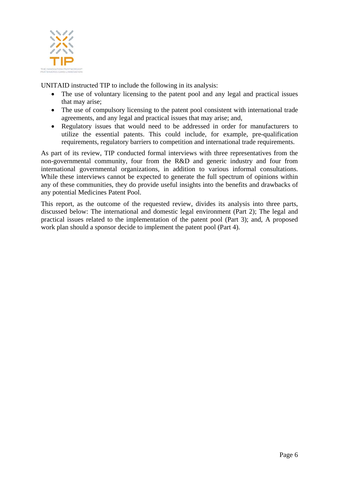

UNITAID instructed TIP to include the following in its analysis:

- The use of voluntary licensing to the patent pool and any legal and practical issues that may arise;
- The use of compulsory licensing to the patent pool consistent with international trade agreements, and any legal and practical issues that may arise; and,
- Regulatory issues that would need to be addressed in order for manufacturers to utilize the essential patents. This could include, for example, pre-qualification requirements, regulatory barriers to competition and international trade requirements.

As part of its review, TIP conducted formal interviews with three representatives from the non-governmental community, four from the R&D and generic industry and four from international governmental organizations, in addition to various informal consultations. While these interviews cannot be expected to generate the full spectrum of opinions within any of these communities, they do provide useful insights into the benefits and drawbacks of any potential Medicines Patent Pool.

This report, as the outcome of the requested review, divides its analysis into three parts, discussed below: The international and domestic legal environment (Part 2); The legal and practical issues related to the implementation of the patent pool (Part 3); and, A proposed work plan should a sponsor decide to implement the patent pool (Part 4).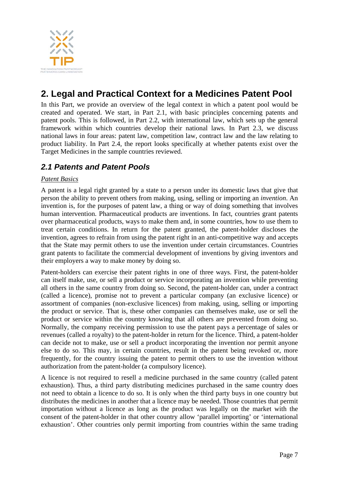<span id="page-14-0"></span>

## **2. Legal and Practical Context for a Medicines Patent Pool**

In this Part, we provide an overview of the legal context in which a patent pool would be created and operated. We start, in Part 2.1, with basic principles concerning patents and patent pools. This is followed, in Part 2.2, with international law, which sets up the general framework within which countries develop their national laws. In Part 2.3, we discuss national laws in four areas: patent law, competition law, contract law and the law relating to product liability. In Part 2.4, the report looks specifically at whether patents exist over the Target Medicines in the sample countries reviewed.

### *2.1 Patents and Patent Pools*

### *Patent Basics*

A patent is a legal right granted by a state to a person under its domestic laws that give that person the ability to prevent others from making, using, selling or importing an *invention*. An invention is, for the purposes of patent law, a thing or way of doing something that involves human intervention. Pharmaceutical products are inventions. In fact, countries grant patents over pharmaceutical products, ways to make them and, in some countries, how to use them to treat certain conditions. In return for the patent granted, the patent-holder discloses the invention, agrees to refrain from using the patent right in an anti-competitive way and accepts that the State may permit others to use the invention under certain circumstances. Countries grant patents to facilitate the commercial development of inventions by giving inventors and their employers a way to make money by doing so.

Patent-holders can exercise their patent rights in one of three ways. First, the patent-holder can itself make, use, or sell a product or service incorporating an invention while preventing all others in the same country from doing so. Second, the patent-holder can, under a contract (called a licence), promise not to prevent a particular company (an exclusive licence) or assortment of companies (non-exclusive licences) from making, using, selling or importing the product or service. That is, these other companies can themselves make, use or sell the product or service within the country knowing that all others are prevented from doing so. Normally, the company receiving permission to use the patent pays a percentage of sales or revenues (called a royalty) to the patent-holder in return for the licence. Third, a patent-holder can decide not to make, use or sell a product incorporating the invention nor permit anyone else to do so. This may, in certain countries, result in the patent being revoked or, more frequently, for the country issuing the patent to permit others to use the invention without authorization from the patent-holder (a compulsory licence).

A licence is not required to resell a medicine purchased in the same country (called patent exhaustion). Thus, a third party distributing medicines purchased in the same country does not need to obtain a licence to do so. It is only when the third party buys in one country but distributes the medicines in another that a licence may be needed. Those countries that permit importation without a licence as long as the product was legally on the market with the consent of the patent-holder in that other country allow 'parallel importing' or 'international exhaustion'. Other countries only permit importing from countries within the same trading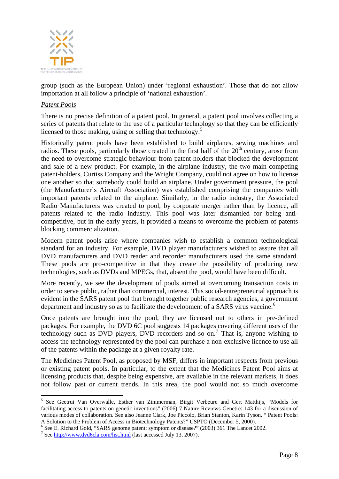<span id="page-15-0"></span>

group (such as the European Union) under 'regional exhaustion'. Those that do not allow importation at all follow a principle of 'national exhaustion'.

#### *Patent Pools*

1

There is no precise definition of a patent pool. In general, a patent pool involves collecting a series of patents that relate to the use of a particular technology so that they can be efficiently licensed to those making, using or selling that technology.<sup>[5](#page-15-0)</sup>

Historically patent pools have been established to build airplanes, sewing machines and radios. These pools, particularly those created in the first half of the  $20<sup>th</sup>$  century, arose from the need to overcome strategic behaviour from patent-holders that blocked the development and sale of a new product. For example, in the airplane industry, the two main competing patent-holders, Curtiss Company and the Wright Company, could not agree on how to license one another so that somebody could build an airplane. Under government pressure, the pool (the Manufacturer's Aircraft Association) was established comprising the companies with important patents related to the airplane. Similarly, in the radio industry, the Associated Radio Manufacturers was created to pool, by corporate merger rather than by licence, all patents related to the radio industry. This pool was later dismantled for being anticompetitive, but in the early years, it provided a means to overcome the problem of patents blocking commercialization.

Modern patent pools arise where companies wish to establish a common technological standard for an industry. For example, DVD player manufacturers wished to assure that all DVD manufacturers and DVD reader and recorder manufacturers used the same standard. These pools are pro-competitive in that they create the possibility of producing new technologies, such as DVDs and MPEGs, that, absent the pool, would have been difficult.

More recently, we see the development of pools aimed at overcoming transaction costs in order to serve public, rather than commercial, interest. This social-entrepreneurial approach is evident in the SARS patent pool that brought together public research agencies, a government department and industry so as to facilitate the development of a SARS virus vaccine.<sup>[6](#page-15-0)</sup>

Once patents are brought into the pool, they are licensed out to others in pre-defined packages. For example, the DVD 6C pool suggests 14 packages covering different uses of the technology such as DVD players, DVD recorders and so on.<sup>[7](#page-15-0)</sup> That is, anyone wishing to access the technology represented by the pool can purchase a non-exclusive licence to use all of the patents within the package at a given royalty rate.

The Medicines Patent Pool, as proposed by MSF, differs in important respects from previous or existing patent pools. In particular, to the extent that the Medicines Patent Pool aims at licensing products that, despite being expensive, are available in the relevant markets, it does not follow past or current trends. In this area, the pool would not so much overcome

<sup>&</sup>lt;sup>5</sup> See Geetrui Van Overwalle, Esther van Zimmerman, Birgit Verbeure and Gert Matthijs, "Models for facilitating access to patents on genetic inventions" (2006) 7 Nature Reviews Genetics 143 for a discussion of various modes of collaboration. See also Jeanne Clark, Joe Piccolo, Brian Stanton, Karin Tyson, " Patent Pools: A Solution to the Problem of Access in Biotechnology Patents?" USPTO (December 5, 2000).

<sup>&</sup>lt;sup>6</sup> See E. Richard Gold, "SARS genome patent: symptom or disease?" (2003) 361 The Lancet 2002.

 $\frac{7}{1}$  See <http://www.dvd6cla.com/list.html>(last accessed July 13, 2007).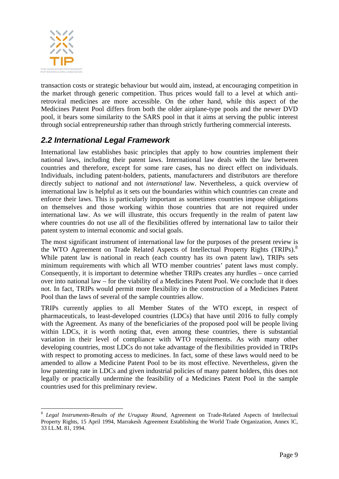<span id="page-16-0"></span>

transaction costs or strategic behaviour but would aim, instead, at encouraging competition in the market through generic competition. Thus prices would fall to a level at which antiretroviral medicines are more accessible. On the other hand, while this aspect of the Medicines Patent Pool differs from both the older airplane-type pools and the newer DVD pool, it bears some similarity to the SARS pool in that it aims at serving the public interest through social entrepreneurship rather than through strictly furthering commercial interests.

### *2.2 International Legal Framework*

International law establishes basic principles that apply to how countries implement their national laws, including their patent laws. International law deals with the law between countries and therefore, except for some rare cases, has no direct effect on individuals. Individuals, including patent-holders, patients, manufacturers and distributors are therefore directly subject to *national* and not *international* law. Nevertheless, a quick overview of international law is helpful as it sets out the boundaries within which countries can create and enforce their laws. This is particularly important as sometimes countries impose obligations on themselves and those working within those countries that are not required under international law. As we will illustrate, this occurs frequently in the realm of patent law where countries do not use all of the flexibilities offered by international law to tailor their patent system to internal economic and social goals.

The most significant instrument of international law for the purposes of the present review is the WTO Agreement on Trade Related Aspects of Intellectual Property Rights (TRIPs).<sup>[8](#page-16-0)</sup> While patent law is national in reach (each country has its own patent law), TRIPs sets minimum requirements with which all WTO member countries' patent laws must comply. Consequently, it is important to determine whether TRIPs creates any hurdles – once carried over into national law – for the viability of a Medicines Patent Pool. We conclude that it does not. In fact, TRIPs would permit more flexibility in the construction of a Medicines Patent Pool than the laws of several of the sample countries allow.

TRIPs currently applies to all Member States of the WTO except, in respect of pharmaceuticals, to least-developed countries (LDCs) that have until 2016 to fully comply with the Agreement. As many of the beneficiaries of the proposed pool will be people living within LDCs, it is worth noting that, even among these countries, there is substantial variation in their level of compliance with WTO requirements. As with many other developing countries, most LDCs do not take advantage of the flexibilities provided in TRIPs with respect to promoting access to medicines. In fact, some of these laws would need to be amended to allow a Medicine Patent Pool to be its most effective. Nevertheless, given the low patenting rate in LDCs and given industrial policies of many patent holders, this does not legally or practically undermine the feasibility of a Medicines Patent Pool in the sample countries used for this preliminary review.

<sup>1</sup> <sup>8</sup> *Legal Instruments-Results of the Uruguay Round,* Agreement on Trade-Related Aspects of Intellectual Property Rights, 15 April 1994, Marrakesh Agreement Establishing the World Trade Organization, Annex lC, 33 I.L.M. 81, 1994.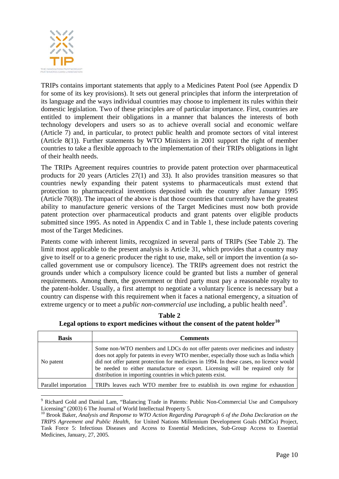<span id="page-17-0"></span>

TRIPs contains important statements that apply to a Medicines Patent Pool (see Appendix D for some of its key provisions). It sets out general principles that inform the interpretation of its language and the ways individual countries may choose to implement its rules within their domestic legislation. Two of these principles are of particular importance. First, countries are entitled to implement their obligations in a manner that balances the interests of both technology developers and users so as to achieve overall social and economic welfare (Article 7) and, in particular, to protect public health and promote sectors of vital interest (Article 8(1)). Further statements by WTO Ministers in 2001 support the right of member countries to take a flexible approach to the implementation of their TRIPs obligations in light of their health needs.

The TRIPs Agreement requires countries to provide patent protection over pharmaceutical products for 20 years (Articles 27(1) and 33). It also provides transition measures so that countries newly expanding their patent systems to pharmaceuticals must extend that protection to pharmaceutical inventions deposited with the country after January 1995 (Article 70(8)). The impact of the above is that those countries that currently have the greatest ability to manufacture generic versions of the Target Medicines must now both provide patent protection over pharmaceutical products and grant patents over eligible products submitted since 1995. As noted in Appendix C and in Table 1, these include patents covering most of the Target Medicines.

Patents come with inherent limits, recognized in several parts of TRIPs (See Table 2). The limit most applicable to the present analysis is Article 31, which provides that a country may give to itself or to a generic producer the right to use, make, sell or import the invention (a socalled government use or compulsory licence). The TRIPs agreement does not restrict the grounds under which a compulsory licence could be granted but lists a number of general requirements. Among them, the government or third party must pay a reasonable royalty to the patent-holder. Usually, a first attempt to negotiate a voluntary licence is necessary but a country can dispense with this requirement when it faces a national emergency, a situation of extreme urgency or to meet a *public non-commercial use* including, a public health need<sup>[9](#page-17-0)</sup>.

| <b>Basis</b>         | <b>Comments</b>                                                                                                                                                                                                                                                                                                                                                                                                    |
|----------------------|--------------------------------------------------------------------------------------------------------------------------------------------------------------------------------------------------------------------------------------------------------------------------------------------------------------------------------------------------------------------------------------------------------------------|
| No patent            | Some non-WTO members and LDCs do not offer patents over medicines and industry<br>does not apply for patents in every WTO member, especially those such as India which<br>did not offer patent protection for medicines in 1994. In these cases, no licence would<br>be needed to either manufacture or export. Licensing will be required only for<br>distribution in importing countries in which patents exist. |
| Parallel importation | TRIPs leaves each WTO member free to establish its own regime for exhaustion                                                                                                                                                                                                                                                                                                                                       |

**Table 2 Legal options to export medicines without the consent of the patent holder[10](#page-17-0)**

1 <sup>9</sup> Richard Gold and Danial Lam, "Balancing Trade in Patents: Public Non-Commercial Use and Compulsory Licensing" (2003) 6 The Journal of World Intellectual Property 5.

<sup>10</sup> Brook Baker, *Analysis and Response to WTO Action Regarding Paragraph 6 of the Doha Declaration on the TRIPS Agreement and Public Health,* for United Nations Millennium Development Goals (MDGs) Project, Task Force 5: Infectious Diseases and Access to Essential Medicines, Sub-Group Access to Essential Medicines, January, 27, 2005.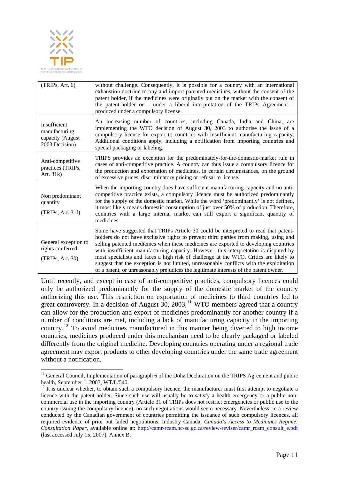<span id="page-18-0"></span>

1

| (TRIPs, Art. 6)                                                     | without challenge. Consequently, it is possible for a country with an international<br>exhaustion doctrine to buy and import patented medicines, without the consent of the<br>patent holder, if the medicines were originally put on the market with the consent of<br>the patent-holder or $-$ under a liberal interpretation of the TRIPs Agreement $-$<br>produced under a compulsory license.                                                                                                                                                                                                                                        |
|---------------------------------------------------------------------|-------------------------------------------------------------------------------------------------------------------------------------------------------------------------------------------------------------------------------------------------------------------------------------------------------------------------------------------------------------------------------------------------------------------------------------------------------------------------------------------------------------------------------------------------------------------------------------------------------------------------------------------|
| Insufficient<br>manufacturing<br>capacity (August<br>2003 Decision) | An increasing number of countries, including Canada, India and China, are<br>implementing the WTO decision of August 30, 2003 to authorise the issue of a<br>compulsory license for export to countries with insufficient manufacturing capacity.<br>Additional conditions apply, including a notification from importing countries and<br>special packaging or labeling.                                                                                                                                                                                                                                                                 |
| Anti-competitive<br>practices (TRIPs,<br>Art. 31k)                  | TRIPS provides an exception for the predominately-for-the-domestic-market rule in<br>cases of anti-competitive practice. A country can thus issue a compulsory licence for<br>the production and exportation of medicines, in certain circumstances, on the ground<br>of excessive prices, discriminatory pricing or refusal to license.                                                                                                                                                                                                                                                                                                  |
| Non predominant<br>quantity<br>(TRIPS, Art. 31f)                    | When the importing country does have sufficient manufacturing capacity and no anti-<br>competitive practice exists, a compulsory licence must be authorized predominantly<br>for the supply of the domestic market. While the word 'predominantly' is not defined,<br>it most likely means domestic consumption of just over 50% of production. Therefore,<br>countries with a large internal market can still export a significant quantity of<br>medicines.                                                                                                                                                                             |
| General exception to<br>rights conferred<br>(TRIPs, Art. 30)        | Some have suggested that TRIPs Article 30 could be interpreted to read that patent-<br>holders do not have exclusive rights to prevent third parties from making, using and<br>selling patented medicines when these medicines are exported to developing countries<br>with insufficient manufacturing capacity. However, this interpretation is disputed by<br>most specialists and faces a high risk of challenge at the WTO. Critics are likely to<br>suggest that the exception is not limited, unreasonably conflicts with the exploitation<br>of a patent, or unreasonably prejudices the legitimate interests of the patent owner. |

Until recently, and except in case of anti-competitive practices, compulsory licences could only be authorized predominantly for the supply of the domestic market of the country authorizing this use. This restriction on exportation of medicines to third countries led to great controversy. In a decision of August  $30$ ,  $2003$ , <sup>[11](#page-18-0)</sup> WTO members agreed that a country can allow for the production and export of medicines predominantly for another country if a number of conditions are met, including a lack of manufacturing capacity in the importing country.[12](#page-18-0) To avoid medicines manufactured in this manner being diverted to high income countries, medicines produced under this mechanism need to be clearly packaged or labeled differently from the original medicine. Developing countries operating under a regional trade agreement may export products to other developing countries under the same trade agreement without a notification.

<sup>&</sup>lt;sup>11</sup> General Council, Implementation of paragraph 6 of the Doha Declaration on the TRIPS Agreement and public health, September 1, 2003, WT/L/540.

 $12$  It is unclear whether, to obtain such a compulsory licence, the manufacturer must first attempt to negotiate a licence with the patent-holder. Since such use will usually be to satisfy a health emergency or a public noncommercial use in the importing country (Article 31 of TRIPs does not restrict emergencies or public use to the country issuing the compulsory licence), no such negotiations would seem necessary. Nevertheless, in a review conducted by the Canadian government of countries permitting the issuance of such compulsory licences, all required evidence of prior but failed negotiations. Industry Canada, *Canada's Access to Medicines Regime: Consultation Paper*, available online at: [http://camr-rcam.hc-sc.gc.ca/review-reviser/camr\\_rcam\\_consult\\_e.pdf](http://camr-rcam.hc-sc.gc.ca/review-reviser/camr_rcam_consult_e.pdf) (last accessed July 15, 2007), Annex B.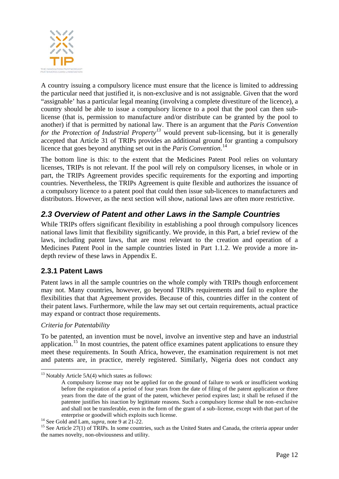<span id="page-19-0"></span>

A country issuing a compulsory licence must ensure that the licence is limited to addressing the particular need that justified it, is non-exclusive and is not assignable. Given that the word "assignable' has a particular legal meaning (involving a complete divestiture of the licence), a country should be able to issue a compulsory licence to a pool that the pool can then sublicense (that is, permission to manufacture and/or distribute can be granted by the pool to another) if that is permitted by national law. There is an argument that the *Paris Convention for the Protection of Industrial Property[13](#page-19-0)* would prevent sub-licensing, but it is generally accepted that Article 31 of TRIPs provides an additional ground for granting a compulsory licence that goes beyond anything set out in the *Paris Convention*. [14](#page-19-0)

The bottom line is this: to the extent that the Medicines Patent Pool relies on voluntary licenses, TRIPs is not relevant. If the pool will rely on compulsory licenses, in whole or in part, the TRIPs Agreement provides specific requirements for the exporting and importing countries. Nevertheless, the TRIPs Agreement is quite flexible and authorizes the issuance of a compulsory licence to a patent pool that could then issue sub-licences to manufacturers and distributors. However, as the next section will show, national laws are often more restrictive.

### *2.3 Overview of Patent and other Laws in the Sample Countries*

While TRIPs offers significant flexibility in establishing a pool through compulsory licences national laws limit that flexibility significantly. We provide, in this Part, a brief review of the laws, including patent laws, that are most relevant to the creation and operation of a Medicines Patent Pool in the sample countries listed in Part 1.1.2. We provide a more indepth review of these laws in Appendix E.

### **2.3.1 Patent Laws**

Patent laws in all the sample countries on the whole comply with TRIPs though enforcement may not. Many countries, however, go beyond TRIPs requirements and fail to explore the flexibilities that that Agreement provides. Because of this, countries differ in the content of their patent laws. Furthermore, while the law may set out certain requirements, actual practice may expand or contract those requirements.

#### *Criteria for Patentability*

To be patented, an invention must be novel, involve an inventive step and have an industrial application.<sup>[15](#page-19-0)</sup> In most countries, the patent office examines patent applications to ensure they meet these requirements. In South Africa, however, the examination requirement is not met and patents are, in practice, merely registered. Similarly, Nigeria does not conduct any

<sup>1</sup>  $13$  Notably Article 5A(4) which states as follows:

A compulsory license may not be applied for on the ground of failure to work or insufficient working before the expiration of a period of four years from the date of filing of the patent application or three years from the date of the grant of the patent, whichever period expires last; it shall be refused if the patentee justifies his inaction by legitimate reasons. Such a compulsory license shall be non–exclusive and shall not be transferable, even in the form of the grant of a sub–license, except with that part of the

enterprise or goodwill which exploits such license. 14 See Gold and Lam*, supra*, note 9 at 21-22. 15 See Article 27(1) of TRIPs. In some countries, such as the United States and Canada, the criteria appear under the names novelty, non-obviousness and utility.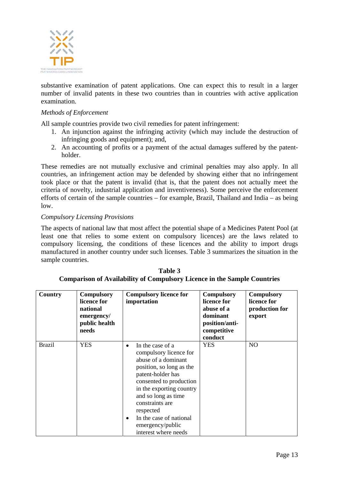

substantive examination of patent applications. One can expect this to result in a larger number of invalid patents in these two countries than in countries with active application examination.

#### *Methods of Enforcement*

All sample countries provide two civil remedies for patent infringement:

- 1. An injunction against the infringing activity (which may include the destruction of infringing goods and equipment); and,
- 2. An accounting of profits or a payment of the actual damages suffered by the patentholder.

These remedies are not mutually exclusive and criminal penalties may also apply. In all countries, an infringement action may be defended by showing either that no infringement took place or that the patent is invalid (that is, that the patent does not actually meet the criteria of novelty, industrial application and inventiveness). Some perceive the enforcement efforts of certain of the sample countries – for example, Brazil, Thailand and India – as being low.

#### *Compulsory Licensing Provisions*

The aspects of national law that most affect the potential shape of a Medicines Patent Pool (at least one that relies to some extent on compulsory licences) are the laws related to compulsory licensing, the conditions of these licences and the ability to import drugs manufactured in another country under such licenses. Table 3 summarizes the situation in the sample countries.

| Country       | <b>Compulsory</b><br>licence for<br>national<br>emergency/<br>public health<br>needs | <b>Compulsory licence for</b><br>importation                                                                                                                                                                                                                                                                         | <b>Compulsory</b><br>licence for<br>abuse of a<br>dominant<br>position/anti-<br>competitive<br>conduct | <b>Compulsory</b><br>licence for<br>production for<br>export |
|---------------|--------------------------------------------------------------------------------------|----------------------------------------------------------------------------------------------------------------------------------------------------------------------------------------------------------------------------------------------------------------------------------------------------------------------|--------------------------------------------------------------------------------------------------------|--------------------------------------------------------------|
| <b>Brazil</b> | <b>YES</b>                                                                           | In the case of a<br>compulsory licence for<br>abuse of a dominant<br>position, so long as the<br>patent-holder has<br>consented to production<br>in the exporting country<br>and so long as time<br>constraints are<br>respected<br>In the case of national<br>$\bullet$<br>emergency/public<br>interest where needs | <b>YES</b>                                                                                             | N <sub>O</sub>                                               |

**Table 3 Comparison of Availability of Compulsory Licence in the Sample Countries**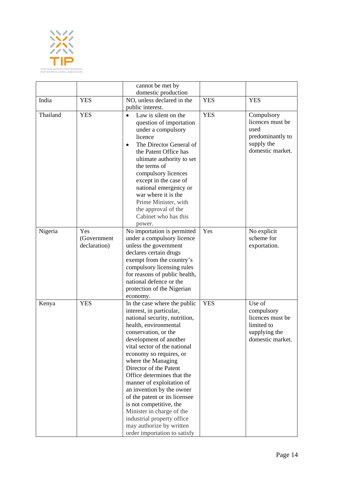

|          |                                    | cannot be met by                                                                                                                                                                                                                                                                                                                                                                                                                                                                                                                                           |            |                                                                                              |
|----------|------------------------------------|------------------------------------------------------------------------------------------------------------------------------------------------------------------------------------------------------------------------------------------------------------------------------------------------------------------------------------------------------------------------------------------------------------------------------------------------------------------------------------------------------------------------------------------------------------|------------|----------------------------------------------------------------------------------------------|
|          |                                    | domestic production                                                                                                                                                                                                                                                                                                                                                                                                                                                                                                                                        |            |                                                                                              |
| India    | <b>YES</b>                         | NO, unless declared in the                                                                                                                                                                                                                                                                                                                                                                                                                                                                                                                                 | <b>YES</b> | <b>YES</b>                                                                                   |
| Thailand | <b>YES</b>                         | public interest.<br>Law is silent on the                                                                                                                                                                                                                                                                                                                                                                                                                                                                                                                   | <b>YES</b> |                                                                                              |
|          |                                    | question of importation<br>under a compulsory<br>licence<br>The Director General of<br>٠<br>the Patent Office has<br>ultimate authority to set<br>the terms of                                                                                                                                                                                                                                                                                                                                                                                             |            | Compulsory<br>licences must be<br>used<br>predominantly to<br>supply the<br>domestic market. |
|          |                                    | compulsory licences<br>except in the case of<br>national emergency or<br>war where it is the<br>Prime Minister, with<br>the approval of the<br>Cabinet who has this<br>power.                                                                                                                                                                                                                                                                                                                                                                              |            |                                                                                              |
| Nigeria  | Yes<br>(Government<br>declaration) | No importation is permitted<br>under a compulsory licence<br>unless the government<br>declares certain drugs<br>exempt from the country's<br>compulsory licensing rules<br>for reasons of public health,<br>national defence or the<br>protection of the Nigerian<br>economy.                                                                                                                                                                                                                                                                              | Yes        | No explicit<br>scheme for<br>exportation.                                                    |
| Kenya    | <b>YES</b>                         | In the case where the public<br>interest, in particular,<br>national security, nutrition,<br>health, environmental<br>conservation, or the<br>development of another<br>vital sector of the national<br>economy so requires, or<br>where the Managing<br>Director of the Patent<br>Office determines that the<br>manner of exploitation of<br>an invention by the owner<br>of the patent or its licensee<br>is not competitive, the<br>Minister in charge of the<br>industrial property office<br>may authorize by written<br>order importation to satisfy | <b>YES</b> | Use of<br>compulsory<br>licences must be<br>limited to<br>supplying the<br>domestic market.  |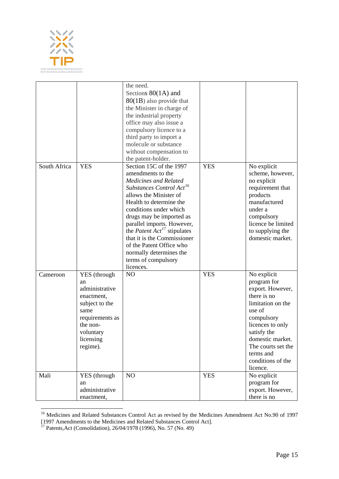<span id="page-22-0"></span>

| South Africa | <b>YES</b>                                                                                                                                        | the need.<br>Sections $80(1A)$ and<br>$80(1B)$ also provide that<br>the Minister in charge of<br>the industrial property<br>office may also issue a<br>compulsory licence to a<br>third party to import a<br>molecule or substance<br>without compensation to<br>the patent-holder.<br>Section 15C of the 1997<br>amendments to the<br><b>Medicines and Related</b><br>Substances Control Act <sup>16</sup><br>allows the Minister of | <b>YES</b> | No explicit<br>scheme, however,<br>no explicit<br>requirement that<br>products                                                                                                                                                        |
|--------------|---------------------------------------------------------------------------------------------------------------------------------------------------|---------------------------------------------------------------------------------------------------------------------------------------------------------------------------------------------------------------------------------------------------------------------------------------------------------------------------------------------------------------------------------------------------------------------------------------|------------|---------------------------------------------------------------------------------------------------------------------------------------------------------------------------------------------------------------------------------------|
|              |                                                                                                                                                   | Health to determine the<br>conditions under which<br>drugs may be imported as<br>parallel imports. However,<br>the <i>Patent Act</i> <sup>17</sup> stipulates<br>that it is the Commissioner<br>of the Patent Office who<br>normally determines the<br>terms of compulsory<br>licences.                                                                                                                                               |            | manufactured<br>under a<br>compulsory<br>licence be limited<br>to supplying the<br>domestic market.                                                                                                                                   |
| Cameroon     | YES (through<br>an<br>administrative<br>enactment,<br>subject to the<br>same<br>requirements as<br>the non-<br>voluntary<br>licensing<br>regime). | N <sub>O</sub>                                                                                                                                                                                                                                                                                                                                                                                                                        | <b>YES</b> | No explicit<br>program for<br>export. However,<br>there is no<br>limitation on the<br>use of<br>compulsory<br>licences to only<br>satisfy the<br>domestic market.<br>The courts set the<br>terms and<br>conditions of the<br>licence. |
| Mali         | YES (through<br>an<br>administrative<br>enactment,                                                                                                | NO                                                                                                                                                                                                                                                                                                                                                                                                                                    | <b>YES</b> | No explicit<br>program for<br>export. However,<br>there is no                                                                                                                                                                         |

<sup>&</sup>lt;sup>16</sup> Medicines and Related Substances Control Act as revised by the Medicines Amendment Act No.90 of 1997 [1997 Amendments to the Medicines and Related Substances Control Act].<br><sup>17</sup> Patents,Act (Consolidation), 26/04/1978 (1996), No. 57 (No. 49)

1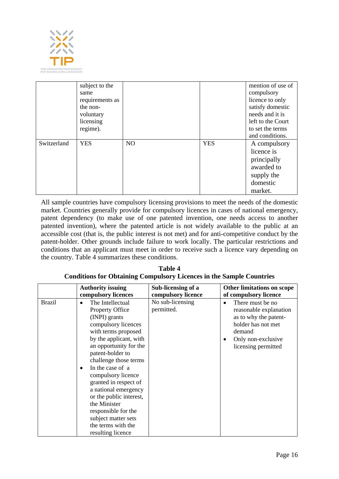

|             | subject to the<br>same<br>requirements as<br>the non-<br>voluntary<br>licensing<br>regime). |                |            | mention of use of<br>compulsory<br>licence to only<br>satisfy domestic<br>needs and it is<br>left to the Court<br>to set the terms |
|-------------|---------------------------------------------------------------------------------------------|----------------|------------|------------------------------------------------------------------------------------------------------------------------------------|
|             |                                                                                             |                |            | and conditions.                                                                                                                    |
| Switzerland | <b>YES</b>                                                                                  | N <sub>O</sub> | <b>YES</b> | A compulsory                                                                                                                       |
|             |                                                                                             |                |            | licence is                                                                                                                         |
|             |                                                                                             |                |            | principally                                                                                                                        |
|             |                                                                                             |                |            | awarded to                                                                                                                         |
|             |                                                                                             |                |            | supply the                                                                                                                         |
|             |                                                                                             |                |            | domestic                                                                                                                           |
|             |                                                                                             |                |            | market.                                                                                                                            |

All sample countries have compulsory licensing provisions to meet the needs of the domestic market. Countries generally provide for compulsory licences in cases of national emergency, patent dependency (to make use of one patented invention, one needs access to another patented invention), where the patented article is not widely available to the public at an accessible cost (that is, the public interest is not met) and for anti-competitive conduct by the patent-holder. Other grounds include failure to work locally. The particular restrictions and conditions that an applicant must meet in order to receive such a licence vary depending on the country. Table 4 summarizes these conditions.

|               | <b>Authority issuing</b>                                                                                                                                                                                                                                                                                                                                                                                                                                     | Sub-licensing of a             | <b>Other limitations on scope</b>                                                                                                                             |
|---------------|--------------------------------------------------------------------------------------------------------------------------------------------------------------------------------------------------------------------------------------------------------------------------------------------------------------------------------------------------------------------------------------------------------------------------------------------------------------|--------------------------------|---------------------------------------------------------------------------------------------------------------------------------------------------------------|
|               | compulsory licences                                                                                                                                                                                                                                                                                                                                                                                                                                          | compulsory licence             | of compulsory licence                                                                                                                                         |
| <b>Brazil</b> | The Intellectual<br>$\bullet$<br>Property Office<br>(INPI) grants<br>compulsory licences<br>with terms proposed<br>by the applicant, with<br>an opportunity for the<br>patent-holder to<br>challenge those terms<br>In the case of a<br>$\bullet$<br>compulsory licence<br>granted in respect of<br>a national emergency<br>or the public interest,<br>the Minister<br>responsible for the<br>subject matter sets<br>the terms with the<br>resulting licence | No sub-licensing<br>permitted. | There must be no<br>reasonable explanation<br>as to why the patent-<br>holder has not met<br>demand<br>Only non-exclusive<br>$\bullet$<br>licensing permitted |

**Table 4 Conditions for Obtaining Compulsory Licences in the Sample Countries**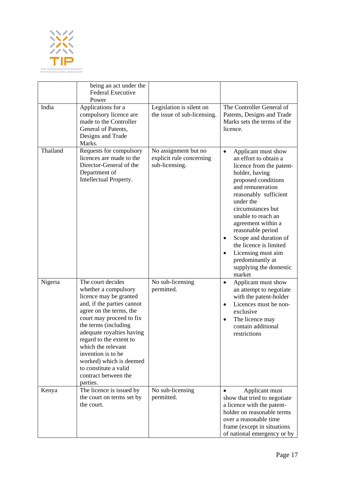

|          | being an act under the<br><b>Federal Executive</b><br>Power                                                                                                                                                                                                                                                                                                                  |                                                                    |                                                                                                                                                                                                                                                                                                                                                                                                                 |
|----------|------------------------------------------------------------------------------------------------------------------------------------------------------------------------------------------------------------------------------------------------------------------------------------------------------------------------------------------------------------------------------|--------------------------------------------------------------------|-----------------------------------------------------------------------------------------------------------------------------------------------------------------------------------------------------------------------------------------------------------------------------------------------------------------------------------------------------------------------------------------------------------------|
| India    | Applications for a<br>compulsory licence are<br>made to the Controller<br>General of Patents,<br>Designs and Trade<br>Marks.                                                                                                                                                                                                                                                 | Legislation is silent on<br>the issue of sub-licensing.            | The Controller General of<br>Patents, Designs and Trade<br>Marks sets the terms of the<br>licence.                                                                                                                                                                                                                                                                                                              |
| Thailand | Requests for compulsory<br>licences are made to the<br>Director-General of the<br>Department of<br>Intellectual Property.                                                                                                                                                                                                                                                    | No assignment but no<br>explicit rule concerning<br>sub-licensing. | $\bullet$<br>Applicant must show<br>an effort to obtain a<br>licence from the patent-<br>holder, having<br>proposed conditions<br>and remuneration<br>reasonably sufficient<br>under the<br>circumstances but<br>unable to reach an<br>agreement within a<br>reasonable period<br>Scope and duration of<br>the licence is limited<br>Licensing must aim<br>predominantly at<br>supplying the domestic<br>market |
| Nigeria  | The court decides<br>whether a compulsory<br>licence may be granted<br>and, if the parties cannot<br>agree on the terms, the<br>court may proceed to fix<br>the terms (including<br>adequate royalties having<br>regard to the extent to<br>which the relevant<br>invention is to be<br>worked) which is deemed<br>to constitute a valid<br>contract between the<br>parties. | No sub-licensing<br>permitted.                                     | Applicant must show<br>$\bullet$<br>an attempt to negotiate<br>with the patent-holder<br>Licences must be non-<br>$\bullet$<br>exclusive<br>The licence may<br>contain additional<br>restrictions                                                                                                                                                                                                               |
| Kenya    | The licence is issued by<br>the court on terms set by<br>the court.                                                                                                                                                                                                                                                                                                          | No sub-licensing<br>permitted.                                     | Applicant must<br>show that tried to negotiate<br>a licence with the patent-<br>holder on reasonable terms<br>over a reasonable time<br>frame (except in situations<br>of national emergency or by                                                                                                                                                                                                              |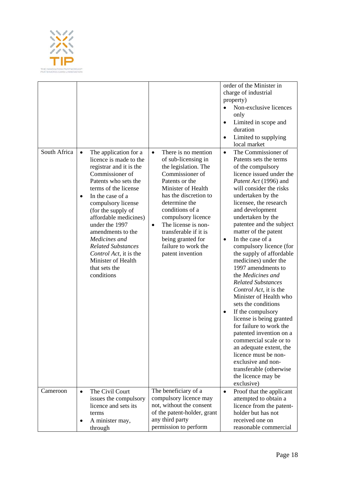

|              |                                                                                                                                                                                                                                                                                                                                                                                                                                      |                                                                                                                                                                                                                                                                                                                                                            | order of the Minister in<br>charge of industrial<br>property)<br>Non-exclusive licences<br>only<br>Limited in scope and<br>$\bullet$<br>duration<br>Limited to supplying<br>$\bullet$<br>local market                                                                                                                                                                                                                                                                                                                                                                                                                                                                                                                                                                                                                                                       |
|--------------|--------------------------------------------------------------------------------------------------------------------------------------------------------------------------------------------------------------------------------------------------------------------------------------------------------------------------------------------------------------------------------------------------------------------------------------|------------------------------------------------------------------------------------------------------------------------------------------------------------------------------------------------------------------------------------------------------------------------------------------------------------------------------------------------------------|-------------------------------------------------------------------------------------------------------------------------------------------------------------------------------------------------------------------------------------------------------------------------------------------------------------------------------------------------------------------------------------------------------------------------------------------------------------------------------------------------------------------------------------------------------------------------------------------------------------------------------------------------------------------------------------------------------------------------------------------------------------------------------------------------------------------------------------------------------------|
| South Africa | The application for a<br>$\bullet$<br>licence is made to the<br>registrar and it is the<br>Commissioner of<br>Patents who sets the<br>terms of the license<br>In the case of a<br>$\bullet$<br>compulsory license<br>(for the supply of<br>affordable medicines)<br>under the 1997<br>amendments to the<br>Medicines and<br><b>Related Substances</b><br>Control Act, it is the<br>Minister of Health<br>that sets the<br>conditions | There is no mention<br>$\bullet$<br>of sub-licensing in<br>the legislation. The<br>Commissioner of<br>Patents or the<br>Minister of Health<br>has the discretion to<br>determine the<br>conditions of a<br>compulsory licence<br>The license is non-<br>$\bullet$<br>transferable if it is<br>being granted for<br>failure to work the<br>patent invention | The Commissioner of<br>$\bullet$<br>Patents sets the terms<br>of the compulsory<br>licence issued under the<br>Patent Act (1996) and<br>will consider the risks<br>undertaken by the<br>licensee, the research<br>and development<br>undertaken by the<br>patentee and the subject<br>matter of the patent<br>In the case of a<br>$\bullet$<br>compulsory licence (for<br>the supply of affordable<br>medicines) under the<br>1997 amendments to<br>the Medicines and<br><b>Related Substances</b><br>Control Act, it is the<br>Minister of Health who<br>sets the conditions<br>If the compulsory<br>٠<br>license is being granted<br>for failure to work the<br>patented invention on a<br>commercial scale or to<br>an adequate extent, the<br>licence must be non-<br>exclusive and non-<br>transferable (otherwise<br>the licence may be<br>exclusive) |
| Cameroon     | The Civil Court<br>$\bullet$<br>issues the compulsory<br>licence and sets its<br>terms<br>A minister may,<br>through                                                                                                                                                                                                                                                                                                                 | The beneficiary of a<br>compulsory licence may<br>not, without the consent<br>of the patent-holder, grant<br>any third party<br>permission to perform                                                                                                                                                                                                      | Proof that the applicant<br>$\bullet$<br>attempted to obtain a<br>licence from the patent-<br>holder but has not<br>received one on<br>reasonable commercial                                                                                                                                                                                                                                                                                                                                                                                                                                                                                                                                                                                                                                                                                                |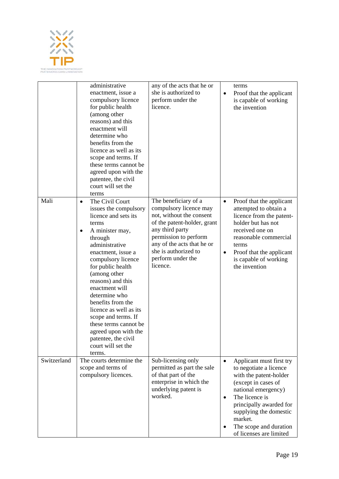

|             | administrative<br>enactment, issue a<br>compulsory licence<br>for public health<br>(among other<br>reasons) and this<br>enactment will<br>determine who<br>benefits from the<br>licence as well as its<br>scope and terms. If<br>these terms cannot be<br>agreed upon with the<br>patentee, the civil<br>court will set the                                                                                                                                                         | any of the acts that he or<br>she is authorized to<br>perform under the<br>licence.                                                                                                                                                          | terms<br>Proof that the applicant<br>$\bullet$<br>is capable of working<br>the invention                                                                                                                                                                                       |
|-------------|-------------------------------------------------------------------------------------------------------------------------------------------------------------------------------------------------------------------------------------------------------------------------------------------------------------------------------------------------------------------------------------------------------------------------------------------------------------------------------------|----------------------------------------------------------------------------------------------------------------------------------------------------------------------------------------------------------------------------------------------|--------------------------------------------------------------------------------------------------------------------------------------------------------------------------------------------------------------------------------------------------------------------------------|
| Mali        | terms<br>The Civil Court<br>$\bullet$<br>issues the compulsory<br>licence and sets its<br>terms<br>A minister may,<br>$\bullet$<br>through<br>administrative<br>enactment, issue a<br>compulsory licence<br>for public health<br>(among other<br>reasons) and this<br>enactment will<br>determine who<br>benefits from the<br>licence as well as its<br>scope and terms. If<br>these terms cannot be<br>agreed upon with the<br>patentee, the civil<br>court will set the<br>terms. | The beneficiary of a<br>compulsory licence may<br>not, without the consent<br>of the patent-holder, grant<br>any third party<br>permission to perform<br>any of the acts that he or<br>she is authorized to<br>perform under the<br>licence. | Proof that the applicant<br>$\bullet$<br>attempted to obtain a<br>licence from the patent-<br>holder but has not<br>received one on<br>reasonable commercial<br>terms<br>Proof that the applicant<br>$\bullet$<br>is capable of working<br>the invention                       |
| Switzerland | The courts determine the<br>scope and terms of<br>compulsory licences.                                                                                                                                                                                                                                                                                                                                                                                                              | Sub-licensing only<br>permitted as part the sale<br>of that part of the<br>enterprise in which the<br>underlying patent is<br>worked.                                                                                                        | Applicant must first try<br>$\bullet$<br>to negotiate a licence<br>with the patent-holder<br>(except in cases of<br>national emergency)<br>The licence is<br>principally awarded for<br>supplying the domestic<br>market.<br>The scope and duration<br>of licenses are limited |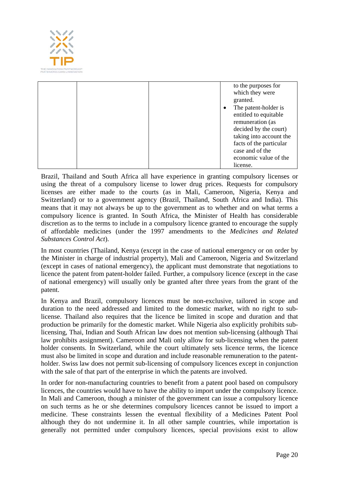

|  | to the purposes for<br>which they were<br>granted.<br>The patent-holder is<br>$\bullet$<br>entitled to equitable<br>remuneration (as<br>decided by the court) |
|--|---------------------------------------------------------------------------------------------------------------------------------------------------------------|
|  | taking into account the                                                                                                                                       |
|  | facts of the particular<br>case and of the                                                                                                                    |
|  | economic value of the                                                                                                                                         |
|  | license.                                                                                                                                                      |

Brazil, Thailand and South Africa all have experience in granting compulsory licenses or using the threat of a compulsory license to lower drug prices. Requests for compulsory licenses are either made to the courts (as in Mali, Cameroon, Nigeria, Kenya and Switzerland) or to a government agency (Brazil, Thailand, South Africa and India). This means that it may not always be up to the government as to whether and on what terms a compulsory licence is granted. In South Africa, the Minister of Health has considerable discretion as to the terms to include in a compulsory licence granted to encourage the supply of affordable medicines (under the 1997 amendments to the *Medicines and Related Substances Control Act*).

In most countries (Thailand, Kenya (except in the case of national emergency or on order by the Minister in charge of industrial property), Mali and Cameroon, Nigeria and Switzerland (except in cases of national emergency), the applicant must demonstrate that negotiations to licence the patent from patent-holder failed. Further, a compulsory licence (except in the case of national emergency) will usually only be granted after three years from the grant of the patent.

In Kenya and Brazil, compulsory licences must be non-exclusive, tailored in scope and duration to the need addressed and limited to the domestic market, with no right to sublicense. Thailand also requires that the licence be limited in scope and duration and that production be primarily for the domestic market. While Nigeria also explicitly prohibits sublicensing, Thai, Indian and South African law does not mention sub-licensing (although Thai law prohibits assignment). Cameroon and Mali only allow for sub-licensing when the patent holder consents. In Switzerland, while the court ultimately sets licence terms, the licence must also be limited in scope and duration and include reasonable remuneration to the patentholder. Swiss law does not permit sub-licensing of compulsory licences except in conjunction with the sale of that part of the enterprise in which the patents are involved.

In order for non-manufacturing countries to benefit from a patent pool based on compulsory licences, the countries would have to have the ability to import under the compulsory licence. In Mali and Cameroon, though a minister of the government can issue a compulsory licence on such terms as he or she determines compulsory licences cannot be issued to import a medicine. These constraints lessen the eventual flexibility of a Medicines Patent Pool although they do not undermine it. In all other sample countries, while importation is generally not permitted under compulsory licences, special provisions exist to allow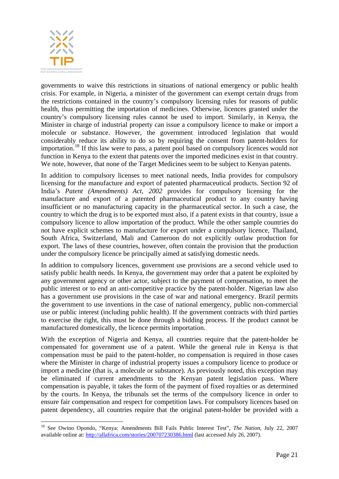<span id="page-28-0"></span>

1

governments to waive this restrictions in situations of national emergency or public health crisis. For example, in Nigeria, a minister of the government can exempt certain drugs from the restrictions contained in the country's compulsory licensing rules for reasons of public health, thus permitting the importation of medicines. Otherwise, licences granted under the country's compulsory licensing rules cannot be used to import. Similarly, in Kenya, the Minister in charge of industrial property can issue a compulsory licence to make or import a molecule or substance. However, the government introduced legislation that would considerably reduce its ability to do so by requiring the consent from patent-holders for importation.<sup>[18](#page-28-0)</sup> If this law were to pass, a patent pool based on compulsory licences would not function in Kenya to the extent that patents over the imported medicines exist in that country. We note, however, that none of the Target Medicines seem to be subject to Kenyan patents.

In addition to compulsory licenses to meet national needs, India provides for compulsory licensing for the manufacture and export of patented pharmaceutical products. Section 92 of India's *Patent (Amendments) Act, 2002* provides for compulsory licensing for the manufacture and export of a patented pharmaceutical product to any country having insufficient or no manufacturing capacity in the pharmaceutical sector. In such a case, the country to which the drug is to be exported must also, if a patent exists in that country, issue a compulsory licence to allow importation of the product. While the other sample countries do not have explicit schemes to manufacture for export under a compulsory licence, Thailand, South Africa, Switzerland, Mali and Cameroon do not explicitly outlaw production for export. The laws of these countries, however, often contain the provision that the production under the compulsory licence be principally aimed at satisfying domestic needs.

In addition to compulsory licences, government use provisions are a second vehicle used to satisfy public health needs. In Kenya, the government may order that a patent be exploited by any government agency or other actor, subject to the payment of compensation, to meet the public interest or to end an anti-competitive practice by the patent-holder. Nigerian law also has a government use provisions in the case of war and national emergency. Brazil permits the government to use inventions in the case of national emergency, public non-commercial use or public interest (including public health). If the government contracts with third parties to exercise the right, this must be done through a bidding process. If the product cannot be manufactured domestically, the licence permits importation.

With the exception of Nigeria and Kenya, all countries require that the patent-holder be compensated for government use of a patent. While the general rule in Kenya is that compensation must be paid to the patent-holder, no compensation is required in those cases where the Minister in charge of industrial property issues a compulsory licence to produce or import a medicine (that is, a molecule or substance). As previously noted, this exception may be eliminated if current amendments to the Kenyan patent legislation pass. Where compensation is payable, it takes the form of the payment of fixed royalties or as determined by the courts. In Kenya, the tribunals set the terms of the compulsory licence in order to ensure fair compensation and respect for competition laws. For compulsory licences based on patent dependency, all countries require that the original patent-holder be provided with a

<sup>18</sup> See Owino Opondo, "Kenya: Amendments Bill Fails Public Interest Test", *The Nation*, July 22, 2007 available online at: <http://allafrica.com/stories/200707230386.html> (last accessed July 26, 2007).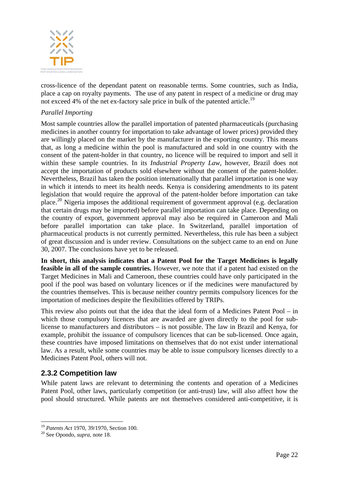<span id="page-29-0"></span>

cross-licence of the dependant patent on reasonable terms. Some countries, such as India, place a cap on royalty payments. The use of any patent in respect of a medicine or drug may not exceed 4% of the net ex-factory sale price in bulk of the patented article.<sup>[19](#page-29-0)</sup>

#### *Parallel Importing*

Most sample countries allow the parallel importation of patented pharmaceuticals (purchasing medicines in another country for importation to take advantage of lower prices) provided they are willingly placed on the market by the manufacturer in the exporting country. This means that, as long a medicine within the pool is manufactured and sold in one country with the consent of the patent-holder in that country, no licence will be required to import and sell it within these sample countries. In its *Industrial Property Law*, however, Brazil does not accept the importation of products sold elsewhere without the consent of the patent-holder. Nevertheless, Brazil has taken the position internationally that parallel importation is one way in which it intends to meet its health needs. Kenya is considering amendments to its patent legislation that would require the approval of the patent-holder before importation can take place.[20](#page-29-0) Nigeria imposes the additional requirement of government approval (e.g. declaration that certain drugs may be imported) before parallel importation can take place. Depending on the country of export, government approval may also be required in Cameroon and Mali before parallel importation can take place. In Switzerland, parallel importation of pharmaceutical products is not currently permitted. Nevertheless, this rule has been a subject of great discussion and is under review. Consultations on the subject came to an end on June 30, 2007. The conclusions have yet to be released.

**In short, this analysis indicates that a Patent Pool for the Target Medicines is legally feasible in all of the sample countries.** However, we note that if a patent had existed on the Target Medicines in Mali and Cameroon, these countries could have only participated in the pool if the pool was based on voluntary licences or if the medicines were manufactured by the countries themselves. This is because neither country permits compulsory licences for the importation of medicines despite the flexibilities offered by TRIPs.

This review also points out that the idea that the ideal form of a Medicines Patent Pool – in which those compulsory licences that are awarded are given directly to the pool for sublicense to manufacturers and distributors – is not possible. The law in Brazil and Kenya, for example, prohibit the issuance of compulsory licences that can be sub-licensed. Once again, these countries have imposed limitations on themselves that do not exist under international law. As a result, while some countries may be able to issue compulsory licenses directly to a Medicines Patent Pool, others will not.

### **2.3.2 Competition law**

While patent laws are relevant to determining the contents and operation of a Medicines Patent Pool, other laws, particularly competition (or anti-trust) law, will also affect how the pool should structured. While patents are not themselves considered anti-competitive, it is

1

<sup>19</sup> *Patents Act* 1970, 39/1970, Section 100. 20 See Opondo, *supra,* note 18.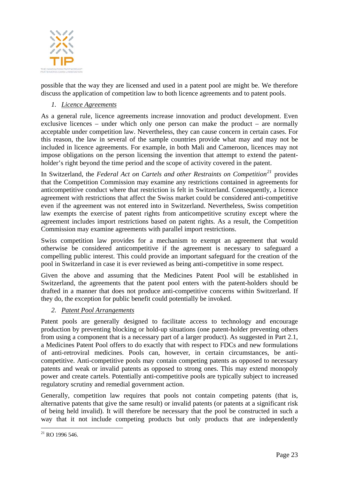<span id="page-30-0"></span>

possible that the way they are licensed and used in a patent pool are might be. We therefore discuss the application of competition law to both licence agreements and to patent pools.

#### *1. Licence Agreements*

As a general rule, licence agreements increase innovation and product development. Even exclusive licences – under which only one person can make the product – are normally acceptable under competition law. Nevertheless, they can cause concern in certain cases. For this reason, the law in several of the sample countries provide what may and may not be included in licence agreements. For example, in both Mali and Cameroon, licences may not impose obligations on the person licensing the invention that attempt to extend the patentholder's right beyond the time period and the scope of activity covered in the patent.

In Switzerland, the *Federal Act on Cartels and other Restraints on Competition[21](#page-30-0)* provides that the Competition Commission may examine any restrictions contained in agreements for anticompetitive conduct where that restriction is felt in Switzerland*.* Consequently, a licence agreement with restrictions that affect the Swiss market could be considered anti-competitive even if the agreement was not entered into in Switzerland. Nevertheless, Swiss competition law exempts the exercise of patent rights from anticompetitive scrutiny except where the agreement includes import restrictions based on patent rights. As a result, the Competition Commission may examine agreements with parallel import restrictions.

Swiss competition law provides for a mechanism to exempt an agreement that would otherwise be considered anticompetitive if the agreement is necessary to safeguard a compelling public interest. This could provide an important safeguard for the creation of the pool in Switzerland in case it is ever reviewed as being anti-competitive in some respect.

Given the above and assuming that the Medicines Patent Pool will be established in Switzerland, the agreements that the patent pool enters with the patent-holders should be drafted in a manner that does not produce anti-competitive concerns within Switzerland. If they do, the exception for public benefit could potentially be invoked.

#### *2. Patent Pool Arrangements*

Patent pools are generally designed to facilitate access to technology and encourage production by preventing blocking or hold-up situations (one patent-holder preventing others from using a component that is a necessary part of a larger product). As suggested in Part 2.1, a Medicines Patent Pool offers to do exactly that with respect to FDCs and new formulations of anti-retroviral medicines. Pools can, however, in certain circumstances, be anticompetitive. Anti-competitive pools may contain competing patents as opposed to necessary patents and weak or invalid patents as opposed to strong ones. This may extend monopoly power and create cartels. Potentially anti-competitive pools are typically subject to increased regulatory scrutiny and remedial government action.

Generally, competition law requires that pools not contain competing patents (that is, alternative patents that give the same result) or invalid patents (or patents at a significant risk of being held invalid). It will therefore be necessary that the pool be constructed in such a way that it not include competing products but only products that are independently

<sup>1</sup>  $^{21}$  RO 1996 546.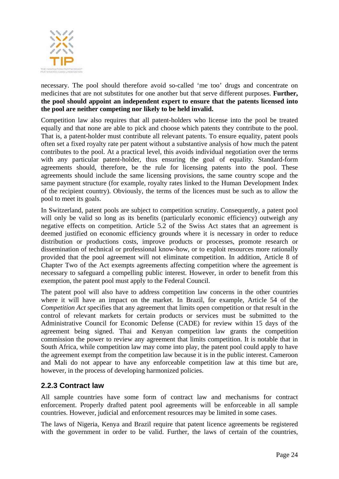

necessary. The pool should therefore avoid so-called 'me too' drugs and concentrate on medicines that are not substitutes for one another but that serve different purposes. **Further, the pool should appoint an independent expert to ensure that the patents licensed into the pool are neither competing nor likely to be held invalid.** 

Competition law also requires that all patent-holders who license into the pool be treated equally and that none are able to pick and choose which patents they contribute to the pool. That is, a patent-holder must contribute all relevant patents. To ensure equality, patent pools often set a fixed royalty rate per patent without a substantive analysis of how much the patent contributes to the pool. At a practical level, this avoids individual negotiation over the terms with any particular patent-holder, thus ensuring the goal of equality. Standard-form agreements should, therefore, be the rule for licensing patents into the pool. These agreements should include the same licensing provisions, the same country scope and the same payment structure (for example, royalty rates linked to the Human Development Index of the recipient country). Obviously, the terms of the licences must be such as to allow the pool to meet its goals.

In Switzerland, patent pools are subject to competition scrutiny. Consequently, a patent pool will only be valid so long as its benefits (particularly economic efficiency) outweigh any negative effects on competition. Article 5.2 of the Swiss Act states that an agreement is deemed justified on economic efficiency grounds where it is necessary in order to reduce distribution or productions costs, improve products or processes, promote research or dissemination of technical or professional know-how, or to exploit resources more rationally provided that the pool agreement will not eliminate competition. In addition, Article 8 of Chapter Two of the Act exempts agreements affecting competition where the agreement is necessary to safeguard a compelling public interest. However, in order to benefit from this exemption, the patent pool must apply to the Federal Council.

The patent pool will also have to address competition law concerns in the other countries where it will have an impact on the market. In Brazil, for example, Article 54 of the *Competition Act* specifies that any agreement that limits open competition or that result in the control of relevant markets for certain products or services must be submitted to the Administrative Council for Economic Defense (CADE) for review within 15 days of the agreement being signed. Thai and Kenyan competition law grants the competition commission the power to review any agreement that limits competition. It is notable that in South Africa, while competition law may come into play, the patent pool could apply to have the agreement exempt from the competition law because it is in the public interest. Cameroon and Mali do not appear to have any enforceable competition law at this time but are, however, in the process of developing harmonized policies.

### **2.2.3 Contract law**

All sample countries have some form of contract law and mechanisms for contract enforcement. Properly drafted patent pool agreements will be enforceable in all sample countries. However, judicial and enforcement resources may be limited in some cases.

The laws of Nigeria, Kenya and Brazil require that patent licence agreements be registered with the government in order to be valid. Further, the laws of certain of the countries,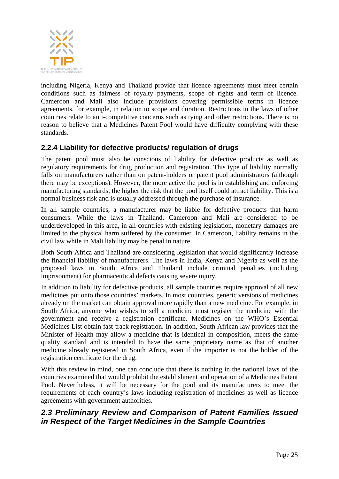<span id="page-32-0"></span>

including Nigeria, Kenya and Thailand provide that licence agreements must meet certain conditions such as fairness of royalty payments, scope of rights and term of licence. Cameroon and Mali also include provisions covering permissible terms in licence agreements, for example, in relation to scope and duration. Restrictions in the laws of other countries relate to anti-competitive concerns such as tying and other restrictions. There is no reason to believe that a Medicines Patent Pool would have difficulty complying with these standards.

### **2.2.4 Liability for defective products/ regulation of drugs**

The patent pool must also be conscious of liability for defective products as well as regulatory requirements for drug production and registration. This type of liability normally falls on manufacturers rather than on patent-holders or patent pool administrators (although there may be exceptions). However, the more active the pool is in establishing and enforcing manufacturing standards, the higher the risk that the pool itself could attract liability. This is a normal business risk and is usually addressed through the purchase of insurance.

In all sample countries, a manufacturer may be liable for defective products that harm consumers. While the laws in Thailand, Cameroon and Mali are considered to be underdeveloped in this area, in all countries with existing legislation, monetary damages are limited to the physical harm suffered by the consumer. In Cameroon, liability remains in the civil law while in Mali liability may be penal in nature.

Both South Africa and Thailand are considering legislation that would significantly increase the financial liability of manufacturers. The laws in India, Kenya and Nigeria as well as the proposed laws in South Africa and Thailand include criminal penalties (including imprisonment) for pharmaceutical defects causing severe injury.

In addition to liability for defective products, all sample countries require approval of all new medicines put onto those countries' markets. In most countries, generic versions of medicines already on the market can obtain approval more rapidly than a new medicine. For example, in South Africa, anyone who wishes to sell a medicine must register the medicine with the government and receive a registration certificate. Medicines on the WHO's Essential Medicines List obtain fast-track registration. In addition, South African law provides that the Minister of Health may allow a medicine that is identical in composition, meets the same quality standard and is intended to have the same proprietary name as that of another medicine already registered in South Africa, even if the importer is not the holder of the registration certificate for the drug.

With this review in mind, one can conclude that there is nothing in the national laws of the countries examined that would prohibit the establishment and operation of a Medicines Patent Pool. Nevertheless, it will be necessary for the pool and its manufacturers to meet the requirements of each country's laws including registration of medicines as well as licence agreements with government authorities.

### *2.3 Preliminary Review and Comparison of Patent Families Issued in Respect of the Target Medicines in the Sample Countries*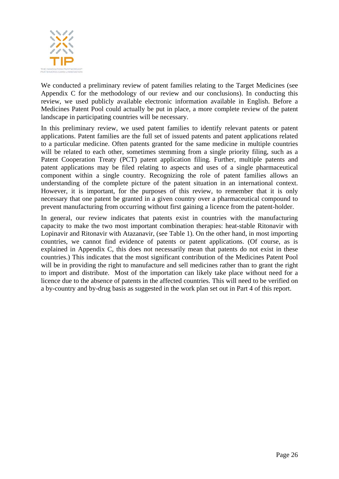

We conducted a preliminary review of patent families relating to the Target Medicines (see Appendix C for the methodology of our review and our conclusions). In conducting this review, we used publicly available electronic information available in English. Before a Medicines Patent Pool could actually be put in place, a more complete review of the patent landscape in participating countries will be necessary.

In this preliminary review, we used patent families to identify relevant patents or patent applications. Patent families are the full set of issued patents and patent applications related to a particular medicine. Often patents granted for the same medicine in multiple countries will be related to each other, sometimes stemming from a single priority filing, such as a Patent Cooperation Treaty (PCT) patent application filing. Further, multiple patents and patent applications may be filed relating to aspects and uses of a single pharmaceutical component within a single country. Recognizing the role of patent families allows an understanding of the complete picture of the patent situation in an international context. However, it is important, for the purposes of this review, to remember that it is only necessary that one patent be granted in a given country over a pharmaceutical compound to prevent manufacturing from occurring without first gaining a licence from the patent-holder.

In general, our review indicates that patents exist in countries with the manufacturing capacity to make the two most important combination therapies: heat-stable Ritonavir with Lopinavir and Ritonavir with Atazanavir, (see Table 1). On the other hand, in most importing countries, we cannot find evidence of patents or patent applications. (Of course, as is explained in Appendix C, this does not necessarily mean that patents do not exist in these countries.) This indicates that the most significant contribution of the Medicines Patent Pool will be in providing the right to manufacture and sell medicines rather than to grant the right to import and distribute. Most of the importation can likely take place without need for a licence due to the absence of patents in the affected countries. This will need to be verified on a by-country and by-drug basis as suggested in the work plan set out in Part 4 of this report.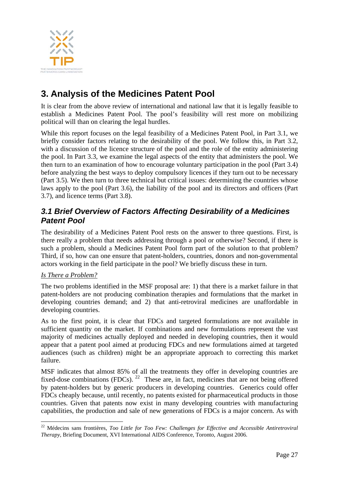<span id="page-34-0"></span>

## **3. Analysis of the Medicines Patent Pool**

It is clear from the above review of international and national law that it is legally feasible to establish a Medicines Patent Pool. The pool's feasibility will rest more on mobilizing political will than on clearing the legal hurdles.

While this report focuses on the legal feasibility of a Medicines Patent Pool, in Part 3.1, we briefly consider factors relating to the desirability of the pool. We follow this, in Part 3.2, with a discussion of the licence structure of the pool and the role of the entity administering the pool. In Part 3.3, we examine the legal aspects of the entity that administers the pool. We then turn to an examination of how to encourage voluntary participation in the pool (Part 3.4) before analyzing the best ways to deploy compulsory licences if they turn out to be necessary (Part 3.5). We then turn to three technical but critical issues: determining the countries whose laws apply to the pool (Part 3.6), the liability of the pool and its directors and officers (Part 3.7), and licence terms (Part 3.8).

### *3.1 Brief Overview of Factors Affecting Desirability of a Medicines Patent Pool*

The desirability of a Medicines Patent Pool rests on the answer to three questions. First, is there really a problem that needs addressing through a pool or otherwise? Second, if there is such a problem, should a Medicines Patent Pool form part of the solution to that problem? Third, if so, how can one ensure that patent-holders, countries, donors and non-governmental actors working in the field participate in the pool? We briefly discuss these in turn.

#### *Is There a Problem?*

The two problems identified in the MSF proposal are: 1) that there is a market failure in that patent-holders are not producing combination therapies and formulations that the market in developing countries demand; and 2) that anti-retroviral medicines are unaffordable in developing countries.

As to the first point, it is clear that FDCs and targeted formulations are not available in sufficient quantity on the market. If combinations and new formulations represent the vast majority of medicines actually deployed and needed in developing countries, then it would appear that a patent pool aimed at producing FDCs and new formulations aimed at targeted audiences (such as children) might be an appropriate approach to correcting this market failure.

MSF indicates that almost 85% of all the treatments they offer in developing countries are fixed-dose combinations (FDCs). <sup>[22](#page-34-0)</sup> These are, in fact, medicines that are not being offered by patent-holders but by generic producers in developing countries. Generics could offer FDCs cheaply because, until recently, no patents existed for pharmaceutical products in those countries. Given that patents now exist in many developing countries with manufacturing capabilities, the production and sale of new generations of FDCs is a major concern. As with

<sup>1</sup> 22 Médecins sans frontières, *Too Little for Too Few: Challenges for Effective and Accessible Antiretroviral Therapy*, Briefing Document, XVI International AIDS Conference, Toronto, August 2006.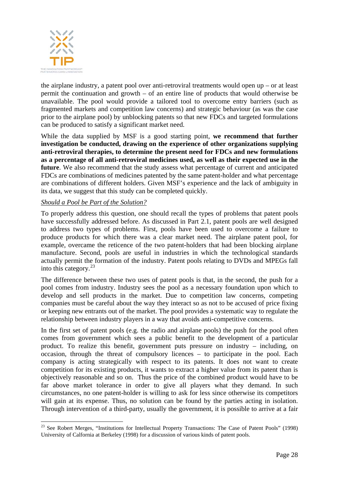<span id="page-35-0"></span>

the airplane industry, a patent pool over anti-retroviral treatments would open up – or at least permit the continuation and growth – of an entire line of products that would otherwise be unavailable. The pool would provide a tailored tool to overcome entry barriers (such as fragmented markets and competition law concerns) and strategic behaviour (as was the case prior to the airplane pool) by unblocking patents so that new FDCs and targeted formulations can be produced to satisfy a significant market need.

While the data supplied by MSF is a good starting point, **we recommend that further investigation be conducted, drawing on the experience of other organizations supplying anti-retroviral therapies, to determine the present need for FDCs and new formulations as a percentage of all anti-retroviral medicines used, as well as their expected use in the future**. We also recommend that the study assess what percentage of current and anticipated FDCs are combinations of medicines patented by the same patent-holder and what percentage are combinations of different holders. Given MSF's experience and the lack of ambiguity in its data, we suggest that this study can be completed quickly.

#### *Should a Pool be Part of the Solution?*

To properly address this question, one should recall the types of problems that patent pools have successfully addressed before. As discussed in Part 2.1, patent pools are well designed to address two types of problems. First, pools have been used to overcome a failure to produce products for which there was a clear market need. The airplane patent pool, for example, overcame the reticence of the two patent-holders that had been blocking airplane manufacture. Second, pools are useful in industries in which the technological standards actually permit the formation of the industry. Patent pools relating to DVDs and MPEGs fall into this category.[23](#page-35-0)

The difference between these two uses of patent pools is that, in the second, the push for a pool comes from industry. Industry sees the pool as a necessary foundation upon which to develop and sell products in the market. Due to competition law concerns, competing companies must be careful about the way they interact so as not to be accused of price fixing or keeping new entrants out of the market. The pool provides a systematic way to regulate the relationship between industry players in a way that avoids anti-competitive concerns.

In the first set of patent pools (e.g. the radio and airplane pools) the push for the pool often comes from government which sees a public benefit to the development of a particular product. To realize this benefit, government puts pressure on industry – including, on occasion, through the threat of compulsory licences – to participate in the pool. Each company is acting strategically with respect to its patents. It does not want to create competition for its existing products, it wants to extract a higher value from its patent than is objectively reasonable and so on. Thus the price of the combined product would have to be far above market tolerance in order to give all players what they demand. In such circumstances, no one patent-holder is willing to ask for less since otherwise its competitors will gain at its expense. Thus, no solution can be found by the parties acting in isolation. Through intervention of a third-party, usually the government, it is possible to arrive at a fair

<sup>1</sup> <sup>23</sup> See Robert Merges, "Institutions for Intellectual Property Transactions: The Case of Patent Pools" (1998) University of Calfornia at Berkeley (1998) for a discussion of various kinds of patent pools.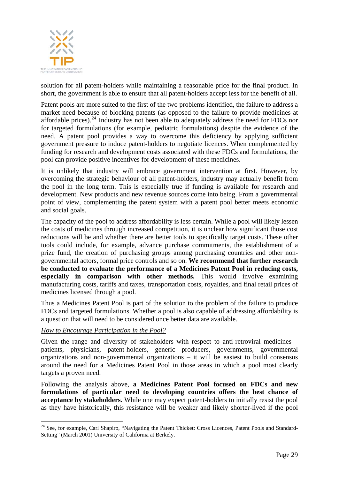<span id="page-36-0"></span>

solution for all patent-holders while maintaining a reasonable price for the final product. In short, the government is able to ensure that all patent-holders accept less for the benefit of all.

Patent pools are more suited to the first of the two problems identified, the failure to address a market need because of blocking patents (as opposed to the failure to provide medicines at affordable prices).<sup>[24](#page-36-0)</sup> Industry has not been able to adequately address the need for FDCs nor for targeted formulations (for example, pediatric formulations) despite the evidence of the need. A patent pool provides a way to overcome this deficiency by applying sufficient government pressure to induce patent-holders to negotiate licences. When complemented by funding for research and development costs associated with these FDCs and formulations, the pool can provide positive incentives for development of these medicines.

It is unlikely that industry will embrace government intervention at first. However, by overcoming the strategic behaviour of all patent-holders, industry may actually benefit from the pool in the long term. This is especially true if funding is available for research and development. New products and new revenue sources come into being. From a governmental point of view, complementing the patent system with a patent pool better meets economic and social goals.

The capacity of the pool to address affordability is less certain. While a pool will likely lessen the costs of medicines through increased competition, it is unclear how significant those cost reductions will be and whether there are better tools to specifically target costs. These other tools could include, for example, advance purchase commitments, the establishment of a prize fund, the creation of purchasing groups among purchasing countries and other nongovernmental actors, formal price controls and so on. **We recommend that further research be conducted to evaluate the performance of a Medicines Patent Pool in reducing costs, especially in comparison with other methods.** This would involve examining manufacturing costs, tariffs and taxes, transportation costs, royalties, and final retail prices of medicines licensed through a pool.

Thus a Medicines Patent Pool is part of the solution to the problem of the failure to produce FDCs and targeted formulations. Whether a pool is also capable of addressing affordability is a question that will need to be considered once better data are available.

### *How to Encourage Participation in the Pool?*

1

Given the range and diversity of stakeholders with respect to anti-retroviral medicines – patients, physicians, patent-holders, generic producers, governments, governmental organizations and non-governmental organizations – it will be easiest to build consensus around the need for a Medicines Patent Pool in those areas in which a pool most clearly targets a proven need.

Following the analysis above, **a Medicines Patent Pool focused on FDCs and new formulations of particular need to developing countries offers the best chance of acceptance by stakeholders.** While one may expect patent-holders to initially resist the pool as they have historically, this resistance will be weaker and likely shorter-lived if the pool

<sup>&</sup>lt;sup>24</sup> See, for example, Carl Shapiro, "Navigating the Patent Thicket: Cross Licences, Patent Pools and Standard-Setting" (March 2001) University of California at Berkely.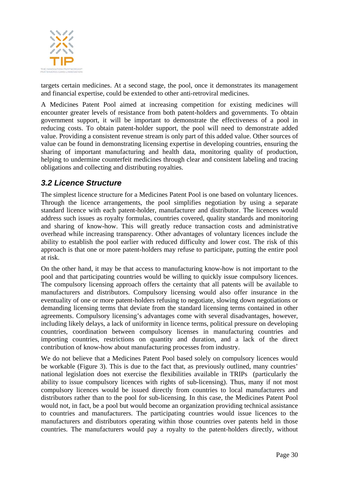

targets certain medicines. At a second stage, the pool, once it demonstrates its management and financial expertise, could be extended to other anti-retroviral medicines.

A Medicines Patent Pool aimed at increasing competition for existing medicines will encounter greater levels of resistance from both patent-holders and governments. To obtain government support, it will be important to demonstrate the effectiveness of a pool in reducing costs. To obtain patent-holder support, the pool will need to demonstrate added value. Providing a consistent revenue stream is only part of this added value. Other sources of value can be found in demonstrating licensing expertise in developing countries, ensuring the sharing of important manufacturing and health data, monitoring quality of production, helping to undermine counterfeit medicines through clear and consistent labeling and tracing obligations and collecting and distributing royalties.

# *3.2 Licence Structure*

The simplest licence structure for a Medicines Patent Pool is one based on voluntary licences. Through the licence arrangements, the pool simplifies negotiation by using a separate standard licence with each patent-holder, manufacturer and distributor. The licences would address such issues as royalty formulas, countries covered, quality standards and monitoring and sharing of know-how. This will greatly reduce transaction costs and administrative overhead while increasing transparency. Other advantages of voluntary licences include the ability to establish the pool earlier with reduced difficulty and lower cost. The risk of this approach is that one or more patent-holders may refuse to participate, putting the entire pool at risk.

On the other hand, it may be that access to manufacturing know-how is not important to the pool and that participating countries would be willing to quickly issue compulsory licences. The compulsory licensing approach offers the certainty that all patents will be available to manufacturers and distributors. Compulsory licensing would also offer insurance in the eventuality of one or more patent-holders refusing to negotiate, slowing down negotiations or demanding licensing terms that deviate from the standard licensing terms contained in other agreements. Compulsory licensing's advantages come with several disadvantages, however, including likely delays, a lack of uniformity in licence terms, political pressure on developing countries, coordination between compulsory licenses in manufacturing countries and importing countries, restrictions on quantity and duration, and a lack of the direct contribution of know-how about manufacturing processes from industry.

We do not believe that a Medicines Patent Pool based solely on compulsory licences would be workable (Figure 3). This is due to the fact that, as previously outlined, many countries' national legislation does not exercise the flexibilities available in TRIPs (particularly the ability to issue compulsory licences with rights of sub-licensing). Thus, many if not most compulsory licences would be issued directly from countries to local manufacturers and distributors rather than to the pool for sub-licensing. In this case, the Medicines Patent Pool would not, in fact, be a pool but would become an organization providing technical assistance to countries and manufacturers. The participating countries would issue licences to the manufacturers and distributors operating within those countries over patents held in those countries. The manufacturers would pay a royalty to the patent-holders directly, without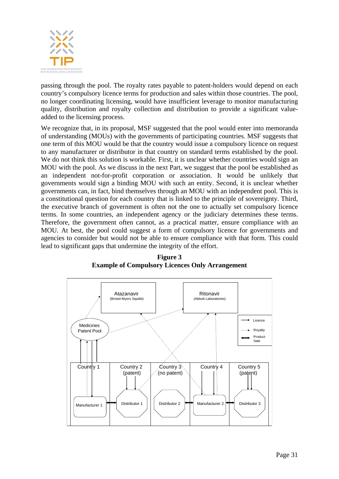

passing through the pool. The royalty rates payable to patent-holders would depend on each country's compulsory licence terms for production and sales within those countries. The pool, no longer coordinating licensing, would have insufficient leverage to monitor manufacturing quality, distribution and royalty collection and distribution to provide a significant valueadded to the licensing process.

We recognize that, in its proposal, MSF suggested that the pool would enter into memoranda of understanding (MOUs) with the governments of participating countries. MSF suggests that one term of this MOU would be that the country would issue a compulsory licence on request to any manufacturer or distributor in that country on standard terms established by the pool. We do not think this solution is workable. First, it is unclear whether countries would sign an MOU with the pool. As we discuss in the next Part, we suggest that the pool be established as an independent not-for-profit corporation or association. It would be unlikely that governments would sign a binding MOU with such an entity. Second, it is unclear whether governments can, in fact, bind themselves through an MOU with an independent pool. This is a constitutional question for each country that is linked to the principle of sovereignty. Third, the executive branch of government is often not the one to actually set compulsory licence terms. In some countries, an independent agency or the judiciary determines these terms. Therefore, the government often cannot, as a practical matter, ensure compliance with an MOU. At best, the pool could suggest a form of compulsory licence for governments and agencies to consider but would not be able to ensure compliance with that form. This could lead to significant gaps that undermine the integrity of the effort.



**Figure 3 Example of Compulsory Licences Only Arrangement**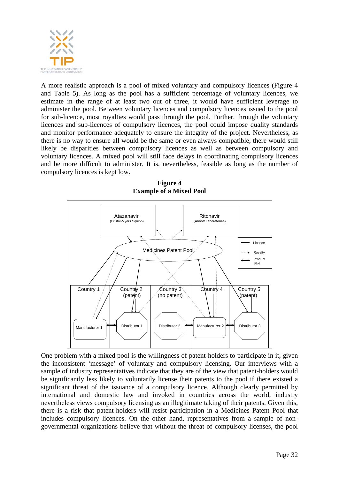

A more realistic approach is a pool of mixed voluntary and compulsory licences (Figure 4 and Table 5). As long as the pool has a sufficient percentage of voluntary licences, we estimate in the range of at least two out of three, it would have sufficient leverage to administer the pool. Between voluntary licences and compulsory licences issued to the pool for sub-licence, most royalties would pass through the pool. Further, through the voluntary licences and sub-licences of compulsory licences, the pool could impose quality standards and monitor performance adequately to ensure the integrity of the project. Nevertheless, as there is no way to ensure all would be the same or even always compatible, there would still likely be disparities between compulsory licences as well as between compulsory and voluntary licences. A mixed pool will still face delays in coordinating compulsory licences and be more difficult to administer. It is, nevertheless, feasible as long as the number of compulsory licences is kept low.

**Figure 4 Example of a Mixed Pool** 



One problem with a mixed pool is the willingness of patent-holders to participate in it, given the inconsistent 'message' of voluntary and compulsory licensing. Our interviews with a sample of industry representatives indicate that they are of the view that patent-holders would be significantly less likely to voluntarily license their patents to the pool if there existed a significant threat of the issuance of a compulsory licence. Although clearly permitted by international and domestic law and invoked in countries across the world, industry nevertheless views compulsory licensing as an illegitimate taking of their patents. Given this, there is a risk that patent-holders will resist participation in a Medicines Patent Pool that includes compulsory licences. On the other hand, representatives from a sample of nongovernmental organizations believe that without the threat of compulsory licenses, the pool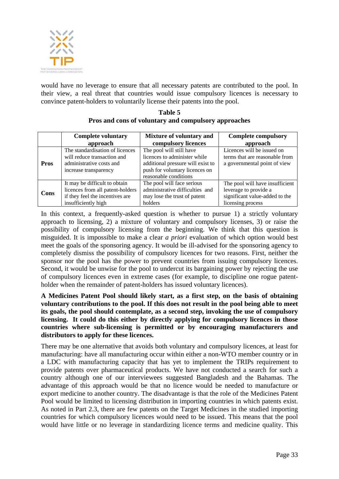

would have no leverage to ensure that all necessary patents are contributed to the pool. In their view, a real threat that countries would issue compulsory licences is necessary to convince patent-holders to voluntarily license their patents into the pool.

|             | <b>Complete voluntary</b>        | <b>Mixture of voluntary and</b>   | <b>Complete compulsory</b>      |
|-------------|----------------------------------|-----------------------------------|---------------------------------|
|             | approach                         | compulsory licences               | approach                        |
| <b>Pros</b> | The standardisation of licences  | The pool will still have          | Licences will be issued on      |
|             | will reduce transaction and      | licences to administer while      | terms that are reasonable from  |
|             | administrative costs and         | additional pressure will exist to | a governmental point of view    |
|             | increase transparency            | push for voluntary licences on    |                                 |
|             |                                  | reasonable conditions             |                                 |
| Cons        | It may be difficult to obtain    | The pool will face serious        | The pool will have insufficient |
|             | licences from all patent-holders | administrative difficulties and   | leverage to provide a           |
|             | if they feel the incentives are  | may lose the trust of patent      | significant value-added to the  |
|             | insufficiently high              | holders                           | licensing process               |

**Table 5 Pros and cons of voluntary and compulsory approaches** 

In this context, a frequently-asked question is whether to pursue 1) a strictly voluntary approach to licensing, 2) a mixture of voluntary and compulsory licenses, 3) or raise the possibility of compulsory licensing from the beginning. We think that this question is misguided. It is impossible to make a clear *a priori* evaluation of which option would best meet the goals of the sponsoring agency. It would be ill-advised for the sponsoring agency to completely dismiss the possibility of compulsory licences for two reasons. First, neither the sponsor nor the pool has the power to prevent countries from issuing compulsory licences. Second, it would be unwise for the pool to undercut its bargaining power by rejecting the use of compulsory licences even in extreme cases (for example, to discipline one rogue patentholder when the remainder of patent-holders has issued voluntary licences).

**A Medicines Patent Pool should likely start, as a first step, on the basis of obtaining voluntary contributions to the pool. If this does not result in the pool being able to meet its goals, the pool should contemplate, as a second step, invoking the use of compulsory licensing. It could do this either by directly applying for compulsory licences in those countries where sub-licensing is permitted or by encouraging manufacturers and distributors to apply for these licences.** 

There may be one alternative that avoids both voluntary and compulsory licences, at least for manufacturing: have all manufacturing occur within either a non-WTO member country or in a LDC with manufacturing capacity that has yet to implement the TRIPs requirement to provide patents over pharmaceutical products. We have not conducted a search for such a country although one of our interviewees suggested Bangladesh and the Bahamas. The advantage of this approach would be that no licence would be needed to manufacture or export medicine to another country. The disadvantage is that the role of the Medicines Patent Pool would be limited to licensing distribution in importing countries in which patents exist. As noted in Part 2.3, there are few patents on the Target Medicines in the studied importing countries for which compulsory licences would need to be issued. This means that the pool would have little or no leverage in standardizing licence terms and medicine quality. This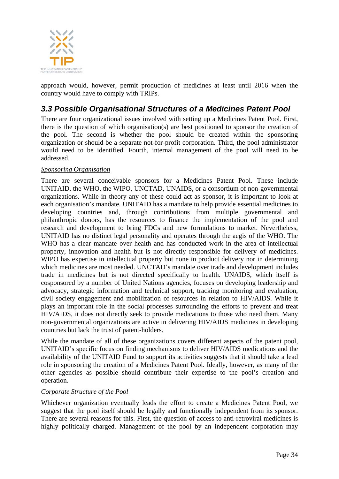

approach would, however, permit production of medicines at least until 2016 when the country would have to comply with TRIPs.

# *3.3 Possible Organisational Structures of a Medicines Patent Pool*

There are four organizational issues involved with setting up a Medicines Patent Pool. First, there is the question of which organisation(s) are best positioned to sponsor the creation of the pool. The second is whether the pool should be created within the sponsoring organization or should be a separate not-for-profit corporation. Third, the pool administrator would need to be identified. Fourth, internal management of the pool will need to be addressed.

### *Sponsoring Organisation*

There are several conceivable sponsors for a Medicines Patent Pool. These include UNITAID, the WHO, the WIPO, UNCTAD, UNAIDS, or a consortium of non-governmental organizations. While in theory any of these could act as sponsor, it is important to look at each organisation's mandate. UNITAID has a mandate to help provide essential medicines to developing countries and, through contributions from multiple governmental and philanthropic donors, has the resources to finance the implementation of the pool and research and development to bring FDCs and new formulations to market. Nevertheless, UNITAID has no distinct legal personality and operates through the aegis of the WHO. The WHO has a clear mandate over health and has conducted work in the area of intellectual property, innovation and health but is not directly responsible for delivery of medicines. WIPO has expertise in intellectual property but none in product delivery nor in determining which medicines are most needed. UNCTAD's mandate over trade and development includes trade in medicines but is not directed specifically to health. UNAIDS, which itself is cosponsored by a number of United Nations agencies, focuses on developing leadership and advocacy, strategic information and technical support, tracking monitoring and evaluation, civil society engagement and mobilization of resources in relation to HIV/AIDS. While it plays an important role in the social processes surrounding the efforts to prevent and treat HIV/AIDS, it does not directly seek to provide medications to those who need them. Many non-governmental organizations are active in delivering HIV/AIDS medicines in developing countries but lack the trust of patent-holders.

While the mandate of all of these organizations covers different aspects of the patent pool, UNITAID's specific focus on finding mechanisms to deliver HIV/AIDS medications and the availability of the UNITAID Fund to support its activities suggests that it should take a lead role in sponsoring the creation of a Medicines Patent Pool. Ideally, however, as many of the other agencies as possible should contribute their expertise to the pool's creation and operation.

### *Corporate Structure of the Pool*

Whichever organization eventually leads the effort to create a Medicines Patent Pool, we suggest that the pool itself should be legally and functionally independent from its sponsor. There are several reasons for this. First, the question of access to anti-retroviral medicines is highly politically charged. Management of the pool by an independent corporation may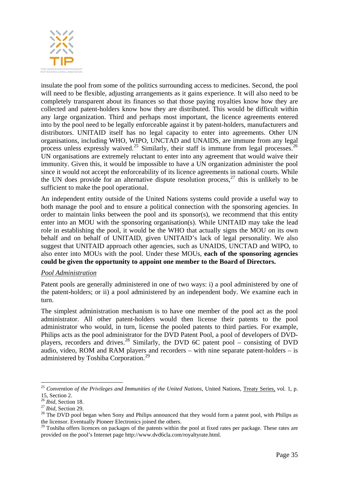<span id="page-42-0"></span>

insulate the pool from some of the politics surrounding access to medicines. Second, the pool will need to be flexible, adjusting arrangements as it gains experience. It will also need to be completely transparent about its finances so that those paying royalties know how they are collected and patent-holders know how they are distributed. This would be difficult within any large organization. Third and perhaps most important, the licence agreements entered into by the pool need to be legally enforceable against it by patent-holders, manufacturers and distributors. UNITAID itself has no legal capacity to enter into agreements. Other UN organisations, including WHO, WIPO, UNCTAD and UNAIDS, are immune from any legal process unless expressly waived.<sup>[25](#page-42-0)</sup> Similarly, their staff is immune from legal processes.<sup>[26](#page-42-0)</sup> UN organisations are extremely reluctant to enter into any agreement that would waive their immunity. Given this, it would be impossible to have a UN organization administer the pool since it would not accept the enforceability of its licence agreements in national courts. While the UN does provide for an alternative dispute resolution process,  $27$  this is unlikely to be sufficient to make the pool operational.

An independent entity outside of the United Nations systems could provide a useful way to both manage the pool and to ensure a political connection with the sponsoring agencies. In order to maintain links between the pool and its sponsor(s), we recommend that this entity enter into an MOU with the sponsoring organisation(s). While UNITAID may take the lead role in establishing the pool, it would be the WHO that actually signs the MOU on its own behalf and on behalf of UNITAID, given UNITAID's lack of legal personality. We also suggest that UNITAID approach other agencies, such as UNAIDS, UNCTAD and WIPO, to also enter into MOUs with the pool. Under these MOUs, **each of the sponsoring agencies could be given the opportunity to appoint one member to the Board of Directors.** 

### *Pool Administration*

Patent pools are generally administered in one of two ways: i) a pool administered by one of the patent-holders; or ii) a pool administered by an independent body. We examine each in turn.

The simplest administration mechanism is to have one member of the pool act as the pool administrator. All other patent-holders would then license their patents to the pool administrator who would, in turn, license the pooled patents to third parties. For example, Philips acts as the pool administrator for the DVD Patent Pool, a pool of developers of DVDplayers, recorders and drives.[28](#page-42-0) Similarly, the DVD 6C patent pool – consisting of DVD audio, video, ROM and RAM players and recorders – with nine separate patent-holders – is administered by Toshiba Corporation.[29](#page-42-0)

1

<sup>&</sup>lt;sup>25</sup> Convention of the Privileges and Immunities of the United Nations, United Nations, Treaty Series, vol. 1, p. 15, Section 2.  $^{26}$  *Ibid*, Section 18.

<sup>&</sup>lt;sup>27</sup> *Ibid*, Section 29.<br><sup>28</sup> *Ibid*, Section 29.<br><sup>28</sup> The DVD pool began when Sony and Philips announced that they would form a patent pool, with Philips as the licensor. Eventually Pioneer Electronics joined the others.

<sup>&</sup>lt;sup>29</sup> Toshiba offers licences on packages of the patents within the pool at fixed rates per package. These rates are provided on the pool's Internet page http://www.dvd6cla.com/royaltyrate.html.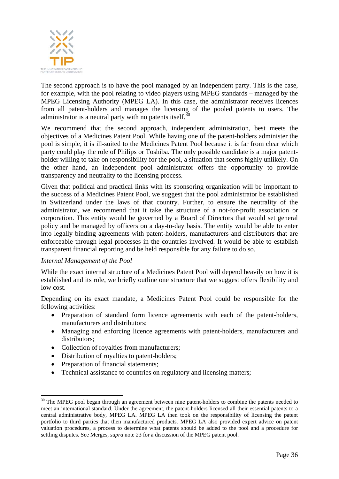<span id="page-43-0"></span>

The second approach is to have the pool managed by an independent party. This is the case, for example, with the pool relating to video players using MPEG standards – managed by the MPEG Licensing Authority (MPEG LA). In this case, the administrator receives licences from all patent-holders and manages the licensing of the pooled patents to users. The administrator is a neutral party with no patents itself.<sup>[30](#page-43-0)</sup>

We recommend that the second approach, independent administration, best meets the objectives of a Medicines Patent Pool. While having one of the patent-holders administer the pool is simple, it is ill-suited to the Medicines Patent Pool because it is far from clear which party could play the role of Philips or Toshiba. The only possible candidate is a major patentholder willing to take on responsibility for the pool, a situation that seems highly unlikely. On the other hand, an independent pool administrator offers the opportunity to provide transparency and neutrality to the licensing process.

Given that political and practical links with its sponsoring organization will be important to the success of a Medicines Patent Pool, we suggest that the pool administrator be established in Switzerland under the laws of that country. Further, to ensure the neutrality of the administrator, we recommend that it take the structure of a not-for-profit association or corporation. This entity would be governed by a Board of Directors that would set general policy and be managed by officers on a day-to-day basis. The entity would be able to enter into legally binding agreements with patent-holders, manufacturers and distributors that are enforceable through legal processes in the countries involved. It would be able to establish transparent financial reporting and be held responsible for any failure to do so.

### *Internal Management of the Pool*

While the exact internal structure of a Medicines Patent Pool will depend heavily on how it is established and its role, we briefly outline one structure that we suggest offers flexibility and low cost.

Depending on its exact mandate, a Medicines Patent Pool could be responsible for the following activities:

- Preparation of standard form licence agreements with each of the patent-holders, manufacturers and distributors;
- Managing and enforcing licence agreements with patent-holders, manufacturers and distributors;
- Collection of royalties from manufacturers;
- Distribution of royalties to patent-holders;
- Preparation of financial statements;

1

• Technical assistance to countries on regulatory and licensing matters;

<sup>&</sup>lt;sup>30</sup> The MPEG pool began through an agreement between nine patent-holders to combine the patents needed to meet an international standard. Under the agreement, the patent-holders licensed all their essential patents to a central administrative body, MPEG LA. MPEG LA then took on the responsibility of licensing the patent portfolio to third parties that then manufactured products. MPEG LA also provided expert advice on patent valuation procedures, a process to determine what patents should be added to the pool and a procedure for settling disputes. See Merges, *supra* note 23 for a discussion of the MPEG patent pool.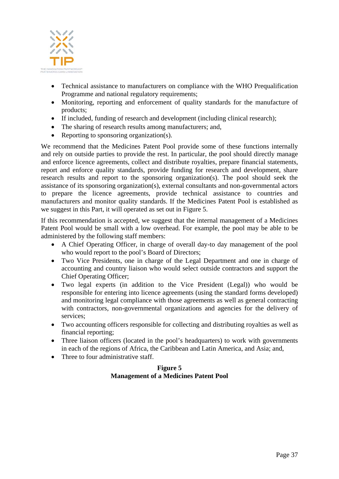

- Technical assistance to manufacturers on compliance with the WHO Prequalification Programme and national regulatory requirements;
- Monitoring, reporting and enforcement of quality standards for the manufacture of products;
- If included, funding of research and development (including clinical research);
- The sharing of research results among manufacturers; and,
- Reporting to sponsoring organization(s).

We recommend that the Medicines Patent Pool provide some of these functions internally and rely on outside parties to provide the rest. In particular, the pool should directly manage and enforce licence agreements, collect and distribute royalties, prepare financial statements, report and enforce quality standards, provide funding for research and development, share research results and report to the sponsoring organization(s). The pool should seek the assistance of its sponsoring organization(s), external consultants and non-governmental actors to prepare the licence agreements, provide technical assistance to countries and manufacturers and monitor quality standards. If the Medicines Patent Pool is established as we suggest in this Part, it will operated as set out in Figure 5.

If this recommendation is accepted, we suggest that the internal management of a Medicines Patent Pool would be small with a low overhead. For example, the pool may be able to be administered by the following staff members:

- A Chief Operating Officer, in charge of overall day-to day management of the pool who would report to the pool's Board of Directors;
- Two Vice Presidents, one in charge of the Legal Department and one in charge of accounting and country liaison who would select outside contractors and support the Chief Operating Officer;
- Two legal experts (in addition to the Vice President (Legal)) who would be responsible for entering into licence agreements (using the standard forms developed) and monitoring legal compliance with those agreements as well as general contracting with contractors, non-governmental organizations and agencies for the delivery of services;
- Two accounting officers responsible for collecting and distributing royalties as well as financial reporting;
- Three liaison officers (located in the pool's headquarters) to work with governments in each of the regions of Africa, the Caribbean and Latin America, and Asia; and,
- Three to four administrative staff.

### **Figure 5 Management of a Medicines Patent Pool**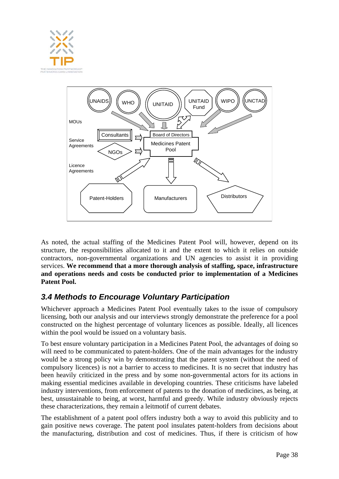



As noted, the actual staffing of the Medicines Patent Pool will, however, depend on its structure, the responsibilities allocated to it and the extent to which it relies on outside contractors, non-governmental organizations and UN agencies to assist it in providing services. **We recommend that a more thorough analysis of staffing, space, infrastructure and operations needs and costs be conducted prior to implementation of a Medicines Patent Pool.**

# *3.4 Methods to Encourage Voluntary Participation*

Whichever approach a Medicines Patent Pool eventually takes to the issue of compulsory licensing, both our analysis and our interviews strongly demonstrate the preference for a pool constructed on the highest percentage of voluntary licences as possible. Ideally, all licences within the pool would be issued on a voluntary basis.

To best ensure voluntary participation in a Medicines Patent Pool, the advantages of doing so will need to be communicated to patent-holders. One of the main advantages for the industry would be a strong policy win by demonstrating that the patent system (without the need of compulsory licences) is not a barrier to access to medicines. It is no secret that industry has been heavily criticized in the press and by some non-governmental actors for its actions in making essential medicines available in developing countries. These criticisms have labeled industry interventions, from enforcement of patents to the donation of medicines, as being, at best, unsustainable to being, at worst, harmful and greedy. While industry obviously rejects these characterizations, they remain a leitmotif of current debates.

The establishment of a patent pool offers industry both a way to avoid this publicity and to gain positive news coverage. The patent pool insulates patent-holders from decisions about the manufacturing, distribution and cost of medicines. Thus, if there is criticism of how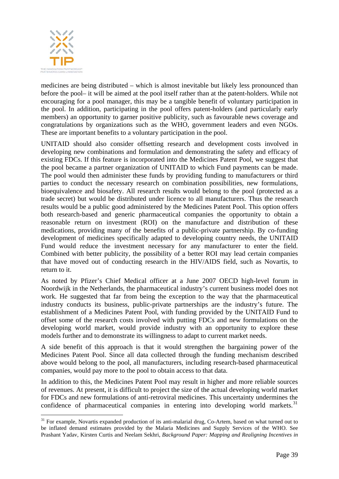<span id="page-46-0"></span>

1

medicines are being distributed – which is almost inevitable but likely less pronounced than before the pool– it will be aimed at the pool itself rather than at the patent-holders. While not encouraging for a pool manager, this may be a tangible benefit of voluntary participation in the pool. In addition, participating in the pool offers patent-holders (and particularly early members) an opportunity to garner positive publicity, such as favourable news coverage and congratulations by organizations such as the WHO, government leaders and even NGOs. These are important benefits to a voluntary participation in the pool.

UNITAID should also consider offsetting research and development costs involved in developing new combinations and formulation and demonstrating the safety and efficacy of existing FDCs. If this feature is incorporated into the Medicines Patent Pool, we suggest that the pool became a partner organization of UNITAID to which Fund payments can be made. The pool would then administer these funds by providing funding to manufacturers or third parties to conduct the necessary research on combination possibilities, new formulations, bioequivalence and biosafety. All research results would belong to the pool (protected as a trade secret) but would be distributed under licence to all manufacturers. Thus the research results would be a public good administered by the Medicines Patent Pool. This option offers both research-based and generic pharmaceutical companies the opportunity to obtain a reasonable return on investment (ROI) on the manufacture and distribution of these medications, providing many of the benefits of a public-private partnership. By co-funding development of medicines specifically adapted to developing country needs, the UNITAID Fund would reduce the investment necessary for any manufacturer to enter the field. Combined with better publicity, the possibility of a better ROI may lead certain companies that have moved out of conducting research in the HIV/AIDS field, such as Novartis, to return to it.

As noted by Pfizer's Chief Medical officer at a June 2007 OECD high-level forum in Noordwijk in the Netherlands, the pharmaceutical industry's current business model does not work. He suggested that far from being the exception to the way that the pharmaceutical industry conducts its business, public-private partnerships are the industry's future. The establishment of a Medicines Patent Pool, with funding provided by the UNITAID Fund to offset some of the research costs involved with putting FDCs and new formulations on the developing world market, would provide industry with an opportunity to explore these models further and to demonstrate its willingness to adapt to current market needs.

A side benefit of this approach is that it would strengthen the bargaining power of the Medicines Patent Pool. Since all data collected through the funding mechanism described above would belong to the pool, all manufacturers, including research-based pharmaceutical companies, would pay more to the pool to obtain access to that data.

In addition to this, the Medicines Patent Pool may result in higher and more reliable sources of revenues. At present, it is difficult to project the size of the actual developing world market for FDCs and new formulations of anti-retroviral medicines. This uncertainty undermines the confidence of pharmaceutical companies in entering into developing world markets.<sup>[31](#page-46-0)</sup>

 $31$  For example, Novartis expanded production of its anti-malarial drug, Co-Artem, based on what turned out to be inflated demand estimates provided by the Malaria Medicines and Supply Services of the WHO. See Prashant Yadav, Kirsten Curtis and Neelam Sekhri, *Background Paper: Mapping and Realigning Incentives in*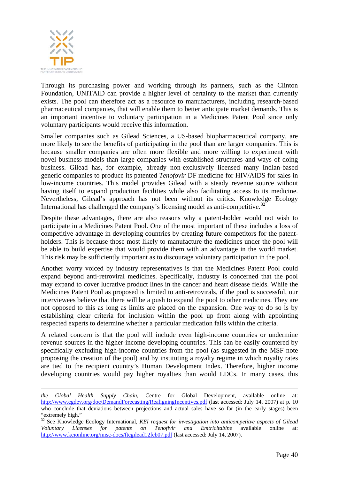<span id="page-47-0"></span>

1

Through its purchasing power and working through its partners, such as the Clinton Foundation, UNITAID can provide a higher level of certainty to the market than currently exists. The pool can therefore act as a resource to manufacturers, including research-based pharmaceutical companies, that will enable them to better anticipate market demands. This is an important incentive to voluntary participation in a Medicines Patent Pool since only voluntary participants would receive this information.

Smaller companies such as Gilead Sciences, a US-based biopharmaceutical company, are more likely to see the benefits of participating in the pool than are larger companies. This is because smaller companies are often more flexible and more willing to experiment with novel business models than large companies with established structures and ways of doing business. Gilead has, for example, already non-exclusively licensed many Indian-based generic companies to produce its patented *Tenofovir* DF medicine for HIV/AIDS for sales in low-income countries. This model provides Gilead with a steady revenue source without having itself to expand production facilities while also facilitating access to its medicine. Nevertheless, Gilead's approach has not been without its critics. Knowledge Ecology International has challenged the company's licensing model as anti-competitive.<sup>[32](#page-47-0)</sup>

Despite these advantages, there are also reasons why a patent-holder would not wish to participate in a Medicines Patent Pool. One of the most important of these includes a loss of competitive advantage in developing countries by creating future competitors for the patentholders. This is because those most likely to manufacture the medicines under the pool will be able to build expertise that would provide them with an advantage in the world market. This risk may be sufficiently important as to discourage voluntary participation in the pool.

Another worry voiced by industry representatives is that the Medicines Patent Pool could expand beyond anti-retroviral medicines. Specifically, industry is concerned that the pool may expand to cover lucrative product lines in the cancer and heart disease fields. While the Medicines Patent Pool as proposed is limited to anti-retrovirals, if the pool is successful, our interviewees believe that there will be a push to expand the pool to other medicines. They are not opposed to this as long as limits are placed on the expansion. One way to do so is by establishing clear criteria for inclusion within the pool up front along with appointing respected experts to determine whether a particular medication falls within the criteria.

A related concern is that the pool will include even high-income countries or undermine revenue sources in the higher-income developing countries. This can be easily countered by specifically excluding high-income countries from the pool (as suggested in the MSF note proposing the creation of the pool) and by instituting a royalty regime in which royalty rates are tied to the recipient country's Human Development Index. Therefore, higher income developing countries would pay higher royalties than would LDCs. In many cases, this

*the Global Health Supply Chain*, Centre for Global Development, available online at: <http://www.cgdev.org/doc/DemandForecasting/RealigningIncentives.pdf>(last accessed: July 14, 2007) at p. 10 who conclude that deviations between projections and actual sales have so far (in the early stages) been "extremely high."

<sup>&</sup>lt;sup>32</sup> See Knowledge Ecology International, *KEI request for investigation into anticompetitve aspects of Gilead Voluntary Licenses for patents on Tenofivir and Emtricitabine* available online <http://www.keionline.org/misc-docs/ftcgilead12feb07.pdf>(last accessed: July 14, 2007).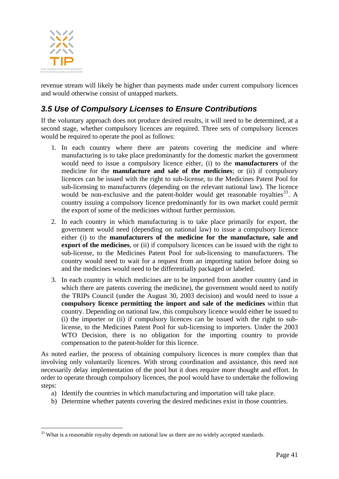<span id="page-48-0"></span>

1

revenue stream will likely be higher than payments made under current compulsory licences and would otherwise consist of untapped markets.

# *3.5 Use of Compulsory Licenses to Ensure Contributions*

If the voluntary approach does not produce desired results, it will need to be determined, at a second stage, whether compulsory licences are required. Three sets of compulsory licences would be required to operate the pool as follows:

- 1. In each country where there are patents covering the medicine and where manufacturing is to take place predominantly for the domestic market the government would need to issue a compulsory licence either, (i) to the **manufacturers** of the medicine for the **manufacture and sale of the medicines**; or (ii) if compulsory licences can be issued with the right to sub-license, to the Medicines Patent Pool for sub-licensing to manufacturers (depending on the relevant national law). The licence would be non-exclusive and the patent-holder would get reasonable royalties<sup>[33](#page-48-0)</sup>. A country issuing a compulsory licence predominantly for its own market could permit the export of some of the medicines without further permission.
- 2. In each country in which manufacturing is to take place primarily for export, the government would need (depending on national law) to issue a compulsory licence either (i) to the **manufacturers of the medicine for the manufacture, sale and export of the medicines**, or (ii) if compulsory licences can be issued with the right to sub-license, to the Medicines Patent Pool for sub-licensing to manufacturers. The country would need to wait for a request from an importing nation before doing so and the medicines would need to be differentially packaged or labeled.
- 3. In each country in which medicines are to be imported from another country (and in which there are patents covering the medicine), the government would need to notify the TRIPs Council (under the August 30, 2003 decision) and would need to issue a **compulsory licence permitting the import and sale of the medicines** within that country. Depending on national law, this compulsory licence would either be issued to (i) the importer or (ii) if compulsory licences can be issued with the right to sublicense, to the Medicines Patent Pool for sub-licensing to importers. Under the 2003 WTO Decision, there is no obligation for the importing country to provide compensation to the patent-holder for this licence.

As noted earlier, the process of obtaining compulsory licences is more complex than that involving only voluntarily licences. With strong coordination and assistance, this need not necessarily delay implementation of the pool but it does require more thought and effort. In order to operate through compulsory licences, the pool would have to undertake the following steps:

- a) Identify the countries in which manufacturing and importation will take place.
- b) Determine whether patents covering the desired medicines exist in those countries.

<sup>&</sup>lt;sup>33</sup> What is a reasonable royalty depends on national law as there are no widely accepted standards.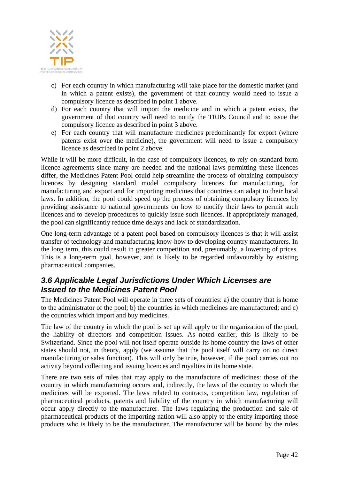

- c) For each country in which manufacturing will take place for the domestic market (and in which a patent exists), the government of that country would need to issue a compulsory licence as described in point 1 above.
- d) For each country that will import the medicine and in which a patent exists, the government of that country will need to notify the TRIPs Council and to issue the compulsory licence as described in point 3 above.
- e) For each country that will manufacture medicines predominantly for export (where patents exist over the medicine), the government will need to issue a compulsory licence as described in point 2 above.

While it will be more difficult, in the case of compulsory licences, to rely on standard form licence agreements since many are needed and the national laws permitting these licences differ, the Medicines Patent Pool could help streamline the process of obtaining compulsory licences by designing standard model compulsory licences for manufacturing, for manufacturing and export and for importing medicines that countries can adapt to their local laws. In addition, the pool could speed up the process of obtaining compulsory licences by providing assistance to national governments on how to modify their laws to permit such licences and to develop procedures to quickly issue such licences. If appropriately managed, the pool can significantly reduce time delays and lack of standardization.

One long-term advantage of a patent pool based on compulsory licences is that it will assist transfer of technology and manufacturing know-how to developing country manufacturers. In the long term, this could result in greater competition and, presumably, a lowering of prices. This is a long-term goal, however, and is likely to be regarded unfavourably by existing pharmaceutical companies.

## *3.6 Applicable Legal Jurisdictions Under Which Licenses are Issued to the Medicines Patent Pool*

The Medicines Patent Pool will operate in three sets of countries: a) the country that is home to the administrator of the pool; b) the countries in which medicines are manufactured; and c) the countries which import and buy medicines.

The law of the country in which the pool is set up will apply to the organization of the pool, the liability of directors and competition issues. As noted earlier, this is likely to be Switzerland. Since the pool will not itself operate outside its home country the laws of other states should not, in theory, apply (we assume that the pool itself will carry on no direct manufacturing or sales function). This will only be true, however, if the pool carries out no activity beyond collecting and issuing licences and royalties in its home state.

There are two sets of rules that may apply to the manufacture of medicines: those of the country in which manufacturing occurs and, indirectly, the laws of the country to which the medicines will be exported. The laws related to contracts, competition law, regulation of pharmaceutical products, patents and liability of the country in which manufacturing will occur apply directly to the manufacturer. The laws regulating the production and sale of pharmaceutical products of the importing nation will also apply to the entity importing those products who is likely to be the manufacturer. The manufacturer will be bound by the rules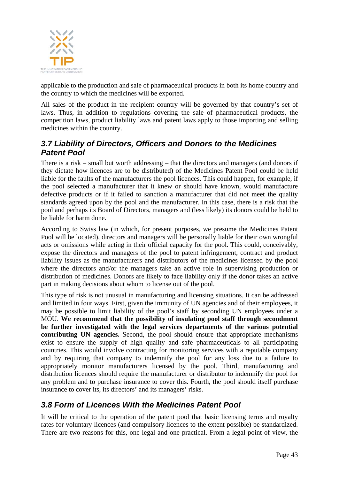

applicable to the production and sale of pharmaceutical products in both its home country and the country to which the medicines will be exported.

All sales of the product in the recipient country will be governed by that country's set of laws. Thus, in addition to regulations covering the sale of pharmaceutical products, the competition laws, product liability laws and patent laws apply to those importing and selling medicines within the country.

# *3.7 Liability of Directors, Officers and Donors to the Medicines Patent Pool*

There is a risk – small but worth addressing – that the directors and managers (and donors if they dictate how licences are to be distributed) of the Medicines Patent Pool could be held liable for the faults of the manufacturers the pool licences. This could happen, for example, if the pool selected a manufacturer that it knew or should have known, would manufacture defective products or if it failed to sanction a manufacturer that did not meet the quality standards agreed upon by the pool and the manufacturer. In this case, there is a risk that the pool and perhaps its Board of Directors, managers and (less likely) its donors could be held to be liable for harm done.

According to Swiss law (in which, for present purposes, we presume the Medicines Patent Pool will be located), directors and managers will be personally liable for their own wrongful acts or omissions while acting in their official capacity for the pool. This could, conceivably, expose the directors and managers of the pool to patent infringement, contract and product liability issues as the manufacturers and distributors of the medicines licensed by the pool where the directors and/or the managers take an active role in supervising production or distribution of medicines. Donors are likely to face liability only if the donor takes an active part in making decisions about whom to license out of the pool.

This type of risk is not unusual in manufacturing and licensing situations. It can be addressed and limited in four ways. First, given the immunity of UN agencies and of their employees, it may be possible to limit liability of the pool's staff by seconding UN employees under a MOU. **We recommend that the possibility of insulating pool staff through secondment be further investigated with the legal services departments of the various potential contributing UN agencies.** Second, the pool should ensure that appropriate mechanisms exist to ensure the supply of high quality and safe pharmaceuticals to all participating countries. This would involve contracting for monitoring services with a reputable company and by requiring that company to indemnify the pool for any loss due to a failure to appropriately monitor manufacturers licensed by the pool. Third, manufacturing and distribution licences should require the manufacturer or distributor to indemnify the pool for any problem and to purchase insurance to cover this. Fourth, the pool should itself purchase insurance to cover its, its directors' and its managers' risks.

# *3.8 Form of Licences With the Medicines Patent Pool*

It will be critical to the operation of the patent pool that basic licensing terms and royalty rates for voluntary licences (and compulsory licences to the extent possible) be standardized. There are two reasons for this, one legal and one practical. From a legal point of view, the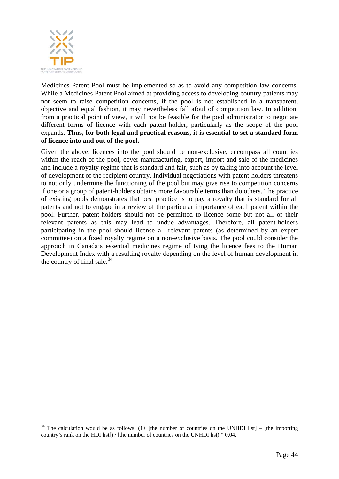<span id="page-51-0"></span>

Medicines Patent Pool must be implemented so as to avoid any competition law concerns. While a Medicines Patent Pool aimed at providing access to developing country patients may not seem to raise competition concerns, if the pool is not established in a transparent, objective and equal fashion, it may nevertheless fall afoul of competition law. In addition, from a practical point of view, it will not be feasible for the pool administrator to negotiate different forms of licence with each patent-holder, particularly as the scope of the pool expands. **Thus, for both legal and practical reasons, it is essential to set a standard form of licence into and out of the pool.**

Given the above, licences into the pool should be non-exclusive, encompass all countries within the reach of the pool, cover manufacturing, export, import and sale of the medicines and include a royalty regime that is standard and fair, such as by taking into account the level of development of the recipient country. Individual negotiations with patent-holders threatens to not only undermine the functioning of the pool but may give rise to competition concerns if one or a group of patent-holders obtains more favourable terms than do others. The practice of existing pools demonstrates that best practice is to pay a royalty that is standard for all patents and not to engage in a review of the particular importance of each patent within the pool. Further, patent-holders should not be permitted to licence some but not all of their relevant patents as this may lead to undue advantages. Therefore, all patent-holders participating in the pool should license all relevant patents (as determined by an expert committee) on a fixed royalty regime on a non-exclusive basis. The pool could consider the approach in Canada's essential medicines regime of tying the licence fees to the Human Development Index with a resulting royalty depending on the level of human development in the country of final sale. $34$ 

<sup>1</sup>  $34$  The calculation would be as follows: (1+ [the number of countries on the UNHDI list] – [the importing country's rank on the HDI list]) / [the number of countries on the UNHDI list) \* 0.04.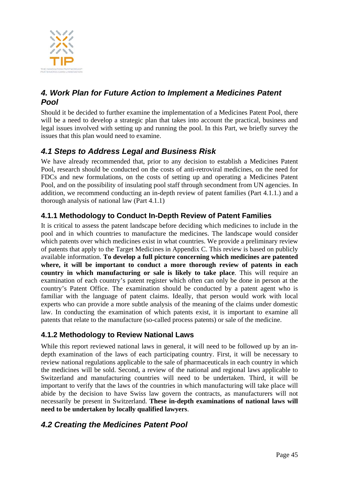

# *4. Work Plan for Future Action to Implement a Medicines Patent Pool*

Should it be decided to further examine the implementation of a Medicines Patent Pool, there will be a need to develop a strategic plan that takes into account the practical, business and legal issues involved with setting up and running the pool. In this Part, we briefly survey the issues that this plan would need to examine.

# *4.1 Steps to Address Legal and Business Risk*

We have already recommended that, prior to any decision to establish a Medicines Patent Pool, research should be conducted on the costs of anti-retroviral medicines, on the need for FDCs and new formulations, on the costs of setting up and operating a Medicines Patent Pool, and on the possibility of insulating pool staff through secondment from UN agencies. In addition, we recommend conducting an in-depth review of patent families (Part 4.1.1.) and a thorough analysis of national law (Part 4.1.1)

## **4.1.1 Methodology to Conduct In-Depth Review of Patent Families**

It is critical to assess the patent landscape before deciding which medicines to include in the pool and in which countries to manufacture the medicines. The landscape would consider which patents over which medicines exist in what countries. We provide a preliminary review of patents that apply to the Target Medicines in Appendix C. This review is based on publicly available information. **To develop a full picture concerning which medicines are patented where, it will be important to conduct a more thorough review of patents in each country in which manufacturing or sale is likely to take place**. This will require an examination of each country's patent register which often can only be done in person at the country's Patent Office. The examination should be conducted by a patent agent who is familiar with the language of patent claims. Ideally, that person would work with local experts who can provide a more subtle analysis of the meaning of the claims under domestic law. In conducting the examination of which patents exist, it is important to examine all patents that relate to the manufacture (so-called process patents) or sale of the medicine.

## **4.1.2 Methodology to Review National Laws**

While this report reviewed national laws in general, it will need to be followed up by an indepth examination of the laws of each participating country. First, it will be necessary to review national regulations applicable to the sale of pharmaceuticals in each country in which the medicines will be sold. Second, a review of the national and regional laws applicable to Switzerland and manufacturing countries will need to be undertaken. Third, it will be important to verify that the laws of the countries in which manufacturing will take place will abide by the decision to have Swiss law govern the contracts, as manufacturers will not necessarily be present in Switzerland. **These in-depth examinations of national laws will need to be undertaken by locally qualified lawyers**.

# *4.2 Creating the Medicines Patent Pool*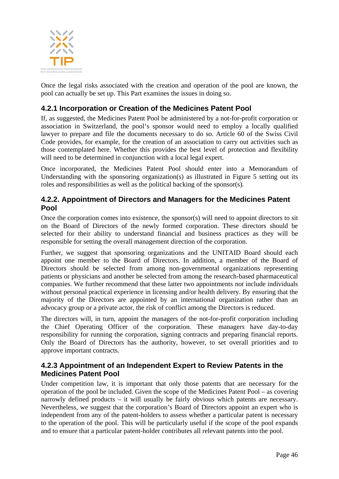

Once the legal risks associated with the creation and operation of the pool are known, the pool can actually be set up. This Part examines the issues in doing so.

## **4.2.1 Incorporation or Creation of the Medicines Patent Pool**

If, as suggested, the Medicines Patent Pool be administered by a not-for-profit corporation or association in Switzerland, the pool's sponsor would need to employ a locally qualified lawyer to prepare and file the documents necessary to do so. Article 60 of the Swiss Civil Code provides, for example, for the creation of an association to carry out activities such as those contemplated here. Whether this provides the best level of protection and flexibility will need to be determined in conjunction with a local legal expert.

Once incorporated, the Medicines Patent Pool should enter into a Memorandum of Understanding with the sponsoring organization(s) as illustrated in Figure 5 setting out its roles and responsibilities as well as the political backing of the sponsor(s).

## **4.2.2. Appointment of Directors and Managers for the Medicines Patent Pool**

Once the corporation comes into existence, the sponsor(s) will need to appoint directors to sit on the Board of Directors of the newly formed corporation. These directors should be selected for their ability to understand financial and business practices as they will be responsible for setting the overall management direction of the corporation.

Further, we suggest that sponsoring organizations and the UNITAID Board should each appoint one member to the Board of Directors. In addition, a member of the Board of Directors should be selected from among non-governmental organizations representing patients or physicians and another be selected from among the research-based pharmaceutical companies. We further recommend that these latter two appointments *not* include individuals without personal practical experience in licensing and/or health delivery. By ensuring that the majority of the Directors are appointed by an international organization rather than an advocacy group or a private actor, the risk of conflict among the Directors is reduced.

The directors will, in turn, appoint the managers of the not-for-profit corporation including the Chief Operating Officer of the corporation. These managers have day-to-day responsibility for running the corporation, signing contracts and preparing financial reports. Only the Board of Directors has the authority, however, to set overall priorities and to approve important contracts.

## **4.2.3 Appointment of an Independent Expert to Review Patents in the Medicines Patent Pool**

Under competition law, it is important that only those patents that are necessary for the operation of the pool be included. Given the scope of the Medicines Patent Pool – as covering narrowly defined products – it will usually be fairly obvious which patents are necessary. Nevertheless, we suggest that the corporation's Board of Directors appoint an expert who is independent from any of the patent-holders to assess whether a particular patent is necessary to the operation of the pool. This will be particularly useful if the scope of the pool expands and to ensure that a particular patent-holder contributes all relevant patents into the pool.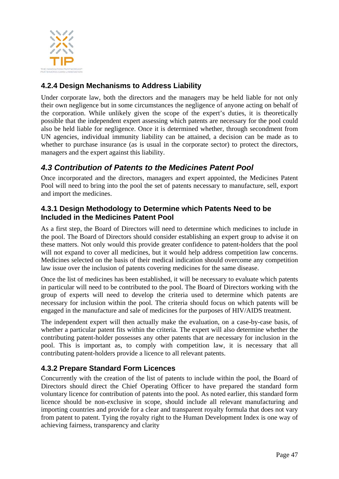

# **4.2.4 Design Mechanisms to Address Liability**

Under corporate law, both the directors and the managers may be held liable for not only their own negligence but in some circumstances the negligence of anyone acting on behalf of the corporation. While unlikely given the scope of the expert's duties, it is theoretically possible that the independent expert assessing which patents are necessary for the pool could also be held liable for negligence. Once it is determined whether, through secondment from UN agencies, individual immunity liability can be attained, a decision can be made as to whether to purchase insurance (as is usual in the corporate sector) to protect the directors, managers and the expert against this liability.

# *4.3 Contribution of Patents to the Medicines Patent Pool*

Once incorporated and the directors, managers and expert appointed, the Medicines Patent Pool will need to bring into the pool the set of patents necessary to manufacture, sell, export and import the medicines.

## **4.3.1 Design Methodology to Determine which Patents Need to be Included in the Medicines Patent Pool**

As a first step, the Board of Directors will need to determine which medicines to include in the pool. The Board of Directors should consider establishing an expert group to advise it on these matters. Not only would this provide greater confidence to patent-holders that the pool will not expand to cover all medicines, but it would help address competition law concerns. Medicines selected on the basis of their medical indication should overcome any competition law issue over the inclusion of patents covering medicines for the same disease.

Once the list of medicines has been established, it will be necessary to evaluate which patents in particular will need to be contributed to the pool. The Board of Directors working with the group of experts will need to develop the criteria used to determine which patents are necessary for inclusion within the pool. The criteria should focus on which patents will be engaged in the manufacture and sale of medicines for the purposes of HIV/AIDS treatment.

The independent expert will then actually make the evaluation, on a case-by-case basis, of whether a particular patent fits within the criteria. The expert will also determine whether the contributing patent-holder possesses any other patents that are necessary for inclusion in the pool. This is important as, to comply with competition law, it is necessary that all contributing patent-holders provide a licence to all relevant patents.

# **4.3.2 Prepare Standard Form Licences**

Concurrently with the creation of the list of patents to include within the pool, the Board of Directors should direct the Chief Operating Officer to have prepared the standard form voluntary licence for contribution of patents into the pool. As noted earlier, this standard form licence should be non-exclusive in scope, should include all relevant manufacturing and importing countries and provide for a clear and transparent royalty formula that does not vary from patent to patent. Tying the royalty right to the Human Development Index is one way of achieving fairness, transparency and clarity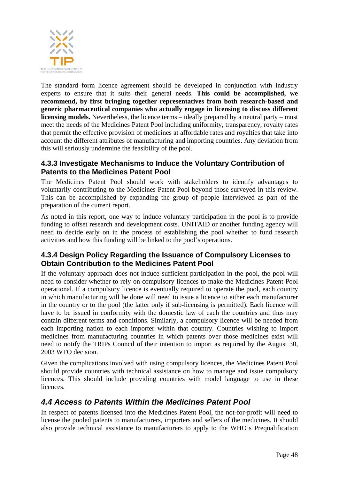

The standard form licence agreement should be developed in conjunction with industry experts to ensure that it suits their general needs. **This could be accomplished, we recommend, by first bringing together representatives from both research-based and generic pharmaceutical companies who actually engage in licensing to discuss different licensing models.** Nevertheless, the licence terms – ideally prepared by a neutral party – must meet the needs of the Medicines Patent Pool including uniformity, transparency, royalty rates that permit the effective provision of medicines at affordable rates and royalties that take into account the different attributes of manufacturing and importing countries. Any deviation from this will seriously undermine the feasibility of the pool.

## **4.3.3 Investigate Mechanisms to Induce the Voluntary Contribution of Patents to the Medicines Patent Pool**

The Medicines Patent Pool should work with stakeholders to identify advantages to voluntarily contributing to the Medicines Patent Pool beyond those surveyed in this review. This can be accomplished by expanding the group of people interviewed as part of the preparation of the current report.

As noted in this report, one way to induce voluntary participation in the pool is to provide funding to offset research and development costs. UNITAID or another funding agency will need to decide early on in the process of establishing the pool whether to fund research activities and how this funding will be linked to the pool's operations.

## **4.3.4 Design Policy Regarding the Issuance of Compulsory Licenses to Obtain Contribution to the Medicines Patent Pool**

If the voluntary approach does not induce sufficient participation in the pool, the pool will need to consider whether to rely on compulsory licences to make the Medicines Patent Pool operational. If a compulsory licence is eventually required to operate the pool, each country in which manufacturing will be done will need to issue a licence to either each manufacturer in the country or to the pool (the latter only if sub-licensing is permitted). Each licence will have to be issued in conformity with the domestic law of each the countries and thus may contain different terms and conditions. Similarly, a compulsory licence will be needed from each importing nation to each importer within that country. Countries wishing to import medicines from manufacturing countries in which patents over those medicines exist will need to notify the TRIPs Council of their intention to import as required by the August 30, 2003 WTO decision.

Given the complications involved with using compulsory licences, the Medicines Patent Pool should provide countries with technical assistance on how to manage and issue compulsory licences. This should include providing countries with model language to use in these licences.

# *4.4 Access to Patents Within the Medicines Patent Pool*

In respect of patents licensed into the Medicines Patent Pool, the not-for-profit will need to license the pooled patents to manufacturers, importers and sellers of the medicines. It should also provide technical assistance to manufacturers to apply to the WHO's Prequalification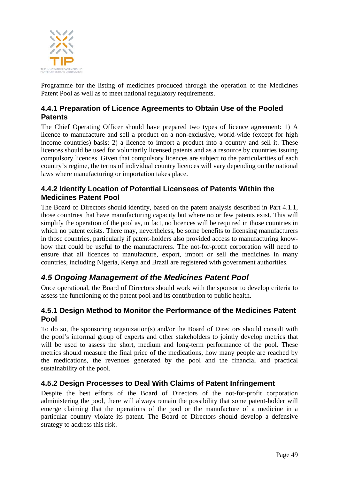

Programme for the listing of medicines produced through the operation of the Medicines Patent Pool as well as to meet national regulatory requirements.

## **4.4.1 Preparation of Licence Agreements to Obtain Use of the Pooled Patents**

The Chief Operating Officer should have prepared two types of licence agreement: 1) A licence to manufacture and sell a product on a non-exclusive, world-wide (except for high income countries) basis; 2) a licence to import a product into a country and sell it. These licences should be used for voluntarily licensed patents and as a resource by countries issuing compulsory licences. Given that compulsory licences are subject to the particularities of each country's regime, the terms of individual country licences will vary depending on the national laws where manufacturing or importation takes place.

## **4.4.2 Identify Location of Potential Licensees of Patents Within the Medicines Patent Pool**

The Board of Directors should identify, based on the patent analysis described in Part 4.1.1, those countries that have manufacturing capacity but where no or few patents exist. This will simplify the operation of the pool as, in fact, no licences will be required in those countries in which no patent exists. There may, nevertheless, be some benefits to licensing manufacturers in those countries, particularly if patent-holders also provided access to manufacturing knowhow that could be useful to the manufacturers. The not-for-profit corporation will need to ensure that all licences to manufacture, export, import or sell the medicines in many countries, including Nigeria, Kenya and Brazil are registered with government authorities.

# *4.5 Ongoing Management of the Medicines Patent Pool*

Once operational, the Board of Directors should work with the sponsor to develop criteria to assess the functioning of the patent pool and its contribution to public health.

## **4.5.1 Design Method to Monitor the Performance of the Medicines Patent Pool**

To do so, the sponsoring organization(s) and/or the Board of Directors should consult with the pool's informal group of experts and other stakeholders to jointly develop metrics that will be used to assess the short, medium and long-term performance of the pool. These metrics should measure the final price of the medications, how many people are reached by the medications, the revenues generated by the pool and the financial and practical sustainability of the pool.

## **4.5.2 Design Processes to Deal With Claims of Patent Infringement**

Despite the best efforts of the Board of Directors of the not-for-profit corporation administering the pool, there will always remain the possibility that some patent-holder will emerge claiming that the operations of the pool or the manufacture of a medicine in a particular country violate its patent. The Board of Directors should develop a defensive strategy to address this risk.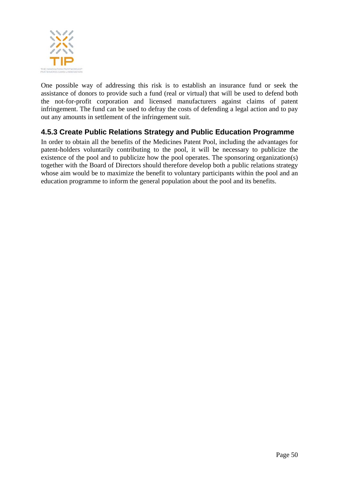

One possible way of addressing this risk is to establish an insurance fund or seek the assistance of donors to provide such a fund (real or virtual) that will be used to defend both the not-for-profit corporation and licensed manufacturers against claims of patent infringement. The fund can be used to defray the costs of defending a legal action and to pay out any amounts in settlement of the infringement suit.

## **4.5.3 Create Public Relations Strategy and Public Education Programme**

In order to obtain all the benefits of the Medicines Patent Pool, including the advantages for patent-holders voluntarily contributing to the pool, it will be necessary to publicize the existence of the pool and to publicize how the pool operates. The sponsoring organization(s) together with the Board of Directors should therefore develop both a public relations strategy whose aim would be to maximize the benefit to voluntary participants within the pool and an education programme to inform the general population about the pool and its benefits.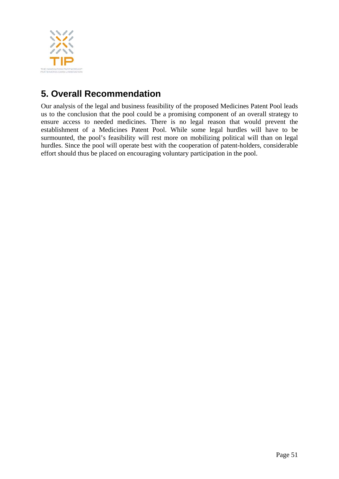

# **5. Overall Recommendation**

Our analysis of the legal and business feasibility of the proposed Medicines Patent Pool leads us to the conclusion that the pool could be a promising component of an overall strategy to ensure access to needed medicines. There is no legal reason that would prevent the establishment of a Medicines Patent Pool. While some legal hurdles will have to be surmounted, the pool's feasibility will rest more on mobilizing political will than on legal hurdles. Since the pool will operate best with the cooperation of patent-holders, considerable effort should thus be placed on encouraging voluntary participation in the pool.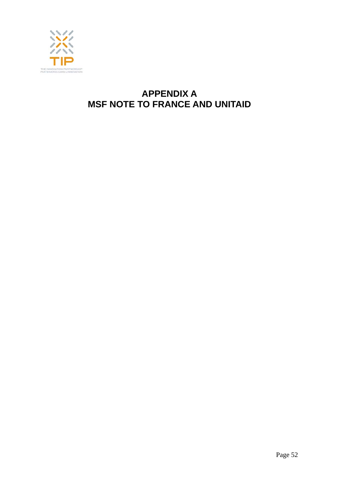

# **APPENDIX A MSF NOTE TO FRANCE AND UNITAID**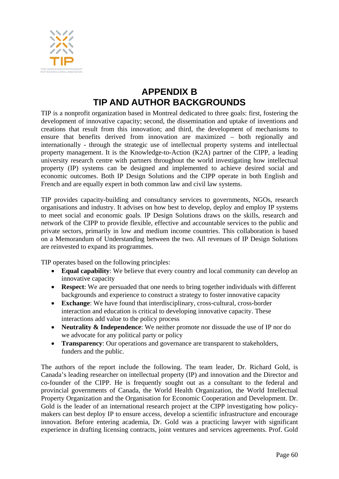

# **APPENDIX B TIP AND AUTHOR BACKGROUNDS**

TIP is a nonprofit organization based in Montreal dedicated to three goals: first, fostering the development of innovative capacity; second, the dissemination and uptake of inventions and creations that result from this innovation; and third, the development of mechanisms to ensure that benefits derived from innovation are maximized – both regionally and internationally - through the strategic use of intellectual property systems and intellectual property management. It is the Knowledge-to-Action (K2A) partner of the CIPP, a leading university research centre with partners throughout the world investigating how intellectual property (IP) systems can be designed and implemented to achieve desired social and economic outcomes. Both IP Design Solutions and the CIPP operate in both English and French and are equally expert in both common law and civil law systems.

TIP provides capacity-building and consultancy services to governments, NGOs, research organisations and industry. It advises on how best to develop, deploy and employ IP systems to meet social and economic goals. IP Design Solutions draws on the skills, research and network of the CIPP to provide flexible, effective and accountable services to the public and private sectors, primarily in low and medium income countries. This collaboration is based on a Memorandum of Understanding between the two. All revenues of IP Design Solutions are reinvested to expand its programmes.

TIP operates based on the following principles:

- **Equal capability**: We believe that every country and local community can develop an innovative capacity
- **Respect**: We are persuaded that one needs to bring together individuals with different backgrounds and experience to construct a strategy to foster innovative capacity
- **Exchange**: We have found that interdisciplinary, cross-cultural, cross-border interaction and education is critical to developing innovative capacity. These interactions add value to the policy process
- **Neutrality & Independence**: We neither promote nor dissuade the use of IP nor do we advocate for any political party or policy
- **Transparency**: Our operations and governance are transparent to stakeholders, funders and the public.

The authors of the report include the following. The team leader, Dr. Richard Gold, is Canada's leading researcher on intellectual property (IP) and innovation and the Director and co-founder of the CIPP. He is frequently sought out as a consultant to the federal and provincial governments of Canada, the World Health Organization, the World Intellectual Property Organization and the Organisation for Economic Cooperation and Development. Dr. Gold is the leader of an international research project at the CIPP investigating how policymakers can best deploy IP to ensure access, develop a scientific infrastructure and encourage innovation. Before entering academia, Dr. Gold was a practicing lawyer with significant experience in drafting licensing contracts, joint ventures and services agreements. Prof. Gold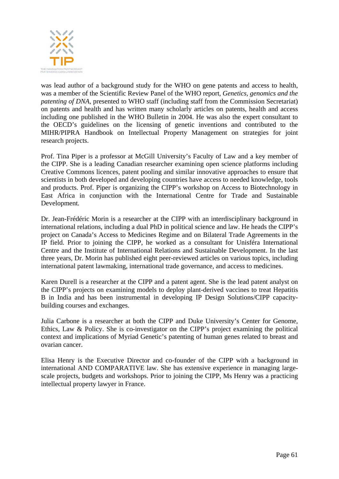

was lead author of a background study for the WHO on gene patents and access to health, was a member of the Scientific Review Panel of the WHO report, *Genetics, genomics and the patenting of DNA*, presented to WHO staff (including staff from the Commission Secretariat) on patents and health and has written many scholarly articles on patents, health and access including one published in the WHO Bulletin in 2004. He was also the expert consultant to the OECD's guidelines on the licensing of genetic inventions and contributed to the MIHR/PIPRA Handbook on Intellectual Property Management on strategies for joint research projects.

Prof. Tina Piper is a professor at McGill University's Faculty of Law and a key member of the CIPP. She is a leading Canadian researcher examining open science platforms including Creative Commons licences, patent pooling and similar innovative approaches to ensure that scientists in both developed and developing countries have access to needed knowledge, tools and products. Prof. Piper is organizing the CIPP's workshop on Access to Biotechnology in East Africa in conjunction with the International Centre for Trade and Sustainable Development.

Dr. Jean-Frédéric Morin is a researcher at the CIPP with an interdisciplinary background in international relations, including a dual PhD in political science and law. He heads the CIPP's project on Canada's Access to Medicines Regime and on Bilateral Trade Agreements in the IP field. Prior to joining the CIPP, he worked as a consultant for Unisféra International Centre and the Institute of International Relations and Sustainable Development. In the last three years, Dr. Morin has published eight peer-reviewed articles on various topics, including international patent lawmaking, international trade governance, and access to medicines.

Karen Durell is a researcher at the CIPP and a patent agent. She is the lead patent analyst on the CIPP's projects on examining models to deploy plant-derived vaccines to treat Hepatitis B in India and has been instrumental in developing IP Design Solutions/CIPP capacitybuilding courses and exchanges.

Julia Carbone is a researcher at both the CIPP and Duke University's Center for Genome, Ethics, Law & Policy. She is co-investigator on the CIPP's project examining the political context and implications of Myriad Genetic's patenting of human genes related to breast and ovarian cancer.

Elisa Henry is the Executive Director and co-founder of the CIPP with a background in international AND COMPARATIVE law. She has extensive experience in managing largescale projects, budgets and workshops. Prior to joining the CIPP, Ms Henry was a practicing intellectual property lawyer in France.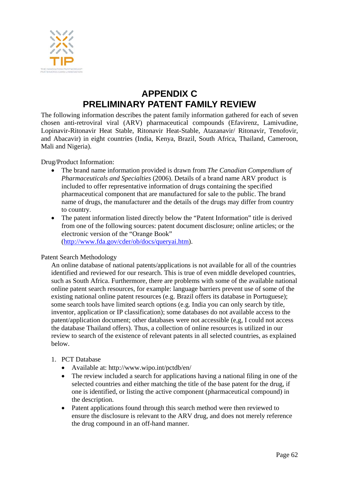

# **APPENDIX C PRELIMINARY PATENT FAMILY REVIEW**

The following information describes the patent family information gathered for each of seven chosen anti-retroviral viral (ARV) pharmaceutical compounds (Efavirenz, Lamivudine, Lopinavir-Ritonavir Heat Stable, Ritonavir Heat-Stable, Atazanavir/ Ritonavir, Tenofovir, and Abacavir) in eight countries (India, Kenya, Brazil, South Africa, Thailand, Cameroon, Mali and Nigeria).

Drug/Product Information:

- The brand name information provided is drawn from *The Canadian Compendium of Pharmaceuticals and Specialties* (2006). Details of a brand name ARV product is included to offer representative information of drugs containing the specified pharmaceutical component that are manufactured for sale to the public. The brand name of drugs, the manufacturer and the details of the drugs may differ from country to country.
- The patent information listed directly below the "Patent Information" title is derived from one of the following sources: patent document disclosure; online articles; or the electronic version of the "Orange Book" ([http://www.fda.gov/cder/ob/docs/queryai.htm\)](http://www.fda.gov/cder/ob/docs/queryai.htm).

### Patent Search Methodology

An online database of national patents/applications is not available for all of the countries identified and reviewed for our research. This is true of even middle developed countries, such as South Africa. Furthermore, there are problems with some of the available national online patent search resources, for example: language barriers prevent use of some of the existing national online patent resources (e.g. Brazil offers its database in Portuguese); some search tools have limited search options (e.g. India you can only search by title, inventor, application or IP classification); some databases do not available access to the patent/application document; other databases were not accessible (e,g, I could not access the database Thailand offers). Thus, a collection of online resources is utilized in our review to search of the existence of relevant patents in all selected countries, as explained below.

### 1. PCT Database

- Available at: http://www.wipo.int/pctdb/en/
- The review included a search for applications having a national filing in one of the selected countries and either matching the title of the base patent for the drug, if one is identified, or listing the active component (pharmaceutical compound) in the description.
- Patent applications found through this search method were then reviewed to ensure the disclosure is relevant to the ARV drug, and does not merely reference the drug compound in an off-hand manner.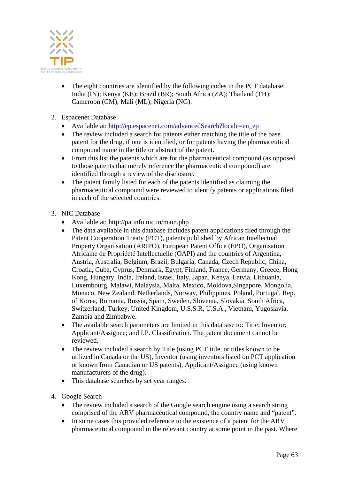

- The eight countries are identified by the following codes in the PCT database: India (IN); Kenya (KE); Brazil (BR); South Africa (ZA); Thailand (TH); Cameroon (CM); Mali (ML); Nigeria (NG).
- 2. Espacenet Database
	- Available at: [http://ep.espacenet.com/advancedSearch?locale=en\\_ep](http://ep.espacenet.com/advancedSearch?locale=en_ep)
	- The review included a search for patents either matching the title of the base patent for the drug, if one is identified, or for patents having the pharmaceutical compound name in the title or abstract of the patent.
	- From this list the patents which are for the pharmaceutical compound (as opposed to those patents that merely reference the pharmaceutical compound) are identified through a review of the disclosure.
	- The patent family listed for each of the patents identified as claiming the pharmaceutical compound were reviewed to identify patents or applications filed in each of the selected countries.
- 3. NIC Database
	- Available at: http://patinfo.nic.in/main.php
	- The data available in this database includes patent applications filed through the Patent Cooperation Treaty (PCT), patents published by African Intellectual Property Organisation (ARIPO), European Patent Office (EPO), Organisation Africaine de Propriéeté Intellectuelle (OAPI) and the countries of Argentina, Austria, Australia, Belgium, Brazil, Bulgaria, Canada, Czech Republic, China, Croatia, Cuba, Cyprus, Denmark, Egypt, Finland, France, Germany, Greece, Hong Kong, Hungary, India, Ireland, Israel, Italy, Japan, Kenya, Latvia, Lithuania, Luxembourg, Malawi, Malaysia, Malta, Mexico, Moldova,Singapore, Mongolia, Monaco, New Zealand, Netherlands, Norway, Philippines, Poland, Portugal, Rep. of Korea, Romania, Russia, Spain, Sweden, Slovenia, Slovakia, South Africa, Switzerland, Turkey, United Kingdom, U.S.S.R, U.S.A., Vietnam, Yugoslavia, Zambia and Zimbabwe.
	- The available search parameters are limited in this database to: Title; Inventor; Applicant/Assignee; and I.P. Classification. The patent document cannot be reviewed.
	- The review included a search by Title (using PCT title, or titles known to be utilized in Canada or the US), Inventor (using inventors listed on PCT application or known from Canadian or US patents), Applicant/Assignee (using known manufacturers of the drug).
	- This database searches by set year ranges.
- 4. Google Search
	- The review included a search of the Google search engine using a search string comprised of the ARV pharmaceutical compound, the country name and "patent".
	- In some cases this provided reference to the existence of a patent for the ARV pharmaceutical compound in the relevant country at some point in the past. Where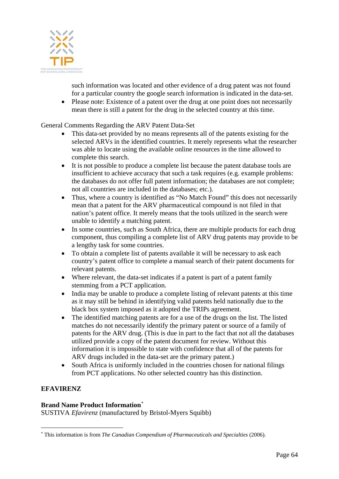<span id="page-64-0"></span>

such information was located and other evidence of a drug patent was not found for a particular country the google search information is indicated in the data-set.

• Please note: Existence of a patent over the drug at one point does not necessarily mean there is still a patent for the drug in the selected country at this time.

General Comments Regarding the ARV Patent Data-Set

- This data-set provided by no means represents all of the patents existing for the selected ARVs in the identified countries. It merely represents what the researcher was able to locate using the available online resources in the time allowed to complete this search.
- It is not possible to produce a complete list because the patent database tools are insufficient to achieve accuracy that such a task requires (e.g. example problems: the databases do not offer full patent information; the databases are not complete; not all countries are included in the databases; etc.).
- Thus, where a country is identified as "No Match Found" this does not necessarily mean that a patent for the ARV pharmaceutical compound is not filed in that nation's patent office. It merely means that the tools utilized in the search were unable to identify a matching patent.
- In some countries, such as South Africa, there are multiple products for each drug component, thus compiling a complete list of ARV drug patents may provide to be a lengthy task for some countries.
- To obtain a complete list of patents available it will be necessary to ask each country's patent office to complete a manual search of their patent documents for relevant patents.
- Where relevant, the data-set indicates if a patent is part of a patent family stemming from a PCT application.
- India may be unable to produce a complete listing of relevant patents at this time as it may still be behind in identifying valid patents held nationally due to the black box system imposed as it adopted the TRIPs agreement.
- The identified matching patents are for a use of the drugs on the list. The listed matches do not necessarily identify the primary patent or source of a family of patents for the ARV drug. (This is due in part to the fact that not all the databases utilized provide a copy of the patent document for review. Without this information it is impossible to state with confidence that all of the patents for ARV drugs included in the data-set are the primary patent.)
- South Africa is uniformly included in the countries chosen for national filings from PCT applications. No other selected country has this distinction.

### **EFAVIRENZ**

1

### **Brand Name Product Information**[∗](#page-64-0)

SUSTIVA *Efavirenz* (manufactured by Bristol-Myers Squibb)

<sup>∗</sup> This information is from *The Canadian Compendium of Pharmaceuticals and Specialties* (2006).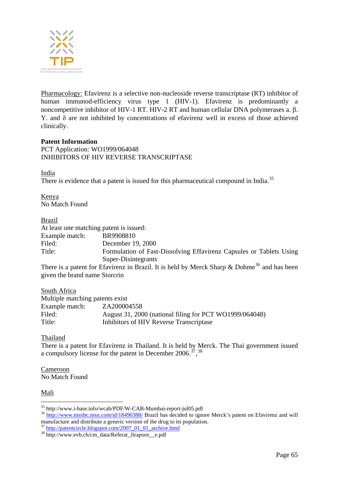<span id="page-65-0"></span>

Pharmacology: Efavirenz is a selective non-nucleoside reverse transcriptase (RT) inhibitor of human immunod-efficiency virus type 1 (HIV-1). Efavirenz is predominantly a noncompetitive inhibitor of HIV-1 RT. HIV-2 RT and human cellular DNA polymerases a. β. Y. and δ are not inhibited by concentrations of efavirenz well in excess of those achieved clinically.

### **Patent Information**

PCT Application: WO1999/064048 INHIBITORS OF HIV REVERSE TRANSCRIPTASE

India

There is evidence that a patent is issued for this pharmaceutical compound in India.<sup>[35](#page-65-0)</sup>

Kenya No Match Found

#### Brazil

At least one matching patent is issued: Example match: BR9908810 Filed: December 19, 2000 Title: Formulation of Fast-Dissolving Effavirenz Capsules or Tablets Using Super-Disintegrants There is a patent for Efavirenz in Brazil. It is held by Merck Sharp & Dohme<sup>[36](#page-65-0)</sup> and has been

given the brand name Storcrin

South Africa Multiple matching patents exist Example match: ZA200004558 Filed: August 31, 2000 (national filing for PCT WO1999/064048) Title: Inhibitors of HIV Reverse Transcriptase

Thailand

There is a patent for Efavirenz in Thailand. It is held by Merck. The Thai government issued a compulsory license for the patent in December 2006.<sup>[37](#page-65-0)</sup>,<sup>[38](#page-65-0)</sup>

Cameroon No Match Found

Mali

<sup>1</sup> 35 http://www.i-base.info/wcab/PDF/W-CAB-Mumbai-report-jul05.pdf

<sup>&</sup>lt;sup>36</sup> <http://www.msnbc.msn.com/id/18490388/>Brazil has decided to ignore Merck's patent on Efavirenz and will manufacture and distribute a generic version of the drug to its population.

<sup>37&</sup>lt;br>37 [http://patentcircle.blogspot.com/2007\\_01\\_01\\_archive.html](http://patentcircle.blogspot.com/2007_01_01_archive.html)<br>38 http://www.evb.ch/cm\_data/Referat\_Jiraporn\_\_e.pdf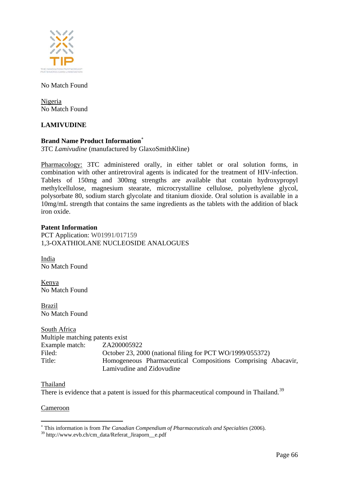<span id="page-66-0"></span>

No Match Found

Nigeria No Match Found

### **LAMIVUDINE**

### **Brand Name Product Information**[∗](#page-66-0)

3TC *Lamivudine* (manufactured by GlaxoSmithKline)

Pharmacology: 3TC administered orally, in either tablet or oral solution forms, in combination with other antiretroviral agents is indicated for the treatment of HIV-infection. Tablets of 150mg and 300mg strengths are available that contain hydroxypropyl methylcellulose, magnesium stearate, microcrystalline cellulose, polyethylene glycol, polysorbate 80, sodium starch glycolate and titanium dioxide. Oral solution is available in a 10mg/mL strength that contains the same ingredients as the tablets with the addition of black iron oxide.

### **Patent Information**

PCT Application: W01991/017159 1,3-OXATHIOLANE NUCLEOSIDE ANALOGUES

India No Match Found

Kenya No Match Found

Brazil No Match Found

South Africa Multiple matching patents exist Example match: ZA200005922 Filed: October 23, 2000 (national filing for PCT WO/1999/055372) Title: Homogeneous Pharmaceutical Compositions Comprising Abacavir, Lamivudine and Zidovudine

### Thailand

There is evidence that a patent is issued for this pharmaceutical compound in Thailand.<sup>[39](#page-66-0)</sup>

### Cameroon

1

<sup>∗</sup> This information is from *The Canadian Compendium of Pharmaceuticals and Specialties* (2006).

<sup>39</sup> http://www.evb.ch/cm\_data/Referat\_Jiraporn\_\_e.pdf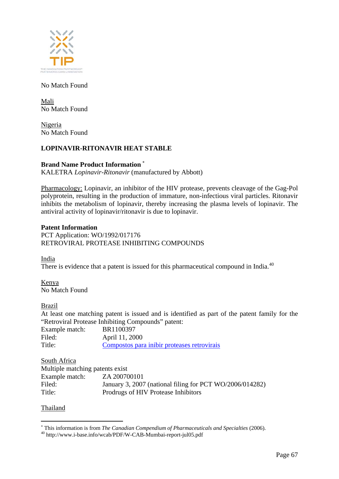<span id="page-67-0"></span>

### No Match Found

Mali No Match Found

Nigeria No Match Found

### **LOPINAVIR-RITONAVIR HEAT STABLE**

### **Brand Name Product Information** [∗](#page-67-0)

KALETRA *Lopinavir-Ritonavir* (manufactured by Abbott)

Pharmacology: Lopinavir, an inhibitor of the HIV protease, prevents cleavage of the Gag-Pol polyprotein, resulting in the production of immature, non-infectious viral particles. Ritonavir inhibits the metabolism of lopinavir, thereby increasing the plasma levels of lopinavir. The antiviral activity of lopinavir/ritonavir is due to lopinavir.

### **Patent Information**

PCT Application: WO/1992/017176 RETROVIRAL PROTEASE INHIBITING COMPOUNDS

India There is evidence that a patent is issued for this pharmaceutical compound in India.<sup>[40](#page-67-0)</sup>

Kenya No Match Found

Brazil

At least one matching patent is issued and is identified as part of the patent family for the "Retroviral Protease Inhibiting Compounds" patent:

| Example match: | BR1100397                                   |
|----------------|---------------------------------------------|
| Filed:         | April 11, 2000                              |
| Title:         | Compostos para inibir proteases retrovirais |

| South Africa                    |                                                          |
|---------------------------------|----------------------------------------------------------|
| Multiple matching patents exist |                                                          |
| Example match:                  | ZA 200700101                                             |
| Filed:                          | January 3, 2007 (national filing for PCT WO/2006/014282) |
| Title:                          | Prodrugs of HIV Protease Inhibitors                      |

### Thailand

1

<sup>\*</sup> This information is from The Canadian Compendium of Pharmaceuticals and Specialties (2006).

This information is from *The Canadian Compendium of Pharmaceuticals and Specialties* (2006). 40 http://www.i-base.info/wcab/PDF/W-CAB-Mumbai-report-jul05.pdf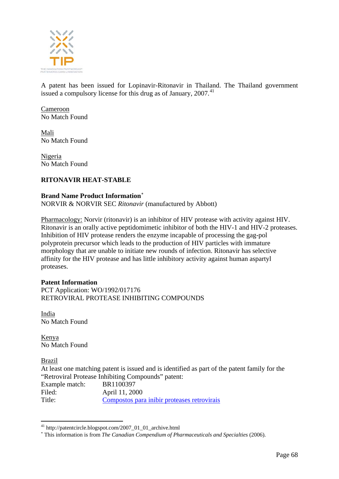<span id="page-68-0"></span>

A patent has been issued for Lopinavir-Ritonavir in Thailand. The Thailand government issued a compulsory license for this drug as of January,  $2007$ .<sup>[41](#page-68-0)</sup>

Cameroon No Match Found

Mali No Match Found

Nigeria No Match Found

### **RITONAVIR HEAT-STABLE**

### **Brand Name Product Information**[∗](#page-68-0)

NORVIR & NORVIR SEC *Ritonavir* (manufactured by Abbott)

Pharmacology: Norvir (ritonavir) is an inhibitor of HIV protease with activity against HIV. Ritonavir is an orally active peptidomimetic inhibitor of both the HIV-1 and HIV-2 proteases. Inhibition of HIV protease renders the enzyme incapable of processing the gag-pol polyprotein precursor which leads to the production of HIV particles with immature morphology that are unable to initiate new rounds of infection. Ritonavir has selective affinity for the HIV protease and has little inhibitory activity against human aspartyl proteases.

### **Patent Information**

PCT Application: WO/1992/017176 RETROVIRAL PROTEASE INHIBITING COMPOUNDS

India No Match Found

Kenya No Match Found

Brazil

1

At least one matching patent is issued and is identified as part of the patent family for the "Retroviral Protease Inhibiting Compounds" patent: Example match: Filed: April 11, 2000

Title: [Compostos para inibir proteases retrovirais](http://v3.espacenet.com/textdoc?DB=EPODOC&IDX=BR1100397&F=8)

<sup>41</sup> http://patentcircle.blogspot.com/2007\_01\_01\_archive.html

<sup>∗</sup> This information is from *The Canadian Compendium of Pharmaceuticals and Specialties* (2006).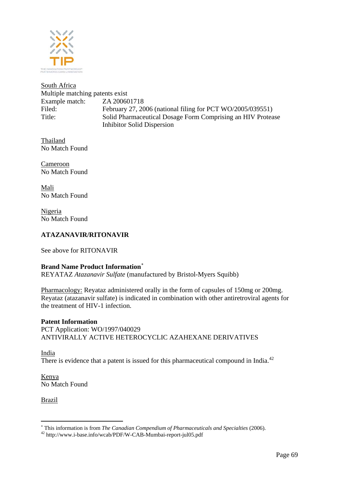<span id="page-69-0"></span>

South Africa Multiple matching patents exist Example match: ZA 200601718 Filed: Filed: February 27, 2006 (national filing for PCT WO/2005/039551) Title: Solid Pharmaceutical Dosage Form Comprising an HIV Protease Inhibitor Solid Dispersion

Thailand No Match Found

Cameroon No Match Found

Mali No Match Found

Nigeria No Match Found

### **ATAZANAVIR/RITONAVIR**

See above for RITONAVIR

### **Brand Name Product Information**[∗](#page-69-0)

REYATAZ *Atazanavir Sulfate* (manufactured by Bristol-Myers Squibb)

Pharmacology: Reyataz administered orally in the form of capsules of 150mg or 200mg. Reyataz (atazanavir sulfate) is indicated in combination with other antiretroviral agents for the treatment of HIV-1 infection.

### **Patent Information**

PCT Application: WO/1997/040029 ANTIVIRALLY ACTIVE HETEROCYCLIC AZAHEXANE DERIVATIVES

India There is evidence that a patent is issued for this pharmaceutical compound in India.<sup>[42](#page-69-0)</sup>

Kenya No Match Found

Brazil

1

<sup>\*</sup> This information is from The Canadian Compendium of Pharmaceuticals and Specialties (2006).

This information is from *The Canadian Compendium of Pharmaceuticals and Specialties* (2006). 42 http://www.i-base.info/wcab/PDF/W-CAB-Mumbai-report-jul05.pdf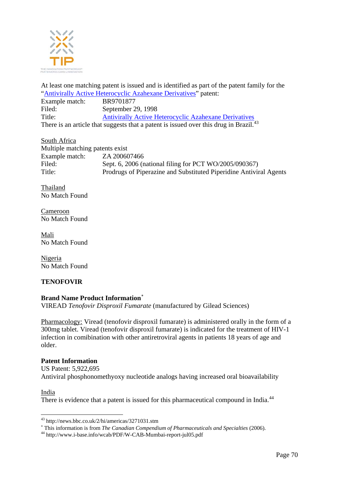<span id="page-70-0"></span>

At least one matching patent is issued and is identified as part of the patent family for the ["Antivirally Active Heterocyclic Azahexane Derivatives"](http://v3.espacenet.com/textdoc?DB=EPODOC&IDX=BR9701877&F=8) patent: Example match: BR9701877 Filed: September 29, 1998 Title: [Antivirally Active Heterocyclic Azahexane Derivatives](http://v3.espacenet.com/textdoc?DB=EPODOC&IDX=BR9701877&F=8) There is an article that suggests that a patent is issued over this drug in Brazil.<sup>[43](#page-70-0)</sup>

South Africa Multiple matching patents exist Example match: ZA 200607466 Filed: Sept. 6, 2006 (national filing for PCT WO/2005/090367) Title: Prodrugs of Piperazine and Substituted Piperidine Antiviral Agents

Thailand No Match Found

Cameroon No Match Found

Mali No Match Found

Nigeria No Match Found

### **TENOFOVIR**

### **Brand Name Product Information**[∗](#page-70-0)

VIREAD *Tenofovir Disproxil Fumarate* (manufactured by Gilead Sciences)

Pharmacology: Viread (tenofovir disproxil fumarate) is administered orally in the form of a 300mg tablet. Viread (tenofovir disproxil fumarate) is indicated for the treatment of HIV-1 infection in comibination with other antiretroviral agents in patients 18 years of age and older.

### **Patent Information**

US Patent: 5,922,695 Antiviral phosphonomethyoxy nucleotide analogs having increased oral bioavailability

### India

<u>.</u>

There is evidence that a patent is issued for this pharmaceutical compound in India.<sup>[44](#page-70-0)</sup>

<sup>&</sup>lt;sup>43</sup> http://news.bbc.co.uk/2/hi/americas/3271031.stm

<sup>∗</sup> This information is from *The Canadian Compendium of Pharmaceuticals and Specialties* (2006). 44 http://www.i-base.info/wcab/PDF/W-CAB-Mumbai-report-jul05.pdf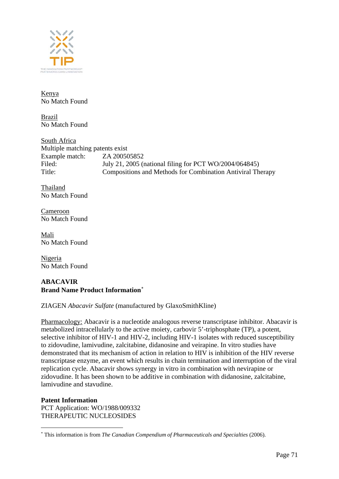<span id="page-71-0"></span>

Kenya No Match Found

Brazil No Match Found

South Africa Multiple matching patents exist Example match: ZA 200505852 Filed: July 21, 2005 (national filing for PCT WO/2004/064845) Title: Compositions and Methods for Combination Antiviral Therapy

Thailand No Match Found

Cameroon No Match Found

Mali No Match Found

Nigeria No Match Found

### **ABACAVIR Brand Name Product Information**[∗](#page-71-0)

ZIAGEN *Abacavir Sulfate* (manufactured by GlaxoSmithKline)

Pharmacology: Abacavir is a nucleotide analogous reverse transcriptase inhibitor. Abacavir is metabolized intracellularly to the active moiety, carbovir 5'-triphosphate (TP), a potent, selective inhibitor of HIV-1 and HIV-2, including HIV-1 isolates with reduced susceptibility to zidovudine, lamivudine, zalcitabine, didanosine and veirapine. In vitro studies have demonstrated that its mechanism of action in relation to HIV is inhibition of the HIV reverse transcriptase enzyme, an event which results in chain termination and interruption of the viral replication cycle. Abacavir shows synergy in vitro in combination with nevirapine or zidovudine. It has been shown to be additive in combination with didanosine, zalcitabine, lamivudine and stavudine.

**Patent Information**  PCT Application: WO/1988/009332 THERAPEUTIC NUCLEOSIDES

1

<sup>∗</sup> This information is from *The Canadian Compendium of Pharmaceuticals and Specialties* (2006).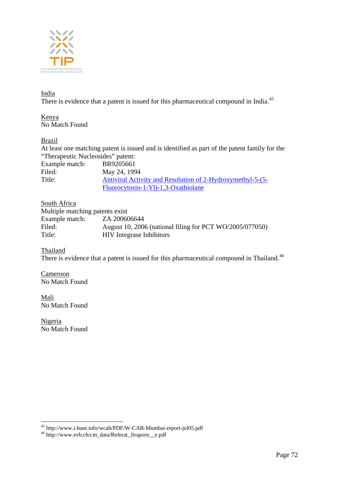<span id="page-72-0"></span>

### India

There is evidence that a patent is issued for this pharmaceutical compound in India.<sup>[45](#page-72-0)</sup>

# Kenya No Match Found

## **Brazil**

At least one matching patent is issued and is identified as part of the patent family for the "Therapeutic Nucleosides" patent:

| Example match: | BR9205661                                                  |
|----------------|------------------------------------------------------------|
| Filed:         | May 24, 1994                                               |
| Title:         | Antiviral Activity and Resolution of 2-Hydroxymethyl-5-(5- |
|                | Fluorocytosin-1-Yl)-1,3-Oxathiolane                        |

# South Africa

| Multiple matching patents exist |                                                          |
|---------------------------------|----------------------------------------------------------|
| Example match:                  | ZA 200606644                                             |
| Filed:                          | August 10, 2006 (national filing for PCT WO/2005/077050) |
| Title:                          | <b>HIV</b> Integrase Inhibitors                          |

#### Thailand

There is evidence that a patent is issued for this pharmaceutical compound in Thailand.<sup>[46](#page-72-0)</sup>

Cameroon No Match Found

Mali No Match Found

Nigeria No Match Found

<sup>1</sup> 45 http://www.i-base.info/wcab/PDF/W-CAB-Mumbai-report-jul05.pdf

<sup>46</sup> http://www.evb.ch/cm\_data/Referat\_Jiraporn\_\_e.pdf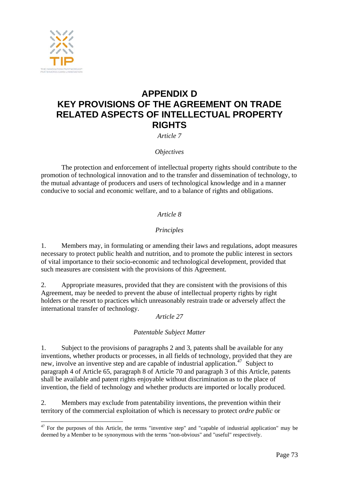<span id="page-73-0"></span>

# **APPENDIX D KEY PROVISIONS OF THE AGREEMENT ON TRADE RELATED ASPECTS OF INTELLECTUAL PROPERTY RIGHTS**

*Article 7*

*Objectives*

 The protection and enforcement of intellectual property rights should contribute to the promotion of technological innovation and to the transfer and dissemination of technology, to the mutual advantage of producers and users of technological knowledge and in a manner conducive to social and economic welfare, and to a balance of rights and obligations.

# *Article 8*

# *Principles*

1. Members may, in formulating or amending their laws and regulations, adopt measures necessary to protect public health and nutrition, and to promote the public interest in sectors of vital importance to their socio-economic and technological development, provided that such measures are consistent with the provisions of this Agreement.

2. Appropriate measures, provided that they are consistent with the provisions of this Agreement, may be needed to prevent the abuse of intellectual property rights by right holders or the resort to practices which unreasonably restrain trade or adversely affect the international transfer of technology.

*Article 27*

## *Patentable Subject Matter*

1. Subject to the provisions of paragraphs 2 and 3, patents shall be available for any inventions, whether products or processes, in all fields of technology, provided that they are new, involve an inventive step and are capable of industrial application.<sup>[47](#page-73-0)</sup> Subject to paragraph 4 of Article 65, paragraph 8 of Article 70 and paragraph 3 of this Article, patents shall be available and patent rights enjoyable without discrimination as to the place of invention, the field of technology and whether products are imported or locally produced.

2. Members may exclude from patentability inventions, the prevention within their territory of the commercial exploitation of which is necessary to protect *ordre public* or

<sup>1</sup>  $47$  For the purposes of this Article, the terms "inventive step" and "capable of industrial application" may be deemed by a Member to be synonymous with the terms "non-obvious" and "useful" respectively.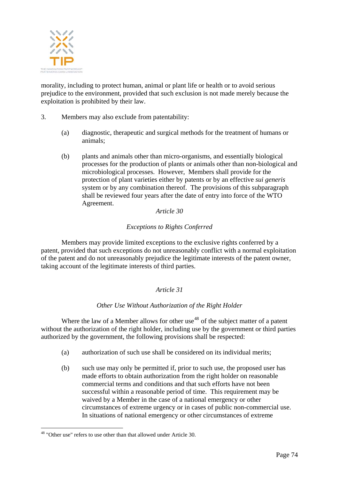<span id="page-74-0"></span>

morality, including to protect human, animal or plant life or health or to avoid serious prejudice to the environment, provided that such exclusion is not made merely because the exploitation is prohibited by their law.

- 3. Members may also exclude from patentability:
	- (a) diagnostic, therapeutic and surgical methods for the treatment of humans or animals;
	- (b) plants and animals other than micro-organisms, and essentially biological processes for the production of plants or animals other than non-biological and microbiological processes. However, Members shall provide for the protection of plant varieties either by patents or by an effective *sui generis* system or by any combination thereof. The provisions of this subparagraph shall be reviewed four years after the date of entry into force of the WTO Agreement.

#### *Article 30*

#### *Exceptions to Rights Conferred*

 Members may provide limited exceptions to the exclusive rights conferred by a patent, provided that such exceptions do not unreasonably conflict with a normal exploitation of the patent and do not unreasonably prejudice the legitimate interests of the patent owner, taking account of the legitimate interests of third parties.

## *Article 31*

#### *Other Use Without Authorization of the Right Holder*

Where the law of a Member allows for other use<sup> $48$ </sup> of the subject matter of a patent without the authorization of the right holder, including use by the government or third parties authorized by the government, the following provisions shall be respected:

- (a) authorization of such use shall be considered on its individual merits;
- (b) such use may only be permitted if, prior to such use, the proposed user has made efforts to obtain authorization from the right holder on reasonable commercial terms and conditions and that such efforts have not been successful within a reasonable period of time. This requirement may be waived by a Member in the case of a national emergency or other circumstances of extreme urgency or in cases of public non-commercial use. In situations of national emergency or other circumstances of extreme

1

<sup>&</sup>lt;sup>48</sup> "Other use" refers to use other than that allowed under Article 30.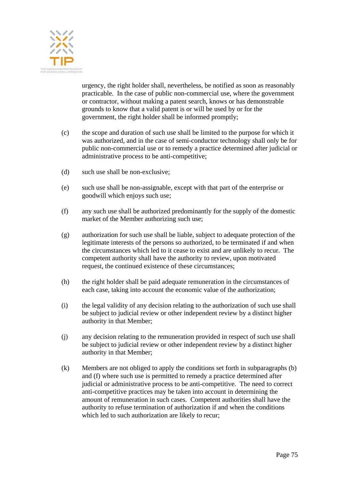

urgency, the right holder shall, nevertheless, be notified as soon as reasonably practicable. In the case of public non-commercial use, where the government or contractor, without making a patent search, knows or has demonstrable grounds to know that a valid patent is or will be used by or for the government, the right holder shall be informed promptly;

- (c) the scope and duration of such use shall be limited to the purpose for which it was authorized, and in the case of semi-conductor technology shall only be for public non-commercial use or to remedy a practice determined after judicial or administrative process to be anti-competitive;
- (d) such use shall be non-exclusive;
- (e) such use shall be non-assignable, except with that part of the enterprise or goodwill which enjoys such use;
- (f) any such use shall be authorized predominantly for the supply of the domestic market of the Member authorizing such use;
- (g) authorization for such use shall be liable, subject to adequate protection of the legitimate interests of the persons so authorized, to be terminated if and when the circumstances which led to it cease to exist and are unlikely to recur. The competent authority shall have the authority to review, upon motivated request, the continued existence of these circumstances;
- (h) the right holder shall be paid adequate remuneration in the circumstances of each case, taking into account the economic value of the authorization;
- (i) the legal validity of any decision relating to the authorization of such use shall be subject to judicial review or other independent review by a distinct higher authority in that Member;
- (j) any decision relating to the remuneration provided in respect of such use shall be subject to judicial review or other independent review by a distinct higher authority in that Member;
- (k) Members are not obliged to apply the conditions set forth in subparagraphs (b) and (f) where such use is permitted to remedy a practice determined after judicial or administrative process to be anti-competitive. The need to correct anti-competitive practices may be taken into account in determining the amount of remuneration in such cases. Competent authorities shall have the authority to refuse termination of authorization if and when the conditions which led to such authorization are likely to recur;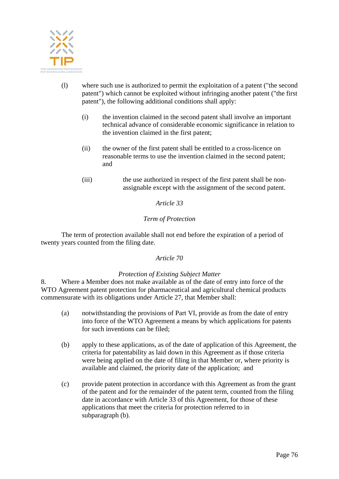

- (l) where such use is authorized to permit the exploitation of a patent ("the second patent") which cannot be exploited without infringing another patent ("the first patent"), the following additional conditions shall apply:
	- (i) the invention claimed in the second patent shall involve an important technical advance of considerable economic significance in relation to the invention claimed in the first patent;
	- (ii) the owner of the first patent shall be entitled to a cross-licence on reasonable terms to use the invention claimed in the second patent; and
	- (iii) the use authorized in respect of the first patent shall be nonassignable except with the assignment of the second patent.

# *Article 33*

## *Term of Protection*

 The term of protection available shall not end before the expiration of a period of twenty years counted from the filing date.

## *Article 70*

#### *Protection of Existing Subject Matter*

8. Where a Member does not make available as of the date of entry into force of the WTO Agreement patent protection for pharmaceutical and agricultural chemical products commensurate with its obligations under Article 27, that Member shall:

- (a) notwithstanding the provisions of Part VI, provide as from the date of entry into force of the WTO Agreement a means by which applications for patents for such inventions can be filed;
- (b) apply to these applications, as of the date of application of this Agreement, the criteria for patentability as laid down in this Agreement as if those criteria were being applied on the date of filing in that Member or, where priority is available and claimed, the priority date of the application; and
- (c) provide patent protection in accordance with this Agreement as from the grant of the patent and for the remainder of the patent term, counted from the filing date in accordance with Article 33 of this Agreement, for those of these applications that meet the criteria for protection referred to in subparagraph (b).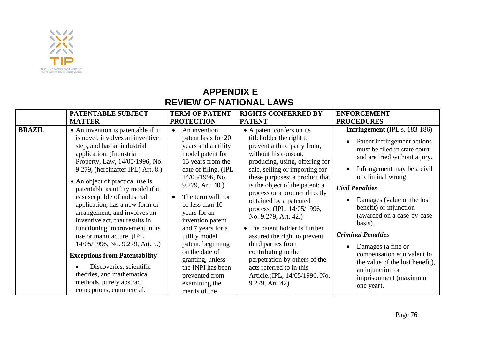

# **APPENDIX E REVIEW OF NATIONAL LAWS**

|               |                                                                                                                                                                                                                                                                                                                                                                                                                                                                                                                                                                                                                                                                                                 | <b>TERM OF PATENT</b>                                                                                                                                                                                                                                                                                                                                                                                                                                            | <b>RIGHTS CONFERRED BY</b>                                                                                                                                                                                                                                                                                                                                                                                                                                                                                                                                                                                              | <b>ENFORCEMENT</b>                                                                                                                                                                                                                                                                                                                                                                                                                                                                                                                                                           |
|---------------|-------------------------------------------------------------------------------------------------------------------------------------------------------------------------------------------------------------------------------------------------------------------------------------------------------------------------------------------------------------------------------------------------------------------------------------------------------------------------------------------------------------------------------------------------------------------------------------------------------------------------------------------------------------------------------------------------|------------------------------------------------------------------------------------------------------------------------------------------------------------------------------------------------------------------------------------------------------------------------------------------------------------------------------------------------------------------------------------------------------------------------------------------------------------------|-------------------------------------------------------------------------------------------------------------------------------------------------------------------------------------------------------------------------------------------------------------------------------------------------------------------------------------------------------------------------------------------------------------------------------------------------------------------------------------------------------------------------------------------------------------------------------------------------------------------------|------------------------------------------------------------------------------------------------------------------------------------------------------------------------------------------------------------------------------------------------------------------------------------------------------------------------------------------------------------------------------------------------------------------------------------------------------------------------------------------------------------------------------------------------------------------------------|
|               |                                                                                                                                                                                                                                                                                                                                                                                                                                                                                                                                                                                                                                                                                                 |                                                                                                                                                                                                                                                                                                                                                                                                                                                                  |                                                                                                                                                                                                                                                                                                                                                                                                                                                                                                                                                                                                                         |                                                                                                                                                                                                                                                                                                                                                                                                                                                                                                                                                                              |
| <b>BRAZIL</b> | <b>MATTER</b><br>• An invention is patentable if it<br>is novel, involves an inventive<br>step, and has an industrial<br>application. (Industrial<br>Property, Law, 14/05/1996, No.<br>9.279, (hereinafter IPL) Art. 8.)<br>• An object of practical use is<br>patentable as utility model if it<br>is susceptible of industrial<br>application, has a new form or<br>arrangement, and involves an<br>inventive act, that results in<br>functioning improvement in its<br>use or manufacture. (IPL,<br>14/05/1996, No. 9.279, Art. 9.)<br><b>Exceptions from Patentability</b><br>Discoveries, scientific<br>theories, and mathematical<br>methods, purely abstract<br>conceptions, commercial, | <b>PROTECTION</b><br>An invention<br>patent lasts for 20<br>years and a utility<br>model patent for<br>15 years from the<br>date of filing. (IPL<br>14/05/1996, No.<br>$9.279$ , Art. $40.$ )<br>The term will not<br>$\bullet$<br>be less than 10<br>years for an<br>invention patent<br>and 7 years for a<br>utility model<br>patent, beginning<br>on the date of<br>granting, unless<br>the INPI has been<br>prevented from<br>examining the<br>merits of the | <b>PATENT</b><br>• A patent confers on its<br>titleholder the right to<br>prevent a third party from,<br>without his consent,<br>producing, using, offering for<br>sale, selling or importing for<br>these purposes: a product that<br>is the object of the patent; a<br>process or a product directly<br>obtained by a patented<br>process. (IPL, 14/05/1996,<br>No. 9.279, Art. 42.)<br>• The patent holder is further<br>assured the right to prevent<br>third parties from<br>contributing to the<br>perpetration by others of the<br>acts referred to in this<br>Article.(IPL, 14/05/1996, No.<br>9.279, Art. 42). | <b>PROCEDURES</b><br><b>Infringement</b> (IPL s. 183-186)<br>Patent infringement actions<br>$\bullet$<br>must be filed in state court<br>and are tried without a jury.<br>Infringement may be a civil<br>$\bullet$<br>or criminal wrong<br><b>Civil Penalties</b><br>Damages (value of the lost)<br>$\bullet$<br>benefit) or injunction<br>(awarded on a case-by-case<br>basis).<br><b>Criminal Penalties</b><br>Damages (a fine or<br>$\bullet$<br>compensation equivalent to<br>the value of the lost benefit),<br>an injunction or<br>imprisonment (maximum<br>one year). |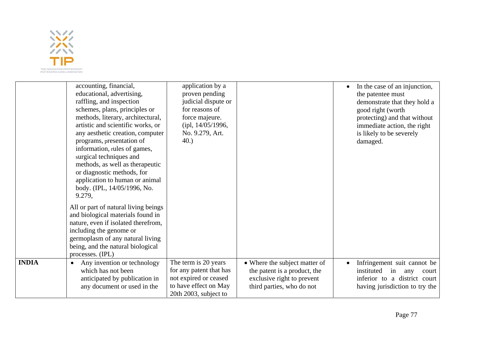

|              | accounting, financial,<br>educational, advertising,<br>raffling, and inspection<br>schemes, plans, principles or<br>methods, literary, architectural,<br>artistic and scientific works, or<br>any aesthetic creation, computer<br>programs, presentation of<br>information, rules of games,<br>surgical techniques and<br>methods, as well as therapeutic<br>or diagnostic methods, for<br>application to human or animal<br>body. (IPL, 14/05/1996, No.<br>9.279,<br>All or part of natural living beings<br>and biological materials found in<br>nature, even if isolated therefrom,<br>including the genome or<br>germoplasm of any natural living | application by a<br>proven pending<br>judicial dispute or<br>for reasons of<br>force majeure.<br>(ipl, 14/05/1996,<br>No. 9.279, Art.<br>40. |                                                                                                                          | In the case of an injunction,<br>$\bullet$<br>the patentee must<br>demonstrate that they hold a<br>good right (worth<br>protecting) and that without<br>immediate action, the right<br>is likely to be severely<br>damaged. |       |
|--------------|-------------------------------------------------------------------------------------------------------------------------------------------------------------------------------------------------------------------------------------------------------------------------------------------------------------------------------------------------------------------------------------------------------------------------------------------------------------------------------------------------------------------------------------------------------------------------------------------------------------------------------------------------------|----------------------------------------------------------------------------------------------------------------------------------------------|--------------------------------------------------------------------------------------------------------------------------|-----------------------------------------------------------------------------------------------------------------------------------------------------------------------------------------------------------------------------|-------|
|              | being, and the natural biological<br>processes. (IPL)                                                                                                                                                                                                                                                                                                                                                                                                                                                                                                                                                                                                 |                                                                                                                                              |                                                                                                                          |                                                                                                                                                                                                                             |       |
| <b>INDIA</b> | Any invention or technology<br>which has not been<br>anticipated by publication in<br>any document or used in the                                                                                                                                                                                                                                                                                                                                                                                                                                                                                                                                     | The term is 20 years<br>for any patent that has<br>not expired or ceased<br>to have effect on May<br>20th 2003, subject to                   | • Where the subject matter of<br>the patent is a product, the<br>exclusive right to prevent<br>third parties, who do not | Infringement suit cannot be<br>instituted<br>in<br>any<br>inferior to a district court<br>having jurisdiction to try the                                                                                                    | court |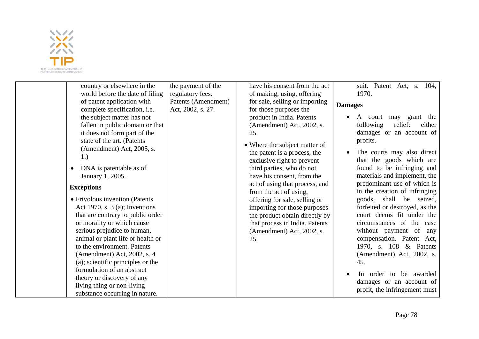

| country or elsewhere in the          | the payment of the  | have his consent from the act  | suit. Patent Act, s. 104,      |
|--------------------------------------|---------------------|--------------------------------|--------------------------------|
| world before the date of filing      | regulatory fees.    | of making, using, offering     | 1970.                          |
| of patent application with           | Patents (Amendment) | for sale, selling or importing | <b>Damages</b>                 |
| complete specification, i.e.         | Act, 2002, s. 27.   | for those purposes the         |                                |
| the subject matter has not           |                     | product in India. Patents      | A court<br>may grant<br>the    |
| fallen in public domain or that      |                     | (Amendment) Act, 2002, s.      | relief:<br>following<br>either |
| it does not form part of the         |                     | 25.                            | damages or an account of       |
| state of the art. (Patents           |                     |                                | profits.                       |
| (Amendment) Act, 2005, s.            |                     | • Where the subject matter of  |                                |
| 1.)                                  |                     | the patent is a process, the   | The courts may also direct     |
|                                      |                     | exclusive right to prevent     | that the goods which are       |
| DNA is patentable as of<br>$\bullet$ |                     | third parties, who do not      | found to be infringing and     |
| January 1, 2005.                     |                     | have his consent, from the     | materials and implement, the   |
| <b>Exceptions</b>                    |                     | act of using that process, and | predominant use of which is    |
|                                      |                     | from the act of using,         | in the creation of infringing  |
| • Frivolous invention (Patents       |                     | offering for sale, selling or  | goods, shall be<br>seized,     |
| Act 1970, s. $3$ (a); Inventions     |                     | importing for those purposes   | forfeited or destroyed, as the |
| that are contrary to public order    |                     | the product obtain directly by | court deems fit under the      |
| or morality or which cause           |                     | that process in India. Patents | circumstances of the case      |
| serious prejudice to human,          |                     | (Amendment) Act, 2002, s.      | without payment of any         |
| animal or plant life or health or    |                     | 25.                            | compensation. Patent Act,      |
| to the environment. Patents          |                     |                                | 1970, s. 108 & Patents         |
| (Amendment) Act, 2002, s. 4          |                     |                                | (Amendment) Act, 2002, s.      |
| (a); scientific principles or the    |                     |                                | 45.                            |
| formulation of an abstract           |                     |                                |                                |
| theory or discovery of any           |                     |                                | In order to be awarded         |
| living thing or non-living           |                     |                                | damages or an account of       |
| substance occurring in nature.       |                     |                                | profit, the infringement must  |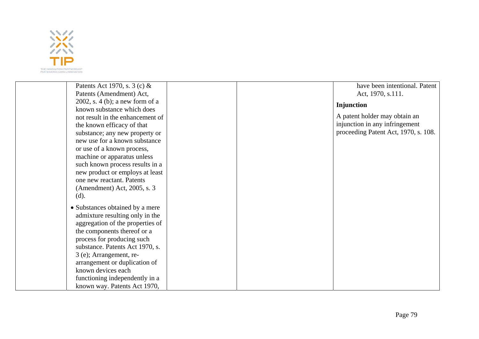

| Patents Act 1970, s. $3$ (c) $\&$<br>Patents (Amendment) Act,                                                                                                                                                                                                                                                                                                          |  | have been intentional. Patent<br>Act, 1970, s.111.                                                      |
|------------------------------------------------------------------------------------------------------------------------------------------------------------------------------------------------------------------------------------------------------------------------------------------------------------------------------------------------------------------------|--|---------------------------------------------------------------------------------------------------------|
| 2002, s. 4 (b); a new form of a                                                                                                                                                                                                                                                                                                                                        |  | Injunction                                                                                              |
| known substance which does<br>not result in the enhancement of<br>the known efficacy of that<br>substance; any new property or<br>new use for a known substance<br>or use of a known process,<br>machine or apparatus unless<br>such known process results in a<br>new product or employs at least<br>one new reactant. Patents<br>(Amendment) Act, 2005, s. 3<br>(d). |  | A patent holder may obtain an<br>injunction in any infringement<br>proceeding Patent Act, 1970, s. 108. |
| • Substances obtained by a mere<br>admixture resulting only in the<br>aggregation of the properties of<br>the components thereof or a<br>process for producing such<br>substance. Patents Act 1970, s.<br>3 (e); Arrangement, re-<br>arrangement or duplication of<br>known devices each<br>functioning independently in a<br>known way. Patents Act 1970,             |  |                                                                                                         |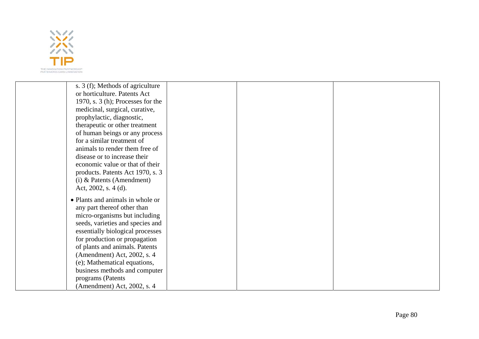

| s. 3 (f); Methods of agriculture    |  |  |
|-------------------------------------|--|--|
| or horticulture. Patents Act        |  |  |
| 1970, s. $3$ (h); Processes for the |  |  |
| medicinal, surgical, curative,      |  |  |
| prophylactic, diagnostic,           |  |  |
| therapeutic or other treatment      |  |  |
| of human beings or any process      |  |  |
| for a similar treatment of          |  |  |
| animals to render them free of      |  |  |
| disease or to increase their        |  |  |
| economic value or that of their     |  |  |
| products. Patents Act 1970, s. 3    |  |  |
| $(i)$ & Patents (Amendment)         |  |  |
| Act, $2002$ , s. 4 (d).             |  |  |
| • Plants and animals in whole or    |  |  |
| any part thereof other than         |  |  |
| micro-organisms but including       |  |  |
| seeds, varieties and species and    |  |  |
| essentially biological processes    |  |  |
| for production or propagation       |  |  |
| of plants and animals. Patents      |  |  |
| (Amendment) Act, 2002, s. 4         |  |  |
| (e); Mathematical equations,        |  |  |
| business methods and computer       |  |  |
| programs (Patents                   |  |  |
| (Amendment) Act, 2002, s. 4         |  |  |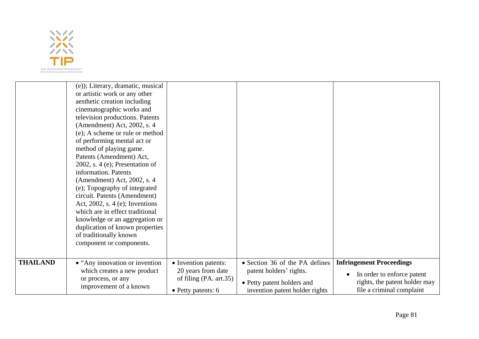

|                 | (e)); Literary, dramatic, musical<br>or artistic work or any other<br>aesthetic creation including<br>cinematographic works and<br>television productions. Patents<br>(Amendment) Act, 2002, s. 4<br>(e); A scheme or rule or method<br>of performing mental act or<br>method of playing game.<br>Patents (Amendment) Act,<br>2002, s. $4$ (e); Presentation of<br>information. Patents<br>(Amendment) Act, 2002, s. 4<br>(e); Topography of integrated<br>circuit. Patents (Amendment)<br>Act, 2002, s. $4$ (e); Inventions<br>which are in effect traditional<br>knowledge or an aggregation or<br>duplication of known properties<br>of traditionally known |                                                                                              |                                                                                                                           |                                                                                                                             |
|-----------------|----------------------------------------------------------------------------------------------------------------------------------------------------------------------------------------------------------------------------------------------------------------------------------------------------------------------------------------------------------------------------------------------------------------------------------------------------------------------------------------------------------------------------------------------------------------------------------------------------------------------------------------------------------------|----------------------------------------------------------------------------------------------|---------------------------------------------------------------------------------------------------------------------------|-----------------------------------------------------------------------------------------------------------------------------|
|                 | component or components.                                                                                                                                                                                                                                                                                                                                                                                                                                                                                                                                                                                                                                       |                                                                                              |                                                                                                                           |                                                                                                                             |
| <b>THAILAND</b> | • "Any innovation or invention<br>which creates a new product<br>or process, or any<br>improvement of a known                                                                                                                                                                                                                                                                                                                                                                                                                                                                                                                                                  | • Invention patents:<br>20 years from date<br>of filing (PA. art.35)<br>• Petty patents: $6$ | • Section 36 of the PA defines<br>patent holders' rights.<br>• Petty patent holders and<br>invention patent holder rights | <b>Infringement Proceedings</b><br>In order to enforce patent<br>rights, the patent holder may<br>file a criminal complaint |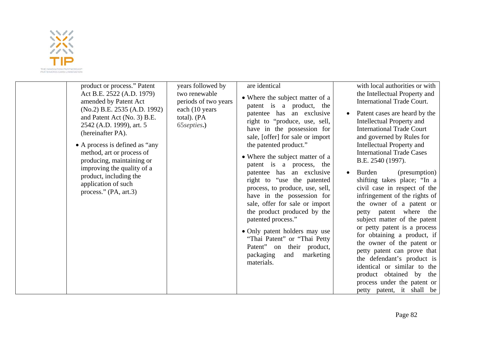

| product or process." Patent<br>Act B.E. 2522 (A.D. 1979)<br>amended by Patent Act<br>(No.2) B.E. 2535 (A.D. 1992)<br>and Patent Act (No. 3) B.E.<br>2542 (A.D. 1999), art. 5<br>(hereinafter PA).<br>• A process is defined as "any"<br>method, art or process of<br>producing, maintaining or<br>improving the quality of a<br>product, including the<br>application of such<br>process." (PA, art.3) | years followed by<br>two renewable<br>periods of two years<br>each (10 years)<br>total). (PA<br>65septies.) | are identical<br>• Where the subject matter of a<br>patent is a product,<br>the<br>patentee has an exclusive<br>right to "produce, use, sell,<br>have in the possession for<br>sale, [offer] for sale or import<br>the patented product."<br>• Where the subject matter of a<br>patent is a process, the<br>patentee has an exclusive<br>right to "use the patented"<br>process, to produce, use, sell,<br>have in the possession for<br>sale, offer for sale or import<br>the product produced by the<br>patented process."<br>• Only patent holders may use<br>"Thai Patent" or "Thai Petty<br>Patent" on their product,<br>marketing<br>packaging<br>and<br>materials. | with local authorities or with<br>the Intellectual Property and<br><b>International Trade Court.</b><br>Patent cases are heard by the<br><b>Intellectual Property and</b><br><b>International Trade Court</b><br>and governed by Rules for<br>Intellectual Property and<br><b>International Trade Cases</b><br>B.E. 2540 (1997).<br>Burden<br>(presumption)<br>shifting takes place; "In a<br>civil case in respect of the<br>infringement of the rights of<br>the owner of a patent or<br>petty patent where the<br>subject matter of the patent<br>or petty patent is a process<br>for obtaining a product, if<br>the owner of the patent or<br>petty patent can prove that<br>the defendant's product is<br>identical or similar to the<br>product obtained by the<br>process under the patent or<br>petty patent, it shall be |
|--------------------------------------------------------------------------------------------------------------------------------------------------------------------------------------------------------------------------------------------------------------------------------------------------------------------------------------------------------------------------------------------------------|-------------------------------------------------------------------------------------------------------------|---------------------------------------------------------------------------------------------------------------------------------------------------------------------------------------------------------------------------------------------------------------------------------------------------------------------------------------------------------------------------------------------------------------------------------------------------------------------------------------------------------------------------------------------------------------------------------------------------------------------------------------------------------------------------|-----------------------------------------------------------------------------------------------------------------------------------------------------------------------------------------------------------------------------------------------------------------------------------------------------------------------------------------------------------------------------------------------------------------------------------------------------------------------------------------------------------------------------------------------------------------------------------------------------------------------------------------------------------------------------------------------------------------------------------------------------------------------------------------------------------------------------------|
|--------------------------------------------------------------------------------------------------------------------------------------------------------------------------------------------------------------------------------------------------------------------------------------------------------------------------------------------------------------------------------------------------------|-------------------------------------------------------------------------------------------------------------|---------------------------------------------------------------------------------------------------------------------------------------------------------------------------------------------------------------------------------------------------------------------------------------------------------------------------------------------------------------------------------------------------------------------------------------------------------------------------------------------------------------------------------------------------------------------------------------------------------------------------------------------------------------------------|-----------------------------------------------------------------------------------------------------------------------------------------------------------------------------------------------------------------------------------------------------------------------------------------------------------------------------------------------------------------------------------------------------------------------------------------------------------------------------------------------------------------------------------------------------------------------------------------------------------------------------------------------------------------------------------------------------------------------------------------------------------------------------------------------------------------------------------|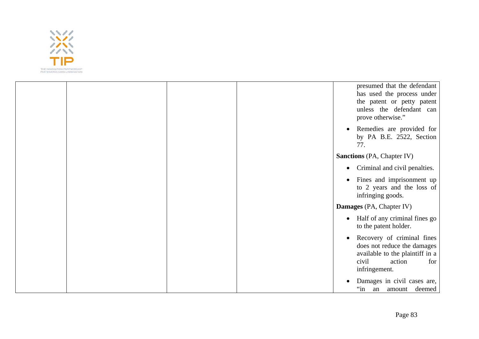

|  |  | presumed that the defendant<br>has used the process under<br>the patent or petty patent<br>unless the defendant can<br>prove otherwise." |
|--|--|------------------------------------------------------------------------------------------------------------------------------------------|
|  |  | Remedies are provided for<br>by PA B.E. 2522, Section<br>77.                                                                             |
|  |  | <b>Sanctions</b> (PA, Chapter IV)                                                                                                        |
|  |  | • Criminal and civil penalties.                                                                                                          |
|  |  | Fines and imprisonment up<br>to 2 years and the loss of<br>infringing goods.                                                             |
|  |  | <b>Damages</b> (PA, Chapter IV)                                                                                                          |
|  |  | Half of any criminal fines go<br>to the patent holder.                                                                                   |
|  |  | Recovery of criminal fines<br>does not reduce the damages<br>available to the plaintiff in a<br>civil<br>action<br>for<br>infringement.  |
|  |  | Damages in civil cases are,<br>"in an amount deemed                                                                                      |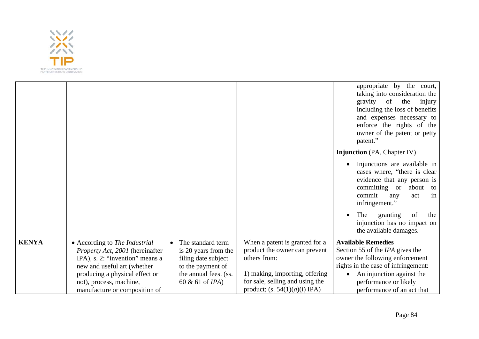

|              |                                                                                                                                                                                                                                  |                                                                                                                                                        |                                                                                                                                                                                                | appropriate by the court,<br>taking into consideration the<br>gravity of the<br>injury<br>including the loss of benefits<br>and expenses necessary to<br>enforce the rights of the<br>owner of the patent or petty<br>patent."                                       |
|--------------|----------------------------------------------------------------------------------------------------------------------------------------------------------------------------------------------------------------------------------|--------------------------------------------------------------------------------------------------------------------------------------------------------|------------------------------------------------------------------------------------------------------------------------------------------------------------------------------------------------|----------------------------------------------------------------------------------------------------------------------------------------------------------------------------------------------------------------------------------------------------------------------|
|              |                                                                                                                                                                                                                                  |                                                                                                                                                        |                                                                                                                                                                                                | <b>Injunction</b> (PA, Chapter IV)                                                                                                                                                                                                                                   |
|              |                                                                                                                                                                                                                                  |                                                                                                                                                        |                                                                                                                                                                                                | Injunctions are available in<br>cases where, "there is clear<br>evidence that any person is<br>committing or<br>about<br>to<br>commit<br>act<br>in<br>any<br>infringement."<br>of<br>The<br>granting<br>the<br>injunction has no impact on<br>the available damages. |
| <b>KENYA</b> | • According to The Industrial<br>Property Act, 2001 (hereinafter<br>IPA), s. 2: "invention" means a<br>new and useful art (whether<br>producing a physical effect or<br>not), process, machine,<br>manufacture or composition of | The standard term<br>$\bullet$<br>is 20 years from the<br>filing date subject<br>to the payment of<br>the annual fees. (ss.<br>60 & 61 of <i>IPA</i> ) | When a patent is granted for a<br>product the owner can prevent<br>others from:<br>1) making, importing, offering<br>for sale, selling and using the<br>product; (s. 54(1)( <i>a</i> )(i) IPA) | <b>Available Remedies</b><br>Section 55 of the <i>IPA</i> gives the<br>owner the following enforcement<br>rights in the case of infringement:<br>An injunction against the<br>$\bullet$<br>performance or likely<br>performance of an act that                       |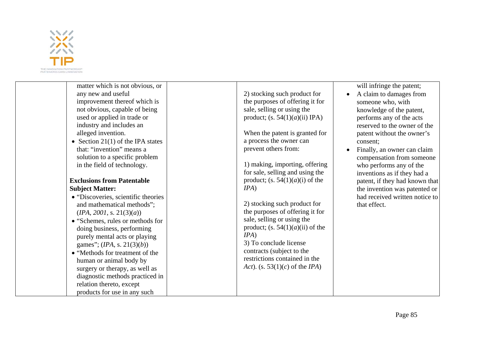

| matter which is not obvious, or     |                                          | will infringe the patent;                |
|-------------------------------------|------------------------------------------|------------------------------------------|
| any new and useful                  | 2) stocking such product for             | A claim to damages from<br>$\bullet$     |
| improvement thereof which is        | the purposes of offering it for          | someone who, with                        |
| not obvious, capable of being       | sale, selling or using the               | knowledge of the patent,                 |
| used or applied in trade or         | product; (s. 54(1)( <i>a</i> )(ii) IPA)  | performs any of the acts                 |
| industry and includes an            |                                          | reserved to the owner of the             |
| alleged invention.                  | When the patent is granted for           | patent without the owner's               |
| • Section 21(1) of the IPA states   | a process the owner can                  | consent;                                 |
| that: "invention" means a           | prevent others from:                     | Finally, an owner can claim<br>$\bullet$ |
| solution to a specific problem      |                                          | compensation from someone                |
| in the field of technology.         | 1) making, importing, offering           | who performs any of the                  |
|                                     | for sale, selling and using the          | inventions as if they had a              |
| <b>Exclusions from Patentable</b>   | product; (s. 54(1)( <i>a</i> )(i) of the | patent, if they had known that           |
| <b>Subject Matter:</b>              | IPA)                                     | the invention was patented or            |
| • "Discoveries, scientific theories |                                          | had received written notice to           |
| and mathematical methods";          | 2) stocking such product for             | that effect.                             |
| (IPA, 2001, s. 21(3)(a))            | the purposes of offering it for          |                                          |
| • "Schemes, rules or methods for    | sale, selling or using the               |                                          |
| doing business, performing          | product; (s. $54(1)(a)(ii)$ of the       |                                          |
| purely mental acts or playing       | IPA)                                     |                                          |
| games"; $(IPA, s. 21(3)(b))$        | 3) To conclude license                   |                                          |
| • "Methods for treatment of the     | contracts (subject to the                |                                          |
| human or animal body by             | restrictions contained in the            |                                          |
| surgery or therapy, as well as      | Act). (s. 53(1)(c) of the <i>IPA</i> )   |                                          |
| diagnostic methods practiced in     |                                          |                                          |
| relation thereto, except            |                                          |                                          |
| products for use in any such        |                                          |                                          |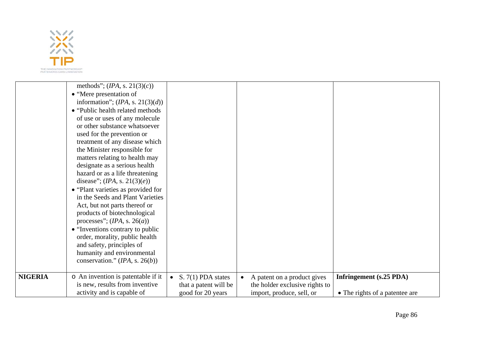

|                | methods"; $(IPA, s. 21(3)(c))$     |                                   |                                |                                |
|----------------|------------------------------------|-----------------------------------|--------------------------------|--------------------------------|
|                | • "Mere presentation of            |                                   |                                |                                |
|                | information"; $(IPA, s. 21(3)(d))$ |                                   |                                |                                |
|                | • "Public health related methods"  |                                   |                                |                                |
|                | of use or uses of any molecule     |                                   |                                |                                |
|                | or other substance whatsoever      |                                   |                                |                                |
|                | used for the prevention or         |                                   |                                |                                |
|                | treatment of any disease which     |                                   |                                |                                |
|                | the Minister responsible for       |                                   |                                |                                |
|                | matters relating to health may     |                                   |                                |                                |
|                | designate as a serious health      |                                   |                                |                                |
|                | hazard or as a life threatening    |                                   |                                |                                |
|                | disease"; $(IPA, s. 21(3)(e))$     |                                   |                                |                                |
|                | • "Plant varieties as provided for |                                   |                                |                                |
|                | in the Seeds and Plant Varieties   |                                   |                                |                                |
|                | Act, but not parts thereof or      |                                   |                                |                                |
|                | products of biotechnological       |                                   |                                |                                |
|                | processes"; $(IPA, s. 26(a))$      |                                   |                                |                                |
|                | • "Inventions contrary to public   |                                   |                                |                                |
|                | order, morality, public health     |                                   |                                |                                |
|                | and safety, principles of          |                                   |                                |                                |
|                | humanity and environmental         |                                   |                                |                                |
|                | conservation." $(IPA, s. 26(b))$   |                                   |                                |                                |
|                |                                    |                                   |                                |                                |
| <b>NIGERIA</b> | o An invention is patentable if it | $S. 7(1)$ PDA states<br>$\bullet$ | A patent on a product gives    | Infringement (s.25 PDA)        |
|                | is new, results from inventive     | that a patent will be             | the holder exclusive rights to |                                |
|                | activity and is capable of         | good for 20 years                 | import, produce, sell, or      | • The rights of a patentee are |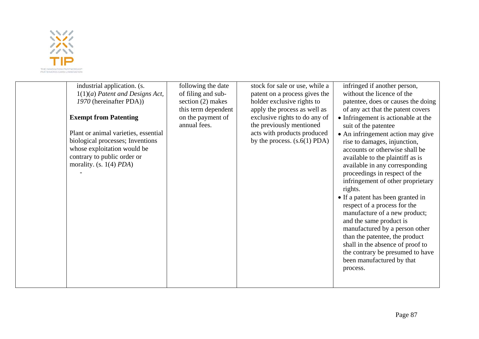

| industrial application. (s.          | following the date  | stock for sale or use, while a | infringed if another person,        |
|--------------------------------------|---------------------|--------------------------------|-------------------------------------|
| $1(1)(a)$ Patent and Designs Act,    | of filing and sub-  | patent on a process gives the  | without the licence of the          |
| 1970 (hereinafter PDA))              | section $(2)$ makes | holder exclusive rights to     | patentee, does or causes the doing  |
|                                      | this term dependent | apply the process as well as   | of any act that the patent covers   |
| <b>Exempt from Patenting</b>         | on the payment of   | exclusive rights to do any of  | • Infringement is actionable at the |
|                                      | annual fees.        | the previously mentioned       | suit of the patentee                |
| Plant or animal varieties, essential |                     | acts with products produced    | • An infringement action may give   |
| biological processes; Inventions     |                     | by the process. $(s.6(1)$ PDA) | rise to damages, injunction,        |
| whose exploitation would be          |                     |                                | accounts or otherwise shall be      |
| contrary to public order or          |                     |                                | available to the plaintiff as is    |
| morality. (s. $1(4)$ <i>PDA</i> )    |                     |                                | available in any corresponding      |
|                                      |                     |                                | proceedings in respect of the       |
|                                      |                     |                                | infringement of other proprietary   |
|                                      |                     |                                | rights.                             |
|                                      |                     |                                | • If a patent has been granted in   |
|                                      |                     |                                | respect of a process for the        |
|                                      |                     |                                | manufacture of a new product;       |
|                                      |                     |                                | and the same product is             |
|                                      |                     |                                | manufactured by a person other      |
|                                      |                     |                                | than the patentee, the product      |
|                                      |                     |                                | shall in the absence of proof to    |
|                                      |                     |                                | the contrary be presumed to have    |
|                                      |                     |                                | been manufactured by that           |
|                                      |                     |                                | process.                            |
|                                      |                     |                                |                                     |
|                                      |                     |                                |                                     |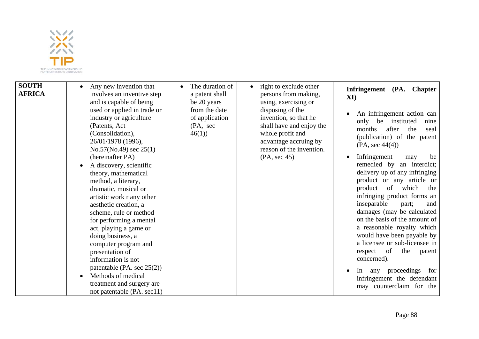

| <b>SOUTH</b>  | Any new invention that                                                                                                                                                                                                                                                                                                                                                                                                                                                                                                    | The duration of                                                      | right to exclude other<br>$\bullet$                                                                                                                                                       | <b>Infringement</b><br>(PA.<br><b>Chapter</b>                                                                                                                                                                                                                                                                                                                                                                                                                                                                                                                                                 |
|---------------|---------------------------------------------------------------------------------------------------------------------------------------------------------------------------------------------------------------------------------------------------------------------------------------------------------------------------------------------------------------------------------------------------------------------------------------------------------------------------------------------------------------------------|----------------------------------------------------------------------|-------------------------------------------------------------------------------------------------------------------------------------------------------------------------------------------|-----------------------------------------------------------------------------------------------------------------------------------------------------------------------------------------------------------------------------------------------------------------------------------------------------------------------------------------------------------------------------------------------------------------------------------------------------------------------------------------------------------------------------------------------------------------------------------------------|
| <b>AFRICA</b> | involves an inventive step                                                                                                                                                                                                                                                                                                                                                                                                                                                                                                | a patent shall                                                       | persons from making,                                                                                                                                                                      | $\mathbf{X}$ <b>I</b> )                                                                                                                                                                                                                                                                                                                                                                                                                                                                                                                                                                       |
|               | and is capable of being<br>used or applied in trade or<br>industry or agriculture<br>(Patents, Act<br>(Consolidation),<br>26/01/1978 (1996),<br>$No.57(No.49)$ sec 25(1)<br>(hereinafter PA)<br>A discovery, scientific<br>theory, mathematical<br>method, a literary,<br>dramatic, musical or<br>artistic work r any other<br>aesthetic creation, a<br>scheme, rule or method<br>for performing a mental<br>act, playing a game or<br>doing business, a<br>computer program and<br>presentation of<br>information is not | be 20 years<br>from the date<br>of application<br>(PA, sec)<br>46(1) | using, exercising or<br>disposing of the<br>invention, so that he<br>shall have and enjoy the<br>whole profit and<br>advantage accruing by<br>reason of the invention.<br>$(PA, \sec 45)$ | An infringement action can<br>be<br>only<br>instituted<br>nine<br>after<br>months<br>the<br>seal<br>(publication) of the patent<br>$(PA, \sec 44(4))$<br>Infringement<br>be<br>may<br>remedied by<br>an interdict;<br>delivery up of any infringing<br>product or any article or<br>of<br>which<br>product<br>the<br>infringing product forms an<br>inseparable<br>part;<br>and<br>damages (may be calculated)<br>on the basis of the amount of<br>a reasonable royalty which<br>would have been payable by<br>a licensee or sub-licensee in<br>of<br>the<br>respect<br>patent<br>concerned). |
|               | patentable (PA. sec $25(2)$ )<br>Methods of medical                                                                                                                                                                                                                                                                                                                                                                                                                                                                       |                                                                      |                                                                                                                                                                                           | proceedings<br>for<br>In<br>any                                                                                                                                                                                                                                                                                                                                                                                                                                                                                                                                                               |
|               | treatment and surgery are                                                                                                                                                                                                                                                                                                                                                                                                                                                                                                 |                                                                      |                                                                                                                                                                                           | infringement the defendant<br>may counterclaim for the                                                                                                                                                                                                                                                                                                                                                                                                                                                                                                                                        |
|               | not patentable (PA. sec11)                                                                                                                                                                                                                                                                                                                                                                                                                                                                                                |                                                                      |                                                                                                                                                                                           |                                                                                                                                                                                                                                                                                                                                                                                                                                                                                                                                                                                               |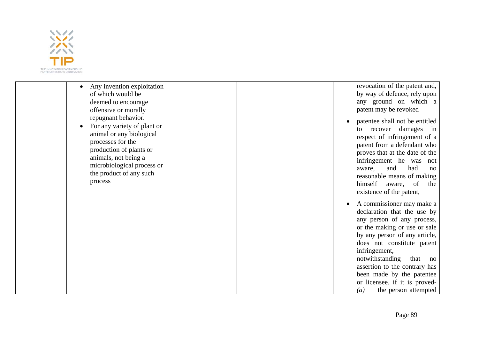

| Any invention exploitation                                                                                                                                                                                                 | revocation of the patent and,                                                                                                                                                                                                                                                                                                                                                     |
|----------------------------------------------------------------------------------------------------------------------------------------------------------------------------------------------------------------------------|-----------------------------------------------------------------------------------------------------------------------------------------------------------------------------------------------------------------------------------------------------------------------------------------------------------------------------------------------------------------------------------|
| of which would be                                                                                                                                                                                                          | by way of defence, rely upon                                                                                                                                                                                                                                                                                                                                                      |
| deemed to encourage                                                                                                                                                                                                        | any ground on which a                                                                                                                                                                                                                                                                                                                                                             |
| offensive or morally                                                                                                                                                                                                       | patent may be revoked                                                                                                                                                                                                                                                                                                                                                             |
| repugnant behavior.<br>For any variety of plant or<br>animal or any biological<br>processes for the<br>production of plants or<br>animals, not being a<br>microbiological process or<br>the product of any such<br>process | patentee shall not be entitled<br>recover damages in<br>to<br>respect of infringement of a<br>patent from a defendant who<br>proves that at the date of the<br>infringement he was not<br>had<br>and<br>aware,<br>no<br>reasonable means of making<br>himself<br>of<br>aware,<br>the<br>existence of the patent,                                                                  |
|                                                                                                                                                                                                                            | A commissioner may make a<br>declaration that the use by<br>any person of any process,<br>or the making or use or sale<br>by any person of any article,<br>does not constitute patent<br>infringement,<br>notwithstanding<br>that<br>$\overline{p}$<br>assertion to the contrary has<br>been made by the patentee<br>or licensee, if it is proved-<br>the person attempted<br>(a) |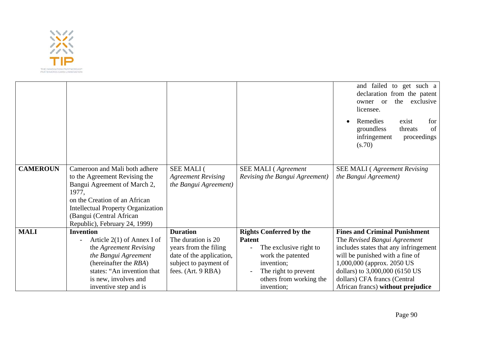

| <b>CAMEROUN</b> | Cameroon and Mali both adhere<br>to the Agreement Revising the             | <b>SEE MALI</b> (<br><b>Agreement Revising</b> | <b>SEE MALI</b> (Agreement<br>Revising the Bangui Agreement) | and failed to get such a<br>declaration from the patent<br>the<br>exclusive<br>$\alpha$<br>owner<br>licensee.<br>Remedies<br>exist<br>for<br>of<br>groundless<br>threats<br>proceedings<br>infringement<br>(s.70)<br><b>SEE MALI</b> (Agreement Revising<br>the Bangui Agreement) |
|-----------------|----------------------------------------------------------------------------|------------------------------------------------|--------------------------------------------------------------|-----------------------------------------------------------------------------------------------------------------------------------------------------------------------------------------------------------------------------------------------------------------------------------|
|                 | Bangui Agreement of March 2,<br>1977,                                      | the Bangui Agreement)                          |                                                              |                                                                                                                                                                                                                                                                                   |
|                 | on the Creation of an African<br><b>Intellectual Property Organization</b> |                                                |                                                              |                                                                                                                                                                                                                                                                                   |
|                 | (Bangui (Central African                                                   |                                                |                                                              |                                                                                                                                                                                                                                                                                   |
|                 | Republic), February 24, 1999)                                              |                                                |                                                              |                                                                                                                                                                                                                                                                                   |
| <b>MALI</b>     | <b>Invention</b>                                                           | <b>Duration</b>                                | <b>Rights Conferred by the</b>                               | <b>Fines and Criminal Punishment</b>                                                                                                                                                                                                                                              |
|                 | Article $2(1)$ of Annex I of                                               | The duration is 20                             | <b>Patent</b>                                                | The Revised Bangui Agreement                                                                                                                                                                                                                                                      |
|                 | the Agreement Revising                                                     | years from the filing                          | The exclusive right to                                       | includes states that any infringement                                                                                                                                                                                                                                             |
|                 | the Bangui Agreement                                                       | date of the application,                       | work the patented                                            | will be punished with a fine of                                                                                                                                                                                                                                                   |
|                 | (hereinafter the RBA)                                                      | subject to payment of                          | invention;                                                   | 1,000,000 (approx. 2050 US                                                                                                                                                                                                                                                        |
|                 | states: "An invention that                                                 | fees. (Art. 9 RBA)                             | The right to prevent                                         | dollars) to 3,000,000 (6150 US                                                                                                                                                                                                                                                    |
|                 | is new, involves and                                                       |                                                | others from working the                                      | dollars) CFA francs (Central                                                                                                                                                                                                                                                      |
|                 | inventive step and is                                                      |                                                | invention;                                                   | African francs) without prejudice                                                                                                                                                                                                                                                 |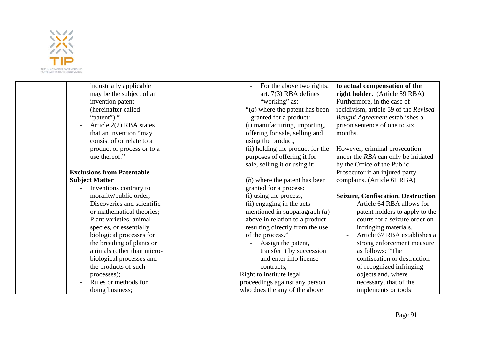

| industrially applicable           | For the above two rights,               | to actual compensation of the             |
|-----------------------------------|-----------------------------------------|-------------------------------------------|
| may be the subject of an          | art. 7(3) RBA defines                   | right holder. (Article 59 RBA)            |
| invention patent                  | "working" as:                           | Furthermore, in the case of               |
| (hereinafter called               | "( <i>a</i> ) where the patent has been | recidivism, article 59 of the Revised     |
| "patent")."                       | granted for a product:                  | Bangui Agreement establishes a            |
| Article $2(2)$ RBA states         | (i) manufacturing, importing,           | prison sentence of one to six             |
| that an invention "may            | offering for sale, selling and          | months.                                   |
| consist of or relate to a         | using the product,                      |                                           |
| product or process or to a        | (ii) holding the product for the        | However, criminal prosecution             |
| use thereof."                     | purposes of offering it for             | under the RBA can only be initiated       |
|                                   | sale, selling it or using it;           | by the Office of the Public               |
| <b>Exclusions from Patentable</b> |                                         | Prosecutor if an injured party            |
| <b>Subject Matter</b>             | $(b)$ where the patent has been         | complains. (Article 61 RBA)               |
| Inventions contrary to            | granted for a process:                  |                                           |
| morality/public order;            | (i) using the process,                  | <b>Seizure, Confiscation, Destruction</b> |
| Discoveries and scientific        | (ii) engaging in the acts               | Article 64 RBA allows for                 |
| or mathematical theories;         | mentioned in subparagraph $(a)$         | patent holders to apply to the            |
| Plant varieties, animal           | above in relation to a product          | courts for a seizure order on             |
| species, or essentially           | resulting directly from the use         | infringing materials.                     |
| biological processes for          | of the process."                        | Article 67 RBA establishes a              |
| the breeding of plants or         | Assign the patent,                      | strong enforcement measure                |
| animals (other than micro-        | transfer it by succession               | as follows: "The                          |
| biological processes and          | and enter into license                  | confiscation or destruction               |
| the products of such              | contracts;                              | of recognized infringing                  |
| processes);                       | Right to institute legal                | objects and, where                        |
| Rules or methods for              | proceedings against any person          | necessary, that of the                    |
| doing business;                   | who does the any of the above           | implements or tools                       |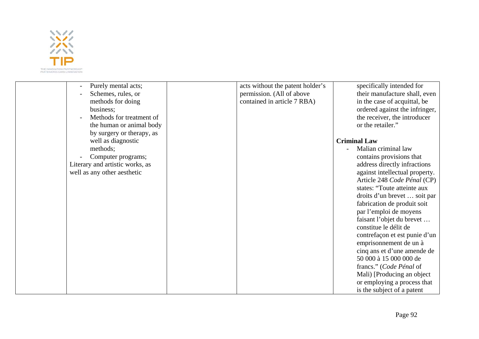

| Purely mental acts;             | acts without the patent holder's | specifically intended for      |
|---------------------------------|----------------------------------|--------------------------------|
| Schemes, rules, or              | permission. (All of above        | their manufacture shall, even  |
| methods for doing               | contained in article 7 RBA)      | in the case of acquittal, be   |
| business;                       |                                  | ordered against the infringer, |
| Methods for treatment of        |                                  | the receiver, the introducer   |
| the human or animal body        |                                  | or the retailer."              |
| by surgery or therapy, as       |                                  |                                |
| well as diagnostic              |                                  | <b>Criminal Law</b>            |
| methods;                        |                                  | Malian criminal law            |
| Computer programs;              |                                  | contains provisions that       |
| Literary and artistic works, as |                                  | address directly infractions   |
| well as any other aesthetic     |                                  | against intellectual property. |
|                                 |                                  | Article 248 Code Pénal (CP)    |
|                                 |                                  | states: "Toute atteinte aux    |
|                                 |                                  | droits d'un brevet  soit par   |
|                                 |                                  | fabrication de produit soit    |
|                                 |                                  | par l'emploi de moyens         |
|                                 |                                  | faisant l'objet du brevet      |
|                                 |                                  | constitue le délit de          |
|                                 |                                  | contrefaçon et est punie d'un  |
|                                 |                                  | emprisonnement de un à         |
|                                 |                                  | cinq ans et d'une amende de    |
|                                 |                                  | 50 000 à 15 000 000 de         |
|                                 |                                  | francs." (Code Pénal of        |
|                                 |                                  | Mali) [Producing an object]    |
|                                 |                                  | or employing a process that    |
|                                 |                                  | is the subject of a patent     |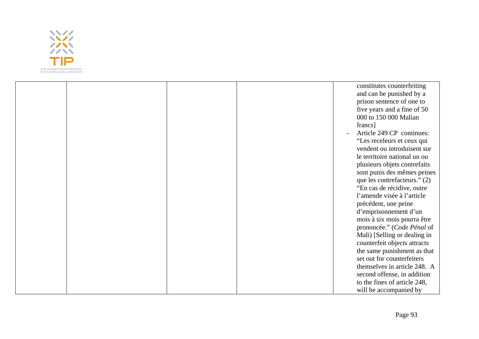

| constitutes counterfeiting   |
|------------------------------|
| and can be punished by a     |
| prison sentence of one to    |
| five years and a fine of 50  |
| 000 to 150 000 Malian        |
| francs]                      |
| Article 249 CP continues:    |
| "Les receleurs et ceux qui   |
| vendent ou introduisent sur  |
| le territoire national un ou |
| plusieurs objets contrefaits |
| sont punis des mêmes peines  |
| que les contrefacteurs." (2) |
| "En cas de récidive, outre   |
| l'amende visée à l'article   |
| précédent, une peine         |
| d'emprisonnement d'un        |
| mois à six mois pourra être  |
| prononcée." (Code Pénal of   |
| Mali) [Selling or dealing in |
| counterfeit objects attracts |
| the same punishment as that  |
| set out for counterfeiters   |
| themselves in article 248. A |
| second offense, in addition  |
| to the fines of article 248, |
| will be accompanied by       |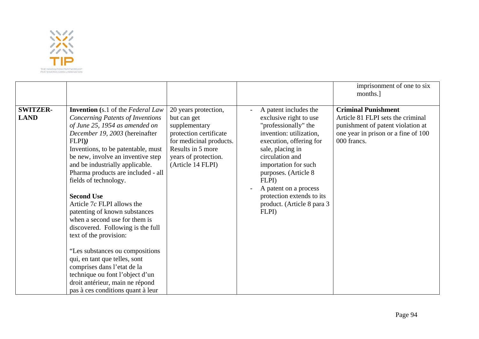

|                                |                                                                                                                                                                                                                                                                                                                                                                                                                                                                                                                                                                                                                                                                                                                                                    |                                                                                                                                                                             |                                                                                                                                                                                                                                                                                                                             | imprisonment of one to six<br>months.                                                                                                                      |
|--------------------------------|----------------------------------------------------------------------------------------------------------------------------------------------------------------------------------------------------------------------------------------------------------------------------------------------------------------------------------------------------------------------------------------------------------------------------------------------------------------------------------------------------------------------------------------------------------------------------------------------------------------------------------------------------------------------------------------------------------------------------------------------------|-----------------------------------------------------------------------------------------------------------------------------------------------------------------------------|-----------------------------------------------------------------------------------------------------------------------------------------------------------------------------------------------------------------------------------------------------------------------------------------------------------------------------|------------------------------------------------------------------------------------------------------------------------------------------------------------|
| <b>SWITZER-</b><br><b>LAND</b> | <b>Invention</b> (s.1 of the Federal Law<br><b>Concerning Patents of Inventions</b><br>of June 25, 1954 as amended on<br>December 19, 2003 (hereinafter<br>FLPI)<br>Inventions, to be patentable, must<br>be new, involve an inventive step<br>and be industrially applicable.<br>Pharma products are included - all<br>fields of technology.<br><b>Second Use</b><br>Article $7c$ FLPI allows the<br>patenting of known substances<br>when a second use for them is<br>discovered. Following is the full<br>text of the provision:<br>"Les substances ou compositions"<br>qui, en tant que telles, sont<br>comprises dans l'etat de la<br>technique ou font l'object d'un<br>droit antérieur, main ne répond<br>pas à ces conditions quant à leur | 20 years protection,<br>but can get<br>supplementary<br>protection certificate<br>for medicinal products.<br>Results in 5 more<br>years of protection.<br>(Article 14 FLPI) | A patent includes the<br>exclusive right to use<br>"professionally" the<br>invention: utilization,<br>execution, offering for<br>sale, placing in<br>circulation and<br>importation for such<br>purposes. (Article 8)<br>FLPI)<br>A patent on a process<br>protection extends to its<br>product. (Article 8 para 3<br>FLPI) | <b>Criminal Punishment</b><br>Article 81 FLPI sets the criminal<br>punishment of patent violation at<br>one year in prison or a fine of 100<br>000 francs. |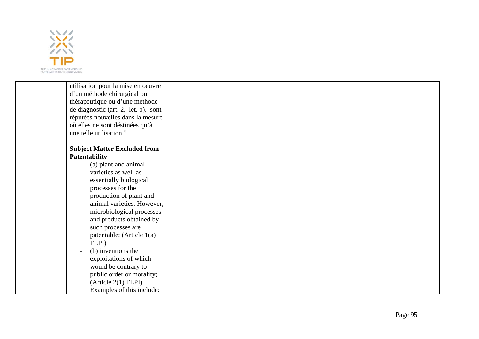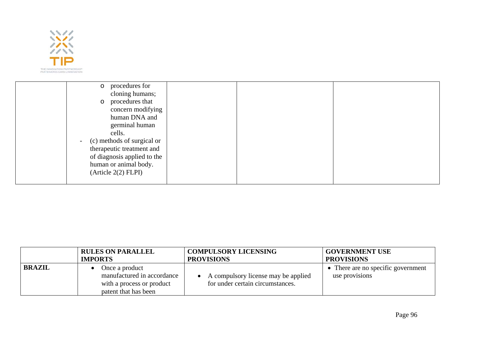

| $\circ$<br>$\circ$<br>cells.<br>$\overline{\phantom{a}}$ | procedures for<br>cloning humans;<br>procedures that<br>concern modifying<br>human DNA and<br>germinal human<br>(c) methods of surgical or |  |
|----------------------------------------------------------|--------------------------------------------------------------------------------------------------------------------------------------------|--|
|                                                          | therapeutic treatment and                                                                                                                  |  |
|                                                          | of diagnosis applied to the                                                                                                                |  |
| (Article 2(2) FLPI)                                      | human or animal body.                                                                                                                      |  |
|                                                          |                                                                                                                                            |  |

|               | <b>RULES ON PARALLEL</b>                                                                          | <b>COMPULSORY LICENSING</b>                                             | <b>GOVERNMENT USE</b>                              |
|---------------|---------------------------------------------------------------------------------------------------|-------------------------------------------------------------------------|----------------------------------------------------|
|               | <b>IMPORTS</b>                                                                                    | <b>PROVISIONS</b>                                                       | <b>PROVISIONS</b>                                  |
| <b>BRAZIL</b> | Once a product<br>manufactured in accordance<br>with a process or product<br>patent that has been | A compulsory license may be applied<br>for under certain circumstances. | There are no specific government<br>use provisions |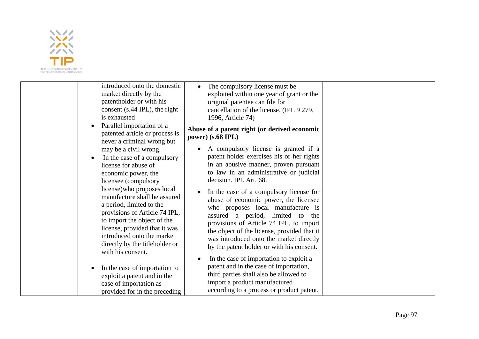

| introduced onto the domestic<br>market directly by the<br>patentholder or with his<br>consent $(s.44$ IPL), the right<br>is exhausted<br>Parallel importation of a<br>$\bullet$<br>patented article or process is<br>never a criminal wrong but<br>may be a civil wrong.<br>In the case of a compulsory<br>$\bullet$<br>license for abuse of<br>economic power, the<br>licensee (compulsory<br>license) who proposes local<br>manufacture shall be assured<br>a period, limited to the<br>provisions of Article 74 IPL,<br>to import the object of the<br>license, provided that it was<br>introduced onto the market<br>directly by the titleholder or<br>with his consent. | The compulsory license must be<br>$\bullet$<br>exploited within one year of grant or the<br>original patentee can file for<br>cancellation of the license. (IPL 9 279,<br>1996, Article 74)<br>Abuse of a patent right (or derived economic<br>power) (s.68 IPL)<br>A compulsory license is granted if a<br>$\bullet$<br>patent holder exercises his or her rights<br>in an abusive manner, proven pursuant<br>to law in an administrative or judicial<br>decision. IPL Art. 68.<br>In the case of a compulsory license for<br>$\bullet$<br>abuse of economic power, the licensee<br>who proposes local manufacture is<br>assured a period, limited to the<br>provisions of Article 74 IPL, to import<br>the object of the license, provided that it<br>was introduced onto the market directly<br>by the patent holder or with his consent. |  |
|------------------------------------------------------------------------------------------------------------------------------------------------------------------------------------------------------------------------------------------------------------------------------------------------------------------------------------------------------------------------------------------------------------------------------------------------------------------------------------------------------------------------------------------------------------------------------------------------------------------------------------------------------------------------------|----------------------------------------------------------------------------------------------------------------------------------------------------------------------------------------------------------------------------------------------------------------------------------------------------------------------------------------------------------------------------------------------------------------------------------------------------------------------------------------------------------------------------------------------------------------------------------------------------------------------------------------------------------------------------------------------------------------------------------------------------------------------------------------------------------------------------------------------|--|
| In the case of importation to<br>exploit a patent and in the<br>case of importation as<br>provided for in the preceding                                                                                                                                                                                                                                                                                                                                                                                                                                                                                                                                                      | In the case of importation to exploit a<br>$\bullet$<br>patent and in the case of importation,<br>third parties shall also be allowed to<br>import a product manufactured<br>according to a process or product patent,                                                                                                                                                                                                                                                                                                                                                                                                                                                                                                                                                                                                                       |  |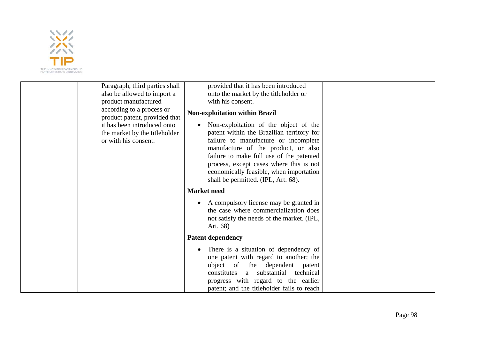

| Paragraph, third parties shall<br>also be allowed to import a<br>product manufactured<br>according to a process or<br>product patent, provided that<br>it has been introduced onto<br>the market by the titleholder<br>or with his consent. | provided that it has been introduced<br>onto the market by the titleholder or<br>with his consent.<br><b>Non-exploitation within Brazil</b><br>Non-exploitation of the object of the<br>patent within the Brazilian territory for<br>failure to manufacture or incomplete<br>manufacture of the product, or also<br>failure to make full use of the patented<br>process, except cases where this is not<br>economically feasible, when importation<br>shall be permitted. (IPL, Art. 68). |  |
|---------------------------------------------------------------------------------------------------------------------------------------------------------------------------------------------------------------------------------------------|-------------------------------------------------------------------------------------------------------------------------------------------------------------------------------------------------------------------------------------------------------------------------------------------------------------------------------------------------------------------------------------------------------------------------------------------------------------------------------------------|--|
|                                                                                                                                                                                                                                             | <b>Market</b> need                                                                                                                                                                                                                                                                                                                                                                                                                                                                        |  |
|                                                                                                                                                                                                                                             | A compulsory license may be granted in<br>the case where commercialization does<br>not satisfy the needs of the market. (IPL,<br>Art. 68)                                                                                                                                                                                                                                                                                                                                                 |  |
|                                                                                                                                                                                                                                             | <b>Patent dependency</b>                                                                                                                                                                                                                                                                                                                                                                                                                                                                  |  |
|                                                                                                                                                                                                                                             | There is a situation of dependency of<br>one patent with regard to another; the<br>object of the<br>dependent<br>patent<br>a substantial<br>constitutes<br>technical<br>progress with regard to the earlier<br>patent; and the titleholder fails to reach                                                                                                                                                                                                                                 |  |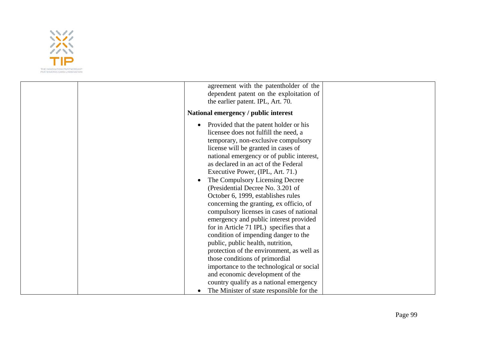

| agreement with the patentholder of the<br>dependent patent on the exploitation of<br>the earlier patent. IPL, Art. 70.                                                                                                                                                                                                                                                                                                                                                                                                                                                                                                                                                                                                                                                 |
|------------------------------------------------------------------------------------------------------------------------------------------------------------------------------------------------------------------------------------------------------------------------------------------------------------------------------------------------------------------------------------------------------------------------------------------------------------------------------------------------------------------------------------------------------------------------------------------------------------------------------------------------------------------------------------------------------------------------------------------------------------------------|
| National emergency / public interest                                                                                                                                                                                                                                                                                                                                                                                                                                                                                                                                                                                                                                                                                                                                   |
| Provided that the patent holder or his<br>$\bullet$<br>licensee does not fulfill the need, a<br>temporary, non-exclusive compulsory<br>license will be granted in cases of<br>national emergency or of public interest,<br>as declared in an act of the Federal<br>Executive Power, (IPL, Art. 71.)<br>The Compulsory Licensing Decree<br>$\bullet$<br>(Presidential Decree No. 3.201 of<br>October 6, 1999, establishes rules<br>concerning the granting, ex officio, of<br>compulsory licenses in cases of national<br>emergency and public interest provided<br>for in Article 71 IPL) specifies that a<br>condition of impending danger to the<br>public, public health, nutrition,<br>protection of the environment, as well as<br>those conditions of primordial |
| importance to the technological or social<br>and economic development of the                                                                                                                                                                                                                                                                                                                                                                                                                                                                                                                                                                                                                                                                                           |
| country qualify as a national emergency                                                                                                                                                                                                                                                                                                                                                                                                                                                                                                                                                                                                                                                                                                                                |
| The Minister of state responsible for the                                                                                                                                                                                                                                                                                                                                                                                                                                                                                                                                                                                                                                                                                                                              |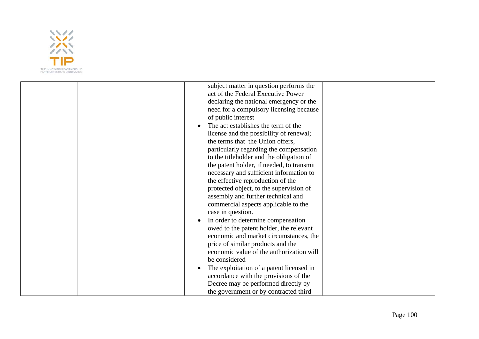

| subject matter in question performs the<br>act of the Federal Executive Power |
|-------------------------------------------------------------------------------|
| declaring the national emergency or the                                       |
| need for a compulsory licensing because                                       |
| of public interest                                                            |
| The act establishes the term of the                                           |
| license and the possibility of renewal;                                       |
| the terms that the Union offers,                                              |
| particularly regarding the compensation                                       |
| to the titleholder and the obligation of                                      |
| the patent holder, if needed, to transmit                                     |
| necessary and sufficient information to                                       |
| the effective reproduction of the                                             |
| protected object, to the supervision of                                       |
| assembly and further technical and                                            |
| commercial aspects applicable to the                                          |
| case in question.                                                             |
| In order to determine compensation                                            |
| owed to the patent holder, the relevant                                       |
| economic and market circumstances, the                                        |
| price of similar products and the                                             |
| economic value of the authorization will                                      |
| be considered                                                                 |
| The exploitation of a patent licensed in                                      |
| accordance with the provisions of the                                         |
| Decree may be performed directly by                                           |
| the government or by contracted third                                         |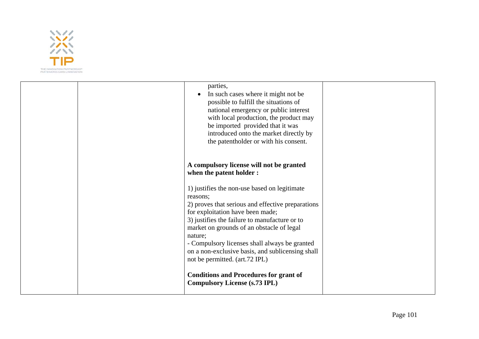

| parties,<br>In such cases where it might not be<br>possible to fulfill the situations of<br>national emergency or public interest<br>with local production, the product may<br>be imported provided that it was<br>introduced onto the market directly by<br>the patentholder or with his consent.                                                                                                                                                                                                                                                                 |  |
|--------------------------------------------------------------------------------------------------------------------------------------------------------------------------------------------------------------------------------------------------------------------------------------------------------------------------------------------------------------------------------------------------------------------------------------------------------------------------------------------------------------------------------------------------------------------|--|
| A compulsory license will not be granted<br>when the patent holder :<br>1) justifies the non-use based on legitimate<br>reasons:<br>2) proves that serious and effective preparations<br>for exploitation have been made;<br>3) justifies the failure to manufacture or to<br>market on grounds of an obstacle of legal<br>nature;<br>- Compulsory licenses shall always be granted<br>on a non-exclusive basis, and sublicensing shall<br>not be permitted. (art.72 IPL)<br><b>Conditions and Procedures for grant of</b><br><b>Compulsory License (s.73 IPL)</b> |  |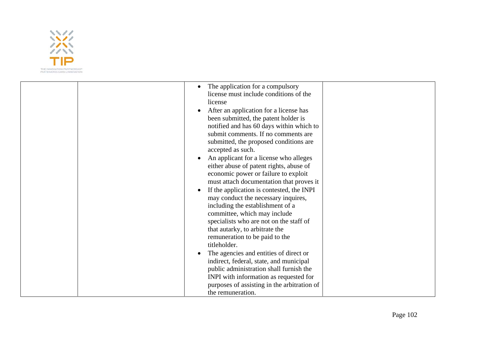

|  | The application for a compulsory<br>license must include conditions of the<br>license<br>After an application for a license has<br>been submitted, the patent holder is<br>notified and has 60 days within which to<br>submit comments. If no comments are<br>submitted, the proposed conditions are<br>accepted as such.<br>An applicant for a license who alleges<br>either abuse of patent rights, abuse of<br>economic power or failure to exploit<br>must attach documentation that proves it<br>If the application is contested, the INPI<br>may conduct the necessary inquires,<br>including the establishment of a<br>committee, which may include<br>specialists who are not on the staff of<br>that autarky, to arbitrate the<br>remuneration to be paid to the<br>titleholder.<br>The agencies and entities of direct or<br>indirect, federal, state, and municipal<br>public administration shall furnish the |
|--|---------------------------------------------------------------------------------------------------------------------------------------------------------------------------------------------------------------------------------------------------------------------------------------------------------------------------------------------------------------------------------------------------------------------------------------------------------------------------------------------------------------------------------------------------------------------------------------------------------------------------------------------------------------------------------------------------------------------------------------------------------------------------------------------------------------------------------------------------------------------------------------------------------------------------|
|  | INPI with information as requested for<br>purposes of assisting in the arbitration of<br>the remuneration.                                                                                                                                                                                                                                                                                                                                                                                                                                                                                                                                                                                                                                                                                                                                                                                                                |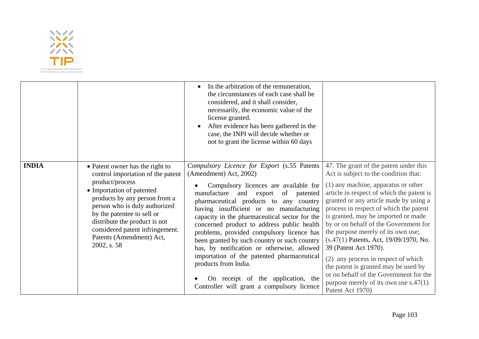

|              |                                                                                                                                                                                                                                                                                                                                     | In the arbitration of the remuneration,<br>the circumstances of each case shall be<br>considered, and it shall consider,<br>necessarily, the economic value of the<br>license granted.<br>After evidence has been gathered in the<br>case, the INPI will decide whether or<br>not to grant the license within 60 days                                                                                                                                                                                                                                                                                                                               |                                                                                                                                                                                                                                                                                                                                                                                                                                                                                                                                                                                                                                          |
|--------------|-------------------------------------------------------------------------------------------------------------------------------------------------------------------------------------------------------------------------------------------------------------------------------------------------------------------------------------|-----------------------------------------------------------------------------------------------------------------------------------------------------------------------------------------------------------------------------------------------------------------------------------------------------------------------------------------------------------------------------------------------------------------------------------------------------------------------------------------------------------------------------------------------------------------------------------------------------------------------------------------------------|------------------------------------------------------------------------------------------------------------------------------------------------------------------------------------------------------------------------------------------------------------------------------------------------------------------------------------------------------------------------------------------------------------------------------------------------------------------------------------------------------------------------------------------------------------------------------------------------------------------------------------------|
| <b>INDIA</b> | • Patent owner has the right to<br>control importation of the patent<br>product/process<br>• Importation of patented<br>products by any person from a<br>person who is duly authorized<br>by the patentee to sell or<br>distribute the product is not<br>considered patent infringement.<br>Patents (Amendment) Act,<br>2002, s. 58 | Compulsory Licence for Export (s.55 Patents<br>(Amendment) Act, 2002)<br>Compulsory licences are available for<br>manufacture<br>and export<br>of patented<br>pharmaceutical products to any country<br>having insufficient or no manufacturing<br>capacity in the pharmaceutical sector for the<br>concerned product to address public health<br>problems, provided compulsory licence has<br>been granted by such country or such country<br>has, by notification or otherwise, allowed<br>importation of the patented pharmaceutical<br>products from India.<br>On receipt of the application, the<br>Controller will grant a compulsory licence | 47. The grant of the patent under this<br>Act is subject to the condition that:<br>(1) any machine, apparatus or other<br>article in respect of which the patent is<br>granted or any article made by using a<br>process in respect of which the patent<br>is granted, may be imported or made<br>by or on behalf of the Government for<br>the purpose merely of its own use;<br>(s.47(1) Patents, Act, 19/09/1970, No.<br>39 (Patent Act 1970).<br>(2) any process in respect of which<br>the patent is granted may be used by<br>or on behalf of the Government for the<br>purpose merely of its own use $s.47(1)$<br>Patent Act 1970) |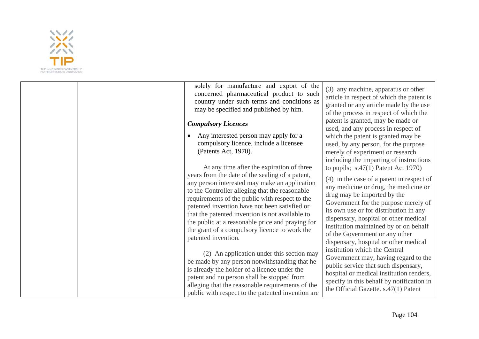

| solely for manufacture and export of the<br>concerned pharmaceutical product to such<br>country under such terms and conditions as<br>may be specified and published by him.                                                                                                                                                                                                                                                                                                      | (3) any machine, apparatus or other<br>article in respect of which the patent is<br>granted or any article made by the use<br>of the process in respect of which the                                                                                                                                                                                                                                                                                                                                                                                                                                                                                           |
|-----------------------------------------------------------------------------------------------------------------------------------------------------------------------------------------------------------------------------------------------------------------------------------------------------------------------------------------------------------------------------------------------------------------------------------------------------------------------------------|----------------------------------------------------------------------------------------------------------------------------------------------------------------------------------------------------------------------------------------------------------------------------------------------------------------------------------------------------------------------------------------------------------------------------------------------------------------------------------------------------------------------------------------------------------------------------------------------------------------------------------------------------------------|
| <b>Compulsory Licences</b><br>Any interested person may apply for a<br>compulsory licence, include a licensee<br>(Patents Act, 1970).                                                                                                                                                                                                                                                                                                                                             | patent is granted, may be made or<br>used, and any process in respect of<br>which the patent is granted may be<br>used, by any person, for the purpose<br>merely of experiment or research<br>including the imparting of instructions                                                                                                                                                                                                                                                                                                                                                                                                                          |
| At any time after the expiration of three<br>years from the date of the sealing of a patent,<br>any person interested may make an application<br>to the Controller alleging that the reasonable<br>requirements of the public with respect to the<br>patented invention have not been satisfied or<br>that the patented invention is not available to<br>the public at a reasonable price and praying for<br>the grant of a compulsory licence to work the<br>patented invention. | to pupils; $s.47(1)$ Patent Act 1970)<br>$(4)$ in the case of a patent in respect of<br>any medicine or drug, the medicine or<br>drug may be imported by the<br>Government for the purpose merely of<br>its own use or for distribution in any<br>dispensary, hospital or other medical<br>institution maintained by or on behalf<br>of the Government or any other<br>dispensary, hospital or other medical<br>institution which the Central<br>Government may, having regard to the<br>public service that such dispensary,<br>hospital or medical institution renders,<br>specify in this behalf by notification in<br>the Official Gazette. s.47(1) Patent |
| (2) An application under this section may<br>be made by any person notwithstanding that he<br>is already the holder of a licence under the<br>patent and no person shall be stopped from<br>alleging that the reasonable requirements of the<br>public with respect to the patented invention are                                                                                                                                                                                 |                                                                                                                                                                                                                                                                                                                                                                                                                                                                                                                                                                                                                                                                |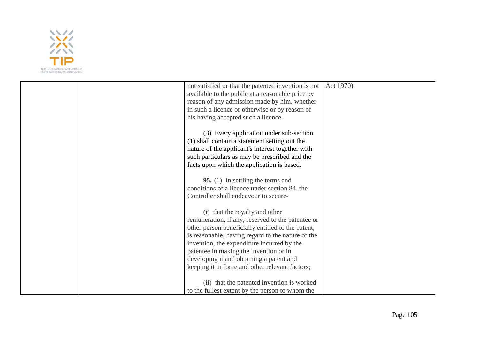

| not satisfied or that the patented invention is not<br>available to the public at a reasonable price by<br>reason of any admission made by him, whether<br>in such a licence or otherwise or by reason of<br>his having accepted such a licence.                                                                                                                                     | Act 1970) |
|--------------------------------------------------------------------------------------------------------------------------------------------------------------------------------------------------------------------------------------------------------------------------------------------------------------------------------------------------------------------------------------|-----------|
| (3) Every application under sub-section<br>(1) shall contain a statement setting out the<br>nature of the applicant's interest together with<br>such particulars as may be prescribed and the<br>facts upon which the application is based.                                                                                                                                          |           |
| 95.- $(1)$ In settling the terms and<br>conditions of a licence under section 84, the<br>Controller shall endeavour to secure-                                                                                                                                                                                                                                                       |           |
| (i) that the royalty and other<br>remuneration, if any, reserved to the patentee or<br>other person beneficially entitled to the patent,<br>is reasonable, having regard to the nature of the<br>invention, the expenditure incurred by the<br>patentee in making the invention or in<br>developing it and obtaining a patent and<br>keeping it in force and other relevant factors; |           |
| (ii) that the patented invention is worked<br>to the fullest extent by the person to whom the                                                                                                                                                                                                                                                                                        |           |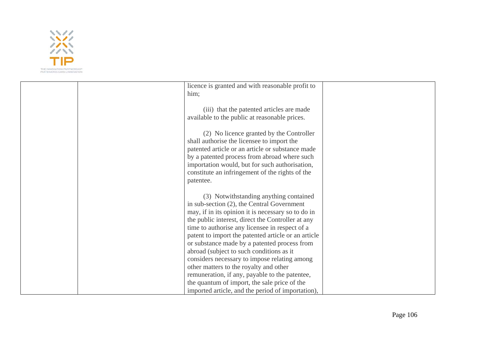

| licence is granted and with reasonable profit to<br>him;                                                                                                                                                                                          |  |
|---------------------------------------------------------------------------------------------------------------------------------------------------------------------------------------------------------------------------------------------------|--|
| (iii) that the patented articles are made<br>available to the public at reasonable prices.                                                                                                                                                        |  |
| (2) No licence granted by the Controller<br>shall authorise the licensee to import the<br>patented article or an article or substance made<br>by a patented process from abroad where such<br>importation would, but for such authorisation,      |  |
| constitute an infringement of the rights of the<br>patentee.                                                                                                                                                                                      |  |
| (3) Notwithstanding anything contained<br>in sub-section (2), the Central Government<br>may, if in its opinion it is necessary so to do in<br>the public interest, direct the Controller at any<br>time to authorise any licensee in respect of a |  |
| patent to import the patented article or an article<br>or substance made by a patented process from<br>abroad (subject to such conditions as it                                                                                                   |  |
| considers necessary to impose relating among<br>other matters to the royalty and other<br>remuneration, if any, payable to the patentee,                                                                                                          |  |
| the quantum of import, the sale price of the<br>imported article, and the period of importation),                                                                                                                                                 |  |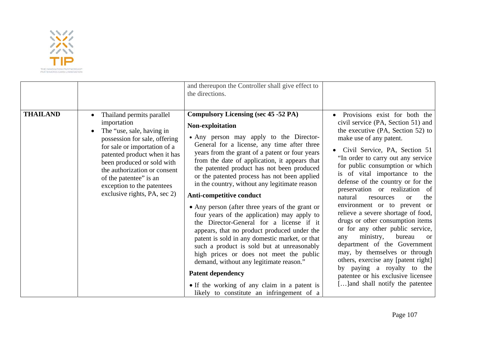

|                 |                                                                                                                                                                                                                                                                                                                              | and thereupon the Controller shall give effect to<br>the directions.                                                                                                                                                                                                                                                                                                                                                                                                                                                                                                                                                                                                                                                                                                                                                                                                                                                                                |                                                                                                                                                                                                                                                                                                                                                                                                                                                                                                                                                                                                                                                                                                                                                                                                                               |
|-----------------|------------------------------------------------------------------------------------------------------------------------------------------------------------------------------------------------------------------------------------------------------------------------------------------------------------------------------|-----------------------------------------------------------------------------------------------------------------------------------------------------------------------------------------------------------------------------------------------------------------------------------------------------------------------------------------------------------------------------------------------------------------------------------------------------------------------------------------------------------------------------------------------------------------------------------------------------------------------------------------------------------------------------------------------------------------------------------------------------------------------------------------------------------------------------------------------------------------------------------------------------------------------------------------------------|-------------------------------------------------------------------------------------------------------------------------------------------------------------------------------------------------------------------------------------------------------------------------------------------------------------------------------------------------------------------------------------------------------------------------------------------------------------------------------------------------------------------------------------------------------------------------------------------------------------------------------------------------------------------------------------------------------------------------------------------------------------------------------------------------------------------------------|
| <b>THAILAND</b> | Thailand permits parallel<br>importation<br>The "use, sale, having in<br>possession for sale, offering<br>for sale or importation of a<br>patented product when it has<br>been produced or sold with<br>the authorization or consent<br>of the patentee" is an<br>exception to the patentees<br>exclusive rights, PA, sec 2) | <b>Compulsory Licensing (sec 45 -52 PA)</b><br>Non-exploitation<br>• Any person may apply to the Director-<br>General for a license, any time after three<br>years from the grant of a patent or four years<br>from the date of application, it appears that<br>the patented product has not been produced<br>or the patented process has not been applied<br>in the country, without any legitimate reason<br>Anti-competitive conduct<br>• Any person (after three years of the grant or<br>four years of the application) may apply to<br>the Director-General for a license if it<br>appears, that no product produced under the<br>patent is sold in any domestic market, or that<br>such a product is sold but at unreasonably<br>high prices or does not meet the public<br>demand, without any legitimate reason."<br><b>Patent dependency</b><br>• If the working of any claim in a patent is<br>likely to constitute an infringement of a | Provisions exist for both the<br>$\bullet$<br>civil service (PA, Section 51) and<br>the executive (PA, Section 52) to<br>make use of any patent.<br>• Civil Service, PA, Section 51<br>"In order to carry out any service"<br>for public consumption or which<br>is of vital importance to the<br>defense of the country or for the<br>preservation or realization of<br>natural<br>the<br>resources<br>$\alpha$<br>environment or to prevent or<br>relieve a severe shortage of food,<br>drugs or other consumption items<br>or for any other public service,<br>ministry,<br>bureau<br>any<br><sub>or</sub><br>department of the Government<br>may, by themselves or through<br>others, exercise any [patent right]<br>by paying a royalty to the<br>patentee or his exclusive licensee<br>[] and shall notify the patentee |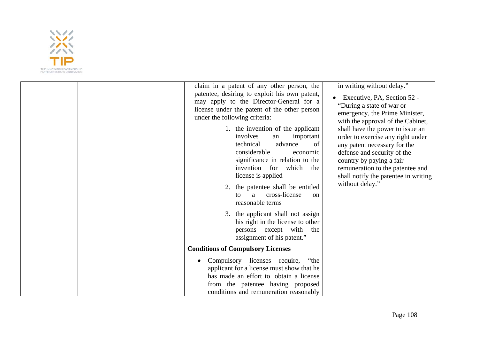

| claim in a patent of any other person, the<br>patentee, desiring to exploit his own patent,<br>may apply to the Director-General for a<br>license under the patent of the other person<br>under the following criteria:<br>1. the invention of the applicant<br>involves<br>important<br>an<br>technical<br>advance<br>of<br>considerable<br>economic<br>significance in relation to the<br>invention<br>for<br>which<br>the<br>license is applied | in writing without delay."<br>Executive, PA, Section 52 -<br>"During a state of war or<br>emergency, the Prime Minister,<br>with the approval of the Cabinet,<br>shall have the power to issue an<br>order to exercise any right under<br>any patent necessary for the<br>defense and security of the<br>country by paying a fair<br>remuneration to the patentee and |
|----------------------------------------------------------------------------------------------------------------------------------------------------------------------------------------------------------------------------------------------------------------------------------------------------------------------------------------------------------------------------------------------------------------------------------------------------|-----------------------------------------------------------------------------------------------------------------------------------------------------------------------------------------------------------------------------------------------------------------------------------------------------------------------------------------------------------------------|
| the patentee shall be entitled<br>2.<br>cross-license<br>$\mathbf{a}$<br>tο<br><sub>on</sub><br>reasonable terms                                                                                                                                                                                                                                                                                                                                   | shall notify the patentee in writing<br>without delay."                                                                                                                                                                                                                                                                                                               |
| 3. the applicant shall not assign<br>his right in the license to other<br>persons except with the<br>assignment of his patent."                                                                                                                                                                                                                                                                                                                    |                                                                                                                                                                                                                                                                                                                                                                       |
| <b>Conditions of Compulsory Licenses</b>                                                                                                                                                                                                                                                                                                                                                                                                           |                                                                                                                                                                                                                                                                                                                                                                       |
| Compulsory licenses require, "the<br>applicant for a license must show that he<br>has made an effort to obtain a license<br>from the patentee having proposed<br>conditions and remuneration reasonably                                                                                                                                                                                                                                            |                                                                                                                                                                                                                                                                                                                                                                       |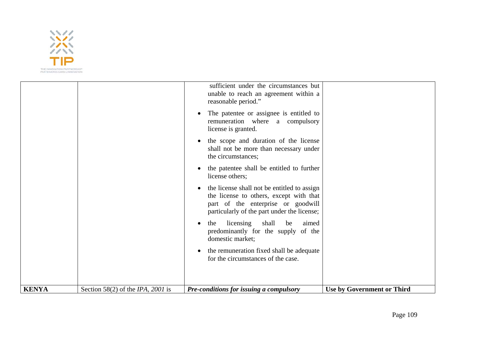

| <b>KENYA</b> | Section 58(2) of the <i>IPA</i> , 2001 is | <b>Pre-conditions for issuing a compulsory</b>                                                                                                                                                                                       | Use by Government or Third |
|--------------|-------------------------------------------|--------------------------------------------------------------------------------------------------------------------------------------------------------------------------------------------------------------------------------------|----------------------------|
|              |                                           | particularly of the part under the license;<br>shall<br>licensing<br>be<br>the<br>aimed<br>predominantly for the supply of the<br>domestic market;<br>the remuneration fixed shall be adequate<br>for the circumstances of the case. |                            |
|              |                                           | the license shall not be entitled to assign<br>the license to others, except with that<br>part of the enterprise or goodwill                                                                                                         |                            |
|              |                                           | the patentee shall be entitled to further<br>license others;                                                                                                                                                                         |                            |
|              |                                           | the scope and duration of the license<br>shall not be more than necessary under<br>the circumstances;                                                                                                                                |                            |
|              |                                           | The patentee or assignee is entitled to<br>remuneration where a compulsory<br>license is granted.                                                                                                                                    |                            |
|              |                                           | sufficient under the circumstances but<br>unable to reach an agreement within a<br>reasonable period."                                                                                                                               |                            |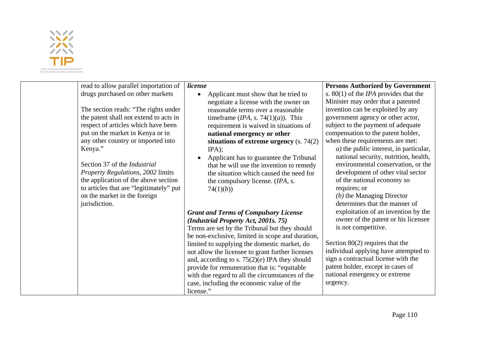

| read to allow parallel importation of   | license                                              | <b>Persons Authorized by Government</b>        |
|-----------------------------------------|------------------------------------------------------|------------------------------------------------|
| drugs purchased on other markets        | Applicant must show that he tried to                 | s. $80(1)$ of the <i>IPA</i> provides that the |
|                                         | negotiate a license with the owner on                | Minister may order that a patented             |
| The section reads: "The rights under    | reasonable terms over a reasonable                   | invention can be exploited by any              |
| the patent shall not extend to acts in  | timeframe ( <i>IPA</i> , s. 74(1)( <i>a</i> )). This | government agency or other actor,              |
| respect of articles which have been     | requirement is waived in situations of               | subject to the payment of adequate             |
| put on the market in Kenya or in        | national emergency or other                          | compensation to the patent holder,             |
| any other country or imported into      | situations of extreme urgency $(s. 74(2))$           | when these requirements are met:               |
| Kenya."                                 | IPA);                                                | $a)$ the public interest, in particular,       |
|                                         | Applicant has to guarantee the Tribunal              | national security, nutrition, health,          |
| Section 37 of the <i>Industrial</i>     | that he will use the invention to remedy             | environmental conservation, or the             |
| Property Regulations, 2002 limits       | the situation which caused the need for              | development of other vital sector              |
| the application of the above section    | the compulsory license. (IPA, s.                     | of the national economy so                     |
| to articles that are "legitimately" put | 74(1)(b)                                             | requires; or                                   |
| on the market in the foreign            |                                                      | $(b)$ the Managing Director                    |
| jurisdiction.                           |                                                      | determines that the manner of                  |
|                                         | <b>Grant and Terms of Compulsory License</b>         | exploitation of an invention by the            |
|                                         | (Industrial Property Act, 2001s. 75)                 | owner of the patent or his licensee            |
|                                         | Terms are set by the Tribunal but they should        | is not competitive.                            |
|                                         | be non-exclusive, limited in scope and duration,     |                                                |
|                                         | limited to supplying the domestic market, do         | Section $80(2)$ requires that the              |
|                                         | not allow the licensee to grant further licenses     | individual applying have attempted to          |
|                                         | and, according to s. $75(2)(e)$ IPA they should      | sign a contractual license with the            |
|                                         | provide for remuneration that is: "equitable         | patent holder, except in cases of              |
|                                         | with due regard to all the circumstances of the      | national emergency or extreme                  |
|                                         | case, including the economic value of the            | urgency.                                       |
|                                         | license."                                            |                                                |
|                                         |                                                      |                                                |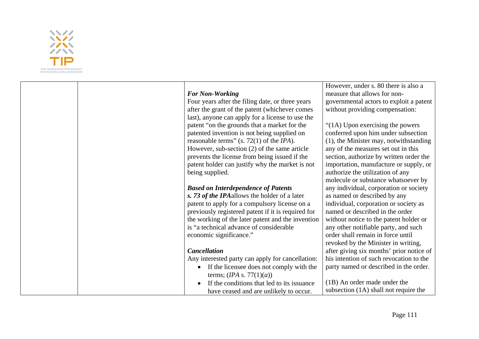

|                                                    | However, under s. 80 there is also a      |
|----------------------------------------------------|-------------------------------------------|
| <b>For Non-Working</b>                             | measure that allows for non-              |
| Four years after the filing date, or three years   | governmental actors to exploit a patent   |
| after the grant of the patent (whichever comes     | without providing compensation:           |
| last), anyone can apply for a license to use the   |                                           |
| patent "on the grounds that a market for the       | "(1A) Upon exercising the powers          |
| patented invention is not being supplied on        | conferred upon him under subsection       |
| reasonable terms" (s. 72(1) of the $IPA$ ).        | $(1)$ , the Minister may, notwithstanding |
| However, sub-section $(2)$ of the same article     | any of the measures set out in this       |
| prevents the license from being issued if the      | section, authorize by written order the   |
| patent holder can justify why the market is not    | importation, manufacture or supply, or    |
| being supplied.                                    | authorize the utilization of any          |
|                                                    | molecule or substance whatsoever by       |
| <b>Based on Interdependence of Patents</b>         | any individual, corporation or society    |
| s. 73 of the IPA allows the holder of a later      | as named or described by any              |
| patent to apply for a compulsory license on a      | individual, corporation or society as     |
| previously registered patent if it is required for | named or described in the order           |
| the working of the later patent and the invention  | without notice to the patent holder or    |
| is "a technical advance of considerable"           | any other notifiable party, and such      |
| economic significance."                            | order shall remain in force until         |
|                                                    | revoked by the Minister in writing,       |
| <b>Cancellation</b>                                | after giving six months' prior notice of  |
| Any interested party can apply for cancellation:   | his intention of such revocation to the   |
| If the licensee does not comply with the           | party named or described in the order.    |
| terms; $(IPA \, s. \, 77(1)(a))$                   |                                           |
| If the conditions that led to its issuance         | (1B) An order made under the              |
| have ceased and are unlikely to occur.             | subsection $(1A)$ shall not require the   |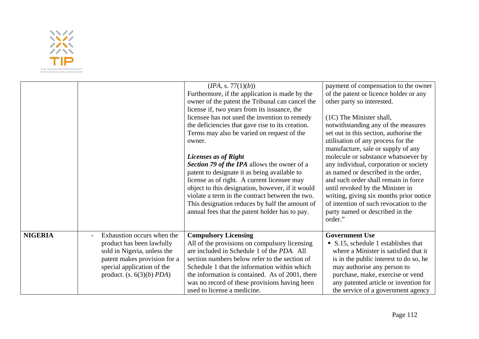

|                |                                                                                                                                                                                             | (IPA, s. 77(1)(b))<br>Furthermore, if the application is made by the<br>owner of the patent the Tribunal can cancel the<br>license if, two years from its issuance, the<br>licensee has not used the invention to remedy<br>the deficiencies that gave rise to its creation.<br>Terms may also be varied on request of the<br>owner.<br><b>Licenses as of Right</b><br>Section 79 of the IPA allows the owner of a<br>patent to designate it as being available to<br>license as of right. A current licensee may<br>object to this designation, however, if it would<br>violate a term in the contract between the two.<br>This designation reduces by half the amount of<br>annual fees that the patent holder has to pay. | payment of compensation to the owner<br>of the patent or licence holder or any<br>other party so interested.<br>(1C) The Minister shall,<br>notwithstanding any of the measures<br>set out in this section, authorise the<br>utilisation of any process for the<br>manufacture, sale or supply of any<br>molecule or substance whatsoever by<br>any individual, corporation or society<br>as named or described in the order,<br>and such order shall remain in force<br>until revoked by the Minister in<br>writing, giving six months prior notice<br>of intention of such revocation to the<br>party named or described in the<br>order." |
|----------------|---------------------------------------------------------------------------------------------------------------------------------------------------------------------------------------------|------------------------------------------------------------------------------------------------------------------------------------------------------------------------------------------------------------------------------------------------------------------------------------------------------------------------------------------------------------------------------------------------------------------------------------------------------------------------------------------------------------------------------------------------------------------------------------------------------------------------------------------------------------------------------------------------------------------------------|----------------------------------------------------------------------------------------------------------------------------------------------------------------------------------------------------------------------------------------------------------------------------------------------------------------------------------------------------------------------------------------------------------------------------------------------------------------------------------------------------------------------------------------------------------------------------------------------------------------------------------------------|
| <b>NIGERIA</b> | Exhaustion occurs when the<br>product has been lawfully<br>sold in Nigeria, unless the<br>patent makes provision for a<br>special application of the<br>product. (s. $6(3)(b)$ <i>PDA</i> ) | <b>Compulsory Licensing</b><br>All of the provisions on compulsory licensing<br>are included in Schedule 1 of the PDA. All<br>section numbers below refer to the section of<br>Schedule 1 that the information within which<br>the information is contained. As of 2001, there<br>was no record of these provisions having been<br>used to license a medicine.                                                                                                                                                                                                                                                                                                                                                               | <b>Government Use</b><br>S.15, schedule 1 establishes that<br>where a Minister is satisfied that it<br>is in the public interest to do so, he<br>may authorise any person to<br>purchase, make, exercise or vend<br>any patented article or invention for<br>the service of a government agency                                                                                                                                                                                                                                                                                                                                              |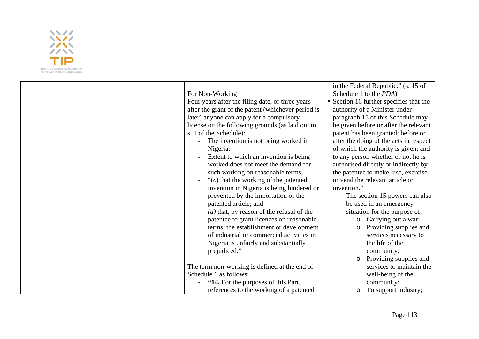

|  |                                                    | in the Federal Republic." (s. 15 of    |
|--|----------------------------------------------------|----------------------------------------|
|  | For Non-Working                                    | Schedule 1 to the <i>PDA</i> )         |
|  | Four years after the filing date, or three years   | Section 16 further specifies that the  |
|  | after the grant of the patent (whichever period is | authority of a Minister under          |
|  | later) anyone can apply for a compulsory           | paragraph 15 of this Schedule may      |
|  | license on the following grounds (as laid out in   | be given before or after the relevant  |
|  | s. 1 of the Schedule):                             | patent has been granted; before or     |
|  | The invention is not being worked in               | after the doing of the acts in respect |
|  | Nigeria;                                           | of which the authority is given; and   |
|  | Extent to which an invention is being              | to any person whether or not he is     |
|  | worked does not meet the demand for                | authorised directly or indirectly by   |
|  | such working on reasonable terms;                  | the patentee to make, use, exercise    |
|  | " $(c)$ that the working of the patented           | or vend the relevant article or        |
|  | invention in Nigeria is being hindered or          | invention."                            |
|  | prevented by the importation of the                | The section 15 powers can also         |
|  | patented article; and                              | be used in an emergency                |
|  | $(d)$ that, by reason of the refusal of the        | situation for the purpose of:          |
|  | patentee to grant licences on reasonable           | Carrying out a war;<br>O               |
|  | terms, the establishment or development            | Providing supplies and<br>O            |
|  | of industrial or commercial activities in          | services necessary to                  |
|  | Nigeria is unfairly and substantially              | the life of the                        |
|  | prejudiced."                                       | community;                             |
|  |                                                    | Providing supplies and                 |
|  | The term non-working is defined at the end of      | services to maintain the               |
|  | Schedule 1 as follows:                             | well-being of the                      |
|  | "14. For the purposes of this Part,                | community;                             |
|  | references to the working of a patented            | To support industry;<br>O              |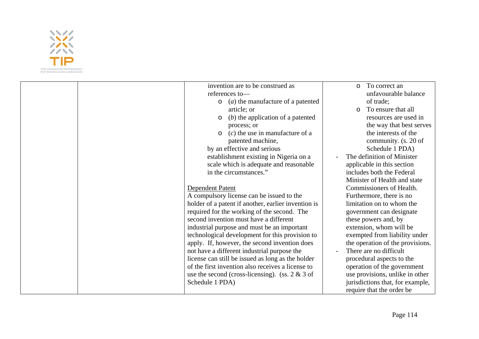

| invention are to be construed as                    | To correct an<br>$\Omega$        |
|-----------------------------------------------------|----------------------------------|
| references to-                                      | unfavourable balance             |
| $\circ$ ( <i>a</i> ) the manufacture of a patented  | of trade;                        |
| article; or                                         | To ensure that all<br>$\Omega$   |
| $(b)$ the application of a patented<br>$\circ$      | resources are used in            |
| process; or                                         | the way that best serves         |
| $(c)$ the use in manufacture of a<br>$\circ$        | the interests of the             |
| patented machine,                                   | community. (s. 20 of             |
| by an effective and serious                         | Schedule 1 PDA)                  |
| establishment existing in Nigeria on a              | The definition of Minister       |
| scale which is adequate and reasonable              | applicable in this section       |
| in the circumstances."                              | includes both the Federal        |
|                                                     | Minister of Health and state     |
| Dependent Patent                                    | Commissioners of Health.         |
| A compulsory license can be issued to the           | Furthermore, there is no         |
| holder of a patent if another, earlier invention is | limitation on to whom the        |
| required for the working of the second. The         | government can designate         |
| second invention must have a different              | these powers and, by             |
| industrial purpose and must be an important         | extension, whom will be          |
| technological development for this provision to     | exempted from liability under    |
| apply. If, however, the second invention does       | the operation of the provisions. |
| not have a different industrial purpose the         | There are no difficult           |
| license can still be issued as long as the holder   | procedural aspects to the        |
| of the first invention also receives a license to   | operation of the government      |
| use the second (cross-licensing). (ss. $2 \& 3$ of  | use provisions, unlike in other  |
| Schedule 1 PDA)                                     | jurisdictions that, for example, |
|                                                     | require that the order be        |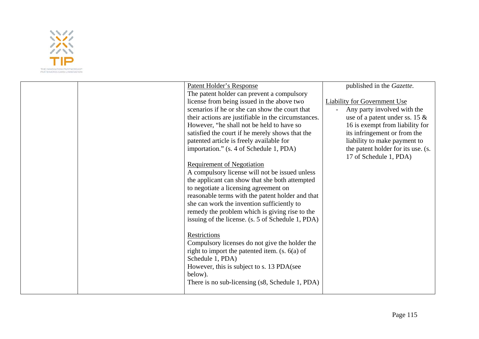

|  | Patent Holder's Response                            | published in the Gazette.          |
|--|-----------------------------------------------------|------------------------------------|
|  | The patent holder can prevent a compulsory          |                                    |
|  | license from being issued in the above two          | Liability for Government Use       |
|  | scenarios if he or she can show the court that      | Any party involved with the        |
|  | their actions are justifiable in the circumstances. | use of a patent under ss. 15 $\&$  |
|  | However, "he shall not be held to have so           | 16 is exempt from liability for    |
|  | satisfied the court if he merely shows that the     | its infringement or from the       |
|  | patented article is freely available for            | liability to make payment to       |
|  | importation." (s. 4 of Schedule 1, PDA)             | the patent holder for its use. (s. |
|  |                                                     | 17 of Schedule 1, PDA)             |
|  | <b>Requirement of Negotiation</b>                   |                                    |
|  | A compulsory license will not be issued unless      |                                    |
|  | the applicant can show that she both attempted      |                                    |
|  | to negotiate a licensing agreement on               |                                    |
|  | reasonable terms with the patent holder and that    |                                    |
|  | she can work the invention sufficiently to          |                                    |
|  | remedy the problem which is giving rise to the      |                                    |
|  | issuing of the license. (s. 5 of Schedule 1, PDA)   |                                    |
|  |                                                     |                                    |
|  | Restrictions                                        |                                    |
|  | Compulsory licenses do not give the holder the      |                                    |
|  | right to import the patented item. $(s, 6(a)$ of    |                                    |
|  | Schedule 1, PDA)                                    |                                    |
|  | However, this is subject to s. 13 PDA (see          |                                    |
|  | below).                                             |                                    |
|  | There is no sub-licensing (s8, Schedule 1, PDA)     |                                    |
|  |                                                     |                                    |
|  |                                                     |                                    |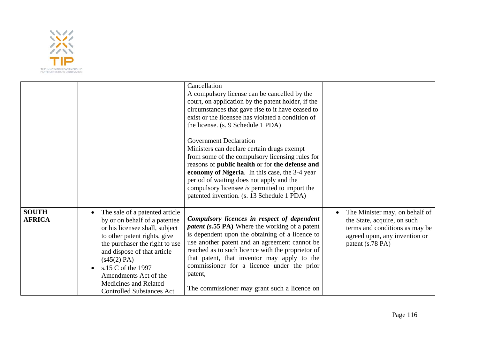

|                               |                                                                                                                                                                                                                                                                                                                                      | Cancellation<br>A compulsory license can be cancelled by the<br>court, on application by the patent holder, if the<br>circumstances that gave rise to it have ceased to<br>exist or the licensee has violated a condition of<br>the license. (s. 9 Schedule 1 PDA)<br><b>Government Declaration</b><br>Ministers can declare certain drugs exempt<br>from some of the compulsory licensing rules for<br>reasons of public health or for the defense and<br>economy of Nigeria. In this case, the 3-4 year |                                                                                                                                                                   |
|-------------------------------|--------------------------------------------------------------------------------------------------------------------------------------------------------------------------------------------------------------------------------------------------------------------------------------------------------------------------------------|-----------------------------------------------------------------------------------------------------------------------------------------------------------------------------------------------------------------------------------------------------------------------------------------------------------------------------------------------------------------------------------------------------------------------------------------------------------------------------------------------------------|-------------------------------------------------------------------------------------------------------------------------------------------------------------------|
|                               |                                                                                                                                                                                                                                                                                                                                      | period of waiting does not apply and the<br>compulsory licensee is permitted to import the<br>patented invention. (s. 13 Schedule 1 PDA)                                                                                                                                                                                                                                                                                                                                                                  |                                                                                                                                                                   |
| <b>SOUTH</b><br><b>AFRICA</b> | The sale of a patented article<br>by or on behalf of a patentee<br>or his licensee shall, subject<br>to other patent rights, give<br>the purchaser the right to use<br>and dispose of that article<br>(s45(2) PA)<br>s.15 C of the 1997<br>Amendments Act of the<br><b>Medicines and Related</b><br><b>Controlled Substances Act</b> | Compulsory licences in respect of dependent<br><i>patent</i> (s.55 PA) Where the working of a patent<br>is dependent upon the obtaining of a licence to<br>use another patent and an agreement cannot be<br>reached as to such licence with the proprietor of<br>that patent, that inventor may apply to the<br>commissioner for a licence under the prior<br>patent,<br>The commissioner may grant such a licence on                                                                                     | The Minister may, on behalf of<br>$\bullet$<br>the State, acquire, on such<br>terms and conditions as may be<br>agreed upon, any invention or<br>patent (s.78 PA) |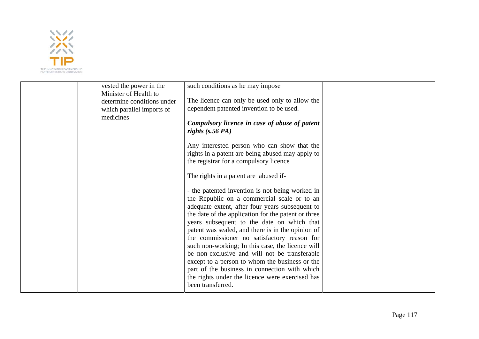

| vested the power in the<br>Minister of Health to<br>determine conditions under<br>which parallel imports of<br>medicines | such conditions as he may impose<br>The licence can only be used only to allow the<br>dependent patented invention to be used.<br>Compulsory licence in case of abuse of patent<br>rights $(s.56\text{ PA})$<br>Any interested person who can show that the<br>rights in a patent are being abused may apply to<br>the registrar for a compulsory licence<br>The rights in a patent are abused if-<br>- the patented invention is not being worked in<br>the Republic on a commercial scale or to an<br>adequate extent, after four years subsequent to<br>the date of the application for the patent or three<br>years subsequent to the date on which that<br>patent was sealed, and there is in the opinion of<br>the commissioner no satisfactory reason for<br>such non-working; In this case, the licence will<br>be non-exclusive and will not be transferable<br>except to a person to whom the business or the<br>part of the business in connection with which<br>the rights under the licence were exercised has<br>been transferred. |  |
|--------------------------------------------------------------------------------------------------------------------------|--------------------------------------------------------------------------------------------------------------------------------------------------------------------------------------------------------------------------------------------------------------------------------------------------------------------------------------------------------------------------------------------------------------------------------------------------------------------------------------------------------------------------------------------------------------------------------------------------------------------------------------------------------------------------------------------------------------------------------------------------------------------------------------------------------------------------------------------------------------------------------------------------------------------------------------------------------------------------------------------------------------------------------------------------|--|
|--------------------------------------------------------------------------------------------------------------------------|--------------------------------------------------------------------------------------------------------------------------------------------------------------------------------------------------------------------------------------------------------------------------------------------------------------------------------------------------------------------------------------------------------------------------------------------------------------------------------------------------------------------------------------------------------------------------------------------------------------------------------------------------------------------------------------------------------------------------------------------------------------------------------------------------------------------------------------------------------------------------------------------------------------------------------------------------------------------------------------------------------------------------------------------------|--|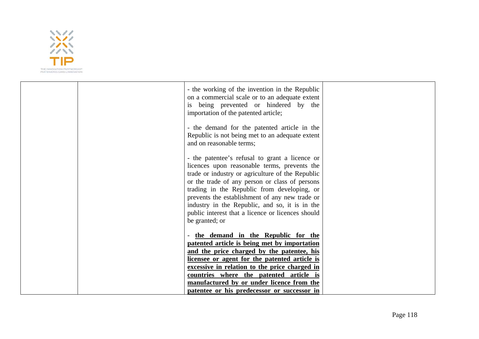

|  | - the working of the invention in the Republic<br>on a commercial scale or to an adequate extent<br>is being prevented or hindered by the<br>importation of the patented article;                                                                                                                                                                                                                                              |  |
|--|--------------------------------------------------------------------------------------------------------------------------------------------------------------------------------------------------------------------------------------------------------------------------------------------------------------------------------------------------------------------------------------------------------------------------------|--|
|  | - the demand for the patented article in the<br>Republic is not being met to an adequate extent<br>and on reasonable terms;                                                                                                                                                                                                                                                                                                    |  |
|  | - the patentee's refusal to grant a licence or<br>licences upon reasonable terms, prevents the<br>trade or industry or agriculture of the Republic<br>or the trade of any person or class of persons<br>trading in the Republic from developing, or<br>prevents the establishment of any new trade or<br>industry in the Republic, and so, it is in the<br>public interest that a licence or licences should<br>be granted; or |  |
|  | the demand in the Republic for the<br>patented article is being met by importation<br>and the price charged by the patentee, his<br>licensee or agent for the patented article is<br>excessive in relation to the price charged in<br>countries where the patented article is<br>manufactured by or under licence from the<br>patentee or his predecessor or successor in                                                      |  |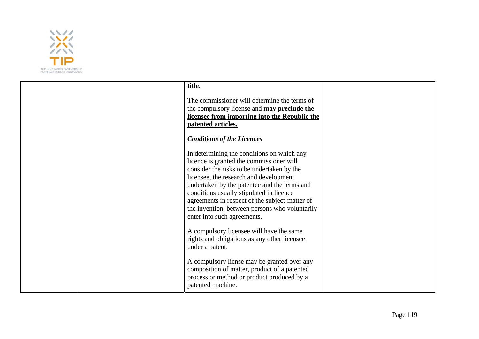

| title.                                                                                                                                                                                                                                                                                                                                                                                                        |  |
|---------------------------------------------------------------------------------------------------------------------------------------------------------------------------------------------------------------------------------------------------------------------------------------------------------------------------------------------------------------------------------------------------------------|--|
| The commissioner will determine the terms of<br>the compulsory license and <b>may preclude the</b><br>licensee from importing into the Republic the<br>patented articles.                                                                                                                                                                                                                                     |  |
| <b>Conditions of the Licences</b>                                                                                                                                                                                                                                                                                                                                                                             |  |
| In determining the conditions on which any<br>licence is granted the commissioner will<br>consider the risks to be undertaken by the<br>licensee, the research and development<br>undertaken by the patentee and the terms and<br>conditions usually stipulated in licence<br>agreements in respect of the subject-matter of<br>the invention, between persons who voluntarily<br>enter into such agreements. |  |
| A compulsory licensee will have the same<br>rights and obligations as any other licensee<br>under a patent.                                                                                                                                                                                                                                                                                                   |  |
| A compulsory licnse may be granted over any<br>composition of matter, product of a patented<br>process or method or product produced by a<br>patented machine.                                                                                                                                                                                                                                                |  |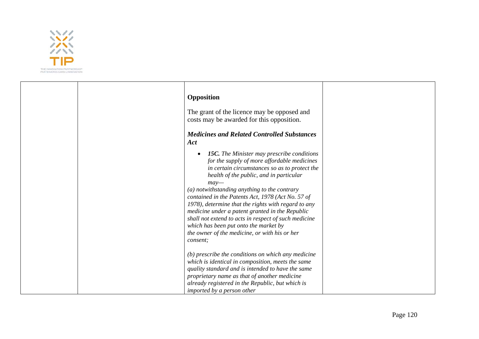

|  | Opposition                                                                                                                                                                                                                                                                                                                                                                                                                                                                                                                                                                          |  |
|--|-------------------------------------------------------------------------------------------------------------------------------------------------------------------------------------------------------------------------------------------------------------------------------------------------------------------------------------------------------------------------------------------------------------------------------------------------------------------------------------------------------------------------------------------------------------------------------------|--|
|  | The grant of the licence may be opposed and<br>costs may be awarded for this opposition.                                                                                                                                                                                                                                                                                                                                                                                                                                                                                            |  |
|  | <b>Medicines and Related Controlled Substances</b><br>Act                                                                                                                                                                                                                                                                                                                                                                                                                                                                                                                           |  |
|  | <b>15C.</b> The Minister may prescribe conditions<br>for the supply of more affordable medicines<br>in certain circumstances so as to protect the<br>health of the public, and in particular<br>$may-$<br>(a) notwithstanding anything to the contrary<br>contained in the Patents Act, 1978 (Act No. 57 of<br>1978), determine that the rights with regard to any<br>medicine under a patent granted in the Republic<br>shall not extend to acts in respect of such medicine<br>which has been put onto the market by<br>the owner of the medicine, or with his or her<br>consent: |  |
|  | (b) prescribe the conditions on which any medicine<br>which is identical in composition, meets the same<br>quality standard and is intended to have the same<br>proprietary name as that of another medicine<br>already registered in the Republic, but which is<br>imported by a person other                                                                                                                                                                                                                                                                                      |  |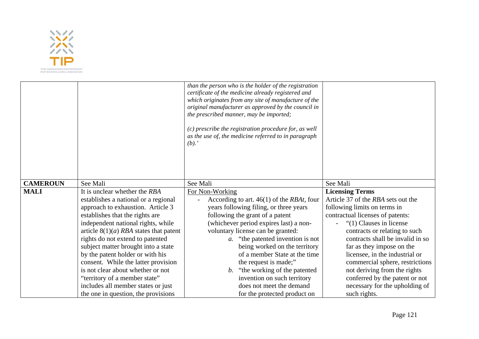

|                 |                                          | than the person who is the holder of the registration<br>certificate of the medicine already registered and<br>which originates from any site of manufacture of the<br>original manufacturer as approved by the council in<br>the prescribed manner, may be imported;<br>$(c)$ prescribe the registration procedure for, as well<br>as the use of, the medicine referred to in paragraph<br>$(b)$ . |                                    |
|-----------------|------------------------------------------|-----------------------------------------------------------------------------------------------------------------------------------------------------------------------------------------------------------------------------------------------------------------------------------------------------------------------------------------------------------------------------------------------------|------------------------------------|
| <b>CAMEROUN</b> | See Mali                                 | See Mali                                                                                                                                                                                                                                                                                                                                                                                            | See Mali                           |
| <b>MALI</b>     | It is unclear whether the RBA            | For Non-Working                                                                                                                                                                                                                                                                                                                                                                                     | <b>Licensing Terms</b>             |
|                 | establishes a national or a regional     | According to art. $46(1)$ of the <i>RBAt</i> , four                                                                                                                                                                                                                                                                                                                                                 | Article 37 of the RBA sets out the |
|                 | approach to exhaustion. Article 3        | years following filing, or three years                                                                                                                                                                                                                                                                                                                                                              | following limits on terms in       |
|                 | establishes that the rights are          | following the grant of a patent                                                                                                                                                                                                                                                                                                                                                                     | contractual licenses of patents:   |
|                 | independent national rights, while       | (whichever period expires last) a non-                                                                                                                                                                                                                                                                                                                                                              | " $(1)$ Clauses in license"        |
|                 | article $8(1)(a)$ RBA states that patent | voluntary license can be granted:                                                                                                                                                                                                                                                                                                                                                                   | contracts or relating to such      |
|                 | rights do not extend to patented         | <i>a</i> . "the patented invention is not                                                                                                                                                                                                                                                                                                                                                           | contracts shall be invalid in so   |
|                 | subject matter brought into a state      | being worked on the territory                                                                                                                                                                                                                                                                                                                                                                       | far as they impose on the          |
|                 | by the patent holder or with his         | of a member State at the time                                                                                                                                                                                                                                                                                                                                                                       | licensee, in the industrial or     |
|                 | consent. While the latter provision      | the request is made;"                                                                                                                                                                                                                                                                                                                                                                               | commercial sphere, restrictions    |
|                 | is not clear about whether or not        | "the working of the patented"<br>b.                                                                                                                                                                                                                                                                                                                                                                 | not deriving from the rights       |
|                 | "territory of a member state"            | invention on such territory                                                                                                                                                                                                                                                                                                                                                                         | conferred by the patent or not     |
|                 | includes all member states or just       | does not meet the demand                                                                                                                                                                                                                                                                                                                                                                            | necessary for the upholding of     |
|                 | the one in question, the provisions      | for the protected product on                                                                                                                                                                                                                                                                                                                                                                        | such rights.                       |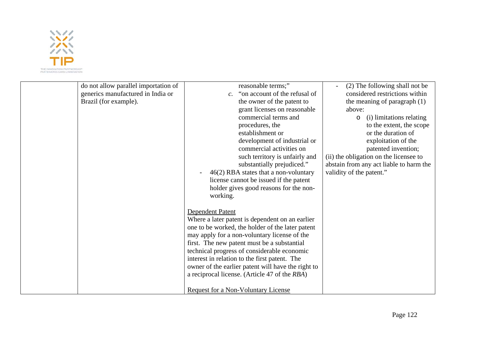

| do not allow parallel importation of | reasonable terms;"                                 | (2) The following shall not be          |
|--------------------------------------|----------------------------------------------------|-----------------------------------------|
| generics manufactured in India or    | "on account of the refusal of"<br>$\mathcal{C}$ .  | considered restrictions within          |
| Brazil (for example).                | the owner of the patent to                         | the meaning of paragraph $(1)$          |
|                                      | grant licenses on reasonable                       | above:                                  |
|                                      | commercial terms and                               | (i) limitations relating<br>O           |
|                                      | procedures, the                                    | to the extent, the scope                |
|                                      | establishment or                                   | or the duration of                      |
|                                      | development of industrial or                       | exploitation of the                     |
|                                      | commercial activities on                           | patented invention;                     |
|                                      | such territory is unfairly and                     | (ii) the obligation on the licensee to  |
|                                      | substantially prejudiced."                         | abstain from any act liable to harm the |
|                                      | 46(2) RBA states that a non-voluntary              | validity of the patent."                |
|                                      | license cannot be issued if the patent             |                                         |
|                                      | holder gives good reasons for the non-             |                                         |
|                                      | working.                                           |                                         |
|                                      | <b>Dependent Patent</b>                            |                                         |
|                                      | Where a later patent is dependent on an earlier    |                                         |
|                                      | one to be worked, the holder of the later patent   |                                         |
|                                      | may apply for a non-voluntary license of the       |                                         |
|                                      | first. The new patent must be a substantial        |                                         |
|                                      | technical progress of considerable economic        |                                         |
|                                      | interest in relation to the first patent. The      |                                         |
|                                      | owner of the earlier patent will have the right to |                                         |
|                                      | a reciprocal license. (Article 47 of the RBA)      |                                         |
|                                      |                                                    |                                         |
|                                      | Request for a Non-Voluntary License                |                                         |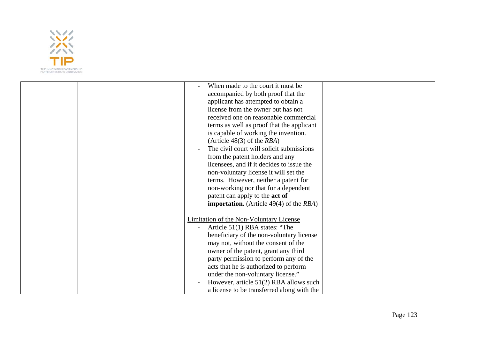

| When made to the court it must be              |  |
|------------------------------------------------|--|
| accompanied by both proof that the             |  |
| applicant has attempted to obtain a            |  |
| license from the owner but has not             |  |
| received one on reasonable commercial          |  |
| terms as well as proof that the applicant      |  |
| is capable of working the invention.           |  |
| (Article $48(3)$ of the $RBA$ )                |  |
| The civil court will solicit submissions       |  |
| from the patent holders and any                |  |
| licensees, and if it decides to issue the      |  |
| non-voluntary license it will set the          |  |
| terms. However, neither a patent for           |  |
| non-working nor that for a dependent           |  |
| patent can apply to the <b>act of</b>          |  |
| <b>importation.</b> (Article 49(4) of the RBA) |  |
|                                                |  |
| <b>Limitation of the Non-Voluntary License</b> |  |
| Article 51(1) RBA states: "The                 |  |
| beneficiary of the non-voluntary license       |  |
| may not, without the consent of the            |  |
| owner of the patent, grant any third           |  |
| party permission to perform any of the         |  |
| acts that he is authorized to perform          |  |
| under the non-voluntary license."              |  |
| However, article 51(2) RBA allows such         |  |
| a license to be transferred along with the     |  |
|                                                |  |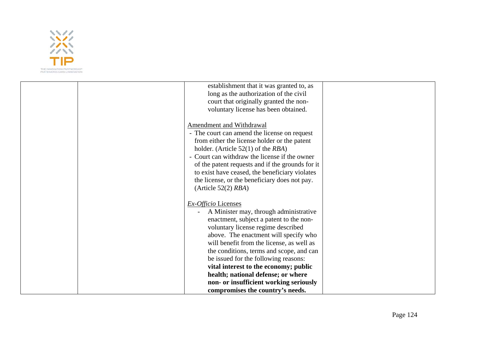

 $\mathbf{I}$ 

| establishment that it was granted to, as         |  |
|--------------------------------------------------|--|
| long as the authorization of the civil           |  |
| court that originally granted the non-           |  |
| voluntary license has been obtained.             |  |
|                                                  |  |
| Amendment and Withdrawal                         |  |
| - The court can amend the license on request     |  |
| from either the license holder or the patent     |  |
| holder. (Article $52(1)$ of the RBA)             |  |
| - Court can withdraw the license if the owner    |  |
| of the patent requests and if the grounds for it |  |
| to exist have ceased, the beneficiary violates   |  |
| the license, or the beneficiary does not pay.    |  |
| (Article 52(2) RBA)                              |  |
|                                                  |  |
| Ex-Officio Licenses                              |  |
| A Minister may, through administrative           |  |
| enactment, subject a patent to the non-          |  |
| voluntary license regime described               |  |
| above. The enactment will specify who            |  |
| will benefit from the license, as well as        |  |
| the conditions, terms and scope, and can         |  |
| be issued for the following reasons:             |  |
| vital interest to the economy; public            |  |
| health; national defense; or where               |  |
| non- or insufficient working seriously           |  |
| compromises the country's needs.                 |  |
|                                                  |  |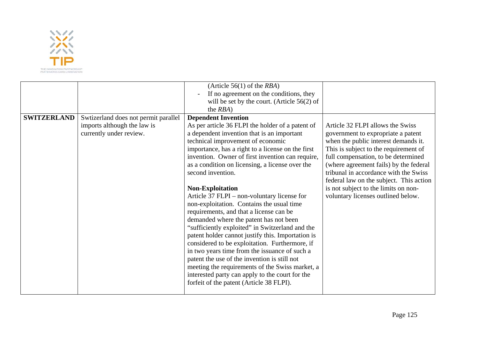

|                    |                                      | (Article $56(1)$ of the $RBA$ )                   |                                         |
|--------------------|--------------------------------------|---------------------------------------------------|-----------------------------------------|
|                    |                                      | If no agreement on the conditions, they           |                                         |
|                    |                                      | will be set by the court. (Article $56(2)$ of     |                                         |
|                    |                                      |                                                   |                                         |
|                    |                                      | the RBA)                                          |                                         |
| <b>SWITZERLAND</b> | Swtizerland does not permit parallel | <b>Dependent Invention</b>                        |                                         |
|                    | imports although the law is          | As per article 36 FLPI the holder of a patent of  | Article 32 FLPI allows the Swiss        |
|                    | currently under review.              | a dependent invention that is an important        | government to expropriate a patent      |
|                    |                                      | technical improvement of economic                 | when the public interest demands it.    |
|                    |                                      | importance, has a right to a license on the first | This is subject to the requirement of   |
|                    |                                      | invention. Owner of first invention can require,  | full compensation, to be determined     |
|                    |                                      | as a condition on licensing, a license over the   | (where agreement fails) by the federal  |
|                    |                                      | second invention.                                 | tribunal in accordance with the Swiss   |
|                    |                                      |                                                   | federal law on the subject. This action |
|                    |                                      | <b>Non-Exploitation</b>                           | is not subject to the limits on non-    |
|                    |                                      | Article 37 FLPI – non-voluntary license for       | voluntary licenses outlined below.      |
|                    |                                      | non-exploitation. Contains the usual time         |                                         |
|                    |                                      | requirements, and that a license can be           |                                         |
|                    |                                      | demanded where the patent has not been            |                                         |
|                    |                                      | "sufficiently exploited" in Switzerland and the   |                                         |
|                    |                                      | patent holder cannot justify this. Importation is |                                         |
|                    |                                      | considered to be exploitation. Furthermore, if    |                                         |
|                    |                                      |                                                   |                                         |
|                    |                                      | in two years time from the issuance of such a     |                                         |
|                    |                                      | patent the use of the invention is still not      |                                         |
|                    |                                      | meeting the requirements of the Swiss market, a   |                                         |
|                    |                                      | interested party can apply to the court for the   |                                         |
|                    |                                      | forfeit of the patent (Article 38 FLPI).          |                                         |
|                    |                                      |                                                   |                                         |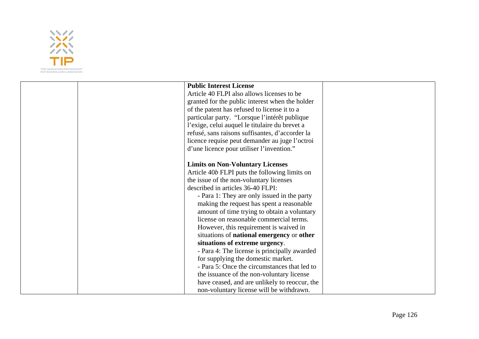

| <b>Public Interest License</b><br>Article 40 FLPI also allows licenses to be<br>granted for the public interest when the holder<br>of the patent has refused to license it to a<br>particular party. "Lorsque l'intérêt publique<br>l'exige, celui auquel le titulaire du brevet a<br>refusé, sans raisons suffisantes, d'accorder la<br>licence requise peut demander au juge l'octroi<br>d'une licence pour utiliser l'invention."<br><b>Limits on Non-Voluntary Licenses</b><br>Article 40b FLPI puts the following limits on<br>the issue of the non-voluntary licenses<br>described in articles 36-40 FLPI:<br>- Para 1: They are only issued in the party<br>making the request has spent a reasonable<br>amount of time trying to obtain a voluntary<br>license on reasonable commercial terms.<br>However, this requirement is waived in<br>situations of national emergency or other<br>situations of extreme urgency.<br>- Para 4: The license is principally awarded<br>for supplying the domestic market.<br>- Para 5: Once the circumstances that led to<br>the issuance of the non-voluntary license<br>have ceased, and are unlikely to reoccur, the<br>non-voluntary license will be withdrawn. |  |  |
|-----------------------------------------------------------------------------------------------------------------------------------------------------------------------------------------------------------------------------------------------------------------------------------------------------------------------------------------------------------------------------------------------------------------------------------------------------------------------------------------------------------------------------------------------------------------------------------------------------------------------------------------------------------------------------------------------------------------------------------------------------------------------------------------------------------------------------------------------------------------------------------------------------------------------------------------------------------------------------------------------------------------------------------------------------------------------------------------------------------------------------------------------------------------------------------------------------------------|--|--|
|                                                                                                                                                                                                                                                                                                                                                                                                                                                                                                                                                                                                                                                                                                                                                                                                                                                                                                                                                                                                                                                                                                                                                                                                                 |  |  |
|                                                                                                                                                                                                                                                                                                                                                                                                                                                                                                                                                                                                                                                                                                                                                                                                                                                                                                                                                                                                                                                                                                                                                                                                                 |  |  |
|                                                                                                                                                                                                                                                                                                                                                                                                                                                                                                                                                                                                                                                                                                                                                                                                                                                                                                                                                                                                                                                                                                                                                                                                                 |  |  |
|                                                                                                                                                                                                                                                                                                                                                                                                                                                                                                                                                                                                                                                                                                                                                                                                                                                                                                                                                                                                                                                                                                                                                                                                                 |  |  |
|                                                                                                                                                                                                                                                                                                                                                                                                                                                                                                                                                                                                                                                                                                                                                                                                                                                                                                                                                                                                                                                                                                                                                                                                                 |  |  |
|                                                                                                                                                                                                                                                                                                                                                                                                                                                                                                                                                                                                                                                                                                                                                                                                                                                                                                                                                                                                                                                                                                                                                                                                                 |  |  |
|                                                                                                                                                                                                                                                                                                                                                                                                                                                                                                                                                                                                                                                                                                                                                                                                                                                                                                                                                                                                                                                                                                                                                                                                                 |  |  |
|                                                                                                                                                                                                                                                                                                                                                                                                                                                                                                                                                                                                                                                                                                                                                                                                                                                                                                                                                                                                                                                                                                                                                                                                                 |  |  |
|                                                                                                                                                                                                                                                                                                                                                                                                                                                                                                                                                                                                                                                                                                                                                                                                                                                                                                                                                                                                                                                                                                                                                                                                                 |  |  |
|                                                                                                                                                                                                                                                                                                                                                                                                                                                                                                                                                                                                                                                                                                                                                                                                                                                                                                                                                                                                                                                                                                                                                                                                                 |  |  |
|                                                                                                                                                                                                                                                                                                                                                                                                                                                                                                                                                                                                                                                                                                                                                                                                                                                                                                                                                                                                                                                                                                                                                                                                                 |  |  |
|                                                                                                                                                                                                                                                                                                                                                                                                                                                                                                                                                                                                                                                                                                                                                                                                                                                                                                                                                                                                                                                                                                                                                                                                                 |  |  |
|                                                                                                                                                                                                                                                                                                                                                                                                                                                                                                                                                                                                                                                                                                                                                                                                                                                                                                                                                                                                                                                                                                                                                                                                                 |  |  |
|                                                                                                                                                                                                                                                                                                                                                                                                                                                                                                                                                                                                                                                                                                                                                                                                                                                                                                                                                                                                                                                                                                                                                                                                                 |  |  |
|                                                                                                                                                                                                                                                                                                                                                                                                                                                                                                                                                                                                                                                                                                                                                                                                                                                                                                                                                                                                                                                                                                                                                                                                                 |  |  |
|                                                                                                                                                                                                                                                                                                                                                                                                                                                                                                                                                                                                                                                                                                                                                                                                                                                                                                                                                                                                                                                                                                                                                                                                                 |  |  |
|                                                                                                                                                                                                                                                                                                                                                                                                                                                                                                                                                                                                                                                                                                                                                                                                                                                                                                                                                                                                                                                                                                                                                                                                                 |  |  |
|                                                                                                                                                                                                                                                                                                                                                                                                                                                                                                                                                                                                                                                                                                                                                                                                                                                                                                                                                                                                                                                                                                                                                                                                                 |  |  |
|                                                                                                                                                                                                                                                                                                                                                                                                                                                                                                                                                                                                                                                                                                                                                                                                                                                                                                                                                                                                                                                                                                                                                                                                                 |  |  |
|                                                                                                                                                                                                                                                                                                                                                                                                                                                                                                                                                                                                                                                                                                                                                                                                                                                                                                                                                                                                                                                                                                                                                                                                                 |  |  |
|                                                                                                                                                                                                                                                                                                                                                                                                                                                                                                                                                                                                                                                                                                                                                                                                                                                                                                                                                                                                                                                                                                                                                                                                                 |  |  |
|                                                                                                                                                                                                                                                                                                                                                                                                                                                                                                                                                                                                                                                                                                                                                                                                                                                                                                                                                                                                                                                                                                                                                                                                                 |  |  |
|                                                                                                                                                                                                                                                                                                                                                                                                                                                                                                                                                                                                                                                                                                                                                                                                                                                                                                                                                                                                                                                                                                                                                                                                                 |  |  |
|                                                                                                                                                                                                                                                                                                                                                                                                                                                                                                                                                                                                                                                                                                                                                                                                                                                                                                                                                                                                                                                                                                                                                                                                                 |  |  |
|                                                                                                                                                                                                                                                                                                                                                                                                                                                                                                                                                                                                                                                                                                                                                                                                                                                                                                                                                                                                                                                                                                                                                                                                                 |  |  |
|                                                                                                                                                                                                                                                                                                                                                                                                                                                                                                                                                                                                                                                                                                                                                                                                                                                                                                                                                                                                                                                                                                                                                                                                                 |  |  |
|                                                                                                                                                                                                                                                                                                                                                                                                                                                                                                                                                                                                                                                                                                                                                                                                                                                                                                                                                                                                                                                                                                                                                                                                                 |  |  |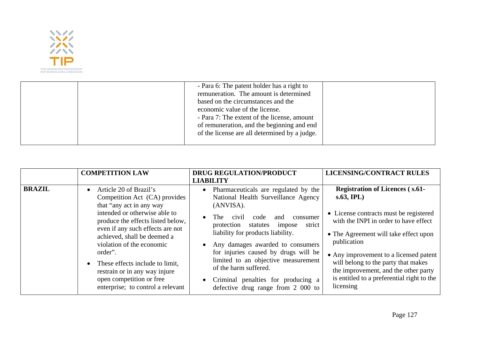

|  | - Para 6: The patent holder has a right to<br>remuneration. The amount is determined<br>based on the circumstances and the<br>economic value of the license.<br>- Para 7: The extent of the license, amount<br>of remuneration, and the beginning and end<br>of the license are all determined by a judge. |  |
|--|------------------------------------------------------------------------------------------------------------------------------------------------------------------------------------------------------------------------------------------------------------------------------------------------------------|--|
|  |                                                                                                                                                                                                                                                                                                            |  |

|               | <b>COMPETITION LAW</b>                                                                                                                                                                                                                                                                                                                                                                                                 | <b>DRUG REGULATION/PRODUCT</b>                                                                                                                                                                                                                                                                                                                                                                                                                                           | <b>LICENSING/CONTRACT RULES</b>                                                                                                                                                                                                                                                                                                                                                        |
|---------------|------------------------------------------------------------------------------------------------------------------------------------------------------------------------------------------------------------------------------------------------------------------------------------------------------------------------------------------------------------------------------------------------------------------------|--------------------------------------------------------------------------------------------------------------------------------------------------------------------------------------------------------------------------------------------------------------------------------------------------------------------------------------------------------------------------------------------------------------------------------------------------------------------------|----------------------------------------------------------------------------------------------------------------------------------------------------------------------------------------------------------------------------------------------------------------------------------------------------------------------------------------------------------------------------------------|
|               |                                                                                                                                                                                                                                                                                                                                                                                                                        | <b>LIABILITY</b>                                                                                                                                                                                                                                                                                                                                                                                                                                                         |                                                                                                                                                                                                                                                                                                                                                                                        |
| <b>BRAZIL</b> | Article 20 of Brazil's<br>$\bullet$<br>Competition Act (CA) provides<br>that "any act in any way<br>intended or otherwise able to<br>produce the effects listed below,<br>even if any such effects are not<br>achieved, shall be deemed a<br>violation of the economic<br>order".<br>These effects include to limit,<br>restrain or in any way injure<br>open competition or free<br>enterprise; to control a relevant | Pharmaceuticals are regulated by the<br>$\bullet$<br>National Health Surveillance Agency<br>(ANVISA).<br>code<br>The<br>and<br>consumer<br>civil<br>protection<br>statutes<br>strict<br>impose<br>liability for products liability.<br>Any damages awarded to consumers<br>for injuries caused by drugs will be<br>limited to an objective measurement<br>of the harm suffered.<br>Criminal penalties for producing a<br>$\bullet$<br>defective drug range from 2 000 to | <b>Registration of Licences (s.61-</b><br>$s.63$ , IPL)<br>• License contracts must be registered<br>with the INPI in order to have effect<br>• The Agreement will take effect upon<br>publication<br>• Any improvement to a licensed patent<br>will belong to the party that makes<br>the improvement, and the other party<br>is entitled to a preferential right to the<br>licensing |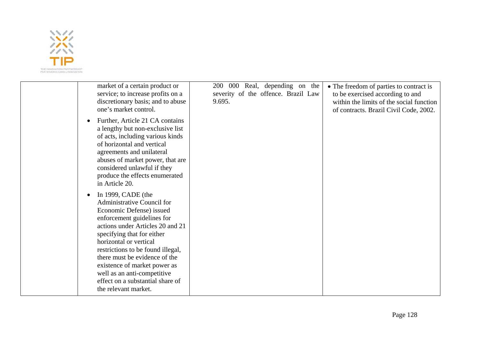

| market of a certain product or<br>service; to increase profits on a<br>discretionary basis; and to abuse<br>one's market control.                                                                                                                                                                                                                                                                              | 000 Real, depending on the<br>200<br>severity of the offence. Brazil Law<br>9.695. | • The freedom of parties to contract is<br>to be exercised according to and<br>within the limits of the social function<br>of contracts. Brazil Civil Code, 2002. |
|----------------------------------------------------------------------------------------------------------------------------------------------------------------------------------------------------------------------------------------------------------------------------------------------------------------------------------------------------------------------------------------------------------------|------------------------------------------------------------------------------------|-------------------------------------------------------------------------------------------------------------------------------------------------------------------|
| Further, Article 21 CA contains<br>a lengthy but non-exclusive list<br>of acts, including various kinds<br>of horizontal and vertical<br>agreements and unilateral<br>abuses of market power, that are<br>considered unlawful if they<br>produce the effects enumerated<br>in Article 20.                                                                                                                      |                                                                                    |                                                                                                                                                                   |
| In 1999, CADE (the<br><b>Administrative Council for</b><br>Economic Defense) issued<br>enforcement guidelines for<br>actions under Articles 20 and 21<br>specifying that for either<br>horizontal or vertical<br>restrictions to be found illegal,<br>there must be evidence of the<br>existence of market power as<br>well as an anti-competitive<br>effect on a substantial share of<br>the relevant market. |                                                                                    |                                                                                                                                                                   |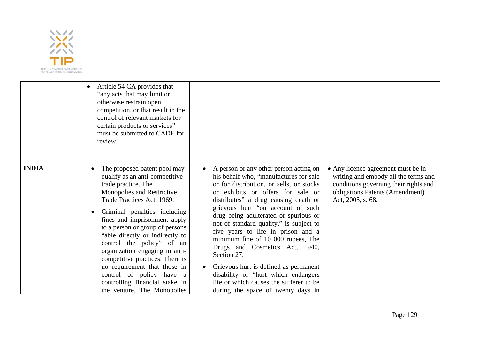

|              | Article 54 CA provides that<br>"any acts that may limit or"<br>otherwise restrain open<br>competition, or that result in the<br>control of relevant markets for<br>certain products or services"<br>must be submitted to CADE for<br>review.                                                                                                                                                                                                                                                                                        |                                                                                                                                                                                                                                                                                                                                                                                                                                                                                                                                                                                                                                               |                                                                                                                                                                             |
|--------------|-------------------------------------------------------------------------------------------------------------------------------------------------------------------------------------------------------------------------------------------------------------------------------------------------------------------------------------------------------------------------------------------------------------------------------------------------------------------------------------------------------------------------------------|-----------------------------------------------------------------------------------------------------------------------------------------------------------------------------------------------------------------------------------------------------------------------------------------------------------------------------------------------------------------------------------------------------------------------------------------------------------------------------------------------------------------------------------------------------------------------------------------------------------------------------------------------|-----------------------------------------------------------------------------------------------------------------------------------------------------------------------------|
| <b>INDIA</b> | The proposed patent pool may<br>qualify as an anti-competitive<br>trade practice. The<br>Monopolies and Restrictive<br>Trade Practices Act, 1969.<br>Criminal penalties including<br>$\bullet$<br>fines and imprisonment apply<br>to a person or group of persons<br>"able directly or indirectly to<br>control the policy" of an<br>organization engaging in anti-<br>competitive practices. There is<br>no requirement that those in<br>control of policy have a<br>controlling financial stake in<br>the venture. The Monopolies | A person or any other person acting on<br>his behalf who, "manufactures for sale<br>or for distribution, or sells, or stocks<br>or exhibits or offers for sale or<br>distributes" a drug causing death or<br>grievous hurt "on account of such<br>drug being adulterated or spurious or<br>not of standard quality," is subject to<br>five years to life in prison and a<br>minimum fine of 10 000 rupees, The<br>Drugs and Cosmetics Act, 1940,<br>Section 27.<br>Grievous hurt is defined as permanent<br>$\bullet$<br>disability or "hurt which endangers<br>life or which causes the sufferer to be<br>during the space of twenty days in | • Any licence agreement must be in<br>writing and embody all the terms and<br>conditions governing their rights and<br>obligations Patents (Amendment)<br>Act, 2005, s. 68. |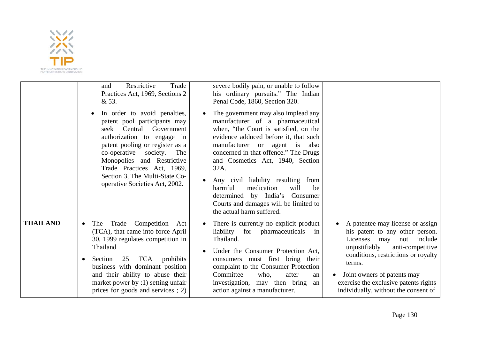

|                 | Trade                                                                                                                                                                                                                                                                                                                                   |                                                                                                                                                                                                                                                                                                                                                                                                                                                                                                   |                                                                                                                                                                                                                                                                                                                  |
|-----------------|-----------------------------------------------------------------------------------------------------------------------------------------------------------------------------------------------------------------------------------------------------------------------------------------------------------------------------------------|---------------------------------------------------------------------------------------------------------------------------------------------------------------------------------------------------------------------------------------------------------------------------------------------------------------------------------------------------------------------------------------------------------------------------------------------------------------------------------------------------|------------------------------------------------------------------------------------------------------------------------------------------------------------------------------------------------------------------------------------------------------------------------------------------------------------------|
|                 | Restrictive<br>and<br>Practices Act, 1969, Sections 2<br>& 53.                                                                                                                                                                                                                                                                          | severe bodily pain, or unable to follow<br>his ordinary pursuits." The Indian<br>Penal Code, 1860, Section 320.                                                                                                                                                                                                                                                                                                                                                                                   |                                                                                                                                                                                                                                                                                                                  |
|                 | In order to avoid penalties,<br>patent pool participants may<br>seek Central<br>Government<br>authorization to engage in<br>patent pooling or register as a<br>co-operative<br>society.<br>The<br>Monopolies and Restrictive<br>Trade Practices Act, 1969,<br>Section 3, The Multi-State Co-<br>operative Societies Act, 2002.          | The government may also implead any<br>$\bullet$<br>manufacturer of a pharmaceutical<br>when, "the Court is satisfied, on the<br>evidence adduced before it, that such<br>manufacturer or agent is also<br>concerned in that offence." The Drugs<br>and Cosmetics Act, 1940, Section<br>32A.<br>Any civil liability resulting from<br>$\bullet$<br>harmful<br>medication<br>will<br>be<br>determined by India's<br>Consumer<br>Courts and damages will be limited to<br>the actual harm suffered. |                                                                                                                                                                                                                                                                                                                  |
| <b>THAILAND</b> | Trade Competition<br>The<br>Act<br>$\bullet$<br>(TCA), that came into force April<br>30, 1999 regulates competition in<br>Thailand<br>TCA<br>Section<br>25<br>prohibits<br>$\bullet$<br>business with dominant position<br>and their ability to abuse their<br>market power by :1) setting unfair<br>prices for goods and services ; 2) | There is currently no explicit product<br>$\bullet$<br>pharmaceuticals<br>liability<br>for<br>in<br>Thailand.<br>Under the Consumer Protection Act,<br>$\bullet$<br>consumers must first bring their<br>complaint to the Consumer Protection<br>Committee<br>who.<br>after<br>an<br>may then bring<br>investigation,<br>an<br>action against a manufacturer.                                                                                                                                      | • A patentee may license or assign<br>his patent to any other person.<br>Licenses<br>include<br>may<br>not<br>unjustifiably<br>anti-competitive<br>conditions, restrictions or royalty<br>terms.<br>Joint owners of patents may<br>exercise the exclusive patents rights<br>individually, without the consent of |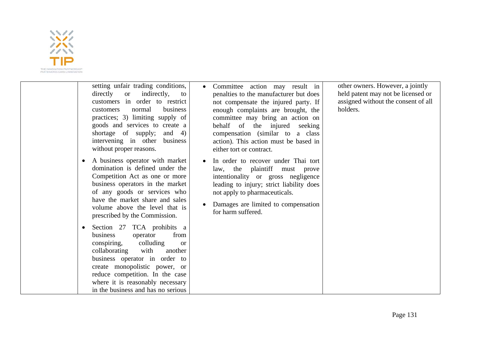

| setting unfair trading conditions,<br>indirectly,<br>directly<br><sub>or</sub><br>to<br>customers in order to restrict<br>business<br>normal<br>customers<br>practices; 3) limiting supply of<br>goods and services to create a<br>shortage of supply;<br>and $4)$<br>intervening in other business<br>without proper reasons. | Committee action may result in<br>penalties to the manufacturer but does<br>not compensate the injured party. If<br>enough complaints are brought, the<br>committee may bring an action on<br>behalf of the injured seeking<br>compensation (similar to a class<br>action). This action must be based in<br>either tort or contract. | other owners. However, a jointly<br>held patent may not be licensed or<br>assigned without the consent of all<br>holders. |
|--------------------------------------------------------------------------------------------------------------------------------------------------------------------------------------------------------------------------------------------------------------------------------------------------------------------------------|--------------------------------------------------------------------------------------------------------------------------------------------------------------------------------------------------------------------------------------------------------------------------------------------------------------------------------------|---------------------------------------------------------------------------------------------------------------------------|
| A business operator with market<br>domination is defined under the<br>Competition Act as one or more<br>business operators in the market<br>of any goods or services who<br>have the market share and sales<br>volume above the level that is<br>prescribed by the Commission.                                                 | In order to recover under Thai tort<br>law, the plaintiff<br>must prove<br>intentionality or gross negligence<br>leading to injury; strict liability does<br>not apply to pharmaceuticals.<br>Damages are limited to compensation<br>for harm suffered.                                                                              |                                                                                                                           |
| Section 27 TCA prohibits a<br>business<br>operator<br>from<br>conspiring,<br>colluding<br><sub>or</sub><br>collaborating<br>with<br>another<br>business operator in order to<br>create monopolistic power, or<br>reduce competition. In the case<br>where it is reasonably necessary<br>in the business and has no serious     |                                                                                                                                                                                                                                                                                                                                      |                                                                                                                           |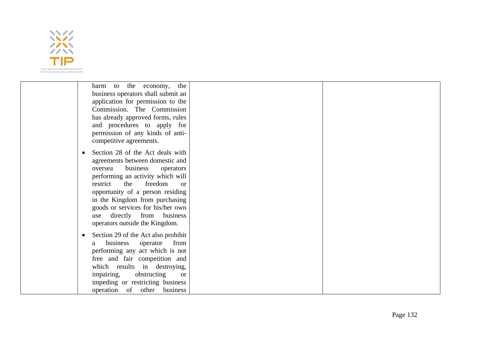

| the<br>the<br>to<br>economy,<br>harm       |  |
|--------------------------------------------|--|
| business operators shall submit an         |  |
| application for permission to the          |  |
| Commission. The Commission                 |  |
| has already approved forms, rules          |  |
| and procedures to apply for                |  |
| permission of any kinds of anti-           |  |
| competitive agreements.                    |  |
|                                            |  |
| Section 28 of the Act deals with           |  |
| agreements between domestic and            |  |
| business<br>oversea<br>operators           |  |
| performing an activity which will          |  |
| restrict<br>the<br>freedom<br>$\alpha$     |  |
| opportunity of a person residing           |  |
| in the Kingdom from purchasing             |  |
| goods or services for his/her own          |  |
| directly from business<br>use              |  |
| operators outside the Kingdom.             |  |
| Section 29 of the Act also prohibit        |  |
| business<br>operator<br>from<br>a          |  |
| performing any act which is not            |  |
| free and fair competition and              |  |
| which results in destroying,               |  |
| impairing,<br>obstructing<br><sub>or</sub> |  |
| impeding or restricting business           |  |
| operation of other business                |  |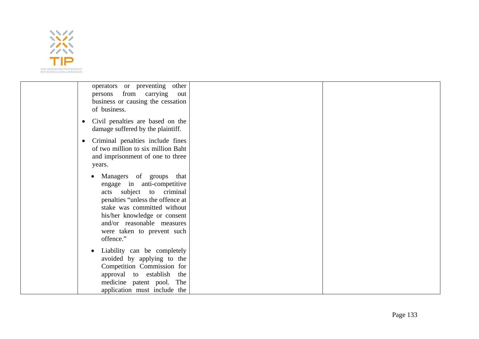

| operators or preventing other<br>from carrying<br>persons<br>out<br>business or causing the cessation<br>of business.                                                                                                                                         |  |
|---------------------------------------------------------------------------------------------------------------------------------------------------------------------------------------------------------------------------------------------------------------|--|
| Civil penalties are based on the<br>$\bullet$<br>damage suffered by the plaintiff.                                                                                                                                                                            |  |
| Criminal penalties include fines<br>$\bullet$<br>of two million to six million Baht<br>and imprisonment of one to three<br>years.                                                                                                                             |  |
| Managers of groups that<br>engage in anti-competitive<br>acts subject to criminal<br>penalties "unless the offence at<br>stake was committed without<br>his/her knowledge or consent<br>and/or reasonable measures<br>were taken to prevent such<br>offence." |  |
| Liability can be completely<br>avoided by applying to the<br>Competition Commission for<br>approval to establish the<br>medicine patent pool. The<br>application must include the                                                                             |  |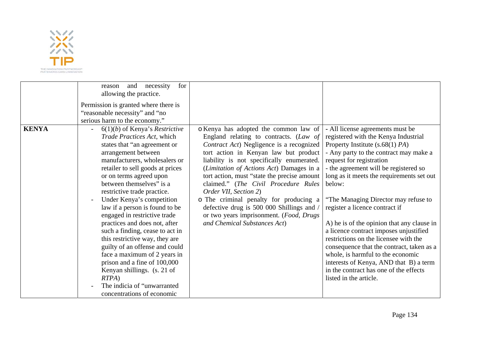

| allowing the practice.<br>Permission is granted where there is<br>"reasonable necessity" and "no<br>serious harm to the economy."<br><b>KENYA</b><br>o Kenya has adopted the common law of<br>$6(1)(b)$ of Kenya's Restrictive<br>- All license agreements must be<br>England relating to contracts. (Law of<br>registered with the Kenya Industrial<br>Trade Practices Act, which<br>states that "an agreement or<br>Contract Act) Negligence is a recognized<br>Property Institute $(s.68(1) PA)$<br>tort action in Kenyan law but product<br>arrangement between<br>manufacturers, wholesalers or<br>liability is not specifically enumerated.<br>request for registration<br>(Limitation of Actions Act) Damages in a<br>- the agreement will be registered so<br>retailer to sell goods at prices<br>or on terms agreed upon<br>tort action, must "state the precise amount<br>between themselves" is a<br>claimed." (The Civil Procedure Rules<br>below:<br>restrictive trade practice.<br>Order VII, Section 2)<br>Under Kenya's competition<br>o The criminal penalty for producing a<br>defective drug is 500 000 Shillings and /<br>law if a person is found to be<br>register a licence contract if | for<br>necessity<br>and<br>reason |                                         |                                                                                                                                                                                                                     |
|----------------------------------------------------------------------------------------------------------------------------------------------------------------------------------------------------------------------------------------------------------------------------------------------------------------------------------------------------------------------------------------------------------------------------------------------------------------------------------------------------------------------------------------------------------------------------------------------------------------------------------------------------------------------------------------------------------------------------------------------------------------------------------------------------------------------------------------------------------------------------------------------------------------------------------------------------------------------------------------------------------------------------------------------------------------------------------------------------------------------------------------------------------------------------------------------------------------|-----------------------------------|-----------------------------------------|---------------------------------------------------------------------------------------------------------------------------------------------------------------------------------------------------------------------|
|                                                                                                                                                                                                                                                                                                                                                                                                                                                                                                                                                                                                                                                                                                                                                                                                                                                                                                                                                                                                                                                                                                                                                                                                                |                                   |                                         |                                                                                                                                                                                                                     |
|                                                                                                                                                                                                                                                                                                                                                                                                                                                                                                                                                                                                                                                                                                                                                                                                                                                                                                                                                                                                                                                                                                                                                                                                                |                                   |                                         |                                                                                                                                                                                                                     |
|                                                                                                                                                                                                                                                                                                                                                                                                                                                                                                                                                                                                                                                                                                                                                                                                                                                                                                                                                                                                                                                                                                                                                                                                                |                                   |                                         |                                                                                                                                                                                                                     |
|                                                                                                                                                                                                                                                                                                                                                                                                                                                                                                                                                                                                                                                                                                                                                                                                                                                                                                                                                                                                                                                                                                                                                                                                                |                                   |                                         |                                                                                                                                                                                                                     |
|                                                                                                                                                                                                                                                                                                                                                                                                                                                                                                                                                                                                                                                                                                                                                                                                                                                                                                                                                                                                                                                                                                                                                                                                                |                                   |                                         | - Any party to the contract may make a<br>long as it meets the requirements set out                                                                                                                                 |
| practices and does not, after<br>and Chemical Substances Act)<br>such a finding, cease to act in<br>this restrictive way, they are<br>restrictions on the licensee with the<br>guilty of an offense and could<br>face a maximum of 2 years in<br>whole, is harmful to the economic<br>prison and a fine of 100,000<br>in the contract has one of the effects<br>Kenyan shillings. (s. 21 of<br>listed in the article.<br>RTPA<br>The indicia of "unwarranted"                                                                                                                                                                                                                                                                                                                                                                                                                                                                                                                                                                                                                                                                                                                                                  | engaged in restrictive trade      | or two years imprisonment. (Food, Drugs | "The Managing Director may refuse to<br>A) he is of the opinion that any clause in<br>a licence contract imposes unjustified<br>consequence that the contract, taken as a<br>interests of Kenya, AND that B) a term |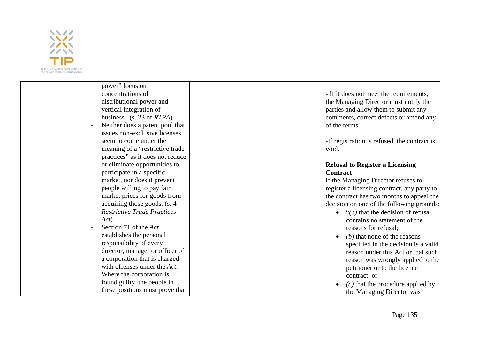

| power" focus on                      |                                              |
|--------------------------------------|----------------------------------------------|
| concentrations of                    | - If it does not meet the requirements,      |
| distributional power and             | the Managing Director must notify the        |
| vertical integration of              | parties and allow them to submit any         |
| business. $(s. 23 \text{ of } RTPA)$ | comments, correct defects or amend any       |
| Neither does a patent pool that      | of the terms                                 |
| issues non-exclusive licenses        |                                              |
| seem to come under the               | -If registration is refused, the contract is |
| meaning of a "restrictive trade"     | void.                                        |
| practices" as it does not reduce     |                                              |
| or eliminate opportunities to        | <b>Refusal to Register a Licensing</b>       |
| participate in a specific            | <b>Contract</b>                              |
| market, nor does it prevent          | If the Managing Director refuses to          |
| people willing to pay fair           | register a licensing contract, any party to  |
| market prices for goods from         | the contract has two months to appeal the    |
| acquiring those goods. (s. 4)        | decision on one of the following grounds:    |
| <b>Restrictive Trade Practices</b>   | "( <i>a</i> ) that the decision of refusal   |
| Act)                                 | contains no statement of the                 |
| Section 71 of the Act                | reasons for refusal;                         |
| establishes the personal             | $(b)$ that none of the reasons<br>$\bullet$  |
| responsibility of every              | specified in the decision is a valid         |
| director, manager or officer of      | reason under this Act or that such           |
| a corporation that is charged        | reason was wrongly applied to the            |
| with offenses under the Act.         | petitioner or to the licence                 |
| Where the corporation is             | contract; or                                 |
| found guilty, the people in          | $(c)$ that the procedure applied by          |
| these positions must prove that      | the Managing Director was                    |
|                                      |                                              |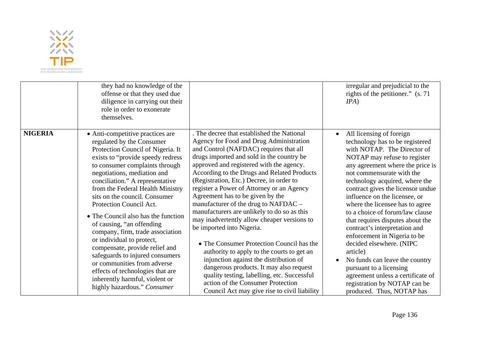

|                | they had no knowledge of the<br>offense or that they used due<br>diligence in carrying out their<br>role in order to exonerate<br>themselves.                                                                                                                                                                                                                                                                                                                                                                                                                                                                                                                                              |                                                                                                                                                                                                                                                                                                                                                                                                                                                                                                                                                                                                                                                                                                                                                                                                                                                                                           | irregular and prejudicial to the<br>rights of the petitioner." (s. 71)<br>IPA)                                                                                                                                                                                                                                                                                                                                                                                                                                                                                                                                                                                                                     |
|----------------|--------------------------------------------------------------------------------------------------------------------------------------------------------------------------------------------------------------------------------------------------------------------------------------------------------------------------------------------------------------------------------------------------------------------------------------------------------------------------------------------------------------------------------------------------------------------------------------------------------------------------------------------------------------------------------------------|-------------------------------------------------------------------------------------------------------------------------------------------------------------------------------------------------------------------------------------------------------------------------------------------------------------------------------------------------------------------------------------------------------------------------------------------------------------------------------------------------------------------------------------------------------------------------------------------------------------------------------------------------------------------------------------------------------------------------------------------------------------------------------------------------------------------------------------------------------------------------------------------|----------------------------------------------------------------------------------------------------------------------------------------------------------------------------------------------------------------------------------------------------------------------------------------------------------------------------------------------------------------------------------------------------------------------------------------------------------------------------------------------------------------------------------------------------------------------------------------------------------------------------------------------------------------------------------------------------|
| <b>NIGERIA</b> | • Anti-competitive practices are<br>regulated by the Consumer<br>Protection Council of Nigeria. It<br>exists to "provide speedy redress"<br>to consumer complaints through<br>negotiations, mediation and<br>conciliation." A representative<br>from the Federal Health Ministry<br>sits on the council. Consumer<br>Protection Council Act.<br>• The Council also has the function<br>of causing, "an offending<br>company, firm, trade association<br>or individual to protect,<br>compensate, provide relief and<br>safeguards to injured consumers<br>or communities from adverse<br>effects of technologies that are<br>inherently harmful, violent or<br>highly hazardous." Consumer | The decree that established the National<br>Agency for Food and Drug Administration<br>and Control (NAFDAC) requires that all<br>drugs imported and sold in the country be<br>approved and registered with the agency.<br>According to the Drugs and Related Products<br>(Registration, Etc.) Decree, in order to<br>register a Power of Attorney or an Agency<br>Agreement has to be given by the<br>manufacturer of the drug to NAFDAC -<br>manufacturers are unlikely to do so as this<br>may inadvertently allow cheaper versions to<br>be imported into Nigeria.<br>• The Consumer Protection Council has the<br>authority to apply to the courts to get an<br>injunction against the distribution of<br>dangerous products. It may also request<br>quality testing, labelling, etc. Successful<br>action of the Consumer Protection<br>Council Act may give rise to civil liability | All licensing of foreign<br>$\bullet$<br>technology has to be registered<br>with NOTAP. The Director of<br>NOTAP may refuse to register<br>any agreement where the price is<br>not commensurate with the<br>technology acquired, where the<br>contract gives the licensor undue<br>influence on the licensee, or<br>where the licensee has to agree<br>to a choice of forum/law clause<br>that requires disputes about the<br>contract's interpretation and<br>enforcement in Nigeria to be<br>decided elsewhere. (NIPC<br>article)<br>No funds can leave the country<br>pursuant to a licensing<br>agreement unless a certificate of<br>registration by NOTAP can be<br>produced. Thus, NOTAP has |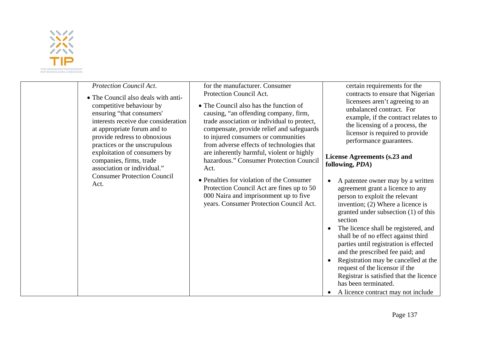

| Protection Council Act.<br>• The Council also deals with anti-<br>competitive behaviour by<br>ensuring "that consumers'<br>interests receive due consideration<br>at appropriate forum and to<br>provide redress to obnoxious<br>practices or the unscrupulous<br>exploitation of consumers by<br>companies, firms, trade<br>association or individual."<br><b>Consumer Protection Council</b><br>Act. | for the manufacturer. Consumer<br>Protection Council Act.<br>• The Council also has the function of<br>causing, "an offending company, firm,<br>trade association or individual to protect,<br>compensate, provide relief and safeguards<br>to injured consumers or communities<br>from adverse effects of technologies that<br>are inherently harmful, violent or highly<br>hazardous." Consumer Protection Council<br>Act.<br>• Penalties for violation of the Consumer<br>Protection Council Act are fines up to 50<br>000 Naira and imprisonment up to five<br>years. Consumer Protection Council Act. | certain requirements for the<br>contracts to ensure that Nigerian<br>licensees aren't agreeing to an<br>unbalanced contract. For<br>example, if the contract relates to<br>the licensing of a process, the<br>licensor is required to provide<br>performance guarantees.<br>License Agreements (s.23 and<br>following, PDA)<br>A patentee owner may by a written<br>$\bullet$<br>agreement grant a licence to any<br>person to exploit the relevant<br>invention; $(2)$ Where a licence is<br>granted under subsection (1) of this<br>section<br>The licence shall be registered, and<br>shall be of no effect against third<br>parties until registration is effected<br>and the prescribed fee paid; and<br>Registration may be cancelled at the |
|--------------------------------------------------------------------------------------------------------------------------------------------------------------------------------------------------------------------------------------------------------------------------------------------------------------------------------------------------------------------------------------------------------|------------------------------------------------------------------------------------------------------------------------------------------------------------------------------------------------------------------------------------------------------------------------------------------------------------------------------------------------------------------------------------------------------------------------------------------------------------------------------------------------------------------------------------------------------------------------------------------------------------|----------------------------------------------------------------------------------------------------------------------------------------------------------------------------------------------------------------------------------------------------------------------------------------------------------------------------------------------------------------------------------------------------------------------------------------------------------------------------------------------------------------------------------------------------------------------------------------------------------------------------------------------------------------------------------------------------------------------------------------------------|
|--------------------------------------------------------------------------------------------------------------------------------------------------------------------------------------------------------------------------------------------------------------------------------------------------------------------------------------------------------------------------------------------------------|------------------------------------------------------------------------------------------------------------------------------------------------------------------------------------------------------------------------------------------------------------------------------------------------------------------------------------------------------------------------------------------------------------------------------------------------------------------------------------------------------------------------------------------------------------------------------------------------------------|----------------------------------------------------------------------------------------------------------------------------------------------------------------------------------------------------------------------------------------------------------------------------------------------------------------------------------------------------------------------------------------------------------------------------------------------------------------------------------------------------------------------------------------------------------------------------------------------------------------------------------------------------------------------------------------------------------------------------------------------------|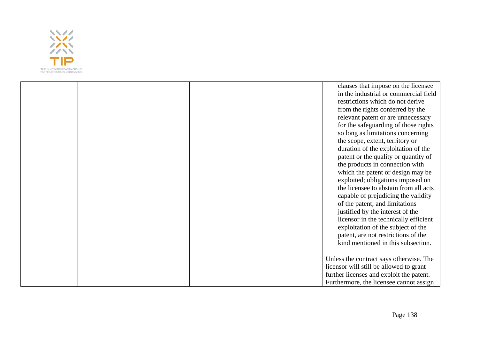

|  | clauses that impose on the licensee      |
|--|------------------------------------------|
|  | in the industrial or commercial field    |
|  | restrictions which do not derive         |
|  | from the rights conferred by the         |
|  | relevant patent or are unnecessary       |
|  | for the safeguarding of those rights     |
|  | so long as limitations concerning        |
|  | the scope, extent, territory or          |
|  | duration of the exploitation of the      |
|  | patent or the quality or quantity of     |
|  | the products in connection with          |
|  | which the patent or design may be        |
|  | exploited; obligations imposed on        |
|  | the licensee to abstain from all acts    |
|  | capable of prejudicing the validity      |
|  | of the patent; and limitations           |
|  | justified by the interest of the         |
|  | licensor in the technically efficient    |
|  | exploitation of the subject of the       |
|  | patent, are not restrictions of the      |
|  | kind mentioned in this subsection.       |
|  |                                          |
|  | Unless the contract says otherwise. The  |
|  | licensor will still be allowed to grant  |
|  | further licenses and exploit the patent. |
|  | Furthermore, the licensee cannot assign  |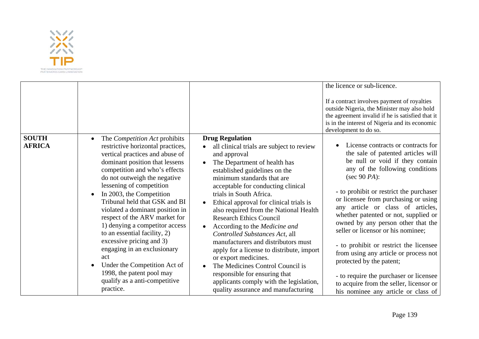

|                               |                                                                                                                                                                                                                                                                                                                                                                                                                                                                                                                                                                                                                                   |                                                                                                                                                                                                                                                                                                                                                                                                                                                                                                                                                                                                                                                                                                                                                         | the licence or sub-licence.<br>If a contract involves payment of royalties<br>outside Nigeria, the Minister may also hold<br>the agreement invalid if he is satisfied that it<br>is in the interest of Nigeria and its economic<br>development to do so.                                                                                                                                                                                                                                                                                                                                                                                                 |
|-------------------------------|-----------------------------------------------------------------------------------------------------------------------------------------------------------------------------------------------------------------------------------------------------------------------------------------------------------------------------------------------------------------------------------------------------------------------------------------------------------------------------------------------------------------------------------------------------------------------------------------------------------------------------------|---------------------------------------------------------------------------------------------------------------------------------------------------------------------------------------------------------------------------------------------------------------------------------------------------------------------------------------------------------------------------------------------------------------------------------------------------------------------------------------------------------------------------------------------------------------------------------------------------------------------------------------------------------------------------------------------------------------------------------------------------------|----------------------------------------------------------------------------------------------------------------------------------------------------------------------------------------------------------------------------------------------------------------------------------------------------------------------------------------------------------------------------------------------------------------------------------------------------------------------------------------------------------------------------------------------------------------------------------------------------------------------------------------------------------|
| <b>SOUTH</b><br><b>AFRICA</b> | The Competition Act prohibits<br>$\bullet$<br>restrictive horizontal practices,<br>vertical practices and abuse of<br>dominant position that lessens<br>competition and who's effects<br>do not outweigh the negative<br>lessening of competition<br>In 2003, the Competition<br>Tribunal held that GSK and BI<br>violated a dominant position in<br>respect of the ARV market for<br>1) denying a competitor access<br>to an essential facility, 2)<br>excessive pricing and 3)<br>engaging in an exclusionary<br>act<br>Under the Competition Act of<br>1998, the patent pool may<br>qualify as a anti-competitive<br>practice. | <b>Drug Regulation</b><br>all clinical trials are subject to review<br>and approval<br>The Department of health has<br>$\bullet$<br>established guidelines on the<br>minimum standards that are<br>acceptable for conducting clinical<br>trials in South Africa.<br>Ethical approval for clinical trials is<br>also required from the National Health<br><b>Research Ethics Council</b><br>According to the Medicine and<br>$\bullet$<br>Controlled Substances Act, all<br>manufacturers and distributors must<br>apply for a license to distribute, import<br>or export medicines.<br>The Medicines Control Council is<br>$\bullet$<br>responsible for ensuring that<br>applicants comply with the legislation,<br>quality assurance and manufacturing | License contracts or contracts for<br>the sale of patented articles will<br>be null or void if they contain<br>any of the following conditions<br>$(\sec 90 PA):$<br>- to prohibit or restrict the purchaser<br>or licensee from purchasing or using<br>any article or class of articles,<br>whether patented or not, supplied or<br>owned by any person other that the<br>seller or licensor or his nominee;<br>- to prohibit or restrict the licensee<br>from using any article or process not<br>protected by the patent;<br>- to require the purchaser or licensee<br>to acquire from the seller, licensor or<br>his nominee any article or class of |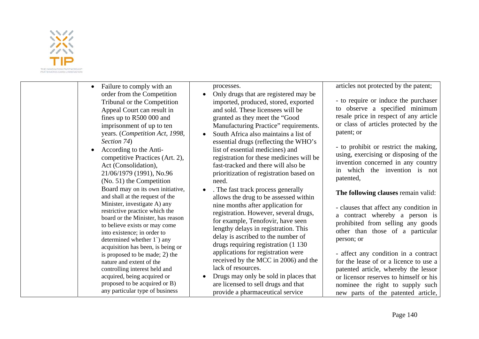

| Failure to comply with an<br>$\bullet$                                                                                                                                                                                                                                                                       | processes.                                                                                                                                                                                                                                                                                                           | articles not protected by the patent;                                                                                                                                                                                                      |
|--------------------------------------------------------------------------------------------------------------------------------------------------------------------------------------------------------------------------------------------------------------------------------------------------------------|----------------------------------------------------------------------------------------------------------------------------------------------------------------------------------------------------------------------------------------------------------------------------------------------------------------------|--------------------------------------------------------------------------------------------------------------------------------------------------------------------------------------------------------------------------------------------|
| order from the Competition<br>Tribunal or the Competition<br>Appeal Court can result in<br>fines up to R500 000 and<br>imprisonment of up to ten<br>years. (Competition Act, 1998,                                                                                                                           | Only drugs that are registered may be<br>imported, produced, stored, exported<br>and sold. These licensees will be<br>granted as they meet the "Good<br>Manufacturing Practice" requirements.<br>South Africa also maintains a list of                                                                               | - to require or induce the purchaser<br>to observe a specified minimum<br>resale price in respect of any article<br>or class of articles protected by the<br>patent; or                                                                    |
| Section 74)<br>According to the Anti-<br>competitive Practices (Art. 2),<br>Act (Consolidation),<br>21/06/1979 (1991), No.96<br>(No. 51) the Competition                                                                                                                                                     | essential drugs (reflecting the WHO's<br>list of essential medicines) and<br>registration for these medicines will be<br>fast-tracked and there will also be<br>prioritization of registration based on<br>need.                                                                                                     | - to prohibit or restrict the making,<br>using, exercising or disposing of the<br>invention concerned in any country<br>in which the invention is not<br>patented,                                                                         |
| Board may on its own initiative,<br>and shall at the request of the<br>Minister, investigate A) any<br>restrictive practice which the<br>board or the Minister, has reason<br>to believe exists or may come<br>into existence; in order to<br>determined whether 1) any<br>acquisition has been, is being or | . The fast track process generally<br>allows the drug to be assessed within<br>nine months after application for<br>registration. However, several drugs,<br>for example, Tenofovir, have seen<br>lengthy delays in registration. This<br>delay is ascribed to the number of<br>drugs requiring registration (1 130) | The following clauses remain valid:<br>- clauses that affect any condition in<br>a contract whereby a person is<br>prohibited from selling any goods<br>other than those of a particular<br>person; or                                     |
| is proposed to be made; 2) the<br>nature and extent of the<br>controlling interest held and<br>acquired, being acquired or<br>proposed to be acquired or B)<br>any particular type of business                                                                                                               | applications for registration were<br>received by the MCC in 2006) and the<br>lack of resources.<br>Drugs may only be sold in places that<br>are licensed to sell drugs and that<br>provide a pharmaceutical service                                                                                                 | - affect any condition in a contract<br>for the lease of or a licence to use a<br>patented article, whereby the lessor<br>or licensor reserves to himself or his<br>nominee the right to supply such<br>new parts of the patented article, |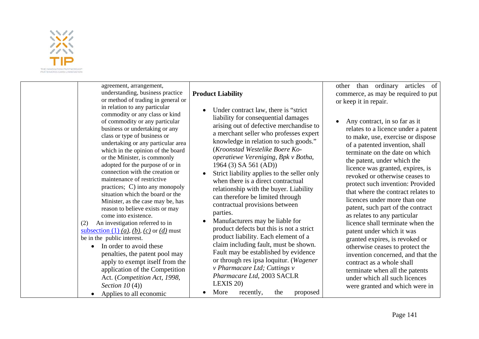

| agreement, arrangement,<br>understanding, business practice<br>or method of trading in general or<br>in relation to any particular<br>commodity or any class or kind<br>of commodity or any particular<br>business or undertaking or any<br>class or type of business or<br>undertaking or any particular area<br>which in the opinion of the board<br>or the Minister, is commonly<br>adopted for the purpose of or in<br>connection with the creation or<br>maintenance of restrictive<br>practices; C) into any monopoly<br>situation which the board or the<br>Minister, as the case may be, has<br>reason to believe exists or may<br>come into existence.<br>An investigation referred to in<br>(2)<br>subsection $(1)$ $(a)$ , $(b)$ , $(c)$ or $(d)$ must<br>be in the public interest.<br>In order to avoid these<br>penalties, the patent pool may<br>apply to exempt itself from the<br>application of the Competition<br>Act. (Competition Act, 1998,<br>Section $10(4)$ )<br>Applies to all economic | <b>Product Liability</b><br>Under contract law, there is "strict"<br>$\bullet$<br>liability for consequential damages<br>arising out of defective merchandise to<br>a merchant seller who professes expert<br>knowledge in relation to such goods."<br>(Kroonstad Westelike Boere Ko-<br>operatiewe Vereniging, Bpk v Botha,<br>1964 (3) SA 561 (AD))<br>Strict liability applies to the seller only<br>when there is a direct contractual<br>relationship with the buyer. Liability<br>can therefore be limited through<br>contractual provisions between<br>parties.<br>Manufacturers may be liable for<br>$\bullet$<br>product defects but this is not a strict<br>product liability. Each element of a<br>claim including fault, must be shown.<br>Fault may be established by evidence<br>or through res ipsa loquitur. (Wagener<br>v Pharmacare Ltd; Cuttings v<br>Pharmacare Ltd, 2003 SACLR<br>LEXIS 20)<br>More<br>recently,<br>the<br>proposed | other than ordinary articles of<br>commerce, as may be required to put<br>or keep it in repair.<br>Any contract, in so far as it<br>relates to a licence under a patent<br>to make, use, exercise or dispose<br>of a patented invention, shall<br>terminate on the date on which<br>the patent, under which the<br>licence was granted, expires, is<br>revoked or otherwise ceases to<br>protect such invention: Provided<br>that where the contract relates to<br>licences under more than one<br>patent, such part of the contract<br>as relates to any particular<br>licence shall terminate when the<br>patent under which it was<br>granted expires, is revoked or<br>otherwise ceases to protect the<br>invention concerned, and that the<br>contract as a whole shall<br>terminate when all the patents<br>under which all such licences<br>were granted and which were in |
|-------------------------------------------------------------------------------------------------------------------------------------------------------------------------------------------------------------------------------------------------------------------------------------------------------------------------------------------------------------------------------------------------------------------------------------------------------------------------------------------------------------------------------------------------------------------------------------------------------------------------------------------------------------------------------------------------------------------------------------------------------------------------------------------------------------------------------------------------------------------------------------------------------------------------------------------------------------------------------------------------------------------|----------------------------------------------------------------------------------------------------------------------------------------------------------------------------------------------------------------------------------------------------------------------------------------------------------------------------------------------------------------------------------------------------------------------------------------------------------------------------------------------------------------------------------------------------------------------------------------------------------------------------------------------------------------------------------------------------------------------------------------------------------------------------------------------------------------------------------------------------------------------------------------------------------------------------------------------------------|-----------------------------------------------------------------------------------------------------------------------------------------------------------------------------------------------------------------------------------------------------------------------------------------------------------------------------------------------------------------------------------------------------------------------------------------------------------------------------------------------------------------------------------------------------------------------------------------------------------------------------------------------------------------------------------------------------------------------------------------------------------------------------------------------------------------------------------------------------------------------------------|
|-------------------------------------------------------------------------------------------------------------------------------------------------------------------------------------------------------------------------------------------------------------------------------------------------------------------------------------------------------------------------------------------------------------------------------------------------------------------------------------------------------------------------------------------------------------------------------------------------------------------------------------------------------------------------------------------------------------------------------------------------------------------------------------------------------------------------------------------------------------------------------------------------------------------------------------------------------------------------------------------------------------------|----------------------------------------------------------------------------------------------------------------------------------------------------------------------------------------------------------------------------------------------------------------------------------------------------------------------------------------------------------------------------------------------------------------------------------------------------------------------------------------------------------------------------------------------------------------------------------------------------------------------------------------------------------------------------------------------------------------------------------------------------------------------------------------------------------------------------------------------------------------------------------------------------------------------------------------------------------|-----------------------------------------------------------------------------------------------------------------------------------------------------------------------------------------------------------------------------------------------------------------------------------------------------------------------------------------------------------------------------------------------------------------------------------------------------------------------------------------------------------------------------------------------------------------------------------------------------------------------------------------------------------------------------------------------------------------------------------------------------------------------------------------------------------------------------------------------------------------------------------|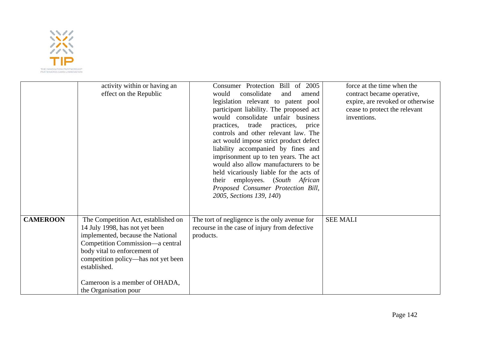

|                 | activity within or having an        | Consumer Protection Bill of 2005              | force at the time when the       |
|-----------------|-------------------------------------|-----------------------------------------------|----------------------------------|
|                 | effect on the Republic              | would<br>consolidate<br>and<br>amend          | contract became operative,       |
|                 |                                     | legislation relevant to patent pool           | expire, are revoked or otherwise |
|                 |                                     | participant liability. The proposed act       | cease to protect the relevant    |
|                 |                                     | would consolidate unfair business             | inventions.                      |
|                 |                                     | practices, trade practices, price             |                                  |
|                 |                                     | controls and other relevant law. The          |                                  |
|                 |                                     | act would impose strict product defect        |                                  |
|                 |                                     | liability accompanied by fines and            |                                  |
|                 |                                     | imprisonment up to ten years. The act         |                                  |
|                 |                                     | would also allow manufacturers to be          |                                  |
|                 |                                     | held vicariously liable for the acts of       |                                  |
|                 |                                     | their employees. (South African               |                                  |
|                 |                                     | Proposed Consumer Protection Bill,            |                                  |
|                 |                                     | 2005, Sections 139, 140)                      |                                  |
|                 |                                     |                                               |                                  |
|                 |                                     |                                               |                                  |
| <b>CAMEROON</b> | The Competition Act, established on | The tort of negligence is the only avenue for | <b>SEE MALI</b>                  |
|                 | 14 July 1998, has not yet been      | recourse in the case of injury from defective |                                  |
|                 | implemented, because the National   | products.                                     |                                  |
|                 | Competition Commission—a central    |                                               |                                  |
|                 | body vital to enforcement of        |                                               |                                  |
|                 | competition policy—has not yet been |                                               |                                  |
|                 | established.                        |                                               |                                  |
|                 |                                     |                                               |                                  |
|                 | Cameroon is a member of OHADA,      |                                               |                                  |
|                 | the Organisation pour               |                                               |                                  |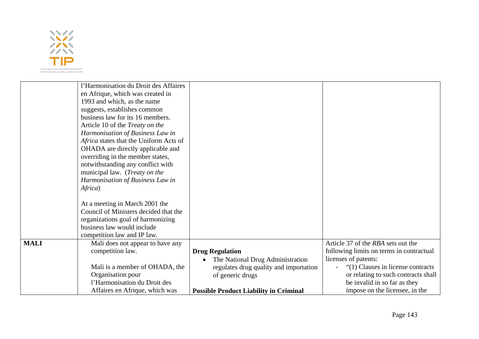

|             | l'Harmonisation du Droit des Affaires  |                                               |                                          |
|-------------|----------------------------------------|-----------------------------------------------|------------------------------------------|
|             | en Afrique, which was created in       |                                               |                                          |
|             | 1993 and which, as the name            |                                               |                                          |
|             | suggests, establishes common           |                                               |                                          |
|             | business law for its 16 members.       |                                               |                                          |
|             | Article 10 of the Treaty on the        |                                               |                                          |
|             | Harmonisation of Business Law in       |                                               |                                          |
|             | Africa states that the Uniform Acts of |                                               |                                          |
|             | OHADA are directly applicable and      |                                               |                                          |
|             | overriding in the member states,       |                                               |                                          |
|             | notwithstanding any conflict with      |                                               |                                          |
|             | municipal law. (Treaty on the          |                                               |                                          |
|             | Harmonisation of Business Law in       |                                               |                                          |
|             | Africa)                                |                                               |                                          |
|             |                                        |                                               |                                          |
|             | At a meeting in March 2001 the         |                                               |                                          |
|             | Council of Ministers decided that the  |                                               |                                          |
|             | organizations goal of harmonizing      |                                               |                                          |
|             | business law would include             |                                               |                                          |
|             | competition law and IP law.            |                                               |                                          |
| <b>MALI</b> | Mali does not appear to have any       |                                               | Article 37 of the RBA sets out the       |
|             | competition law.                       | <b>Drug Regulation</b>                        | following limits on terms in contractual |
|             |                                        | The National Drug Administration              | licenses of patents:                     |
|             | Mali is a member of OHADA, the         | regulates drug quality and importation        | "(1) Clauses in license contracts        |
|             | Organisation pour                      | of generic drugs                              | or relating to such contracts shall      |
|             | l'Harmonisation du Droit des           |                                               | be invalid in so far as they             |
|             | Affaires en Afrique, which was         | <b>Possible Product Liability in Criminal</b> | impose on the licensee, in the           |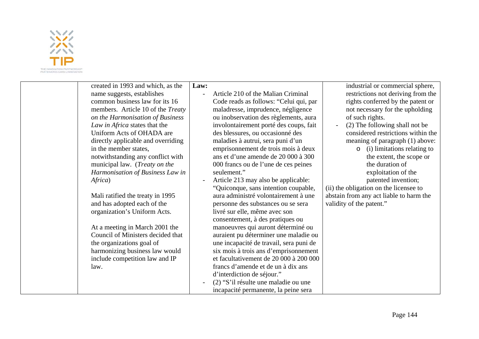

| created in 1993 and which, as the  | Law: |                                         | industrial or commercial sphere,        |
|------------------------------------|------|-----------------------------------------|-----------------------------------------|
| name suggests, establishes         |      | Article 210 of the Malian Criminal      | restrictions not deriving from the      |
| common business law for its 16     |      | Code reads as follows: "Celui qui, par  | rights conferred by the patent or       |
| members. Article 10 of the Treaty  |      | maladresse, imprudence, négligence      | not necessary for the upholding         |
| on the Harmonisation of Business   |      | ou inobservation des règlements, aura   | of such rights.                         |
| Law in Africa states that the      |      | involontairement porté des coups, fait  | (2) The following shall not be          |
| Uniform Acts of OHADA are          |      | des blessures, ou occasionné des        | considered restrictions within the      |
| directly applicable and overriding |      | maladies à autrui, sera puni d'un       | meaning of paragraph (1) above:         |
| in the member states,              |      | emprisonnement de trois mois à deux     | o (i) limitations relating to           |
| notwithstanding any conflict with  |      | ans et d'une amende de 20 000 à 300     | the extent, the scope or                |
| municipal law. (Treaty on the      |      | 000 francs ou de l'une de ces peines    | the duration of                         |
| Harmonisation of Business Law in   |      | seulement."                             | exploitation of the                     |
| Africa)                            |      | Article 213 may also be applicable:     | patented invention;                     |
|                                    |      | "Quiconque, sans intention coupable,    | (ii) the obligation on the licensee to  |
| Mali ratified the treaty in 1995   |      | aura administré volontairement à une    | abstain from any act liable to harm the |
| and has adopted each of the        |      | personne des substances ou se sera      | validity of the patent."                |
| organization's Uniform Acts.       |      | livré sur elle, même avec son           |                                         |
|                                    |      | consentement, à des pratiques ou        |                                         |
| At a meeting in March 2001 the     |      | manoeuvres qui auront déterminé ou      |                                         |
| Council of Ministers decided that  |      | auraient pu déterminer une maladie ou   |                                         |
| the organizations goal of          |      | une incapacité de travail, sera puni de |                                         |
| harmonizing business law would     |      | six mois à trois ans d'emprisonnement   |                                         |
| include competition law and IP     |      | et facultativement de 20 000 à 200 000  |                                         |
| law.                               |      | francs d'amende et de un à dix ans      |                                         |
|                                    |      | d'interdiction de séjour."              |                                         |
|                                    |      | (2) "S'il résulte une maladie ou une    |                                         |
|                                    |      | incapacité permanente, la peine sera    |                                         |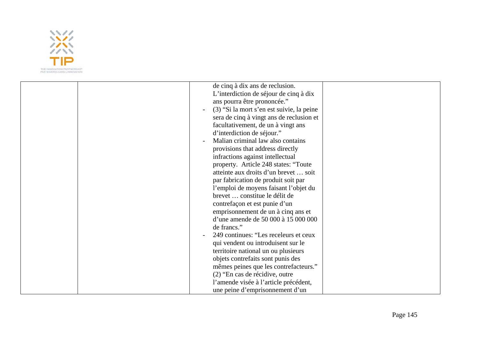

| de cinq à dix ans de reclusion.           |  |
|-------------------------------------------|--|
| L'interdiction de séjour de cinq à dix    |  |
| ans pourra être prononcée."               |  |
| (3) "Si la mort s'en est suivie, la peine |  |
| sera de cinq à vingt ans de reclusion et  |  |
| facultativement, de un à vingt ans        |  |
| d'interdiction de séjour."                |  |
| Malian criminal law also contains         |  |
| provisions that address directly          |  |
| infractions against intellectual          |  |
| property. Article 248 states: "Toute      |  |
| atteinte aux droits d'un brevet  soit     |  |
| par fabrication de produit soit par       |  |
| l'emploi de moyens faisant l'objet du     |  |
| brevet  constitue le délit de             |  |
| contrefaçon et est punie d'un             |  |
| emprisonnement de un à cinq ans et        |  |
| d'une amende de 50 000 à 15 000 000       |  |
| de francs."                               |  |
| 249 continues: "Les receleurs et ceux     |  |
| qui vendent ou introduisent sur le        |  |
| territoire national un ou plusieurs       |  |
| objets contrefaits sont punis des         |  |
| mêmes peines que les contrefacteurs."     |  |
| (2) "En cas de récidive, outre            |  |
| l'amende visée à l'article précédent,     |  |
| une peine d'emprisonnement d'un           |  |
|                                           |  |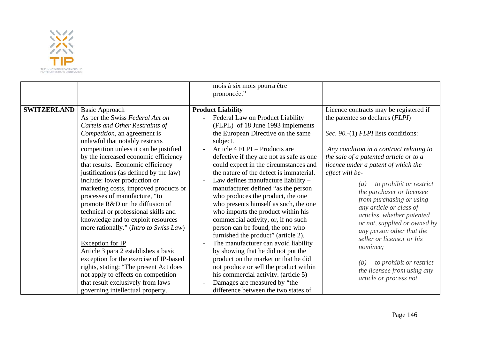

|                    |                                        |                          | mois à six mois pourra être              |                 |                                          |
|--------------------|----------------------------------------|--------------------------|------------------------------------------|-----------------|------------------------------------------|
|                    |                                        |                          | prononcée."                              |                 |                                          |
|                    |                                        |                          |                                          |                 |                                          |
| <b>SWITZERLAND</b> | <b>Basic Approach</b>                  |                          | <b>Product Liability</b>                 |                 | Licence contracts may be registered if   |
|                    | As per the Swiss Federal Act on        |                          | Federal Law on Product Liability         |                 | the patentee so declares ( <i>FLPI</i> ) |
|                    | Cartels and Other Restraints of        |                          | (FLPL) of 18 June 1993 implements        |                 |                                          |
|                    | Competition, an agreement is           |                          | the European Directive on the same       |                 | Sec. 90.-(1) FLPI lists conditions:      |
|                    | unlawful that notably restricts        |                          | subject.                                 |                 |                                          |
|                    | competition unless it can be justified |                          | Article 4 FLPL-Products are              |                 | Any condition in a contract relating to  |
|                    | by the increased economic efficiency   |                          | defective if they are not as safe as one |                 | the sale of a patented article or to a   |
|                    | that results. Economic efficiency      |                          | could expect in the circumstances and    |                 | licence under a patent of which the      |
|                    | justifications (as defined by the law) |                          | the nature of the defect is immaterial.  | effect will be- |                                          |
|                    | include: lower production or           | $\overline{\phantom{a}}$ | Law defines manufacture liability –      | (a)             | to prohibit or restrict                  |
|                    | marketing costs, improved products or  |                          | manufacturer defined "as the person      |                 | the purchaser or licensee                |
|                    | processes of manufacture, "to          |                          | who produces the product, the one        |                 | from purchasing or using                 |
|                    | promote R&D or the diffusion of        |                          | who presents himself as such, the one    |                 | any article or class of                  |
|                    | technical or professional skills and   |                          | who imports the product within his       |                 | articles, whether patented               |
|                    | knowledge and to exploit resources     |                          | commercial activity, or, if no such      |                 | or not, supplied or owned by             |
|                    | more rationally." (Intro to Swiss Law) |                          | person can be found, the one who         |                 | any person other that the                |
|                    |                                        |                          | furnished the product" (article 2).      |                 | seller or licensor or his                |
|                    | Exception for IP                       |                          | The manufacturer can avoid liability     |                 |                                          |
|                    | Article 3 para 2 establishes a basic   |                          | by showing that he did not put the       |                 | <i>nominee</i> ;                         |
|                    | exception for the exercise of IP-based |                          | product on the market or that he did     |                 |                                          |
|                    | rights, stating: "The present Act does |                          | not produce or sell the product within   | (b)             | to prohibit or restrict                  |
|                    | not apply to effects on competition    |                          | his commercial activity. (article 5)     |                 | the licensee from using any              |
|                    | that result exclusively from laws      |                          | Damages are measured by "the             |                 | article or process not                   |
|                    | governing intellectual property.       |                          | difference between the two states of     |                 |                                          |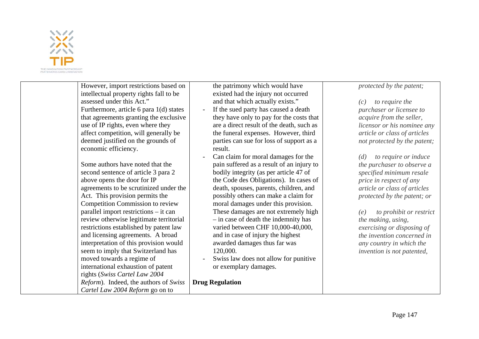

| However, import restrictions based on   | the patrimony which would have            | protected by the patent;       |
|-----------------------------------------|-------------------------------------------|--------------------------------|
| intellectual property rights fall to be | existed had the injury not occurred       |                                |
| assessed under this Act."               | and that which actually exists."          | to require the<br>(c)          |
| Furthermore, article 6 para 1(d) states | If the sued party has caused a death      | purchaser or licensee to       |
| that agreements granting the exclusive  | they have only to pay for the costs that  | acquire from the seller,       |
| use of IP rights, even where they       | are a direct result of the death, such as | licensor or his nominee any    |
| affect competition, will generally be   | the funeral expenses. However, third      | article or class of articles   |
| deemed justified on the grounds of      | parties can sue for loss of support as a  | not protected by the patent;   |
| economic efficiency.                    | result.                                   |                                |
|                                         | Can claim for moral damages for the       | to require or induce<br>(d)    |
| Some authors have noted that the        | pain suffered as a result of an injury to | the purchaser to observe a     |
| second sentence of article 3 para 2     | bodily integrity (as per article 47 of    | specified minimum resale       |
| above opens the door for IP             | the Code des Obligations). In cases of    | price in respect of any        |
| agreements to be scrutinized under the  | death, spouses, parents, children, and    | article or class of articles   |
| Act. This provision permits the         | possibly others can make a claim for      | protected by the patent; or    |
| Competition Commission to review        | moral damages under this provision.       |                                |
| parallel import restrictions – it can   | These damages are not extremely high      | to prohibit or restrict<br>(e) |
| review otherwise legitimate territorial | - in case of death the indemnity has      | the making, using,             |
| restrictions established by patent law  | varied between CHF 10,000-40,000,         | exercising or disposing of     |
| and licensing agreements. A broad       | and in case of injury the highest         | the invention concerned in     |
| interpretation of this provision would  | awarded damages thus far was              | any country in which the       |
| seem to imply that Switzerland has      | 120,000.                                  | invention is not patented,     |
| moved towards a regime of               | Swiss law does not allow for punitive     |                                |
| international exhaustion of patent      | or exemplary damages.                     |                                |
| rights (Swiss Cartel Law 2004           |                                           |                                |
| Reform). Indeed, the authors of Swiss   | <b>Drug Regulation</b>                    |                                |
| Cartel Law 2004 Reform go on to         |                                           |                                |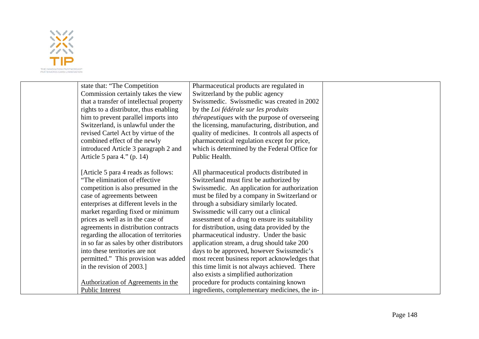

| state that: "The Competition             | Pharmaceutical products are regulated in         |  |
|------------------------------------------|--------------------------------------------------|--|
| Commission certainly takes the view      | Switzerland by the public agency                 |  |
| that a transfer of intellectual property | Swissmedic. Swissmedic was created in 2002       |  |
| rights to a distributor, thus enabling   | by the Loi fédérale sur les produits             |  |
| him to prevent parallel imports into     | thérapeutiques with the purpose of overseeing    |  |
| Switzerland, is unlawful under the       | the licensing, manufacturing, distribution, and  |  |
| revised Cartel Act by virtue of the      | quality of medicines. It controls all aspects of |  |
| combined effect of the newly             | pharmaceutical regulation except for price,      |  |
| introduced Article 3 paragraph 2 and     | which is determined by the Federal Office for    |  |
| Article 5 para 4." (p. 14)               | Public Health.                                   |  |
|                                          |                                                  |  |
| [Article 5 para 4 reads as follows:      | All pharmaceutical products distributed in       |  |
| "The elimination of effective"           | Switzerland must first be authorized by          |  |
| competition is also presumed in the      | Swissmedic. An application for authorization     |  |
| case of agreements between               | must be filed by a company in Switzerland or     |  |
| enterprises at different levels in the   | through a subsidiary similarly located.          |  |
| market regarding fixed or minimum        | Swissmedic will carry out a clinical             |  |
| prices as well as in the case of         | assessment of a drug to ensure its suitability   |  |
| agreements in distribution contracts     | for distribution, using data provided by the     |  |
| regarding the allocation of territories  | pharmaceutical industry. Under the basic         |  |
| in so far as sales by other distributors | application stream, a drug should take 200       |  |
| into these territories are not           | days to be approved, however Swissmedic's        |  |
| permitted." This provision was added     | most recent business report acknowledges that    |  |
| in the revision of 2003.]                | this time limit is not always achieved. There    |  |
|                                          | also exists a simplified authorization           |  |
| Authorization of Agreements in the       | procedure for products containing known          |  |
| Public Interest                          | ingredients, complementary medicines, the in-    |  |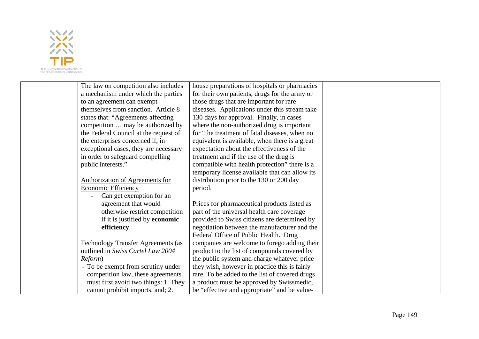

| The law on competition also includes      | house preparations of hospitals or pharmacies  |  |
|-------------------------------------------|------------------------------------------------|--|
| a mechanism under which the parties       | for their own patients, drugs for the army or  |  |
| to an agreement can exempt                | those drugs that are important for rare        |  |
| themselves from sanction. Article 8       | diseases. Applications under this stream take  |  |
| states that: "Agreements affecting        | 130 days for approval. Finally, in cases       |  |
| competition  may be authorized by         | where the non-authorized drug is important     |  |
| the Federal Council at the request of     | for "the treatment of fatal diseases, when no  |  |
| the enterprises concerned if, in          | equivalent is available, when there is a great |  |
| exceptional cases, they are necessary     | expectation about the effectiveness of the     |  |
| in order to safeguard compelling          | treatment and if the use of the drug is        |  |
| public interests."                        | compatible with health protection" there is a  |  |
|                                           | temporary license available that can allow its |  |
| Authorization of Agreements for           | distribution prior to the 130 or 200 day       |  |
| <b>Economic Efficiency</b>                | period.                                        |  |
| Can get exemption for an                  |                                                |  |
| agreement that would                      | Prices for pharmaceutical products listed as   |  |
| otherwise restrict competition            | part of the universal health care coverage     |  |
| if it is justified by economic            | provided to Swiss citizens are determined by   |  |
| efficiency.                               | negotiation between the manufacturer and the   |  |
|                                           | Federal Office of Public Health. Drug          |  |
| <b>Technology Transfer Agreements (as</b> | companies are welcome to forego adding their   |  |
| outlined in Swiss Cartel Law 2004         | product to the list of compounds covered by    |  |
| Reform)                                   | the public system and charge whatever price    |  |
| - To be exempt from scrutiny under        | they wish, however in practice this is fairly  |  |
| competition law, these agreements         | rare. To be added to the list of covered drugs |  |
| must first avoid two things: 1. They      | a product must be approved by Swissmedic,      |  |
| cannot prohibit imports, and; 2.          | be "effective and appropriate" and be value-   |  |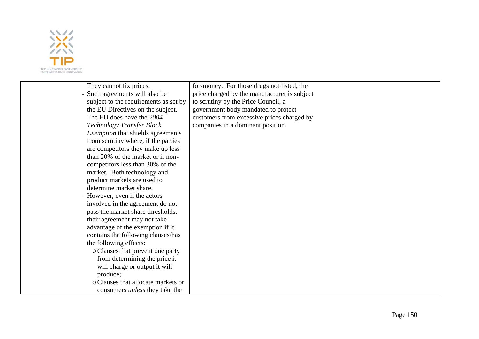

| They cannot fix prices.                  | for-money. For those drugs not listed, the   |  |
|------------------------------------------|----------------------------------------------|--|
| - Such agreements will also be           | price charged by the manufacturer is subject |  |
| subject to the requirements as set by    | to scrutiny by the Price Council, a          |  |
| the EU Directives on the subject.        | government body mandated to protect          |  |
| The EU does have the 2004                | customers from excessive prices charged by   |  |
| <b>Technology Transfer Block</b>         | companies in a dominant position.            |  |
| <i>Exemption</i> that shields agreements |                                              |  |
| from scrutiny where, if the parties      |                                              |  |
| are competitors they make up less        |                                              |  |
| than 20% of the market or if non-        |                                              |  |
| competitors less than 30% of the         |                                              |  |
| market. Both technology and              |                                              |  |
| product markets are used to              |                                              |  |
| determine market share.                  |                                              |  |
| - However, even if the actors            |                                              |  |
| involved in the agreement do not         |                                              |  |
| pass the market share thresholds,        |                                              |  |
| their agreement may not take             |                                              |  |
| advantage of the exemption if it         |                                              |  |
| contains the following clauses/has       |                                              |  |
| the following effects:                   |                                              |  |
| o Clauses that prevent one party         |                                              |  |
| from determining the price it            |                                              |  |
| will charge or output it will            |                                              |  |
| produce;                                 |                                              |  |
| o Clauses that allocate markets or       |                                              |  |
| consumers <i>unless</i> they take the    |                                              |  |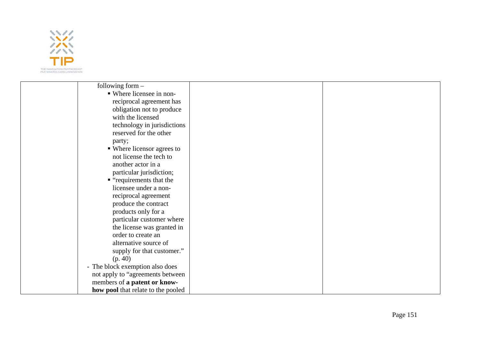

| following form $-$                 |  |
|------------------------------------|--|
| • Where licensee in non-           |  |
| reciprocal agreement has           |  |
| obligation not to produce          |  |
| with the licensed                  |  |
| technology in jurisdictions        |  |
| reserved for the other             |  |
| party;                             |  |
| • Where licensor agrees to         |  |
| not license the tech to            |  |
| another actor in a                 |  |
| particular jurisdiction;           |  |
| " "requirements that the           |  |
| licensee under a non-              |  |
| reciprocal agreement               |  |
| produce the contract               |  |
| products only for a                |  |
| particular customer where          |  |
| the license was granted in         |  |
| order to create an                 |  |
| alternative source of              |  |
| supply for that customer."         |  |
| (p. 40)                            |  |
| - The block exemption also does    |  |
| not apply to "agreements between   |  |
| members of a patent or know-       |  |
| how pool that relate to the pooled |  |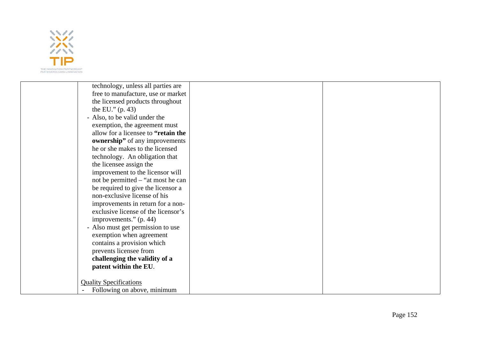

| technology, unless all parties are     |  |
|----------------------------------------|--|
| free to manufacture, use or market     |  |
| the licensed products throughout       |  |
| the EU." $(p. 43)$                     |  |
| - Also, to be valid under the          |  |
| exemption, the agreement must          |  |
| allow for a licensee to "retain the    |  |
| <b>ownership</b> " of any improvements |  |
| he or she makes to the licensed        |  |
| technology. An obligation that         |  |
| the licensee assign the                |  |
| improvement to the licensor will       |  |
| not be permitted – "at most he can     |  |
| be required to give the licensor a     |  |
| non-exclusive license of his           |  |
| improvements in return for a non-      |  |
| exclusive license of the licensor's    |  |
| improvements." (p. 44)                 |  |
| - Also must get permission to use      |  |
| exemption when agreement               |  |
| contains a provision which             |  |
| prevents licensee from                 |  |
| challenging the validity of a          |  |
| patent within the EU.                  |  |
|                                        |  |
| <b>Quality Specifications</b>          |  |
| Following on above, minimum            |  |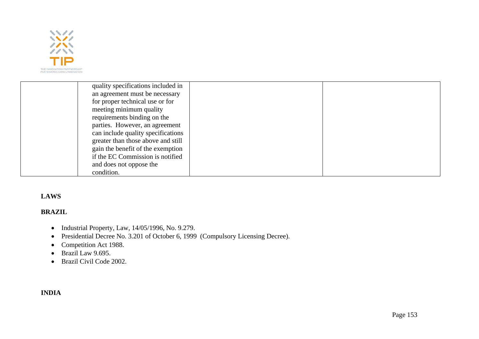

| quality specifications included in |  |
|------------------------------------|--|
| an agreement must be necessary     |  |
| for proper technical use or for    |  |
| meeting minimum quality            |  |
| requirements binding on the        |  |
| parties. However, an agreement     |  |
| can include quality specifications |  |
| greater than those above and still |  |
| gain the benefit of the exemption  |  |
| if the EC Commission is notified   |  |
| and does not oppose the            |  |
| condition.                         |  |

#### **LAWS**

#### **BRAZIL**

- Industrial Property, Law, 14/05/1996, No. 9.279.
- Presidential Decree No. 3.201 of October 6, 1999 (Compulsory Licensing Decree).
- Competition Act 1988.
- Brazil Law 9.695.
- Brazil Civil Code 2002.

### **INDIA**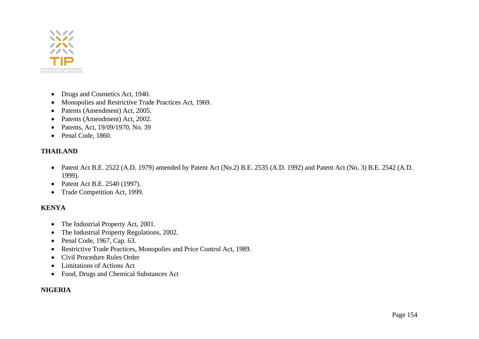

- Drugs and Cosmetics Act, 1940.
- Monopolies and Restrictive Trade Practices Act, 1969.
- Patents (Amendment) Act, 2005.
- Patents (Amendment) Act, 2002.
- Patents, Act, 19/09/1970, No. 39
- Penal Code, 1860.

### **THAILAND**

- Patent Act B.E. 2522 (A.D. 1979) amended by Patent Act (No.2) B.E. 2535 (A.D. 1992) and Patent Act (No. 3) B.E. 2542 (A.D. 1999).
- Patent Act B.E. 2540 (1997).
- Trade Competition Act, 1999.

### **KENYA**

- The Industrial Property Act, 2001.
- The Industrial Property Regulations, 2002.
- Penal Code, 1967, Cap. 63.
- Restrictive Trade Practices, Monopolies and Price Control Act, 1989.
- Civil Procedure Rules Order
- Limitations of Actions Act
- Food, Drugs and Chemical Substances Act

#### **NIGERIA**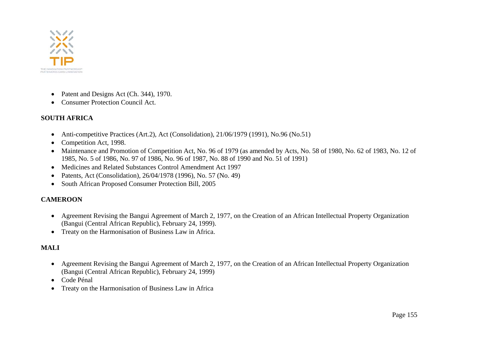

- Patent and Designs Act (Ch. 344), 1970.
- Consumer Protection Council Act.

# **SOUTH AFRICA**

- Anti-competitive Practices (Art.2), Act (Consolidation), 21/06/1979 (1991), No.96 (No.51)
- Competition Act, 1998.
- Maintenance and Promotion of Competition Act, No. 96 of 1979 (as amended by Acts, No. 58 of 1980, No. 62 of 1983, No. 12 of 1985, No. 5 of 1986, No. 97 of 1986, No. 96 of 1987, No. 88 of 1990 and No. 51 of 1991)
- Medicines and Related Substances Control Amendment Act 1997
- Patents, Act (Consolidation), 26/04/1978 (1996), No. 57 (No. 49)
- South African Proposed Consumer Protection Bill, 2005

# **CAMEROON**

- Agreement Revising the Bangui Agreement of March 2, 1977, on the Creation of an African Intellectual Property Organization (Bangui (Central African Republic), February 24, 1999).
- Treaty on the Harmonisation of Business Law in Africa.

#### **MALI**

- Agreement Revising the Bangui Agreement of March 2, 1977, on the Creation of an African Intellectual Property Organization (Bangui (Central African Republic), February 24, 1999)
- Code Pénal
- Treaty on the Harmonisation of Business Law in Africa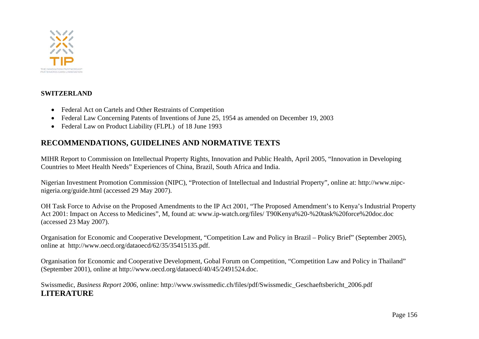

#### **SWITZERLAND**

- Federal Act on Cartels and Other Restraints of Competition
- Federal Law Concerning Patents of Inventions of June 25, 1954 as amended on December 19, 2003
- Federal Law on Product Liability (FLPL) of 18 June 1993

# **RECOMMENDATIONS, GUIDELINES AND NORMATIVE TEXTS**

MIHR Report to Commission on Intellectual Property Rights, Innovation and Public Health, April 2005, "Innovation in Developing Countries to Meet Health Needs" Experiences of China, Brazil, South Africa and India.

Nigerian Investment Promotion Commission (NIPC), "Protection of Intellectual and Industrial Property", online at: http://www.nipcnigeria.org/guide.html (accessed 29 May 2007).

OH Task Force to Advise on the Proposed Amendments to the IP Act 2001, "The Proposed Amendment's to Kenya's Industrial Property Act 2001: Impact on Access to Medicines", M, found at: www.ip-watch.org/files/ T90Kenya%20-%20task%20force%20doc.doc (accessed 23 May 2007).

Organisation for Economic and Cooperative Development, "Competition Law and Policy in Brazil – Policy Brief" (September 2005), online at http://www.oecd.org/dataoecd/62/35/35415135.pdf.

Organisation for Economic and Cooperative Development, Gobal Forum on Competition, "Competition Law and Policy in Thailand" (September 2001), online at http://www.oecd.org/dataoecd/40/45/2491524.doc.

Swissmedic, *Business Report 2006*, online: http://www.swissmedic.ch/files/pdf/Swissmedic\_Geschaeftsbericht\_2006.pdf **LITERATURE**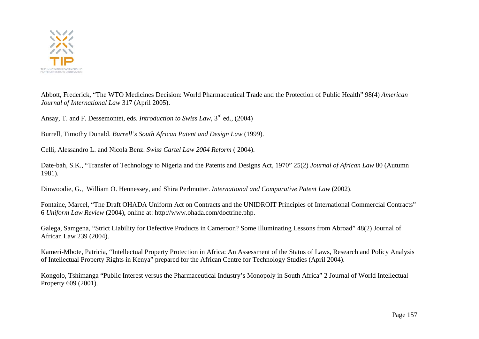

Abbott, Frederick, "The WTO Medicines Decision: World Pharmaceutical Trade and the Protection of Public Health" 98(4) *American Journal of International Law* 317 (April 2005).

Ansay, T. and F. Dessemontet, eds. *Introduction to Swiss Law*, 3<sup>rd</sup> ed., (2004)

Burrell, Timothy Donald. *Burrell's South African Patent and Design Law* (1999).

Celli, Alessandro L. and Nicola Benz. *Swiss Cartel Law 2004 Reform* ( 2004).

Date-bah, S.K., "Transfer of Technology to Nigeria and the Patents and Designs Act, 1970" 25(2) *Journal of African Law* 80 (Autumn 1981).

Dinwoodie, G., William O. Hennessey, and Shira Perlmutter. *International and Comparative Patent Law* (2002).

Fontaine, Marcel, "The Draft OHADA Uniform Act on Contracts and the UNIDROIT Principles of International Commercial Contracts" 6 *Uniform Law Review* (2004), online at: http://www.ohada.com/doctrine.php.

Galega, Samgena, "Strict Liability for Defective Products in Cameroon? Some Illuminating Lessons from Abroad" 48(2) Journal of African Law 239 (2004).

Kameri-Mbote, Patricia, "Intellectual Property Protection in Africa: An Assessment of the Status of Laws, Research and Policy Analysis of Intellectual Property Rights in Kenya" prepared for the African Centre for Technology Studies (April 2004).

Kongolo, Tshimanga "Public Interest versus the Pharmaceutical Industry's Monopoly in South Africa" 2 Journal of World Intellectual Property 609 (2001).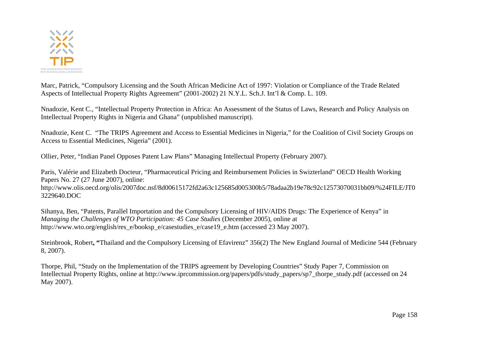

Marc, Patrick, "Compulsory Licensing and the South African Medicine Act of 1997: Violation or Compliance of the Trade Related Aspects of Intellectual Property Rights Agreement" (2001-2002) 21 N.Y.L. Sch.J. Int'l & Comp. L. 109.

Nnadozie, Kent C., "Intellectual Property Protection in Africa: An Assessment of the Status of Laws, Research and Policy Analysis on Intellectual Property Rights in Nigeria and Ghana" (unpublished manuscript).

Nnadozie, Kent C. "The TRIPS Agreement and Access to Essential Medicines in Nigeria," for the Coalition of Civil Society Groups on Access to Essential Medicines, Nigeria" (2001).

Ollier, Peter, "Indian Panel Opposes Patent Law Plans" Managing Intellectual Property (February 2007).

Paris, Valérie and Elizabeth Docteur, "Pharmaceutical Pricing and Reimbursement Policies in Swizterland" OECD Health Working Papers No. 27 (27 June 2007), online: http://www.olis.oecd.org/olis/2007doc.nsf/8d00615172fd2a63c125685d005300b5/78adaa2b19e78c92c12573070031bb09/%24FILE/JT0 3229640.DOC

Sihanya, Ben, "Patents, Parallel Importation and the Compulsory Licensing of HIV/AIDS Drugs: The Experience of Kenya" in *Managing the Challenges of WTO Participation: 45 Case Studies* (December 2005), online at http://www.wto.org/english/res\_e/booksp\_e/casestudies\_e/case19\_e.htm (accessed 23 May 2007).

Steinbrook, Robert**, "**Thailand and the Compulsory Licensing of Efavirenz" 356(2) The New England Journal of Medicine 544 (February 8, 2007).

Thorpe, Phil, "Study on the Implementation of the TRIPS agreement by Developing Countries" Study Paper 7, Commission on Intellectual Property Rights, online at http://www.iprcommission.org/papers/pdfs/study\_papers/sp7\_thorpe\_study.pdf (accessed on 24 May 2007).